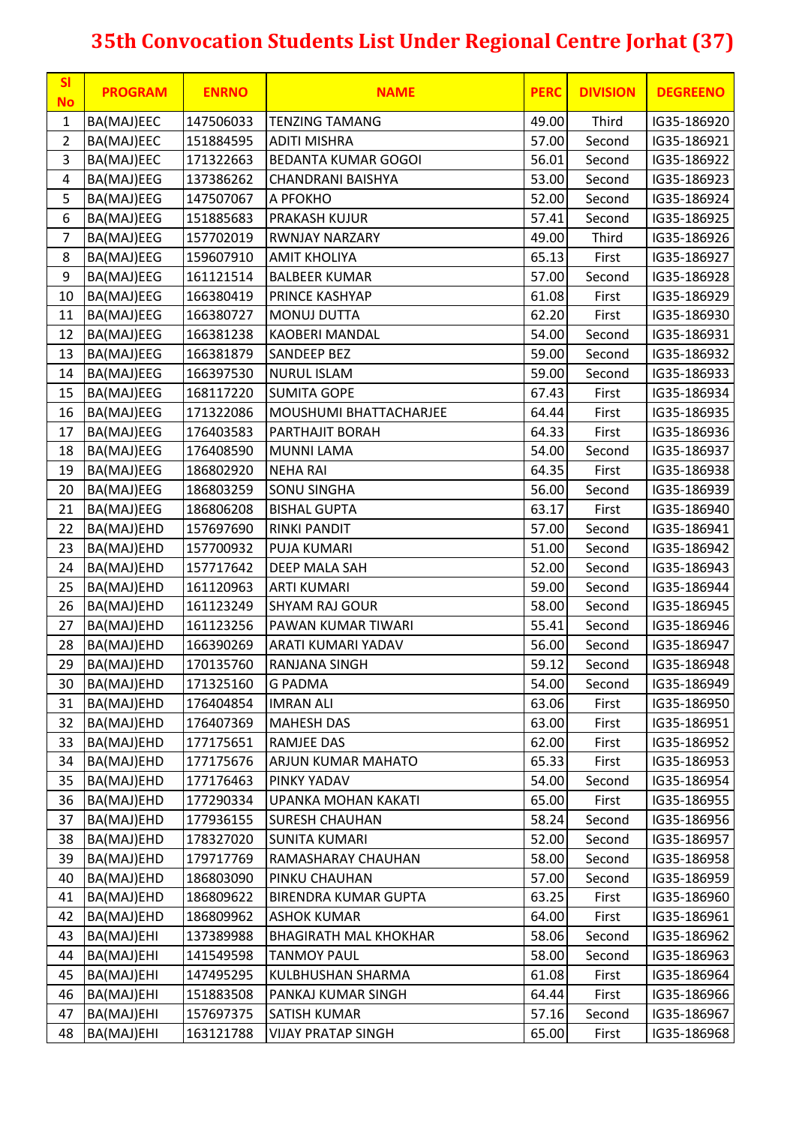| <b>SI</b><br><b>No</b> | <b>PROGRAM</b> | <b>ENRNO</b> | <b>NAME</b>                  | <b>PERC</b>    | <b>DIVISION</b> | <b>DEGREENO</b> |
|------------------------|----------------|--------------|------------------------------|----------------|-----------------|-----------------|
| $\mathbf{1}$           | BA(MAJ)EEC     | 147506033    | <b>TENZING TAMANG</b>        | 49.00          | Third           | IG35-186920     |
| $\overline{2}$         | BA(MAJ)EEC     | 151884595    | <b>ADITI MISHRA</b>          | 57.00          | Second          | IG35-186921     |
| $\overline{3}$         | BA(MAJ)EEC     | 171322663    | <b>BEDANTA KUMAR GOGOI</b>   | 56.01          | Second          | IG35-186922     |
| 4                      | BA(MAJ)EEG     | 137386262    | CHANDRANI BAISHYA            | 53.00          | Second          | IG35-186923     |
| 5                      | BA(MAJ)EEG     | 147507067    | A PFOKHO                     | 52.00          | Second          | IG35-186924     |
| 6                      | BA(MAJ)EEG     | 151885683    | PRAKASH KUJUR                | 57.41          | Second          | IG35-186925     |
| $\overline{7}$         | BA(MAJ)EEG     | 157702019    | <b>RWNJAY NARZARY</b>        | 49.00          | Third           | IG35-186926     |
| 8                      | BA(MAJ)EEG     | 159607910    | <b>AMIT KHOLIYA</b>          | 65.13          | First           | IG35-186927     |
| 9                      | BA(MAJ)EEG     | 161121514    | <b>BALBEER KUMAR</b>         | 57.00          | Second          | IG35-186928     |
| 10                     | BA(MAJ)EEG     | 166380419    | PRINCE KASHYAP               | 61.08          | First           | IG35-186929     |
| 11                     | BA(MAJ)EEG     | 166380727    | <b>MONUJ DUTTA</b>           | 62.20          | First           | IG35-186930     |
| 12                     | BA(MAJ)EEG     | 166381238    | <b>KAOBERI MANDAL</b>        | 54.00          | Second          | IG35-186931     |
| 13                     | BA(MAJ)EEG     | 166381879    | <b>SANDEEP BEZ</b>           | 59.00          | Second          | IG35-186932     |
| 14                     | BA(MAJ)EEG     | 166397530    | <b>NURUL ISLAM</b>           | 59.00          | Second          | IG35-186933     |
| 15                     | BA(MAJ)EEG     | 168117220    | <b>SUMITA GOPE</b>           | 67.43          | First           | IG35-186934     |
| 16                     | BA(MAJ)EEG     | 171322086    | MOUSHUMI BHATTACHARJEE       | 64.44          | First           | IG35-186935     |
| 17                     | BA(MAJ)EEG     | 176403583    | PARTHAJIT BORAH              | 64.33          | First           | IG35-186936     |
| 18                     | BA(MAJ)EEG     | 176408590    | <b>MUNNI LAMA</b>            | 54.00          | Second          | IG35-186937     |
| 19                     | BA(MAJ)EEG     | 186802920    | <b>NEHA RAI</b>              | 64.35          | First           | IG35-186938     |
| 20                     | BA(MAJ)EEG     | 186803259    | SONU SINGHA                  | 56.00          | Second          | IG35-186939     |
| 21                     | BA(MAJ)EEG     | 186806208    | <b>BISHAL GUPTA</b>          | 63.17          | First           | IG35-186940     |
| 22                     | BA(MAJ)EHD     | 157697690    | <b>RINKI PANDIT</b>          | 57.00          | Second          | IG35-186941     |
| 23                     | BA(MAJ)EHD     | 157700932    | PUJA KUMARI                  | 51.00          | Second          | IG35-186942     |
| 24                     | BA(MAJ)EHD     | 157717642    | DEEP MALA SAH                | 52.00          | Second          | IG35-186943     |
| 25                     | BA(MAJ)EHD     | 161120963    | <b>ARTI KUMARI</b>           | 59.00          | Second          | IG35-186944     |
| 26                     | BA(MAJ)EHD     | 161123249    | <b>SHYAM RAJ GOUR</b>        | 58.00          | Second          | IG35-186945     |
| 27                     | BA(MAJ)EHD     | 161123256    | PAWAN KUMAR TIWARI           | 55.41          | Second          | IG35-186946     |
| 28                     | BA(MAJ)EHD     | 166390269    | ARATI KUMARI YADAV           | 56.00          | Second          | IG35-186947     |
| 29                     | BA(MAJ)EHD     | 170135760    | <b>RANJANA SINGH</b>         | 59.12          | Second          | IG35-186948     |
| 30                     | BA(MAJ)EHD     | 171325160    | <b>G PADMA</b>               | 54.00          | Second          | IG35-186949     |
| 31                     | BA(MAJ)EHD     | 176404854    | <b>IMRAN ALI</b>             | 63.06          | First           | IG35-186950     |
| 32                     | BA(MAJ)EHD     | 176407369    | <b>MAHESH DAS</b>            | 63.00          | First           | IG35-186951     |
| 33                     | BA(MAJ)EHD     | 177175651    | RAMJEE DAS                   | 62.00          | First           | IG35-186952     |
| 34                     | BA(MAJ)EHD     | 177175676    | ARJUN KUMAR MAHATO           | 65.33          | First           | IG35-186953     |
| 35                     | BA(MAJ)EHD     | 177176463    | PINKY YADAV                  | 54.00          | Second          | IG35-186954     |
| 36                     | BA(MAJ)EHD     |              | UPANKA MOHAN KAKATI          | 65.00          | First           | IG35-186955     |
|                        |                | 177290334    |                              |                |                 |                 |
| 37<br>38               | BA(MAJ)EHD     | 177936155    | <b>SURESH CHAUHAN</b>        | 58.24<br>52.00 | Second          | IG35-186956     |
|                        | BA(MAJ)EHD     | 178327020    | <b>SUNITA KUMARI</b>         |                | Second          | IG35-186957     |
| 39                     | BA(MAJ)EHD     | 179717769    | RAMASHARAY CHAUHAN           | 58.00          | Second          | IG35-186958     |
| 40                     | BA(MAJ)EHD     | 186803090    | PINKU CHAUHAN                | 57.00          | Second          | IG35-186959     |
| 41                     | BA(MAJ)EHD     | 186809622    | <b>BIRENDRA KUMAR GUPTA</b>  | 63.25          | First           | IG35-186960     |
| 42                     | BA(MAJ)EHD     | 186809962    | <b>ASHOK KUMAR</b>           | 64.00          | First           | IG35-186961     |
| 43                     | BA(MAJ)EHI     | 137389988    | <b>BHAGIRATH MAL KHOKHAR</b> | 58.06          | Second          | IG35-186962     |
| 44                     | BA(MAJ)EHI     | 141549598    | <b>TANMOY PAUL</b>           | 58.00          | Second          | IG35-186963     |
| 45                     | BA(MAJ)EHI     | 147495295    | KULBHUSHAN SHARMA            | 61.08          | First           | IG35-186964     |
| 46                     | BA(MAJ)EHI     | 151883508    | PANKAJ KUMAR SINGH           | 64.44          | First           | IG35-186966     |
| 47                     | BA(MAJ)EHI     | 157697375    | SATISH KUMAR                 | 57.16          | Second          | IG35-186967     |
| 48                     | BA(MAJ)EHI     | 163121788    | <b>VIJAY PRATAP SINGH</b>    | 65.00          | First           | IG35-186968     |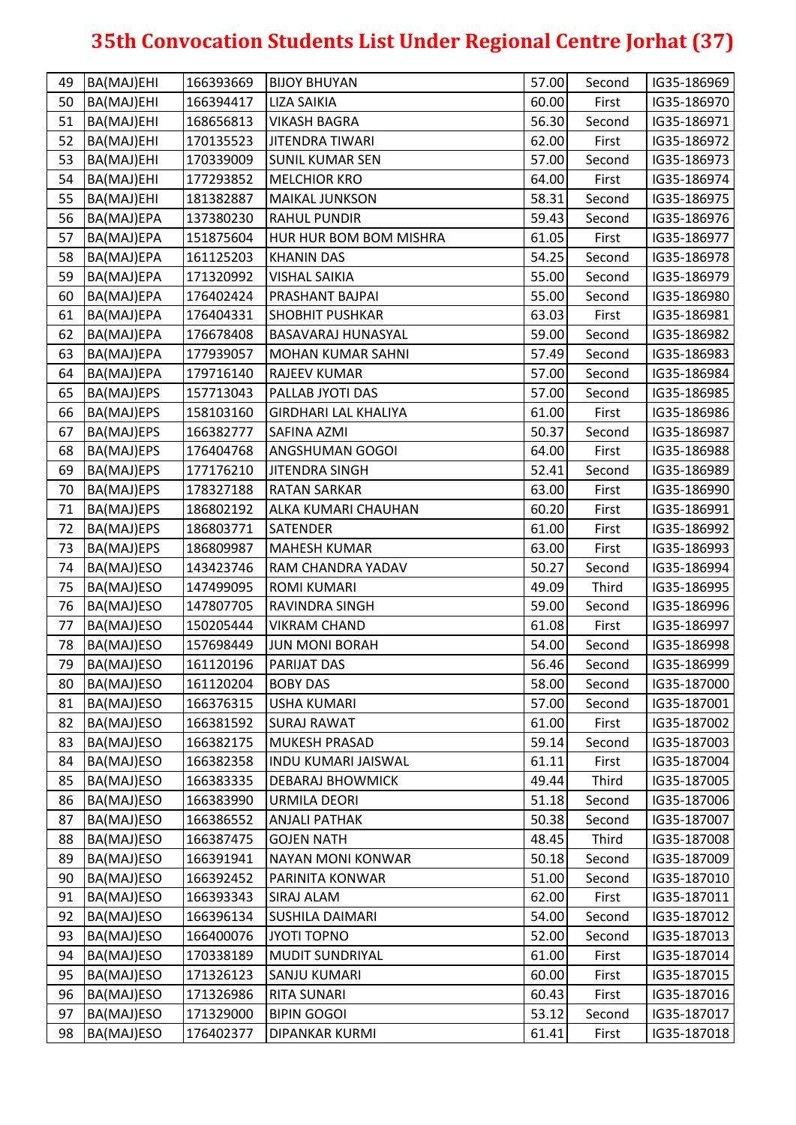| 49 | BA(MAJ)EHI | 166393669 | <b>BIJOY BHUYAN</b>         | 57.00 | Second | IG35-186969 |
|----|------------|-----------|-----------------------------|-------|--------|-------------|
| 50 | BA(MAJ)EHI | 166394417 | <b>LIZA SAIKIA</b>          | 60.00 | First  | IG35-186970 |
| 51 | BA(MAJ)EHI | 168656813 | <b>VIKASH BAGRA</b>         | 56.30 | Second | IG35-186971 |
| 52 | BA(MAJ)EHI | 170135523 | <b>JITENDRA TIWARI</b>      | 62.00 | First  | IG35-186972 |
| 53 | BA(MAJ)EHI | 170339009 | <b>SUNIL KUMAR SEN</b>      | 57.00 | Second | IG35-186973 |
| 54 | BA(MAJ)EHI | 177293852 | <b>MELCHIOR KRO</b>         | 64.00 | First  | IG35-186974 |
| 55 | BA(MAJ)EHI | 181382887 | <b>MAIKAL JUNKSON</b>       | 58.31 | Second | IG35-186975 |
| 56 | BA(MAJ)EPA | 137380230 | <b>RAHUL PUNDIR</b>         | 59.43 | Second | IG35-186976 |
| 57 | BA(MAJ)EPA | 151875604 | HUR HUR BOM BOM MISHRA      | 61.05 | First  | IG35-186977 |
| 58 | BA(MAJ)EPA | 161125203 | <b>KHANIN DAS</b>           | 54.25 | Second | IG35-186978 |
| 59 | BA(MAJ)EPA | 171320992 | <b>VISHAL SAIKIA</b>        | 55.00 | Second | IG35-186979 |
| 60 | BA(MAJ)EPA | 176402424 | PRASHANT BAJPAI             | 55.00 | Second | IG35-186980 |
| 61 | BA(MAJ)EPA | 176404331 | <b>SHOBHIT PUSHKAR</b>      | 63.03 | First  | IG35-186981 |
| 62 | BA(MAJ)EPA | 176678408 | <b>BASAVARAJ HUNASYAL</b>   | 59.00 | Second | IG35-186982 |
| 63 | BA(MAJ)EPA | 177939057 | <b>MOHAN KUMAR SAHNI</b>    | 57.49 | Second | IG35-186983 |
| 64 | BA(MAJ)EPA | 179716140 | <b>RAJEEV KUMAR</b>         | 57.00 | Second | IG35-186984 |
| 65 | BA(MAJ)EPS | 157713043 | PALLAB JYOTI DAS            | 57.00 | Second | IG35-186985 |
| 66 | BA(MAJ)EPS | 158103160 | <b>GIRDHARI LAL KHALIYA</b> | 61.00 | First  | IG35-186986 |
| 67 | BA(MAJ)EPS | 166382777 | SAFINA AZMI                 | 50.37 | Second | IG35-186987 |
| 68 | BA(MAJ)EPS | 176404768 | <b>ANGSHUMAN GOGOI</b>      | 64.00 | First  | IG35-186988 |
| 69 | BA(MAJ)EPS | 177176210 | <b>JITENDRA SINGH</b>       | 52.41 | Second | IG35-186989 |
| 70 | BA(MAJ)EPS | 178327188 | <b>RATAN SARKAR</b>         | 63.00 | First  | IG35-186990 |
| 71 | BA(MAJ)EPS | 186802192 | ALKA KUMARI CHAUHAN         | 60.20 | First  | IG35-186991 |
| 72 | BA(MAJ)EPS | 186803771 | <b>SATENDER</b>             | 61.00 | First  | IG35-186992 |
| 73 | BA(MAJ)EPS | 186809987 | <b>MAHESH KUMAR</b>         | 63.00 | First  | IG35-186993 |
| 74 | BA(MAJ)ESO | 143423746 | RAM CHANDRA YADAV           | 50.27 | Second | IG35-186994 |
| 75 | BA(MAJ)ESO | 147499095 | <b>ROMI KUMARI</b>          | 49.09 | Third  | IG35-186995 |
| 76 | BA(MAJ)ESO | 147807705 | RAVINDRA SINGH              | 59.00 | Second | IG35-186996 |
| 77 | BA(MAJ)ESO | 150205444 | <b>VIKRAM CHAND</b>         | 61.08 | First  | IG35-186997 |
| 78 | BA(MAJ)ESO | 157698449 | <b>JUN MONI BORAH</b>       | 54.00 | Second | IG35-186998 |
| 79 | BA(MAJ)ESO | 161120196 | <b>PARIJAT DAS</b>          | 56.46 | Second | IG35-186999 |
| 80 | BA(MAJ)ESO | 161120204 | <b>BOBY DAS</b>             | 58.00 | Second | IG35-187000 |
| 81 | BA(MAJ)ESO | 166376315 | <b>USHA KUMARI</b>          | 57.00 | Second | IG35-187001 |
| 82 | BA(MAJ)ESO | 166381592 | <b>SURAJ RAWAT</b>          | 61.00 | First  | IG35-187002 |
| 83 | BA(MAJ)ESO | 166382175 | <b>MUKESH PRASAD</b>        | 59.14 | Second | IG35-187003 |
| 84 | BA(MAJ)ESO | 166382358 | <b>INDU KUMARI JAISWAL</b>  | 61.11 | First  | IG35-187004 |
| 85 | BA(MAJ)ESO | 166383335 | <b>DEBARAJ BHOWMICK</b>     | 49.44 | Third  | IG35-187005 |
| 86 | BA(MAJ)ESO | 166383990 | <b>URMILA DEORI</b>         | 51.18 | Second | IG35-187006 |
| 87 | BA(MAJ)ESO | 166386552 | <b>ANJALI PATHAK</b>        | 50.38 | Second | IG35-187007 |
| 88 | BA(MAJ)ESO | 166387475 | <b>GOJEN NATH</b>           | 48.45 | Third  | IG35-187008 |
| 89 | BA(MAJ)ESO | 166391941 | <b>NAYAN MONI KONWAR</b>    | 50.18 | Second | IG35-187009 |
| 90 | BA(MAJ)ESO | 166392452 | PARINITA KONWAR             | 51.00 | Second | IG35-187010 |
| 91 | BA(MAJ)ESO | 166393343 | SIRAJ ALAM                  | 62.00 | First  | IG35-187011 |
| 92 | BA(MAJ)ESO | 166396134 | <b>SUSHILA DAIMARI</b>      | 54.00 | Second | IG35-187012 |
| 93 | BA(MAJ)ESO | 166400076 | JYOTI TOPNO                 | 52.00 | Second | IG35-187013 |
| 94 | BA(MAJ)ESO | 170338189 | <b>MUDIT SUNDRIYAL</b>      | 61.00 | First  | IG35-187014 |
| 95 | BA(MAJ)ESO | 171326123 | SANJU KUMARI                | 60.00 | First  | IG35-187015 |
| 96 | BA(MAJ)ESO | 171326986 | <b>RITA SUNARI</b>          | 60.43 | First  | IG35-187016 |
| 97 | BA(MAJ)ESO | 171329000 | <b>BIPIN GOGOI</b>          | 53.12 | Second | IG35-187017 |
| 98 | BA(MAJ)ESO | 176402377 | DIPANKAR KURMI              | 61.41 | First  | IG35-187018 |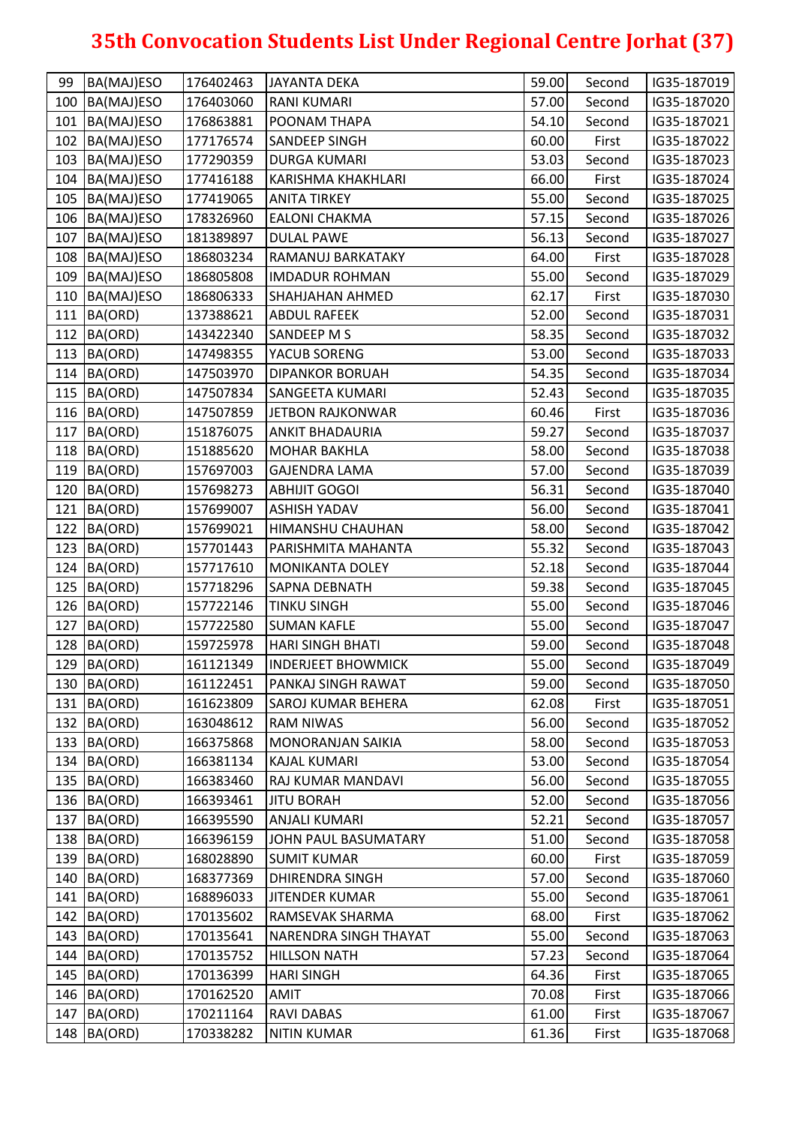| 99  | BA(MAJ)ESO       | 176402463 | <b>JAYANTA DEKA</b>       | 59.00 | Second | IG35-187019 |
|-----|------------------|-----------|---------------------------|-------|--------|-------------|
| 100 | BA(MAJ)ESO       | 176403060 | <b>RANI KUMARI</b>        | 57.00 | Second | IG35-187020 |
| 101 | BA(MAJ)ESO       | 176863881 | POONAM THAPA              | 54.10 | Second | IG35-187021 |
| 102 | BA(MAJ)ESO       | 177176574 | SANDEEP SINGH             | 60.00 | First  | IG35-187022 |
| 103 | BA(MAJ)ESO       | 177290359 | <b>DURGA KUMARI</b>       | 53.03 | Second | IG35-187023 |
|     | 104   BA(MAJ)ESO | 177416188 | KARISHMA KHAKHLARI        | 66.00 | First  | IG35-187024 |
| 105 | BA(MAJ)ESO       | 177419065 | <b>ANITA TIRKEY</b>       | 55.00 | Second | IG35-187025 |
|     | 106 BA(MAJ)ESO   | 178326960 | <b>EALONI CHAKMA</b>      | 57.15 | Second | IG35-187026 |
| 107 | BA(MAJ)ESO       | 181389897 | <b>DULAL PAWE</b>         | 56.13 | Second | IG35-187027 |
|     | 108 BA(MAJ)ESO   | 186803234 | RAMANUJ BARKATAKY         | 64.00 | First  | IG35-187028 |
| 109 | BA(MAJ)ESO       | 186805808 | <b>IMDADUR ROHMAN</b>     | 55.00 | Second | IG35-187029 |
| 110 | BA(MAJ)ESO       | 186806333 | SHAHJAHAN AHMED           | 62.17 | First  | IG35-187030 |
| 111 | BA(ORD)          | 137388621 | <b>ABDUL RAFEEK</b>       | 52.00 | Second | IG35-187031 |
| 112 | BA(ORD)          | 143422340 | SANDEEP M S               | 58.35 | Second | IG35-187032 |
|     | 113 BA(ORD)      | 147498355 | YACUB SORENG              | 53.00 | Second | IG35-187033 |
| 114 | BA(ORD)          | 147503970 | <b>DIPANKOR BORUAH</b>    | 54.35 | Second | IG35-187034 |
|     | 115 BA(ORD)      | 147507834 | <b>SANGEETA KUMARI</b>    | 52.43 | Second | IG35-187035 |
|     | 116 BA(ORD)      | 147507859 | <b>JETBON RAJKONWAR</b>   | 60.46 | First  | IG35-187036 |
| 117 | BA(ORD)          | 151876075 | <b>ANKIT BHADAURIA</b>    | 59.27 | Second | IG35-187037 |
|     | 118 BA(ORD)      | 151885620 | <b>MOHAR BAKHLA</b>       | 58.00 | Second | IG35-187038 |
|     | 119 BA(ORD)      | 157697003 | <b>GAJENDRA LAMA</b>      | 57.00 | Second | IG35-187039 |
|     | 120 BA(ORD)      | 157698273 | <b>ABHIJIT GOGOI</b>      | 56.31 | Second | IG35-187040 |
| 121 | BA(ORD)          | 157699007 | <b>ASHISH YADAV</b>       | 56.00 | Second | IG35-187041 |
|     | 122 BA(ORD)      | 157699021 | HIMANSHU CHAUHAN          | 58.00 | Second | IG35-187042 |
| 123 | BA(ORD)          | 157701443 | PARISHMITA MAHANTA        | 55.32 | Second | IG35-187043 |
| 124 | BA(ORD)          | 157717610 | MONIKANTA DOLEY           | 52.18 | Second | IG35-187044 |
| 125 | BA(ORD)          | 157718296 | SAPNA DEBNATH             | 59.38 | Second | IG35-187045 |
| 126 | BA(ORD)          | 157722146 | <b>TINKU SINGH</b>        | 55.00 | Second | IG35-187046 |
| 127 | BA(ORD)          | 157722580 | <b>SUMAN KAFLE</b>        | 55.00 | Second | IG35-187047 |
|     | 128 BA(ORD)      | 159725978 | HARI SINGH BHATI          | 59.00 | Second | IG35-187048 |
|     | 129 BA(ORD)      | 161121349 | <b>INDERJEET BHOWMICK</b> | 55.00 | Second | IG35-187049 |
|     | 130 BA(ORD)      | 161122451 | PANKAJ SINGH RAWAT        | 59.00 | Second | IG35-187050 |
|     | 131 BA(ORD)      | 161623809 | SAROJ KUMAR BEHERA        | 62.08 | First  | IG35-187051 |
| 132 | BA(ORD)          | 163048612 | <b>RAM NIWAS</b>          | 56.00 | Second | IG35-187052 |
| 133 | BA(ORD)          | 166375868 | MONORANJAN SAIKIA         | 58.00 | Second | IG35-187053 |
| 134 | BA(ORD)          | 166381134 | <b>KAJAL KUMARI</b>       | 53.00 | Second | IG35-187054 |
| 135 | BA(ORD)          | 166383460 | RAJ KUMAR MANDAVI         | 56.00 | Second | IG35-187055 |
|     | 136 BA(ORD)      | 166393461 | <b>JITU BORAH</b>         | 52.00 | Second | IG35-187056 |
| 137 | BA(ORD)          | 166395590 | ANJALI KUMARI             | 52.21 | Second | IG35-187057 |
| 138 | BA(ORD)          | 166396159 | JOHN PAUL BASUMATARY      | 51.00 | Second | IG35-187058 |
|     | 139 BA(ORD)      | 168028890 | <b>SUMIT KUMAR</b>        | 60.00 | First  | IG35-187059 |
| 140 | BA(ORD)          | 168377369 | <b>DHIRENDRA SINGH</b>    | 57.00 | Second | IG35-187060 |
| 141 | BA(ORD)          | 168896033 | JITENDER KUMAR            | 55.00 | Second | IG35-187061 |
| 142 | BA(ORD)          | 170135602 | RAMSEVAK SHARMA           | 68.00 | First  | IG35-187062 |
| 143 | BA(ORD)          | 170135641 | NARENDRA SINGH THAYAT     | 55.00 | Second | IG35-187063 |
| 144 | BA(ORD)          | 170135752 | <b>HILLSON NATH</b>       | 57.23 | Second | IG35-187064 |
| 145 | BA(ORD)          | 170136399 | <b>HARI SINGH</b>         | 64.36 | First  | IG35-187065 |
|     | 146 BA(ORD)      | 170162520 | AMIT                      | 70.08 | First  | IG35-187066 |
| 147 | BA(ORD)          | 170211164 | RAVI DABAS                | 61.00 | First  | IG35-187067 |
| 148 | BA(ORD)          | 170338282 | <b>NITIN KUMAR</b>        | 61.36 | First  | IG35-187068 |
|     |                  |           |                           |       |        |             |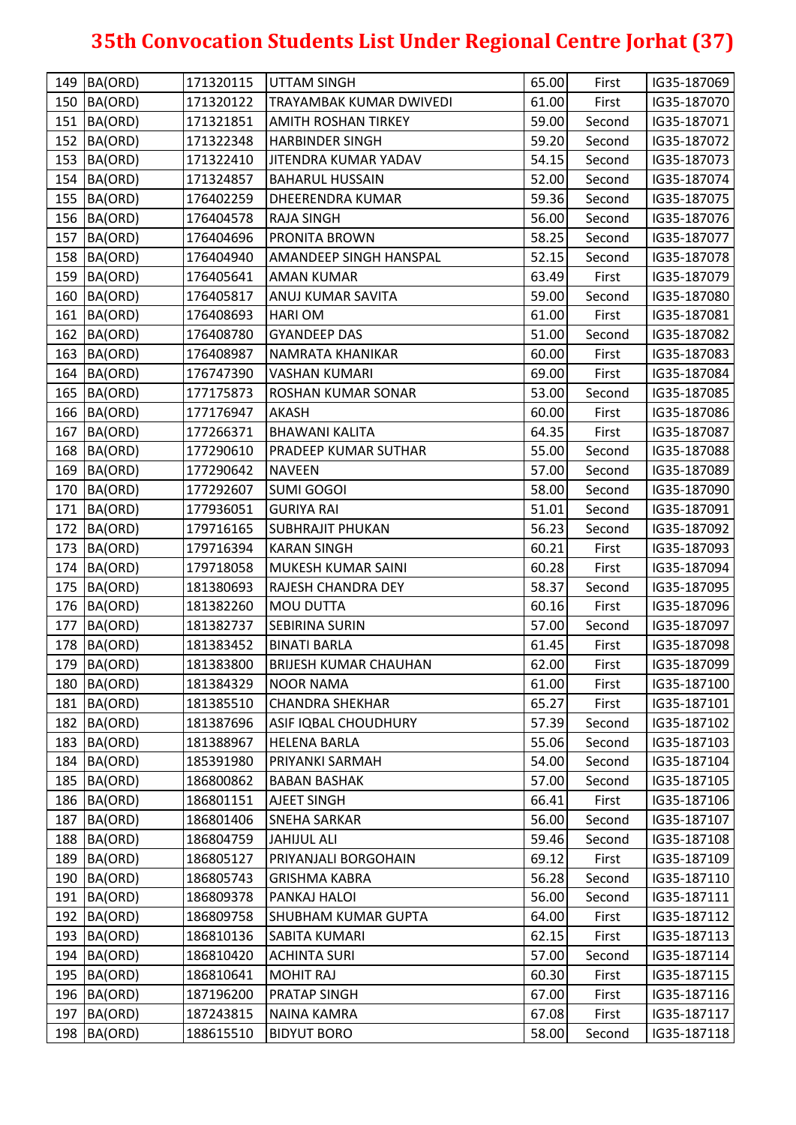|     | 149 BA(ORD) | 171320115 | <b>UTTAM SINGH</b>             | 65.00 | First  | IG35-187069 |
|-----|-------------|-----------|--------------------------------|-------|--------|-------------|
| 150 | BA(ORD)     | 171320122 | <b>TRAYAMBAK KUMAR DWIVEDI</b> | 61.00 | First  | IG35-187070 |
| 151 | BA(ORD)     | 171321851 | <b>AMITH ROSHAN TIRKEY</b>     | 59.00 | Second | IG35-187071 |
| 152 | BA(ORD)     | 171322348 | <b>HARBINDER SINGH</b>         | 59.20 | Second | IG35-187072 |
| 153 | BA(ORD)     | 171322410 | <b>JITENDRA KUMAR YADAV</b>    | 54.15 | Second | IG35-187073 |
|     | 154 BA(ORD) | 171324857 | <b>BAHARUL HUSSAIN</b>         | 52.00 | Second | IG35-187074 |
|     | 155 BA(ORD) | 176402259 | <b>DHEERENDRA KUMAR</b>        | 59.36 | Second | IG35-187075 |
|     | 156 BA(ORD) | 176404578 | <b>RAJA SINGH</b>              | 56.00 | Second | IG35-187076 |
| 157 | BA(ORD)     | 176404696 | <b>PRONITA BROWN</b>           | 58.25 | Second | IG35-187077 |
|     | 158 BA(ORD) | 176404940 | <b>AMANDEEP SINGH HANSPAL</b>  | 52.15 | Second | IG35-187078 |
|     | 159 BA(ORD) | 176405641 | <b>AMAN KUMAR</b>              | 63.49 | First  | IG35-187079 |
| 160 | BA(ORD)     | 176405817 | <b>ANUJ KUMAR SAVITA</b>       | 59.00 | Second | IG35-187080 |
| 161 | BA(ORD)     | 176408693 | <b>HARIOM</b>                  | 61.00 | First  | IG35-187081 |
| 162 | BA(ORD)     | 176408780 | <b>GYANDEEP DAS</b>            | 51.00 | Second | IG35-187082 |
|     | 163 BA(ORD) | 176408987 | NAMRATA KHANIKAR               | 60.00 | First  | IG35-187083 |
| 164 | BA(ORD)     | 176747390 | <b>VASHAN KUMARI</b>           | 69.00 | First  | IG35-187084 |
|     | 165 BA(ORD) | 177175873 | <b>ROSHAN KUMAR SONAR</b>      | 53.00 | Second | IG35-187085 |
|     | 166 BA(ORD) | 177176947 | <b>AKASH</b>                   | 60.00 | First  | IG35-187086 |
| 167 | BA(ORD)     | 177266371 | <b>BHAWANI KALITA</b>          | 64.35 | First  | IG35-187087 |
| 168 | BA(ORD)     | 177290610 | <b>PRADEEP KUMAR SUTHAR</b>    | 55.00 | Second | IG35-187088 |
| 169 | BA(ORD)     | 177290642 | <b>NAVEEN</b>                  | 57.00 | Second | IG35-187089 |
| 170 | BA(ORD)     | 177292607 | <b>SUMI GOGOI</b>              | 58.00 | Second | IG35-187090 |
| 171 | BA(ORD)     | 177936051 | <b>GURIYA RAI</b>              | 51.01 | Second | IG35-187091 |
| 172 | BA(ORD)     | 179716165 | <b>SUBHRAJIT PHUKAN</b>        | 56.23 | Second | IG35-187092 |
| 173 | BA(ORD)     | 179716394 | <b>KARAN SINGH</b>             | 60.21 | First  | IG35-187093 |
|     | 174 BA(ORD) | 179718058 | MUKESH KUMAR SAINI             | 60.28 | First  | IG35-187094 |
| 175 | BA(ORD)     | 181380693 | <b>RAJESH CHANDRA DEY</b>      | 58.37 | Second | IG35-187095 |
| 176 | BA(ORD)     | 181382260 | <b>MOU DUTTA</b>               | 60.16 | First  | IG35-187096 |
| 177 | BA(ORD)     | 181382737 | <b>SEBIRINA SURIN</b>          | 57.00 | Second | IG35-187097 |
|     | 178 BA(ORD) | 181383452 | <b>BINATI BARLA</b>            | 61.45 | First  | IG35-187098 |
|     | 179 BA(ORD) | 181383800 | <b>BRIJESH KUMAR CHAUHAN</b>   | 62.00 | First  | IG35-187099 |
|     | 180 BA(ORD) | 181384329 | <b>NOOR NAMA</b>               | 61.00 | First  | IG35-187100 |
| 181 | BA(ORD)     | 181385510 | <b>CHANDRA SHEKHAR</b>         | 65.27 | First  | IG35-187101 |
| 182 | BA(ORD)     | 181387696 | <b>ASIF IQBAL CHOUDHURY</b>    | 57.39 | Second | IG35-187102 |
| 183 | BA(ORD)     | 181388967 | <b>HELENA BARLA</b>            | 55.06 | Second | IG35-187103 |
|     | 184 BA(ORD) | 185391980 | <b>PRIYANKI SARMAH</b>         | 54.00 | Second | IG35-187104 |
|     | 185 BA(ORD) | 186800862 | <b>BABAN BASHAK</b>            | 57.00 | Second | IG35-187105 |
|     | 186 BA(ORD) | 186801151 | <b>AJEET SINGH</b>             | 66.41 | First  | IG35-187106 |
| 187 | BA(ORD)     | 186801406 | <b>SNEHA SARKAR</b>            | 56.00 | Second | IG35-187107 |
| 188 | BA(ORD)     | 186804759 | <b>JAHIJUL ALI</b>             | 59.46 | Second | IG35-187108 |
| 189 | BA(ORD)     | 186805127 | <b>PRIYANJALI BORGOHAIN</b>    | 69.12 | First  | IG35-187109 |
| 190 | BA(ORD)     | 186805743 | <b>GRISHMA KABRA</b>           | 56.28 | Second | IG35-187110 |
| 191 | BA(ORD)     | 186809378 | PANKAJ HALOI                   | 56.00 | Second | IG35-187111 |
| 192 | BA(ORD)     | 186809758 | <b>SHUBHAM KUMAR GUPTA</b>     | 64.00 | First  | IG35-187112 |
|     | 193 BA(ORD) | 186810136 | <b>SABITA KUMARI</b>           | 62.15 | First  | IG35-187113 |
|     | 194 BA(ORD) | 186810420 | <b>ACHINTA SURI</b>            | 57.00 | Second | IG35-187114 |
|     | 195 BA(ORD) | 186810641 | <b>MOHIT RAJ</b>               | 60.30 | First  | IG35-187115 |
|     | 196 BA(ORD) | 187196200 | <b>PRATAP SINGH</b>            | 67.00 | First  | IG35-187116 |
| 197 | BA(ORD)     | 187243815 | <b>NAINA KAMRA</b>             | 67.08 | First  | IG35-187117 |
|     | 198 BA(ORD) | 188615510 | <b>BIDYUT BORO</b>             | 58.00 | Second | IG35-187118 |
|     |             |           |                                |       |        |             |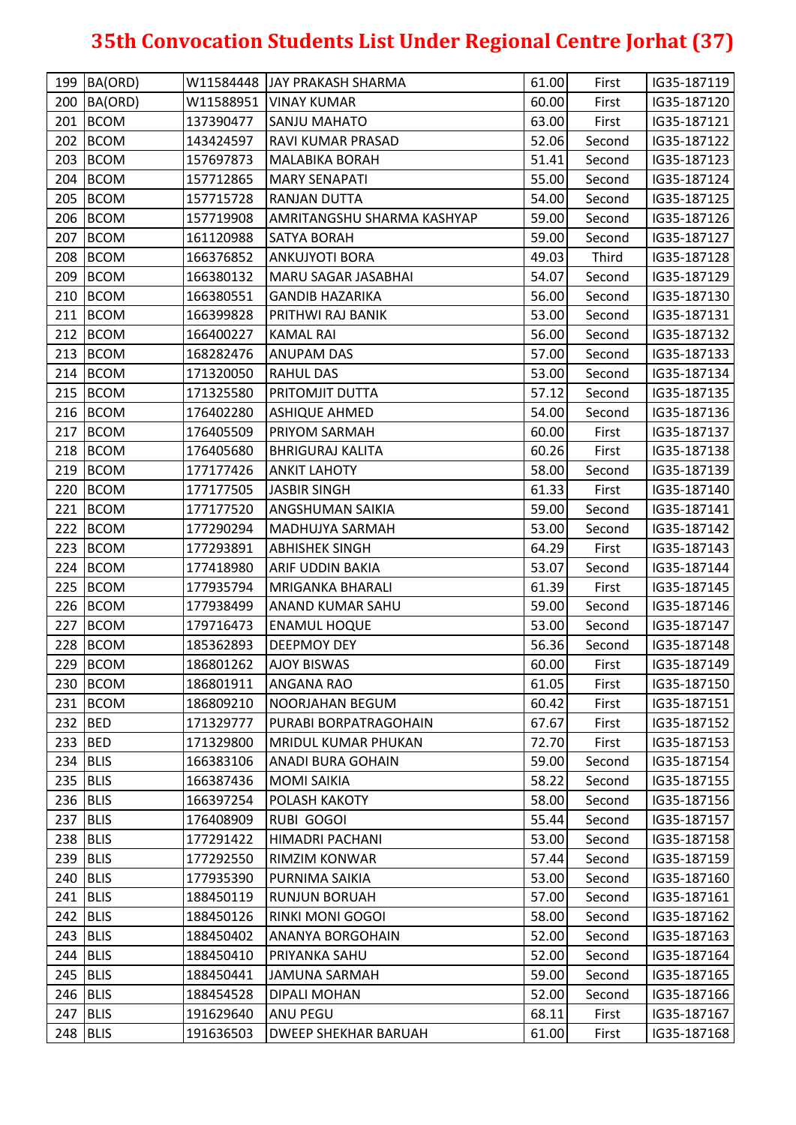|         | 199 BA(ORD) |           | W11584448 JJAY PRAKASH SHARMA | 61.00 | First  | IG35-187119 |
|---------|-------------|-----------|-------------------------------|-------|--------|-------------|
|         | 200 BA(ORD) | W11588951 | <b>VINAY KUMAR</b>            | 60.00 | First  | IG35-187120 |
|         | 201 BCOM    | 137390477 | SANJU MAHATO                  | 63.00 | First  | IG35-187121 |
|         | 202 BCOM    | 143424597 | RAVI KUMAR PRASAD             | 52.06 | Second | IG35-187122 |
|         | 203 BCOM    | 157697873 | <b>MALABIKA BORAH</b>         | 51.41 | Second | IG35-187123 |
|         | 204 BCOM    | 157712865 | <b>MARY SENAPATI</b>          | 55.00 | Second | IG35-187124 |
|         | 205 BCOM    | 157715728 | RANJAN DUTTA                  | 54.00 | Second | IG35-187125 |
|         | 206 BCOM    | 157719908 | AMRITANGSHU SHARMA KASHYAP    | 59.00 | Second | IG35-187126 |
|         | 207 BCOM    | 161120988 | <b>SATYA BORAH</b>            | 59.00 | Second | IG35-187127 |
|         | 208 BCOM    | 166376852 | <b>ANKUJYOTI BORA</b>         | 49.03 | Third  | IG35-187128 |
|         | 209 BCOM    | 166380132 | MARU SAGAR JASABHAI           | 54.07 | Second | IG35-187129 |
|         | 210 BCOM    | 166380551 | <b>GANDIB HAZARIKA</b>        | 56.00 | Second | IG35-187130 |
|         | 211 BCOM    | 166399828 | PRITHWI RAJ BANIK             | 53.00 | Second | IG35-187131 |
|         | 212 BCOM    | 166400227 | <b>KAMAL RAI</b>              | 56.00 | Second | IG35-187132 |
|         | 213 BCOM    | 168282476 | <b>ANUPAM DAS</b>             | 57.00 | Second | IG35-187133 |
|         | 214 BCOM    | 171320050 | <b>RAHUL DAS</b>              | 53.00 | Second | IG35-187134 |
|         | 215 BCOM    | 171325580 | <b>PRITOMJIT DUTTA</b>        | 57.12 | Second | IG35-187135 |
|         | 216 BCOM    | 176402280 | <b>ASHIQUE AHMED</b>          | 54.00 | Second | IG35-187136 |
| 217     | <b>BCOM</b> | 176405509 | PRIYOM SARMAH                 | 60.00 | First  | IG35-187137 |
|         | $218$ BCOM  | 176405680 | <b>BHRIGURAJ KALITA</b>       | 60.26 | First  | IG35-187138 |
|         | 219 BCOM    | 177177426 | <b>ANKIT LAHOTY</b>           | 58.00 | Second | IG35-187139 |
|         | 220 BCOM    | 177177505 | <b>JASBIR SINGH</b>           | 61.33 | First  | IG35-187140 |
|         | 221 BCOM    | 177177520 | <b>ANGSHUMAN SAIKIA</b>       | 59.00 | Second | IG35-187141 |
|         | 222 BCOM    | 177290294 | <b>MADHUJYA SARMAH</b>        | 53.00 | Second | IG35-187142 |
|         | 223 BCOM    | 177293891 | <b>ABHISHEK SINGH</b>         | 64.29 | First  | IG35-187143 |
|         | 224 BCOM    | 177418980 | <b>ARIF UDDIN BAKIA</b>       | 53.07 | Second | IG35-187144 |
|         | 225 BCOM    | 177935794 | MRIGANKA BHARALI              | 61.39 | First  | IG35-187145 |
|         | 226 BCOM    | 177938499 | <b>ANAND KUMAR SAHU</b>       | 59.00 | Second | IG35-187146 |
|         | 227 BCOM    | 179716473 | <b>ENAMUL HOQUE</b>           | 53.00 | Second | IG35-187147 |
|         | 228 BCOM    | 185362893 | <b>DEEPMOY DEY</b>            | 56.36 | Second | IG35-187148 |
|         | 229 BCOM    | 186801262 | <b>AJOY BISWAS</b>            | 60.00 | First  | IG35-187149 |
|         | 230 BCOM    | 186801911 | <b>ANGANA RAO</b>             | 61.05 | First  | IG35-187150 |
|         | 231 BCOM    | 186809210 | <b>NOORJAHAN BEGUM</b>        | 60.42 | First  | IG35-187151 |
| 232 BED |             | 171329777 | PURABI BORPATRAGOHAIN         | 67.67 | First  | IG35-187152 |
|         | 233 BED     | 171329800 | MRIDUL KUMAR PHUKAN           | 72.70 | First  | IG35-187153 |
|         | $234$ BLIS  | 166383106 | <b>ANADI BURA GOHAIN</b>      | 59.00 | Second | IG35-187154 |
|         | $235$ BLIS  | 166387436 | <b>MOMI SAIKIA</b>            | 58.22 | Second | IG35-187155 |
|         | 236 BLIS    | 166397254 | POLASH KAKOTY                 | 58.00 | Second | IG35-187156 |
|         | 237 BLIS    | 176408909 | <b>RUBI GOGOI</b>             | 55.44 | Second | IG35-187157 |
|         | 238 BLIS    | 177291422 | HIMADRI PACHANI               | 53.00 | Second | IG35-187158 |
|         | 239 BLIS    | 177292550 | <b>RIMZIM KONWAR</b>          | 57.44 | Second | IG35-187159 |
|         | $240$ BLIS  | 177935390 | PURNIMA SAIKIA                | 53.00 | Second | IG35-187160 |
|         | 241 BLIS    | 188450119 | <b>RUNJUN BORUAH</b>          | 57.00 | Second | IG35-187161 |
|         | 242 BLIS    | 188450126 | <b>RINKI MONI GOGOI</b>       | 58.00 | Second | IG35-187162 |
|         | 243 BLIS    | 188450402 | <b>ANANYA BORGOHAIN</b>       | 52.00 | Second | IG35-187163 |
|         | 244 BLIS    | 188450410 | PRIYANKA SAHU                 | 52.00 | Second | IG35-187164 |
|         | $245$ BLIS  | 188450441 | <b>JAMUNA SARMAH</b>          | 59.00 | Second | IG35-187165 |
|         | 246 BLIS    | 188454528 | <b>DIPALI MOHAN</b>           | 52.00 | Second | IG35-187166 |
| 247     | BLIS        | 191629640 | <b>ANU PEGU</b>               | 68.11 | First  | IG35-187167 |
|         | 248 BLIS    | 191636503 | <b>DWEEP SHEKHAR BARUAH</b>   | 61.00 | First  | IG35-187168 |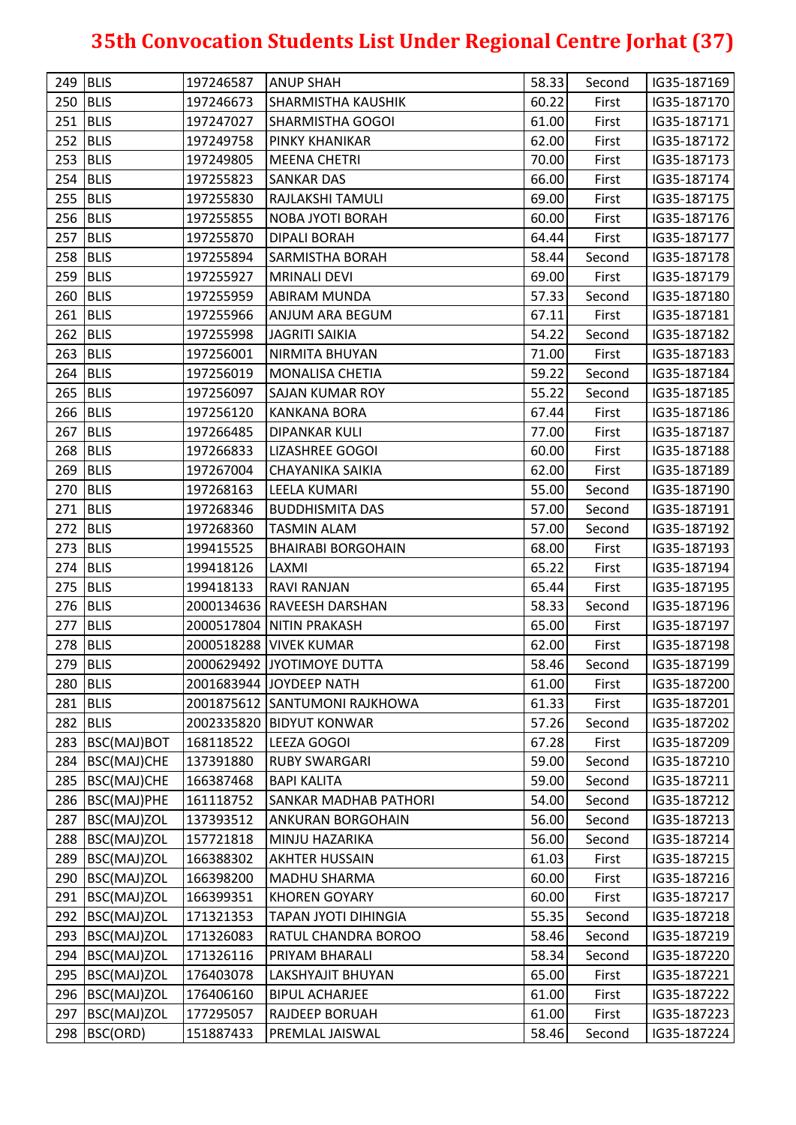| 249 BLIS |                   | 197246587 | <b>ANUP SHAH</b>              | 58.33 | Second | IG35-187169 |
|----------|-------------------|-----------|-------------------------------|-------|--------|-------------|
|          | 250 BLIS          | 197246673 | <b>SHARMISTHA KAUSHIK</b>     | 60.22 | First  | IG35-187170 |
| 251      | BLIS              | 197247027 | <b>SHARMISTHA GOGOI</b>       | 61.00 | First  | IG35-187171 |
| 252 BLIS |                   | 197249758 | PINKY KHANIKAR                | 62.00 | First  | IG35-187172 |
| 253 BLIS |                   | 197249805 | <b>MEENA CHETRI</b>           | 70.00 | First  | IG35-187173 |
| 254 BLIS |                   | 197255823 | <b>SANKAR DAS</b>             | 66.00 | First  | IG35-187174 |
| 255 BLIS |                   | 197255830 | RAJLAKSHI TAMULI              | 69.00 | First  | IG35-187175 |
| 256 BLIS |                   | 197255855 | NOBA JYOTI BORAH              | 60.00 | First  | IG35-187176 |
| 257 BLIS |                   | 197255870 | <b>DIPALI BORAH</b>           | 64.44 | First  | IG35-187177 |
| 258 BLIS |                   | 197255894 | <b>SARMISTHA BORAH</b>        | 58.44 | Second | IG35-187178 |
| 259 BLIS |                   | 197255927 | <b>MRINALI DEVI</b>           | 69.00 | First  | IG35-187179 |
| 260 BLIS |                   | 197255959 | <b>ABIRAM MUNDA</b>           | 57.33 | Second | IG35-187180 |
| 261 BLIS |                   | 197255966 | ANJUM ARA BEGUM               | 67.11 | First  | IG35-187181 |
| 262 BLIS |                   | 197255998 | <b>JAGRITI SAIKIA</b>         | 54.22 | Second | IG35-187182 |
| 263 BLIS |                   | 197256001 | NIRMITA BHUYAN                | 71.00 | First  | IG35-187183 |
| 264 BLIS |                   | 197256019 | <b>MONALISA CHETIA</b>        | 59.22 | Second | IG35-187184 |
| 265 BLIS |                   | 197256097 | <b>SAJAN KUMAR ROY</b>        | 55.22 | Second | IG35-187185 |
| 266 BLIS |                   | 197256120 | <b>KANKANA BORA</b>           | 67.44 | First  | IG35-187186 |
| 267      | <b>BLIS</b>       | 197266485 | <b>DIPANKAR KULI</b>          | 77.00 | First  | IG35-187187 |
| 268 BLIS |                   | 197266833 | LIZASHREE GOGOI               | 60.00 | First  | IG35-187188 |
| 269 BLIS |                   | 197267004 | <b>CHAYANIKA SAIKIA</b>       | 62.00 | First  | IG35-187189 |
| 270 BLIS |                   | 197268163 | LEELA KUMARI                  | 55.00 | Second | IG35-187190 |
| 271 BLIS |                   | 197268346 | <b>BUDDHISMITA DAS</b>        | 57.00 | Second | IG35-187191 |
| 272 BLIS |                   | 197268360 | <b>TASMIN ALAM</b>            | 57.00 | Second | IG35-187192 |
|          | $273$ BLIS        | 199415525 | <b>BHAIRABI BORGOHAIN</b>     | 68.00 | First  | IG35-187193 |
| 274 BLIS |                   | 199418126 | LAXMI                         | 65.22 | First  | IG35-187194 |
| 275 BLIS |                   | 199418133 | <b>RAVI RANJAN</b>            | 65.44 | First  | IG35-187195 |
| 276 BLIS |                   |           | 2000134636 RAVEESH DARSHAN    | 58.33 | Second | IG35-187196 |
|          | $277$ BLIS        |           | 2000517804 NITIN PRAKASH      | 65.00 | First  | IG35-187197 |
|          | 278 BLIS          |           | 2000518288 VIVEK KUMAR        | 62.00 | First  | IG35-187198 |
| 279 BLIS |                   |           | 2000629492 JYOTIMOYE DUTTA    | 58.46 | Second | IG35-187199 |
|          | 280 BLIS          |           | 2001683944 JOYDEEP NATH       | 61.00 | First  | IG35-187200 |
|          | 281 BLIS          |           | 2001875612 SANTUMONI RAJKHOWA | 61.33 | First  | IG35-187201 |
| 282 BLIS |                   |           | 2002335820 BIDYUT KONWAR      | 57.26 | Second | IG35-187202 |
| 283      | BSC(MAJ)BOT       | 168118522 | LEEZA GOGOI                   | 67.28 | First  | IG35-187209 |
|          | 284 BSC(MAJ)CHE   | 137391880 | <b>RUBY SWARGARI</b>          | 59.00 | Second | IG35-187210 |
|          | 285 BSC(MAJ)CHE   | 166387468 | <b>BAPI KALITA</b>            | 59.00 | Second | IG35-187211 |
|          | 286 BSC(MAJ)PHE   | 161118752 | <b>SANKAR MADHAB PATHORI</b>  | 54.00 | Second | IG35-187212 |
| 287      | BSC(MAJ)ZOL       | 137393512 | <b>ANKURAN BORGOHAIN</b>      | 56.00 | Second | IG35-187213 |
|          | 288 BSC(MAJ)ZOL   | 157721818 | MINJU HAZARIKA                | 56.00 | Second | IG35-187214 |
|          | 289 BSC(MAJ)ZOL   | 166388302 | <b>AKHTER HUSSAIN</b>         | 61.03 | First  | IG35-187215 |
|          | 290 BSC(MAJ)ZOL   | 166398200 | MADHU SHARMA                  | 60.00 | First  | IG35-187216 |
|          | 291   BSC(MAJ)ZOL | 166399351 | <b>KHOREN GOYARY</b>          | 60.00 | First  | IG35-187217 |
|          | 292 BSC(MAJ)ZOL   | 171321353 | TAPAN JYOTI DIHINGIA          | 55.35 | Second | IG35-187218 |
|          | 293 BSC(MAJ)ZOL   | 171326083 | RATUL CHANDRA BOROO           | 58.46 | Second | IG35-187219 |
|          | 294 BSC(MAJ)ZOL   | 171326116 | PRIYAM BHARALI                | 58.34 | Second | IG35-187220 |
|          | 295 BSC(MAJ)ZOL   | 176403078 | LAKSHYAJIT BHUYAN             | 65.00 | First  | IG35-187221 |
|          | 296 BSC(MAJ)ZOL   | 176406160 | <b>BIPUL ACHARJEE</b>         | 61.00 | First  | IG35-187222 |
| 297      | BSC(MAJ)ZOL       | 177295057 | RAJDEEP BORUAH                | 61.00 | First  | IG35-187223 |
| 298      | BSC(ORD)          | 151887433 | PREMLAL JAISWAL               | 58.46 | Second | IG35-187224 |
|          |                   |           |                               |       |        |             |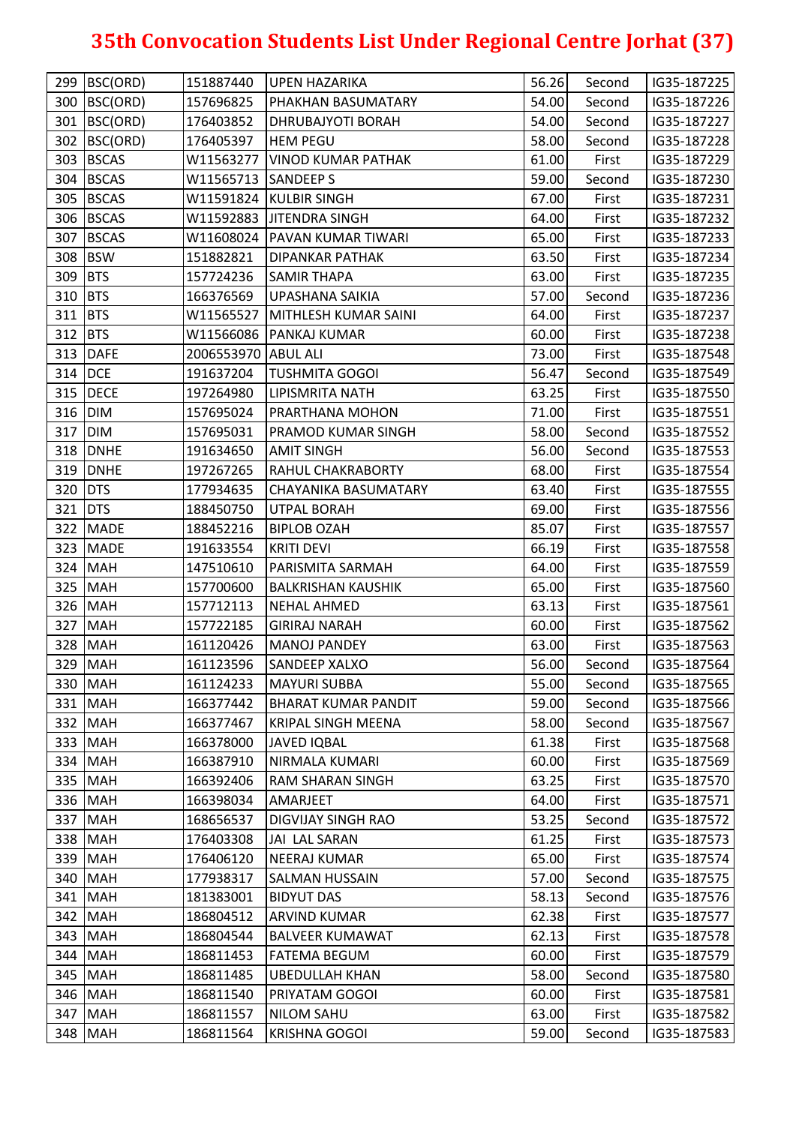|         | 299 BSC(ORD)    | 151887440           | UPEN HAZARIKA                  | 56.26 | Second | IG35-187225 |
|---------|-----------------|---------------------|--------------------------------|-------|--------|-------------|
|         | 300 BSC(ORD)    | 157696825           | PHAKHAN BASUMATARY             | 54.00 | Second | IG35-187226 |
|         | 301 BSC(ORD)    | 176403852           | DHRUBAJYOTI BORAH              | 54.00 | Second | IG35-187227 |
|         | 302 BSC(ORD)    | 176405397           | <b>HEM PEGU</b>                | 58.00 | Second | IG35-187228 |
|         | 303 BSCAS       |                     | W11563277   VINOD KUMAR PATHAK | 61.00 | First  | IG35-187229 |
|         | 304 BSCAS       | W11565713 SANDEEP S |                                | 59.00 | Second | IG35-187230 |
|         | 305 BSCAS       |                     | W11591824 KULBIR SINGH         | 67.00 | First  | IG35-187231 |
|         | 306 BSCAS       |                     | W11592883 JJITENDRA SINGH      | 64.00 | First  | IG35-187232 |
|         | 307 BSCAS       |                     | W11608024 PAVAN KUMAR TIWARI   | 65.00 | First  | IG35-187233 |
|         | 308 BSW         | 151882821           | <b>DIPANKAR PATHAK</b>         | 63.50 | First  | IG35-187234 |
| 309 BTS |                 | 157724236           | <b>SAMIR THAPA</b>             | 63.00 | First  | IG35-187235 |
| 310 BTS |                 | 166376569           | UPASHANA SAIKIA                | 57.00 | Second | IG35-187236 |
| 311 BTS |                 | W11565527           | MITHLESH KUMAR SAINI           | 64.00 | First  | IG35-187237 |
| 312 BTS |                 |                     | W11566086 PANKAJ KUMAR         | 60.00 | First  | IG35-187238 |
|         | 313 DAFE        | 2006553970 ABUL ALI |                                | 73.00 | First  | IG35-187548 |
|         | 314 DCE         | 191637204           | <b>TUSHMITA GOGOI</b>          | 56.47 | Second | IG35-187549 |
|         | 315 <b>DECE</b> | 197264980           | <b>LIPISMRITA NATH</b>         | 63.25 | First  | IG35-187550 |
|         | 316 DIM         | 157695024           | PRARTHANA MOHON                | 71.00 | First  | IG35-187551 |
|         | 317 DIM         | 157695031           | <b>PRAMOD KUMAR SINGH</b>      | 58.00 | Second | IG35-187552 |
|         | 318 DNHE        | 191634650           | <b>AMIT SINGH</b>              | 56.00 | Second | IG35-187553 |
|         | 319 DNHE        | 197267265           | <b>RAHUL CHAKRABORTY</b>       | 68.00 | First  | IG35-187554 |
|         | 320 DTS         | 177934635           | CHAYANIKA BASUMATARY           | 63.40 | First  | IG35-187555 |
|         | 321 DTS         | 188450750           | <b>UTPAL BORAH</b>             | 69.00 | First  | IG35-187556 |
|         | 322 MADE        | 188452216           | <b>BIPLOB OZAH</b>             | 85.07 | First  | IG35-187557 |
|         | 323 MADE        | 191633554           | <b>KRITI DEVI</b>              | 66.19 | First  | IG35-187558 |
|         | 324 MAH         | 147510610           | PARISMITA SARMAH               | 64.00 | First  | IG35-187559 |
|         | 325 MAH         | 157700600           | <b>BALKRISHAN KAUSHIK</b>      | 65.00 | First  | IG35-187560 |
|         | 326 MAH         | 157712113           | <b>NEHAL AHMED</b>             | 63.13 | First  | IG35-187561 |
|         | 327 MAH         | 157722185           | <b>GIRIRAJ NARAH</b>           | 60.00 | First  | IG35-187562 |
|         | 328 MAH         | 161120426           | <b>MANOJ PANDEY</b>            | 63.00 | First  | IG35-187563 |
|         | 329 MAH         | 161123596           | <b>SANDEEP XALXO</b>           | 56.00 | Second | IG35-187564 |
|         | 330 MAH         | 161124233           | <b>MAYURI SUBBA</b>            | 55.00 | Second | IG35-187565 |
|         | 331 MAH         | 166377442           | <b>BHARAT KUMAR PANDIT</b>     | 59.00 | Second | IG35-187566 |
|         | 332 MAH         | 166377467           | <b>KRIPAL SINGH MEENA</b>      | 58.00 | Second | IG35-187567 |
|         | 333 MAH         | 166378000           | <b>JAVED IQBAL</b>             | 61.38 | First  | IG35-187568 |
|         | 334 MAH         | 166387910           | NIRMALA KUMARI                 | 60.00 | First  | IG35-187569 |
|         | 335 MAH         | 166392406           | <b>RAM SHARAN SINGH</b>        | 63.25 | First  | IG35-187570 |
|         | 336 MAH         | 166398034           | AMARJEET                       | 64.00 | First  | IG35-187571 |
| 337     | <b>MAH</b>      | 168656537           | <b>DIGVIJAY SINGH RAO</b>      | 53.25 | Second | IG35-187572 |
|         | 338 MAH         | 176403308           | <b>JAI LAL SARAN</b>           | 61.25 | First  | IG35-187573 |
|         | 339 MAH         | 176406120           | NEERAJ KUMAR                   | 65.00 | First  | IG35-187574 |
|         | 340 MAH         | 177938317           | <b>SALMAN HUSSAIN</b>          | 57.00 | Second | IG35-187575 |
|         | 341 MAH         | 181383001           | <b>BIDYUT DAS</b>              | 58.13 | Second | IG35-187576 |
|         | 342 MAH         | 186804512           | <b>ARVIND KUMAR</b>            | 62.38 | First  | IG35-187577 |
|         | 343 MAH         | 186804544           | <b>BALVEER KUMAWAT</b>         | 62.13 | First  | IG35-187578 |
|         | 344 MAH         | 186811453           | <b>FATEMA BEGUM</b>            | 60.00 | First  | IG35-187579 |
|         | 345 MAH         | 186811485           | <b>UBEDULLAH KHAN</b>          | 58.00 | Second | IG35-187580 |
|         | 346 MAH         | 186811540           | PRIYATAM GOGOI                 | 60.00 | First  | IG35-187581 |
|         | 347 MAH         | 186811557           | <b>NILOM SAHU</b>              | 63.00 | First  | IG35-187582 |
|         | 348 MAH         | 186811564           | <b>KRISHNA GOGOI</b>           | 59.00 | Second | IG35-187583 |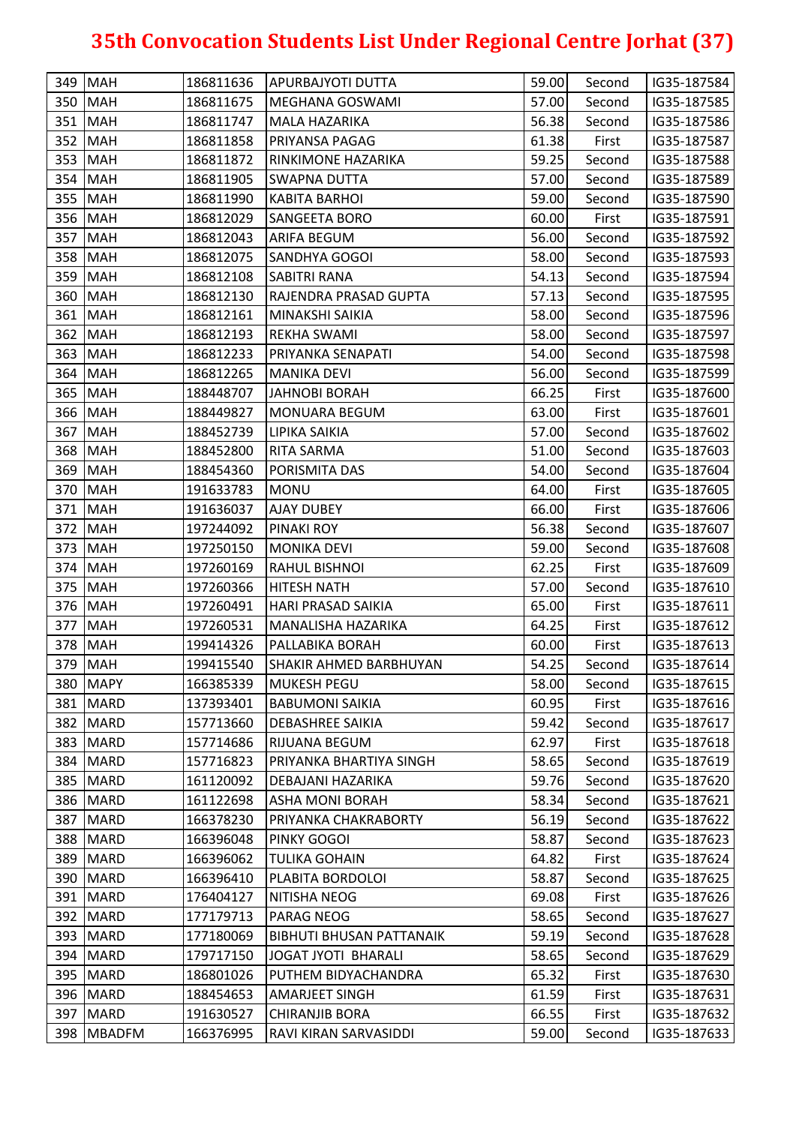|     | 349 MAH    | 186811636 | <b>APURBAJYOTI DUTTA</b>        | 59.00 | Second | IG35-187584 |
|-----|------------|-----------|---------------------------------|-------|--------|-------------|
|     | 350 MAH    | 186811675 | MEGHANA GOSWAMI                 | 57.00 | Second | IG35-187585 |
|     | 351 MAH    | 186811747 | MALA HAZARIKA                   | 56.38 | Second | IG35-187586 |
|     | 352 MAH    | 186811858 | PRIYANSA PAGAG                  | 61.38 | First  | IG35-187587 |
|     | 353 MAH    | 186811872 | RINKIMONE HAZARIKA              | 59.25 | Second | IG35-187588 |
|     | 354 MAH    | 186811905 | <b>SWAPNA DUTTA</b>             | 57.00 | Second | IG35-187589 |
|     | 355 MAH    | 186811990 | <b>KABITA BARHOI</b>            | 59.00 | Second | IG35-187590 |
|     | 356 MAH    | 186812029 | SANGEETA BORO                   | 60.00 | First  | IG35-187591 |
|     | 357 MAH    | 186812043 | ARIFA BEGUM                     | 56.00 | Second | IG35-187592 |
|     | 358 MAH    | 186812075 | <b>SANDHYA GOGOI</b>            | 58.00 | Second | IG35-187593 |
|     | 359 MAH    | 186812108 | <b>SABITRI RANA</b>             | 54.13 | Second | IG35-187594 |
|     | 360 MAH    | 186812130 | RAJENDRA PRASAD GUPTA           | 57.13 | Second | IG35-187595 |
|     | 361 MAH    | 186812161 | MINAKSHI SAIKIA                 | 58.00 | Second | IG35-187596 |
|     | 362 MAH    | 186812193 | <b>REKHA SWAMI</b>              | 58.00 | Second | IG35-187597 |
|     | 363 MAH    | 186812233 | PRIYANKA SENAPATI               | 54.00 | Second | IG35-187598 |
|     | 364 MAH    | 186812265 | <b>MANIKA DEVI</b>              | 56.00 | Second | IG35-187599 |
|     | 365 MAH    | 188448707 | <b>JAHNOBI BORAH</b>            | 66.25 | First  | IG35-187600 |
|     | 366 MAH    | 188449827 | <b>MONUARA BEGUM</b>            | 63.00 | First  | IG35-187601 |
| 367 | <b>MAH</b> | 188452739 | LIPIKA SAIKIA                   | 57.00 | Second | IG35-187602 |
|     | 368 MAH    | 188452800 | RITA SARMA                      | 51.00 | Second | IG35-187603 |
|     | 369 MAH    | 188454360 | PORISMITA DAS                   | 54.00 | Second | IG35-187604 |
|     | 370 MAH    | 191633783 | <b>MONU</b>                     | 64.00 | First  | IG35-187605 |
|     | 371 MAH    | 191636037 | <b>AJAY DUBEY</b>               | 66.00 | First  | IG35-187606 |
|     | 372 MAH    | 197244092 | PINAKI ROY                      | 56.38 | Second | IG35-187607 |
|     | 373 MAH    | 197250150 | <b>MONIKA DEVI</b>              | 59.00 | Second | IG35-187608 |
|     | 374 MAH    | 197260169 | RAHUL BISHNOI                   | 62.25 | First  | IG35-187609 |
|     | 375 MAH    | 197260366 | <b>HITESH NATH</b>              | 57.00 | Second | IG35-187610 |
|     | 376 MAH    | 197260491 | <b>HARI PRASAD SAIKIA</b>       | 65.00 | First  | IG35-187611 |
|     | 377 MAH    | 197260531 | MANALISHA HAZARIKA              | 64.25 | First  | IG35-187612 |
|     | 378 MAH    | 199414326 | PALLABIKA BORAH                 | 60.00 | First  | IG35-187613 |
|     | 379 MAH    | 199415540 | <b>SHAKIR AHMED BARBHUYAN</b>   | 54.25 | Second | IG35-187614 |
|     | 380 MAPY   | 166385339 | <b>MUKESH PEGU</b>              | 58.00 | Second | IG35-187615 |
|     | 381 MARD   | 137393401 | <b>BABUMONI SAIKIA</b>          | 60.95 | First  | IG35-187616 |
|     | 382 MARD   | 157713660 | <b>DEBASHREE SAIKIA</b>         | 59.42 | Second | IG35-187617 |
|     | 383 MARD   | 157714686 | RIJUANA BEGUM                   | 62.97 | First  | IG35-187618 |
|     | 384 MARD   | 157716823 | PRIYANKA BHARTIYA SINGH         | 58.65 | Second | IG35-187619 |
|     | 385   MARD | 161120092 | DEBAJANI HAZARIKA               | 59.76 | Second | IG35-187620 |
|     | 386 MARD   | 161122698 | <b>ASHA MONI BORAH</b>          | 58.34 | Second | IG35-187621 |
|     | 387 MARD   | 166378230 | PRIYANKA CHAKRABORTY            | 56.19 | Second | IG35-187622 |
|     | 388 MARD   | 166396048 | PINKY GOGOI                     | 58.87 | Second | IG35-187623 |
|     | 389 MARD   | 166396062 | <b>TULIKA GOHAIN</b>            | 64.82 | First  | IG35-187624 |
|     | 390   MARD | 166396410 | PLABITA BORDOLOI                | 58.87 | Second | IG35-187625 |
|     | 391 MARD   | 176404127 | NITISHA NEOG                    | 69.08 | First  | IG35-187626 |
|     | 392 MARD   | 177179713 | PARAG NEOG                      | 58.65 | Second | IG35-187627 |
|     | 393 MARD   | 177180069 | <b>BIBHUTI BHUSAN PATTANAIK</b> | 59.19 | Second | IG35-187628 |
|     | 394 MARD   | 179717150 | JOGAT JYOTI BHARALI             | 58.65 | Second | IG35-187629 |
|     | 395   MARD | 186801026 | PUTHEM BIDYACHANDRA             | 65.32 | First  | IG35-187630 |
|     | 396 MARD   | 188454653 | <b>AMARJEET SINGH</b>           | 61.59 | First  | IG35-187631 |
|     | 397 MARD   | 191630527 | <b>CHIRANJIB BORA</b>           | 66.55 | First  | IG35-187632 |
|     | 398 MBADFM | 166376995 | RAVI KIRAN SARVASIDDI           | 59.00 | Second | IG35-187633 |
|     |            |           |                                 |       |        |             |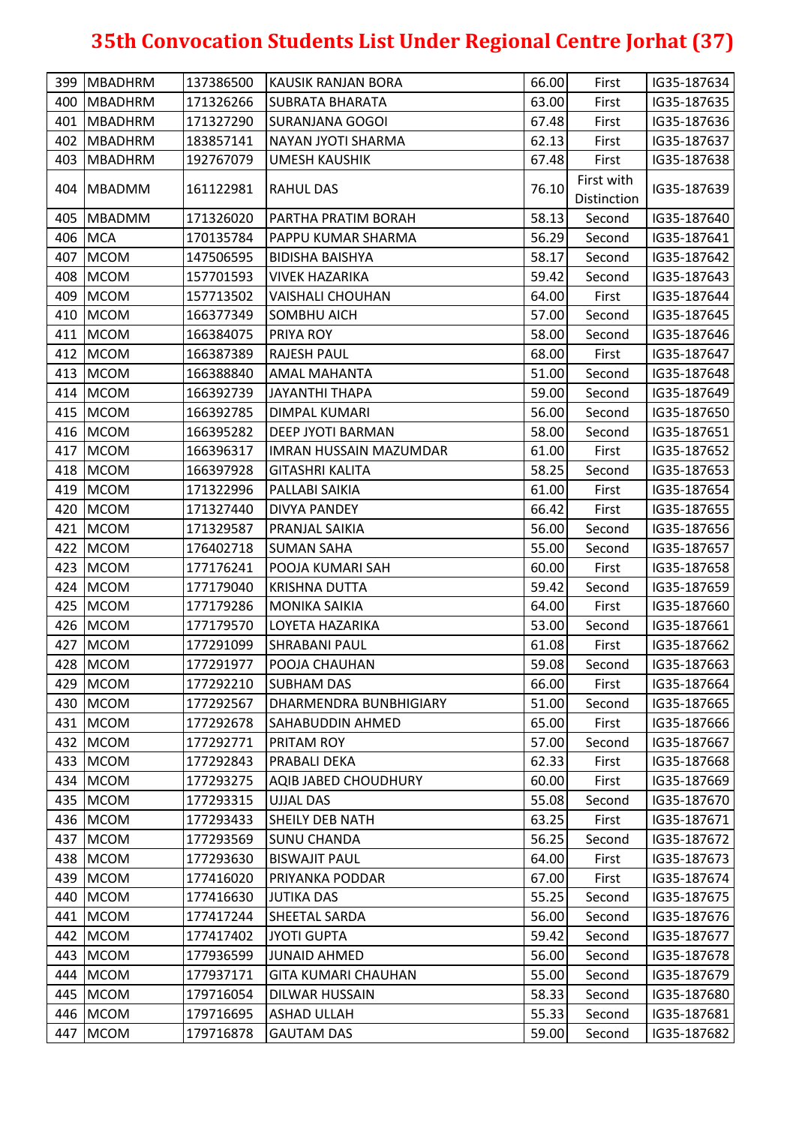|     | 399   MBADHRM | 137386500 | KAUSIK RANJAN BORA            | 66.00 | First                     | IG35-187634 |
|-----|---------------|-----------|-------------------------------|-------|---------------------------|-------------|
|     | 400   MBADHRM | 171326266 | <b>SUBRATA BHARATA</b>        | 63.00 | First                     | IG35-187635 |
|     | 401 MBADHRM   | 171327290 | <b>SURANJANA GOGOI</b>        | 67.48 | First                     | IG35-187636 |
| 402 | MBADHRM       | 183857141 | NAYAN JYOTI SHARMA            | 62.13 | First                     | IG35-187637 |
|     | 403 MBADHRM   | 192767079 | <b>UMESH KAUSHIK</b>          | 67.48 | First                     | IG35-187638 |
|     | 404   MBADMM  | 161122981 | <b>RAHUL DAS</b>              | 76.10 | First with<br>Distinction | IG35-187639 |
|     | 405 MBADMM    | 171326020 | PARTHA PRATIM BORAH           | 58.13 | Second                    | IG35-187640 |
|     | 406 MCA       | 170135784 | PAPPU KUMAR SHARMA            | 56.29 | Second                    | IG35-187641 |
| 407 | <b>MCOM</b>   | 147506595 | <b>BIDISHA BAISHYA</b>        | 58.17 | Second                    | IG35-187642 |
| 408 | <b>MCOM</b>   | 157701593 | <b>VIVEK HAZARIKA</b>         | 59.42 | Second                    | IG35-187643 |
|     | 409 MCOM      | 157713502 | <b>VAISHALI CHOUHAN</b>       | 64.00 | First                     | IG35-187644 |
|     | 410 MCOM      | 166377349 | <b>SOMBHU AICH</b>            | 57.00 | Second                    | IG35-187645 |
|     | 411 MCOM      | 166384075 | PRIYA ROY                     | 58.00 | Second                    | IG35-187646 |
|     | 412 MCOM      | 166387389 | <b>RAJESH PAUL</b>            | 68.00 | First                     | IG35-187647 |
|     | 413 MCOM      | 166388840 | <b>AMAL MAHANTA</b>           | 51.00 | Second                    | IG35-187648 |
|     | 414 MCOM      | 166392739 | <b>JAYANTHI THAPA</b>         | 59.00 | Second                    | IG35-187649 |
|     | 415 MCOM      | 166392785 | DIMPAL KUMARI                 | 56.00 | Second                    | IG35-187650 |
|     | 416 MCOM      | 166395282 | DEEP JYOTI BARMAN             | 58.00 | Second                    | IG35-187651 |
|     | 417 MCOM      | 166396317 | <b>IMRAN HUSSAIN MAZUMDAR</b> | 61.00 | First                     | IG35-187652 |
|     | 418 MCOM      | 166397928 | <b>GITASHRI KALITA</b>        | 58.25 | Second                    | IG35-187653 |
|     | 419 MCOM      | 171322996 | PALLABI SAIKIA                | 61.00 | First                     | IG35-187654 |
| 420 | <b>MCOM</b>   | 171327440 | <b>DIVYA PANDEY</b>           | 66.42 | First                     | IG35-187655 |
|     | 421 MCOM      | 171329587 | PRANJAL SAIKIA                | 56.00 | Second                    | IG35-187656 |
|     | 422 MCOM      | 176402718 | <b>SUMAN SAHA</b>             | 55.00 | Second                    | IG35-187657 |
|     | 423 MCOM      | 177176241 | POOJA KUMARI SAH              | 60.00 | First                     | IG35-187658 |
|     | 424 MCOM      | 177179040 | <b>KRISHNA DUTTA</b>          | 59.42 | Second                    | IG35-187659 |
|     | 425 MCOM      | 177179286 | <b>MONIKA SAIKIA</b>          | 64.00 | First                     | IG35-187660 |
|     | 426 MCOM      | 177179570 | LOYETA HAZARIKA               | 53.00 | Second                    | IG35-187661 |
| 427 | <b>MCOM</b>   | 177291099 | <b>SHRABANI PAUL</b>          | 61.08 | First                     | IG35-187662 |
|     | 428 MCOM      | 177291977 | POOJA CHAUHAN                 | 59.08 | Second                    | IG35-187663 |
|     | 429 MCOM      | 177292210 | <b>SUBHAM DAS</b>             | 66.00 | First                     | IG35-187664 |
|     | 430 MCOM      | 177292567 | <b>DHARMENDRA BUNBHIGIARY</b> | 51.00 | Second                    | IG35-187665 |
|     | 431 MCOM      | 177292678 | SAHABUDDIN AHMED              | 65.00 | First                     | IG35-187666 |
|     | 432 MCOM      | 177292771 | PRITAM ROY                    | 57.00 | Second                    | IG35-187667 |
|     | 433 MCOM      | 177292843 | <b>PRABALI DEKA</b>           | 62.33 | First                     | IG35-187668 |
|     | 434 MCOM      | 177293275 | <b>AQIB JABED CHOUDHURY</b>   | 60.00 | First                     | IG35-187669 |
|     | 435 MCOM      | 177293315 | <b>UJJAL DAS</b>              | 55.08 | Second                    | IG35-187670 |
|     | 436 MCOM      | 177293433 | <b>SHEILY DEB NATH</b>        | 63.25 | First                     | IG35-187671 |
|     | 437 MCOM      | 177293569 | <b>SUNU CHANDA</b>            | 56.25 | Second                    | IG35-187672 |
|     | 438 MCOM      | 177293630 | <b>BISWAJIT PAUL</b>          | 64.00 | First                     | IG35-187673 |
| 439 | <b>MCOM</b>   | 177416020 | PRIYANKA PODDAR               | 67.00 | First                     | IG35-187674 |
|     | 440 MCOM      | 177416630 | <b>JUTIKA DAS</b>             | 55.25 | Second                    | IG35-187675 |
|     | 441 MCOM      | 177417244 | SHEETAL SARDA                 | 56.00 | Second                    | IG35-187676 |
|     | 442 MCOM      | 177417402 | <b>JYOTI GUPTA</b>            | 59.42 | Second                    | IG35-187677 |
|     | 443 MCOM      | 177936599 | <b>JUNAID AHMED</b>           | 56.00 | Second                    | IG35-187678 |
| 444 | <b>MCOM</b>   | 177937171 | <b>GITA KUMARI CHAUHAN</b>    | 55.00 | Second                    | IG35-187679 |
| 445 | <b>MCOM</b>   | 179716054 | <b>DILWAR HUSSAIN</b>         | 58.33 | Second                    | IG35-187680 |
|     | 446 MCOM      | 179716695 | <b>ASHAD ULLAH</b>            | 55.33 | Second                    | IG35-187681 |
| 447 | <b>MCOM</b>   | 179716878 | <b>GAUTAM DAS</b>             | 59.00 | Second                    | IG35-187682 |
|     |               |           |                               |       |                           |             |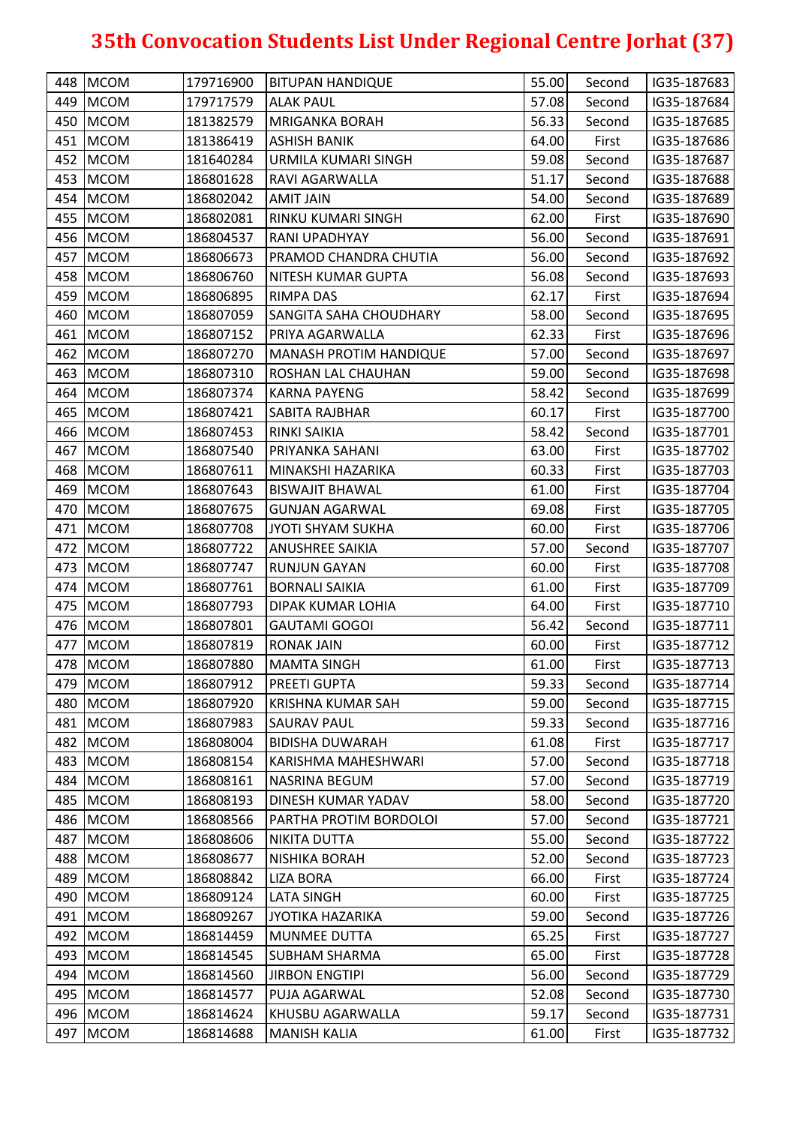| 449 MCOM<br>179717579<br>57.08<br><b>ALAK PAUL</b><br>Second<br>IG35-187684<br>56.33<br>450   MCOM<br>181382579<br><b>MRIGANKA BORAH</b><br>IG35-187685<br>Second<br>451 MCOM<br>181386419<br><b>ASHISH BANIK</b><br>64.00<br>First<br>IG35-187686<br>452 MCOM<br>59.08<br>181640284<br>URMILA KUMARI SINGH<br>Second<br>IG35-187687<br>453<br><b>MCOM</b><br>51.17<br>186801628<br><b>RAVI AGARWALLA</b><br>Second<br>IG35-187688<br>454 MCOM<br>186802042<br>54.00<br>IG35-187689<br><b>AMIT JAIN</b><br>Second<br>455 MCOM<br>62.00<br>186802081<br>RINKU KUMARI SINGH<br>First<br>IG35-187690<br>456 MCOM<br>56.00<br>Second<br>186804537<br>RANI UPADHYAY<br>IG35-187691<br>457 MCOM<br>56.00<br>186806673<br>PRAMOD CHANDRA CHUTIA<br>Second<br>IG35-187692<br>458 MCOM<br>56.08<br>186806760<br>NITESH KUMAR GUPTA<br>Second<br>IG35-187693<br>459 MCOM<br>62.17<br>186806895<br>IG35-187694<br><b>RIMPA DAS</b><br>First<br>460 MCOM<br>58.00<br>186807059<br>Second<br>IG35-187695<br><b>SANGITA SAHA CHOUDHARY</b><br>461 MCOM<br>186807152<br>62.33<br>IG35-187696<br>PRIYA AGARWALLA<br>First<br>462 MCOM<br>57.00<br>186807270<br><b>MANASH PROTIM HANDIQUE</b><br>Second<br>IG35-187697<br>463 MCOM<br>186807310<br>59.00<br>IG35-187698<br> ROSHAN LAL CHAUHAN<br>Second<br>464 MCOM<br>58.42<br>IG35-187699<br>186807374<br>KARNA PAYENG<br>Second<br>465 MCOM<br>186807421<br>60.17<br>First<br>IG35-187700<br><b>SABITA RAJBHAR</b><br>58.42<br>466 MCOM<br>186807453<br><b>RINKI SAIKIA</b><br>Second<br>IG35-187701<br>467 MCOM<br>186807540<br>PRIYANKA SAHANI<br>63.00<br>IG35-187702<br>First<br>468 MCOM<br>60.33<br>186807611<br>MINAKSHI HAZARIKA<br>First<br>IG35-187703<br>469 MCOM<br>61.00<br>186807643<br>IG35-187704<br><b>BISWAJIT BHAWAL</b><br>First<br>470 MCOM<br>186807675<br><b>GUNJAN AGARWAL</b><br>69.08<br>First<br>IG35-187705<br>471   MCOM<br>186807708<br>60.00<br>First<br>IG35-187706<br>JYOTI SHYAM SUKHA<br>472 MCOM<br>57.00<br>186807722<br><b>ANUSHREE SAIKIA</b><br>Second<br>IG35-187707<br>473 MCOM<br>186807747<br>60.00<br>IG35-187708<br><b>RUNJUN GAYAN</b><br>First<br><b>MCOM</b><br>474<br>186807761<br><b>BORNALI SAIKIA</b><br>61.00<br>First<br>IG35-187709<br>475 MCOM<br>186807793<br><b>DIPAK KUMAR LOHIA</b><br>64.00<br>First<br>IG35-187710<br>476 MCOM<br>56.42<br>186807801<br><b>GAUTAMI GOGOI</b><br>IG35-187711<br>Second<br>477 MCOM<br>186807819<br><b>RONAK JAIN</b><br>60.00<br>IG35-187712<br>First<br>478 MCOM<br>61.00<br>IG35-187713<br>186807880<br><b>MAMTA SINGH</b><br>First<br>186807912<br>59.33<br>479 MCOM<br><b>PREETI GUPTA</b><br>Second<br>IG35-187714<br>480 MCOM<br>186807920<br>59.00<br>IG35-187715<br>KRISHNA KUMAR SAH<br>Second<br>481 MCOM<br>59.33<br>186807983<br><b>SAURAV PAUL</b><br>IG35-187716<br>Second<br>482 MCOM<br>186808004<br><b>BIDISHA DUWARAH</b><br>61.08<br>First<br>IG35-187717<br>57.00<br>483 MCOM<br>186808154<br>IG35-187718<br>KARISHMA MAHESHWARI<br>Second<br><b>MCOM</b><br>484<br>186808161<br>57.00<br>IG35-187719<br><b>NASRINA BEGUM</b><br>Second<br>485 MCOM<br>58.00<br>186808193<br>DINESH KUMAR YADAV<br>Second<br>IG35-187720 |
|-------------------------------------------------------------------------------------------------------------------------------------------------------------------------------------------------------------------------------------------------------------------------------------------------------------------------------------------------------------------------------------------------------------------------------------------------------------------------------------------------------------------------------------------------------------------------------------------------------------------------------------------------------------------------------------------------------------------------------------------------------------------------------------------------------------------------------------------------------------------------------------------------------------------------------------------------------------------------------------------------------------------------------------------------------------------------------------------------------------------------------------------------------------------------------------------------------------------------------------------------------------------------------------------------------------------------------------------------------------------------------------------------------------------------------------------------------------------------------------------------------------------------------------------------------------------------------------------------------------------------------------------------------------------------------------------------------------------------------------------------------------------------------------------------------------------------------------------------------------------------------------------------------------------------------------------------------------------------------------------------------------------------------------------------------------------------------------------------------------------------------------------------------------------------------------------------------------------------------------------------------------------------------------------------------------------------------------------------------------------------------------------------------------------------------------------------------------------------------------------------------------------------------------------------------------------------------------------------------------------------------------------------------------------------------------------------------------------------------------------------------------------------------------------------------------------------------------------------------------------------------------------------------------------------------------------------------------------------------------------------------------------------------------------------------------------------------------------------------------------------------------------------------------------------------|
|                                                                                                                                                                                                                                                                                                                                                                                                                                                                                                                                                                                                                                                                                                                                                                                                                                                                                                                                                                                                                                                                                                                                                                                                                                                                                                                                                                                                                                                                                                                                                                                                                                                                                                                                                                                                                                                                                                                                                                                                                                                                                                                                                                                                                                                                                                                                                                                                                                                                                                                                                                                                                                                                                                                                                                                                                                                                                                                                                                                                                                                                                                                                                                               |
|                                                                                                                                                                                                                                                                                                                                                                                                                                                                                                                                                                                                                                                                                                                                                                                                                                                                                                                                                                                                                                                                                                                                                                                                                                                                                                                                                                                                                                                                                                                                                                                                                                                                                                                                                                                                                                                                                                                                                                                                                                                                                                                                                                                                                                                                                                                                                                                                                                                                                                                                                                                                                                                                                                                                                                                                                                                                                                                                                                                                                                                                                                                                                                               |
|                                                                                                                                                                                                                                                                                                                                                                                                                                                                                                                                                                                                                                                                                                                                                                                                                                                                                                                                                                                                                                                                                                                                                                                                                                                                                                                                                                                                                                                                                                                                                                                                                                                                                                                                                                                                                                                                                                                                                                                                                                                                                                                                                                                                                                                                                                                                                                                                                                                                                                                                                                                                                                                                                                                                                                                                                                                                                                                                                                                                                                                                                                                                                                               |
|                                                                                                                                                                                                                                                                                                                                                                                                                                                                                                                                                                                                                                                                                                                                                                                                                                                                                                                                                                                                                                                                                                                                                                                                                                                                                                                                                                                                                                                                                                                                                                                                                                                                                                                                                                                                                                                                                                                                                                                                                                                                                                                                                                                                                                                                                                                                                                                                                                                                                                                                                                                                                                                                                                                                                                                                                                                                                                                                                                                                                                                                                                                                                                               |
|                                                                                                                                                                                                                                                                                                                                                                                                                                                                                                                                                                                                                                                                                                                                                                                                                                                                                                                                                                                                                                                                                                                                                                                                                                                                                                                                                                                                                                                                                                                                                                                                                                                                                                                                                                                                                                                                                                                                                                                                                                                                                                                                                                                                                                                                                                                                                                                                                                                                                                                                                                                                                                                                                                                                                                                                                                                                                                                                                                                                                                                                                                                                                                               |
|                                                                                                                                                                                                                                                                                                                                                                                                                                                                                                                                                                                                                                                                                                                                                                                                                                                                                                                                                                                                                                                                                                                                                                                                                                                                                                                                                                                                                                                                                                                                                                                                                                                                                                                                                                                                                                                                                                                                                                                                                                                                                                                                                                                                                                                                                                                                                                                                                                                                                                                                                                                                                                                                                                                                                                                                                                                                                                                                                                                                                                                                                                                                                                               |
|                                                                                                                                                                                                                                                                                                                                                                                                                                                                                                                                                                                                                                                                                                                                                                                                                                                                                                                                                                                                                                                                                                                                                                                                                                                                                                                                                                                                                                                                                                                                                                                                                                                                                                                                                                                                                                                                                                                                                                                                                                                                                                                                                                                                                                                                                                                                                                                                                                                                                                                                                                                                                                                                                                                                                                                                                                                                                                                                                                                                                                                                                                                                                                               |
|                                                                                                                                                                                                                                                                                                                                                                                                                                                                                                                                                                                                                                                                                                                                                                                                                                                                                                                                                                                                                                                                                                                                                                                                                                                                                                                                                                                                                                                                                                                                                                                                                                                                                                                                                                                                                                                                                                                                                                                                                                                                                                                                                                                                                                                                                                                                                                                                                                                                                                                                                                                                                                                                                                                                                                                                                                                                                                                                                                                                                                                                                                                                                                               |
|                                                                                                                                                                                                                                                                                                                                                                                                                                                                                                                                                                                                                                                                                                                                                                                                                                                                                                                                                                                                                                                                                                                                                                                                                                                                                                                                                                                                                                                                                                                                                                                                                                                                                                                                                                                                                                                                                                                                                                                                                                                                                                                                                                                                                                                                                                                                                                                                                                                                                                                                                                                                                                                                                                                                                                                                                                                                                                                                                                                                                                                                                                                                                                               |
|                                                                                                                                                                                                                                                                                                                                                                                                                                                                                                                                                                                                                                                                                                                                                                                                                                                                                                                                                                                                                                                                                                                                                                                                                                                                                                                                                                                                                                                                                                                                                                                                                                                                                                                                                                                                                                                                                                                                                                                                                                                                                                                                                                                                                                                                                                                                                                                                                                                                                                                                                                                                                                                                                                                                                                                                                                                                                                                                                                                                                                                                                                                                                                               |
|                                                                                                                                                                                                                                                                                                                                                                                                                                                                                                                                                                                                                                                                                                                                                                                                                                                                                                                                                                                                                                                                                                                                                                                                                                                                                                                                                                                                                                                                                                                                                                                                                                                                                                                                                                                                                                                                                                                                                                                                                                                                                                                                                                                                                                                                                                                                                                                                                                                                                                                                                                                                                                                                                                                                                                                                                                                                                                                                                                                                                                                                                                                                                                               |
|                                                                                                                                                                                                                                                                                                                                                                                                                                                                                                                                                                                                                                                                                                                                                                                                                                                                                                                                                                                                                                                                                                                                                                                                                                                                                                                                                                                                                                                                                                                                                                                                                                                                                                                                                                                                                                                                                                                                                                                                                                                                                                                                                                                                                                                                                                                                                                                                                                                                                                                                                                                                                                                                                                                                                                                                                                                                                                                                                                                                                                                                                                                                                                               |
|                                                                                                                                                                                                                                                                                                                                                                                                                                                                                                                                                                                                                                                                                                                                                                                                                                                                                                                                                                                                                                                                                                                                                                                                                                                                                                                                                                                                                                                                                                                                                                                                                                                                                                                                                                                                                                                                                                                                                                                                                                                                                                                                                                                                                                                                                                                                                                                                                                                                                                                                                                                                                                                                                                                                                                                                                                                                                                                                                                                                                                                                                                                                                                               |
|                                                                                                                                                                                                                                                                                                                                                                                                                                                                                                                                                                                                                                                                                                                                                                                                                                                                                                                                                                                                                                                                                                                                                                                                                                                                                                                                                                                                                                                                                                                                                                                                                                                                                                                                                                                                                                                                                                                                                                                                                                                                                                                                                                                                                                                                                                                                                                                                                                                                                                                                                                                                                                                                                                                                                                                                                                                                                                                                                                                                                                                                                                                                                                               |
|                                                                                                                                                                                                                                                                                                                                                                                                                                                                                                                                                                                                                                                                                                                                                                                                                                                                                                                                                                                                                                                                                                                                                                                                                                                                                                                                                                                                                                                                                                                                                                                                                                                                                                                                                                                                                                                                                                                                                                                                                                                                                                                                                                                                                                                                                                                                                                                                                                                                                                                                                                                                                                                                                                                                                                                                                                                                                                                                                                                                                                                                                                                                                                               |
|                                                                                                                                                                                                                                                                                                                                                                                                                                                                                                                                                                                                                                                                                                                                                                                                                                                                                                                                                                                                                                                                                                                                                                                                                                                                                                                                                                                                                                                                                                                                                                                                                                                                                                                                                                                                                                                                                                                                                                                                                                                                                                                                                                                                                                                                                                                                                                                                                                                                                                                                                                                                                                                                                                                                                                                                                                                                                                                                                                                                                                                                                                                                                                               |
|                                                                                                                                                                                                                                                                                                                                                                                                                                                                                                                                                                                                                                                                                                                                                                                                                                                                                                                                                                                                                                                                                                                                                                                                                                                                                                                                                                                                                                                                                                                                                                                                                                                                                                                                                                                                                                                                                                                                                                                                                                                                                                                                                                                                                                                                                                                                                                                                                                                                                                                                                                                                                                                                                                                                                                                                                                                                                                                                                                                                                                                                                                                                                                               |
|                                                                                                                                                                                                                                                                                                                                                                                                                                                                                                                                                                                                                                                                                                                                                                                                                                                                                                                                                                                                                                                                                                                                                                                                                                                                                                                                                                                                                                                                                                                                                                                                                                                                                                                                                                                                                                                                                                                                                                                                                                                                                                                                                                                                                                                                                                                                                                                                                                                                                                                                                                                                                                                                                                                                                                                                                                                                                                                                                                                                                                                                                                                                                                               |
|                                                                                                                                                                                                                                                                                                                                                                                                                                                                                                                                                                                                                                                                                                                                                                                                                                                                                                                                                                                                                                                                                                                                                                                                                                                                                                                                                                                                                                                                                                                                                                                                                                                                                                                                                                                                                                                                                                                                                                                                                                                                                                                                                                                                                                                                                                                                                                                                                                                                                                                                                                                                                                                                                                                                                                                                                                                                                                                                                                                                                                                                                                                                                                               |
|                                                                                                                                                                                                                                                                                                                                                                                                                                                                                                                                                                                                                                                                                                                                                                                                                                                                                                                                                                                                                                                                                                                                                                                                                                                                                                                                                                                                                                                                                                                                                                                                                                                                                                                                                                                                                                                                                                                                                                                                                                                                                                                                                                                                                                                                                                                                                                                                                                                                                                                                                                                                                                                                                                                                                                                                                                                                                                                                                                                                                                                                                                                                                                               |
|                                                                                                                                                                                                                                                                                                                                                                                                                                                                                                                                                                                                                                                                                                                                                                                                                                                                                                                                                                                                                                                                                                                                                                                                                                                                                                                                                                                                                                                                                                                                                                                                                                                                                                                                                                                                                                                                                                                                                                                                                                                                                                                                                                                                                                                                                                                                                                                                                                                                                                                                                                                                                                                                                                                                                                                                                                                                                                                                                                                                                                                                                                                                                                               |
|                                                                                                                                                                                                                                                                                                                                                                                                                                                                                                                                                                                                                                                                                                                                                                                                                                                                                                                                                                                                                                                                                                                                                                                                                                                                                                                                                                                                                                                                                                                                                                                                                                                                                                                                                                                                                                                                                                                                                                                                                                                                                                                                                                                                                                                                                                                                                                                                                                                                                                                                                                                                                                                                                                                                                                                                                                                                                                                                                                                                                                                                                                                                                                               |
|                                                                                                                                                                                                                                                                                                                                                                                                                                                                                                                                                                                                                                                                                                                                                                                                                                                                                                                                                                                                                                                                                                                                                                                                                                                                                                                                                                                                                                                                                                                                                                                                                                                                                                                                                                                                                                                                                                                                                                                                                                                                                                                                                                                                                                                                                                                                                                                                                                                                                                                                                                                                                                                                                                                                                                                                                                                                                                                                                                                                                                                                                                                                                                               |
|                                                                                                                                                                                                                                                                                                                                                                                                                                                                                                                                                                                                                                                                                                                                                                                                                                                                                                                                                                                                                                                                                                                                                                                                                                                                                                                                                                                                                                                                                                                                                                                                                                                                                                                                                                                                                                                                                                                                                                                                                                                                                                                                                                                                                                                                                                                                                                                                                                                                                                                                                                                                                                                                                                                                                                                                                                                                                                                                                                                                                                                                                                                                                                               |
|                                                                                                                                                                                                                                                                                                                                                                                                                                                                                                                                                                                                                                                                                                                                                                                                                                                                                                                                                                                                                                                                                                                                                                                                                                                                                                                                                                                                                                                                                                                                                                                                                                                                                                                                                                                                                                                                                                                                                                                                                                                                                                                                                                                                                                                                                                                                                                                                                                                                                                                                                                                                                                                                                                                                                                                                                                                                                                                                                                                                                                                                                                                                                                               |
|                                                                                                                                                                                                                                                                                                                                                                                                                                                                                                                                                                                                                                                                                                                                                                                                                                                                                                                                                                                                                                                                                                                                                                                                                                                                                                                                                                                                                                                                                                                                                                                                                                                                                                                                                                                                                                                                                                                                                                                                                                                                                                                                                                                                                                                                                                                                                                                                                                                                                                                                                                                                                                                                                                                                                                                                                                                                                                                                                                                                                                                                                                                                                                               |
|                                                                                                                                                                                                                                                                                                                                                                                                                                                                                                                                                                                                                                                                                                                                                                                                                                                                                                                                                                                                                                                                                                                                                                                                                                                                                                                                                                                                                                                                                                                                                                                                                                                                                                                                                                                                                                                                                                                                                                                                                                                                                                                                                                                                                                                                                                                                                                                                                                                                                                                                                                                                                                                                                                                                                                                                                                                                                                                                                                                                                                                                                                                                                                               |
|                                                                                                                                                                                                                                                                                                                                                                                                                                                                                                                                                                                                                                                                                                                                                                                                                                                                                                                                                                                                                                                                                                                                                                                                                                                                                                                                                                                                                                                                                                                                                                                                                                                                                                                                                                                                                                                                                                                                                                                                                                                                                                                                                                                                                                                                                                                                                                                                                                                                                                                                                                                                                                                                                                                                                                                                                                                                                                                                                                                                                                                                                                                                                                               |
|                                                                                                                                                                                                                                                                                                                                                                                                                                                                                                                                                                                                                                                                                                                                                                                                                                                                                                                                                                                                                                                                                                                                                                                                                                                                                                                                                                                                                                                                                                                                                                                                                                                                                                                                                                                                                                                                                                                                                                                                                                                                                                                                                                                                                                                                                                                                                                                                                                                                                                                                                                                                                                                                                                                                                                                                                                                                                                                                                                                                                                                                                                                                                                               |
|                                                                                                                                                                                                                                                                                                                                                                                                                                                                                                                                                                                                                                                                                                                                                                                                                                                                                                                                                                                                                                                                                                                                                                                                                                                                                                                                                                                                                                                                                                                                                                                                                                                                                                                                                                                                                                                                                                                                                                                                                                                                                                                                                                                                                                                                                                                                                                                                                                                                                                                                                                                                                                                                                                                                                                                                                                                                                                                                                                                                                                                                                                                                                                               |
|                                                                                                                                                                                                                                                                                                                                                                                                                                                                                                                                                                                                                                                                                                                                                                                                                                                                                                                                                                                                                                                                                                                                                                                                                                                                                                                                                                                                                                                                                                                                                                                                                                                                                                                                                                                                                                                                                                                                                                                                                                                                                                                                                                                                                                                                                                                                                                                                                                                                                                                                                                                                                                                                                                                                                                                                                                                                                                                                                                                                                                                                                                                                                                               |
|                                                                                                                                                                                                                                                                                                                                                                                                                                                                                                                                                                                                                                                                                                                                                                                                                                                                                                                                                                                                                                                                                                                                                                                                                                                                                                                                                                                                                                                                                                                                                                                                                                                                                                                                                                                                                                                                                                                                                                                                                                                                                                                                                                                                                                                                                                                                                                                                                                                                                                                                                                                                                                                                                                                                                                                                                                                                                                                                                                                                                                                                                                                                                                               |
|                                                                                                                                                                                                                                                                                                                                                                                                                                                                                                                                                                                                                                                                                                                                                                                                                                                                                                                                                                                                                                                                                                                                                                                                                                                                                                                                                                                                                                                                                                                                                                                                                                                                                                                                                                                                                                                                                                                                                                                                                                                                                                                                                                                                                                                                                                                                                                                                                                                                                                                                                                                                                                                                                                                                                                                                                                                                                                                                                                                                                                                                                                                                                                               |
|                                                                                                                                                                                                                                                                                                                                                                                                                                                                                                                                                                                                                                                                                                                                                                                                                                                                                                                                                                                                                                                                                                                                                                                                                                                                                                                                                                                                                                                                                                                                                                                                                                                                                                                                                                                                                                                                                                                                                                                                                                                                                                                                                                                                                                                                                                                                                                                                                                                                                                                                                                                                                                                                                                                                                                                                                                                                                                                                                                                                                                                                                                                                                                               |
|                                                                                                                                                                                                                                                                                                                                                                                                                                                                                                                                                                                                                                                                                                                                                                                                                                                                                                                                                                                                                                                                                                                                                                                                                                                                                                                                                                                                                                                                                                                                                                                                                                                                                                                                                                                                                                                                                                                                                                                                                                                                                                                                                                                                                                                                                                                                                                                                                                                                                                                                                                                                                                                                                                                                                                                                                                                                                                                                                                                                                                                                                                                                                                               |
|                                                                                                                                                                                                                                                                                                                                                                                                                                                                                                                                                                                                                                                                                                                                                                                                                                                                                                                                                                                                                                                                                                                                                                                                                                                                                                                                                                                                                                                                                                                                                                                                                                                                                                                                                                                                                                                                                                                                                                                                                                                                                                                                                                                                                                                                                                                                                                                                                                                                                                                                                                                                                                                                                                                                                                                                                                                                                                                                                                                                                                                                                                                                                                               |
|                                                                                                                                                                                                                                                                                                                                                                                                                                                                                                                                                                                                                                                                                                                                                                                                                                                                                                                                                                                                                                                                                                                                                                                                                                                                                                                                                                                                                                                                                                                                                                                                                                                                                                                                                                                                                                                                                                                                                                                                                                                                                                                                                                                                                                                                                                                                                                                                                                                                                                                                                                                                                                                                                                                                                                                                                                                                                                                                                                                                                                                                                                                                                                               |
| 486 MCOM<br>186808566<br>PARTHA PROTIM BORDOLOI<br>57.00<br>IG35-187721<br>Second                                                                                                                                                                                                                                                                                                                                                                                                                                                                                                                                                                                                                                                                                                                                                                                                                                                                                                                                                                                                                                                                                                                                                                                                                                                                                                                                                                                                                                                                                                                                                                                                                                                                                                                                                                                                                                                                                                                                                                                                                                                                                                                                                                                                                                                                                                                                                                                                                                                                                                                                                                                                                                                                                                                                                                                                                                                                                                                                                                                                                                                                                             |
| 487<br><b>MCOM</b><br>186808606<br>55.00<br>IG35-187722<br><b>NIKITA DUTTA</b><br>Second                                                                                                                                                                                                                                                                                                                                                                                                                                                                                                                                                                                                                                                                                                                                                                                                                                                                                                                                                                                                                                                                                                                                                                                                                                                                                                                                                                                                                                                                                                                                                                                                                                                                                                                                                                                                                                                                                                                                                                                                                                                                                                                                                                                                                                                                                                                                                                                                                                                                                                                                                                                                                                                                                                                                                                                                                                                                                                                                                                                                                                                                                      |
| 488 MCOM<br>186808677<br><b>NISHIKA BORAH</b><br>52.00<br>IG35-187723<br>Second                                                                                                                                                                                                                                                                                                                                                                                                                                                                                                                                                                                                                                                                                                                                                                                                                                                                                                                                                                                                                                                                                                                                                                                                                                                                                                                                                                                                                                                                                                                                                                                                                                                                                                                                                                                                                                                                                                                                                                                                                                                                                                                                                                                                                                                                                                                                                                                                                                                                                                                                                                                                                                                                                                                                                                                                                                                                                                                                                                                                                                                                                               |
| 489 MCOM<br>186808842<br><b>LIZA BORA</b><br>66.00<br>First<br>IG35-187724                                                                                                                                                                                                                                                                                                                                                                                                                                                                                                                                                                                                                                                                                                                                                                                                                                                                                                                                                                                                                                                                                                                                                                                                                                                                                                                                                                                                                                                                                                                                                                                                                                                                                                                                                                                                                                                                                                                                                                                                                                                                                                                                                                                                                                                                                                                                                                                                                                                                                                                                                                                                                                                                                                                                                                                                                                                                                                                                                                                                                                                                                                    |
|                                                                                                                                                                                                                                                                                                                                                                                                                                                                                                                                                                                                                                                                                                                                                                                                                                                                                                                                                                                                                                                                                                                                                                                                                                                                                                                                                                                                                                                                                                                                                                                                                                                                                                                                                                                                                                                                                                                                                                                                                                                                                                                                                                                                                                                                                                                                                                                                                                                                                                                                                                                                                                                                                                                                                                                                                                                                                                                                                                                                                                                                                                                                                                               |
| 60.00<br>490 MCOM<br>186809124<br><b>LATA SINGH</b><br>IG35-187725<br>First                                                                                                                                                                                                                                                                                                                                                                                                                                                                                                                                                                                                                                                                                                                                                                                                                                                                                                                                                                                                                                                                                                                                                                                                                                                                                                                                                                                                                                                                                                                                                                                                                                                                                                                                                                                                                                                                                                                                                                                                                                                                                                                                                                                                                                                                                                                                                                                                                                                                                                                                                                                                                                                                                                                                                                                                                                                                                                                                                                                                                                                                                                   |
| <b>MCOM</b><br>186809267<br>59.00<br>IG35-187726<br>491<br>JYOTIKA HAZARIKA<br>Second                                                                                                                                                                                                                                                                                                                                                                                                                                                                                                                                                                                                                                                                                                                                                                                                                                                                                                                                                                                                                                                                                                                                                                                                                                                                                                                                                                                                                                                                                                                                                                                                                                                                                                                                                                                                                                                                                                                                                                                                                                                                                                                                                                                                                                                                                                                                                                                                                                                                                                                                                                                                                                                                                                                                                                                                                                                                                                                                                                                                                                                                                         |
| 492 MCOM<br>186814459<br><b>MUNMEE DUTTA</b><br>65.25<br>IG35-187727<br>First                                                                                                                                                                                                                                                                                                                                                                                                                                                                                                                                                                                                                                                                                                                                                                                                                                                                                                                                                                                                                                                                                                                                                                                                                                                                                                                                                                                                                                                                                                                                                                                                                                                                                                                                                                                                                                                                                                                                                                                                                                                                                                                                                                                                                                                                                                                                                                                                                                                                                                                                                                                                                                                                                                                                                                                                                                                                                                                                                                                                                                                                                                 |
| 493 MCOM<br>186814545<br>65.00<br>IG35-187728<br><b>SUBHAM SHARMA</b><br>First                                                                                                                                                                                                                                                                                                                                                                                                                                                                                                                                                                                                                                                                                                                                                                                                                                                                                                                                                                                                                                                                                                                                                                                                                                                                                                                                                                                                                                                                                                                                                                                                                                                                                                                                                                                                                                                                                                                                                                                                                                                                                                                                                                                                                                                                                                                                                                                                                                                                                                                                                                                                                                                                                                                                                                                                                                                                                                                                                                                                                                                                                                |
| 494 MCOM<br>186814560<br><b>JIRBON ENGTIPI</b><br>56.00<br>Second<br>IG35-187729                                                                                                                                                                                                                                                                                                                                                                                                                                                                                                                                                                                                                                                                                                                                                                                                                                                                                                                                                                                                                                                                                                                                                                                                                                                                                                                                                                                                                                                                                                                                                                                                                                                                                                                                                                                                                                                                                                                                                                                                                                                                                                                                                                                                                                                                                                                                                                                                                                                                                                                                                                                                                                                                                                                                                                                                                                                                                                                                                                                                                                                                                              |
| 495 MCOM<br>186814577<br>PUJA AGARWAL<br>52.08<br>IG35-187730<br>Second                                                                                                                                                                                                                                                                                                                                                                                                                                                                                                                                                                                                                                                                                                                                                                                                                                                                                                                                                                                                                                                                                                                                                                                                                                                                                                                                                                                                                                                                                                                                                                                                                                                                                                                                                                                                                                                                                                                                                                                                                                                                                                                                                                                                                                                                                                                                                                                                                                                                                                                                                                                                                                                                                                                                                                                                                                                                                                                                                                                                                                                                                                       |
| 496 MCOM<br>186814624<br>KHUSBU AGARWALLA<br>59.17<br>IG35-187731<br>Second                                                                                                                                                                                                                                                                                                                                                                                                                                                                                                                                                                                                                                                                                                                                                                                                                                                                                                                                                                                                                                                                                                                                                                                                                                                                                                                                                                                                                                                                                                                                                                                                                                                                                                                                                                                                                                                                                                                                                                                                                                                                                                                                                                                                                                                                                                                                                                                                                                                                                                                                                                                                                                                                                                                                                                                                                                                                                                                                                                                                                                                                                                   |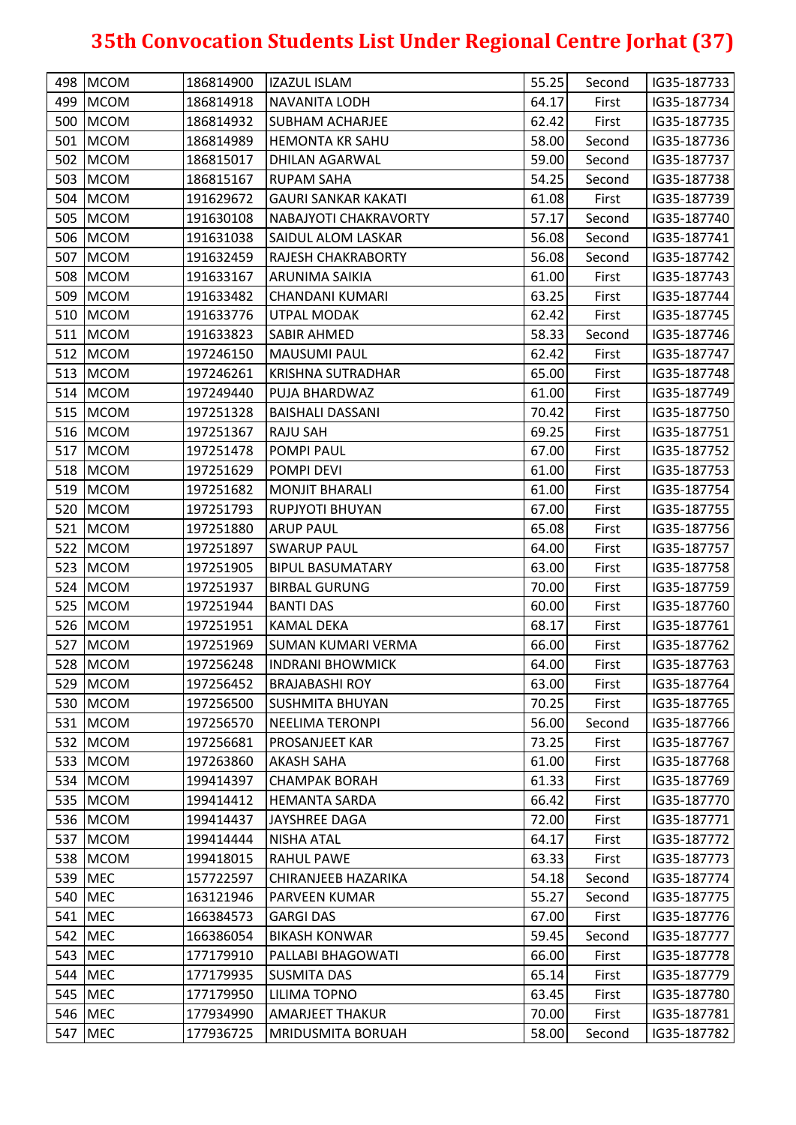| 498 MCOM   | 186814900 | <b>IZAZUL ISLAM</b>        | 55.25 | Second | IG35-187733 |
|------------|-----------|----------------------------|-------|--------|-------------|
| 499 MCOM   | 186814918 | <b>NAVANITA LODH</b>       | 64.17 | First  | IG35-187734 |
| 500 MCOM   | 186814932 | <b>SUBHAM ACHARJEE</b>     | 62.42 | First  | IG35-187735 |
| 501 MCOM   | 186814989 | <b>HEMONTA KR SAHU</b>     | 58.00 | Second | IG35-187736 |
| 502 MCOM   | 186815017 | DHILAN AGARWAL             | 59.00 | Second | IG35-187737 |
| 503 MCOM   | 186815167 | <b>RUPAM SAHA</b>          | 54.25 | Second | IG35-187738 |
| 504 MCOM   | 191629672 | <b>GAURI SANKAR KAKATI</b> | 61.08 | First  | IG35-187739 |
| 505 MCOM   | 191630108 | NABAJYOTI CHAKRAVORTY      | 57.17 | Second | IG35-187740 |
| 506 MCOM   | 191631038 | <b>SAIDUL ALOM LASKAR</b>  | 56.08 | Second | IG35-187741 |
| 507 MCOM   | 191632459 | <b>RAJESH CHAKRABORTY</b>  | 56.08 | Second | IG35-187742 |
| 508 MCOM   | 191633167 | <b>ARUNIMA SAIKIA</b>      | 61.00 | First  | IG35-187743 |
| 509 MCOM   | 191633482 | <b>CHANDANI KUMARI</b>     | 63.25 | First  | IG35-187744 |
| 510   MCOM | 191633776 | UTPAL MODAK                | 62.42 | First  | IG35-187745 |
| 511 MCOM   | 191633823 | <b>SABIR AHMED</b>         | 58.33 | Second | IG35-187746 |
| 512 MCOM   | 197246150 | <b>MAUSUMI PAUL</b>        | 62.42 | First  | IG35-187747 |
| 513 MCOM   | 197246261 | <b>KRISHNA SUTRADHAR</b>   | 65.00 | First  | IG35-187748 |
| 514 MCOM   | 197249440 | PUJA BHARDWAZ              | 61.00 | First  | IG35-187749 |
| 515 MCOM   | 197251328 | <b>BAISHALI DASSANI</b>    | 70.42 | First  | IG35-187750 |
| 516 MCOM   | 197251367 | <b>RAJU SAH</b>            | 69.25 | First  | IG35-187751 |
| 517 MCOM   | 197251478 | <b>POMPI PAUL</b>          | 67.00 | First  | IG35-187752 |
| 518 MCOM   | 197251629 | POMPI DEVI                 | 61.00 | First  | IG35-187753 |
| 519 MCOM   | 197251682 | <b>MONJIT BHARALI</b>      | 61.00 | First  | IG35-187754 |
| 520 MCOM   | 197251793 | <b>RUPJYOTI BHUYAN</b>     | 67.00 | First  | IG35-187755 |
| 521 MCOM   | 197251880 | <b>ARUP PAUL</b>           | 65.08 | First  | IG35-187756 |
| 522 MCOM   | 197251897 | <b>SWARUP PAUL</b>         | 64.00 | First  | IG35-187757 |
| 523 MCOM   | 197251905 | <b>BIPUL BASUMATARY</b>    | 63.00 | First  | IG35-187758 |
| 524 MCOM   | 197251937 | <b>BIRBAL GURUNG</b>       | 70.00 | First  | IG35-187759 |
| 525 MCOM   | 197251944 | <b>BANTI DAS</b>           | 60.00 | First  | IG35-187760 |
| 526 MCOM   | 197251951 | <b>KAMAL DEKA</b>          | 68.17 | First  | IG35-187761 |
| 527 MCOM   | 197251969 | <b>SUMAN KUMARI VERMA</b>  | 66.00 | First  | IG35-187762 |
| 528 MCOM   | 197256248 | <b>INDRANI BHOWMICK</b>    | 64.00 | First  | IG35-187763 |
| 529 MCOM   | 197256452 | <b>BRAJABASHI ROY</b>      | 63.00 | First  | IG35-187764 |
| 530 MCOM   | 197256500 | <b>SUSHMITA BHUYAN</b>     | 70.25 | First  | IG35-187765 |
| 531 MCOM   | 197256570 | NEELIMA TERONPI            | 56.00 | Second | IG35-187766 |
| 532 MCOM   | 197256681 | PROSANJEET KAR             | 73.25 | First  | IG35-187767 |
| 533 MCOM   | 197263860 | <b>AKASH SAHA</b>          | 61.00 | First  | IG35-187768 |
| 534 MCOM   | 199414397 | <b>CHAMPAK BORAH</b>       | 61.33 | First  | IG35-187769 |
| 535 MCOM   | 199414412 | <b>HEMANTA SARDA</b>       | 66.42 | First  | IG35-187770 |
| 536 MCOM   | 199414437 | JAYSHREE DAGA              | 72.00 | First  | IG35-187771 |
| 537 MCOM   | 199414444 | <b>NISHA ATAL</b>          | 64.17 | First  | IG35-187772 |
| 538 MCOM   | 199418015 | <b>RAHUL PAWE</b>          | 63.33 | First  | IG35-187773 |
| 539 MEC    | 157722597 | <b>CHIRANJEEB HAZARIKA</b> | 54.18 | Second | IG35-187774 |
| 540 MEC    | 163121946 | PARVEEN KUMAR              | 55.27 | Second | IG35-187775 |
| 541   MEC  | 166384573 | <b>GARGI DAS</b>           | 67.00 | First  | IG35-187776 |
| 542 MEC    | 166386054 | <b>BIKASH KONWAR</b>       | 59.45 | Second | IG35-187777 |
| 543 MEC    | 177179910 | PALLABI BHAGOWATI          | 66.00 | First  | IG35-187778 |
| 544 MEC    | 177179935 | <b>SUSMITA DAS</b>         | 65.14 | First  | IG35-187779 |
| 545 MEC    | 177179950 | <b>LILIMA TOPNO</b>        | 63.45 | First  | IG35-187780 |
| 546 MEC    | 177934990 | <b>AMARJEET THAKUR</b>     | 70.00 | First  | IG35-187781 |
| 547 MEC    | 177936725 | MRIDUSMITA BORUAH          | 58.00 | Second | IG35-187782 |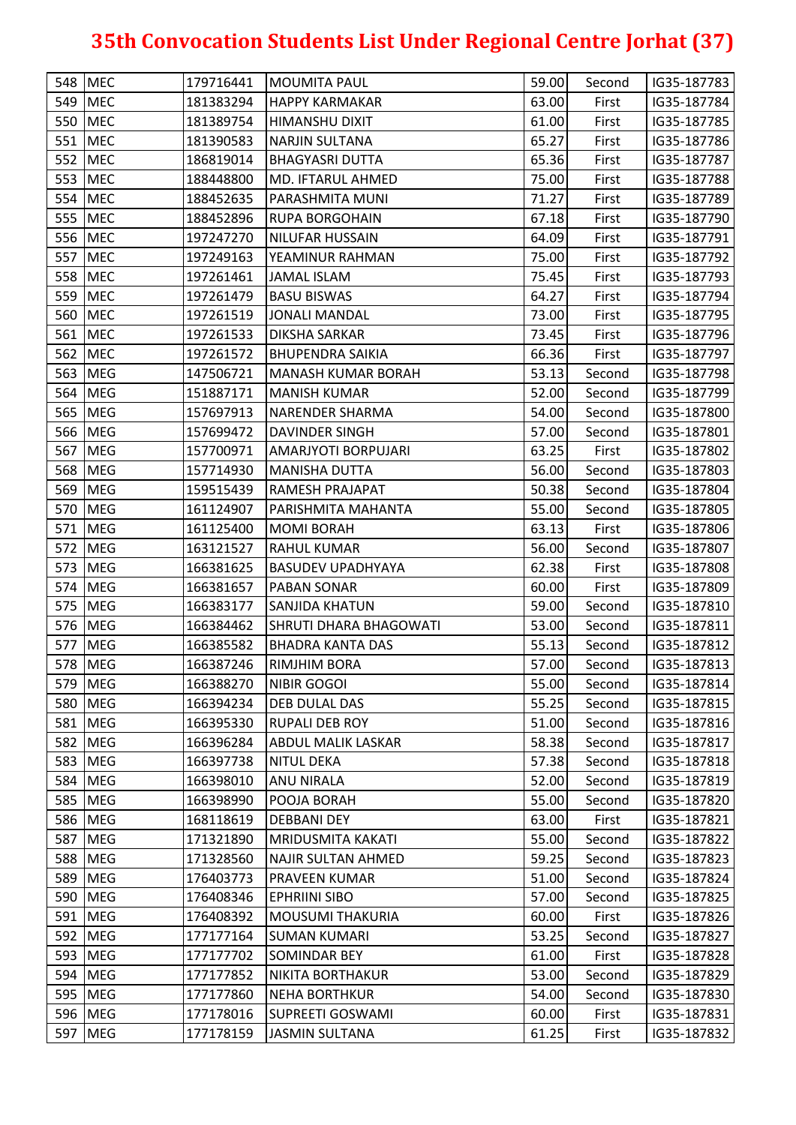| 548 MEC   | 179716441 | <b>MOUMITA PAUL</b>           | 59.00 | Second | IG35-187783 |
|-----------|-----------|-------------------------------|-------|--------|-------------|
| 549 MEC   | 181383294 | <b>HAPPY KARMAKAR</b>         | 63.00 | First  | IG35-187784 |
| 550 MEC   | 181389754 | <b>HIMANSHU DIXIT</b>         | 61.00 | First  | IG35-187785 |
| 551 MEC   | 181390583 | <b>NARJIN SULTANA</b>         | 65.27 | First  | IG35-187786 |
| 552 MEC   | 186819014 | <b>BHAGYASRI DUTTA</b>        | 65.36 | First  | IG35-187787 |
| 553 MEC   | 188448800 | <b>MD. IFTARUL AHMED</b>      | 75.00 | First  | IG35-187788 |
| 554 MEC   | 188452635 | PARASHMITA MUNI               | 71.27 | First  | IG35-187789 |
| 555 MEC   | 188452896 | <b>RUPA BORGOHAIN</b>         | 67.18 | First  | IG35-187790 |
| 556 MEC   | 197247270 | <b>NILUFAR HUSSAIN</b>        | 64.09 | First  | IG35-187791 |
| 557 MEC   | 197249163 | YEAMINUR RAHMAN               | 75.00 | First  | IG35-187792 |
| 558 MEC   | 197261461 | <b>JAMAL ISLAM</b>            | 75.45 | First  | IG35-187793 |
| 559 MEC   | 197261479 | <b>BASU BISWAS</b>            | 64.27 | First  | IG35-187794 |
| 560 MEC   | 197261519 | <b>JONALI MANDAL</b>          | 73.00 | First  | IG35-187795 |
| 561 MEC   | 197261533 | <b>DIKSHA SARKAR</b>          | 73.45 | First  | IG35-187796 |
| 562 MEC   | 197261572 | <b>BHUPENDRA SAIKIA</b>       | 66.36 | First  | IG35-187797 |
| 563 MEG   | 147506721 | MANASH KUMAR BORAH            | 53.13 | Second | IG35-187798 |
| 564 MEG   | 151887171 | <b>MANISH KUMAR</b>           | 52.00 | Second | IG35-187799 |
| 565 MEG   | 157697913 | <b>NARENDER SHARMA</b>        | 54.00 | Second | IG35-187800 |
| 566 MEG   | 157699472 | <b>DAVINDER SINGH</b>         | 57.00 | Second | IG35-187801 |
| 567 MEG   | 157700971 | AMARJYOTI BORPUJARI           | 63.25 | First  | IG35-187802 |
| 568 MEG   | 157714930 | <b>MANISHA DUTTA</b>          | 56.00 | Second | IG35-187803 |
| 569 MEG   | 159515439 | RAMESH PRAJAPAT               | 50.38 | Second | IG35-187804 |
| 570 MEG   | 161124907 | PARISHMITA MAHANTA            | 55.00 | Second | IG35-187805 |
| 571 MEG   | 161125400 | <b>MOMI BORAH</b>             | 63.13 | First  | IG35-187806 |
| 572 MEG   | 163121527 | <b>RAHUL KUMAR</b>            | 56.00 | Second | IG35-187807 |
| 573 MEG   | 166381625 | <b>BASUDEV UPADHYAYA</b>      | 62.38 | First  | IG35-187808 |
| 574 MEG   | 166381657 | <b>PABAN SONAR</b>            | 60.00 | First  | IG35-187809 |
| 575 MEG   | 166383177 | <b>SANJIDA KHATUN</b>         | 59.00 | Second | IG35-187810 |
| 576 MEG   | 166384462 | <b>SHRUTI DHARA BHAGOWATI</b> | 53.00 | Second | IG35-187811 |
| 577 MEG   | 166385582 | <b>BHADRA KANTA DAS</b>       | 55.13 | Second | IG35-187812 |
| 578 MEG   | 166387246 | <b>RIMJHIM BORA</b>           | 57.00 | Second | IG35-187813 |
| 579 MEG   | 166388270 | NIBIR GOGOI                   | 55.00 | Second | IG35-187814 |
| 580 MEG   | 166394234 | <b>DEB DULAL DAS</b>          | 55.25 | Second | IG35-187815 |
| 581 MEG   | 166395330 | <b>RUPALI DEB ROY</b>         | 51.00 | Second | IG35-187816 |
| 582 MEG   | 166396284 | <b>ABDUL MALIK LASKAR</b>     | 58.38 | Second | IG35-187817 |
| 583 MEG   | 166397738 | <b>NITUL DEKA</b>             | 57.38 | Second | IG35-187818 |
| 584 MEG   | 166398010 | <b>ANU NIRALA</b>             | 52.00 | Second | IG35-187819 |
| 585 MEG   | 166398990 | <b>POOJA BORAH</b>            | 55.00 | Second | IG35-187820 |
| 586 MEG   | 168118619 | <b>DEBBANI DEY</b>            | 63.00 | First  | IG35-187821 |
| 587 MEG   | 171321890 | <b>MRIDUSMITA KAKATI</b>      | 55.00 | Second | IG35-187822 |
| 588 MEG   | 171328560 | NAJIR SULTAN AHMED            | 59.25 | Second | IG35-187823 |
| 589 MEG   | 176403773 | <b>PRAVEEN KUMAR</b>          | 51.00 | Second | IG35-187824 |
| 590 MEG   | 176408346 | <b>EPHRIINI SIBO</b>          | 57.00 | Second | IG35-187825 |
| 591 MEG   | 176408392 | <b>MOUSUMI THAKURIA</b>       | 60.00 | First  | IG35-187826 |
| 592 MEG   | 177177164 | <b>SUMAN KUMARI</b>           | 53.25 | Second | IG35-187827 |
| 593   MEG | 177177702 | <b>SOMINDAR BEY</b>           | 61.00 | First  | IG35-187828 |
| 594 MEG   | 177177852 | <b>NIKITA BORTHAKUR</b>       | 53.00 | Second | IG35-187829 |
| 595 MEG   | 177177860 | <b>NEHA BORTHKUR</b>          | 54.00 | Second | IG35-187830 |
| 596 MEG   |           |                               |       |        | IG35-187831 |
|           | 177178016 | <b>SUPREETI GOSWAMI</b>       | 60.00 | First  |             |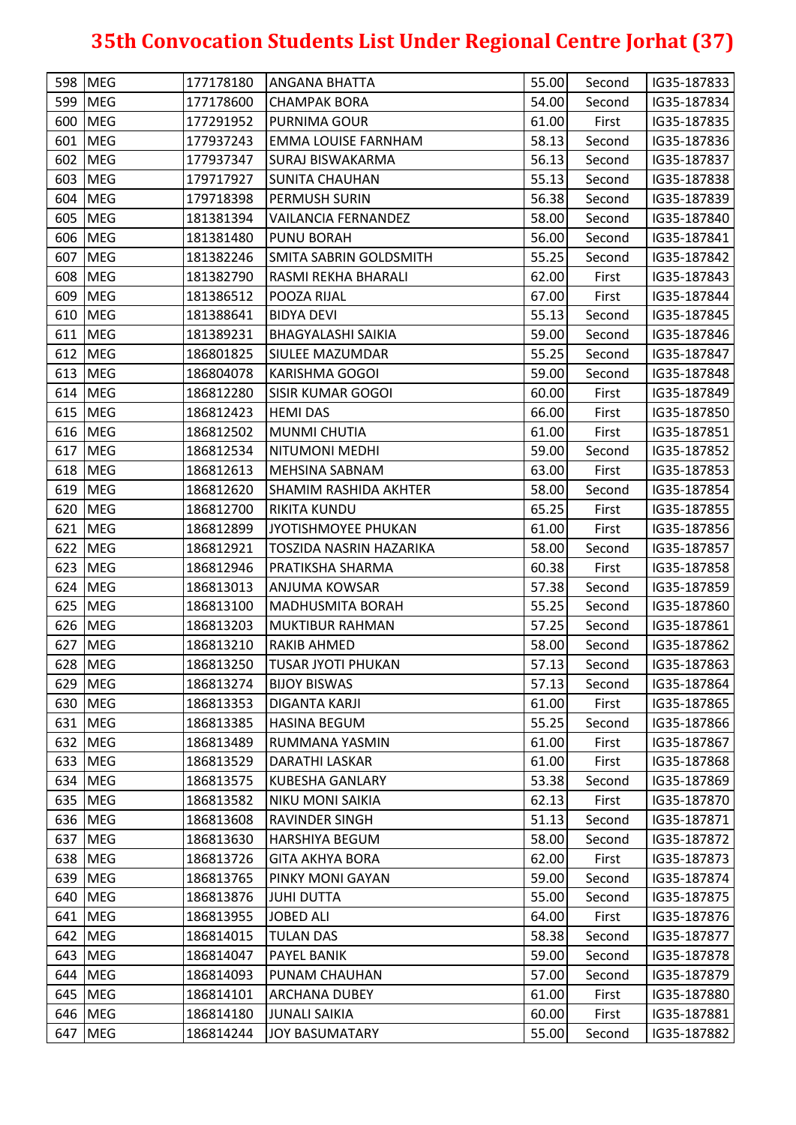|     | 598 MEG    | 177178180 | <b>ANGANA BHATTA</b>          | 55.00 | Second | IG35-187833 |
|-----|------------|-----------|-------------------------------|-------|--------|-------------|
|     | 599 MEG    | 177178600 | <b>CHAMPAK BORA</b>           | 54.00 | Second | IG35-187834 |
|     | 600 MEG    | 177291952 | <b>PURNIMA GOUR</b>           | 61.00 | First  | IG35-187835 |
|     | 601 MEG    | 177937243 | <b>EMMA LOUISE FARNHAM</b>    | 58.13 | Second | IG35-187836 |
|     | 602 MEG    | 177937347 | <b>SURAJ BISWAKARMA</b>       | 56.13 | Second | IG35-187837 |
|     | 603 MEG    | 179717927 | <b>SUNITA CHAUHAN</b>         | 55.13 | Second | IG35-187838 |
|     | 604 MEG    | 179718398 | PERMUSH SURIN                 | 56.38 | Second | IG35-187839 |
|     | 605 MEG    | 181381394 | <b>VAILANCIA FERNANDEZ</b>    | 58.00 | Second | IG35-187840 |
|     | 606 MEG    | 181381480 | <b>PUNU BORAH</b>             | 56.00 | Second | IG35-187841 |
|     | 607 MEG    | 181382246 | <b>SMITA SABRIN GOLDSMITH</b> | 55.25 | Second | IG35-187842 |
|     | 608 MEG    | 181382790 | RASMI REKHA BHARALI           | 62.00 | First  | IG35-187843 |
|     | 609 MEG    | 181386512 | POOZA RIJAL                   | 67.00 | First  | IG35-187844 |
|     | 610 MEG    | 181388641 | <b>BIDYA DEVI</b>             | 55.13 | Second | IG35-187845 |
|     | 611 MEG    | 181389231 | <b>BHAGYALASHI SAIKIA</b>     | 59.00 | Second | IG35-187846 |
|     | 612 MEG    | 186801825 | SIULEE MAZUMDAR               | 55.25 | Second | IG35-187847 |
|     | 613 MEG    | 186804078 | KARISHMA GOGOI                | 59.00 | Second | IG35-187848 |
|     | 614 MEG    | 186812280 | <b>SISIR KUMAR GOGOI</b>      | 60.00 | First  | IG35-187849 |
|     | 615 MEG    | 186812423 | <b>HEMI DAS</b>               | 66.00 | First  | IG35-187850 |
|     | 616 MEG    | 186812502 | <b>MUNMI CHUTIA</b>           | 61.00 | First  | IG35-187851 |
|     | 617 MEG    | 186812534 | NITUMONI MEDHI                | 59.00 | Second | IG35-187852 |
|     | 618 MEG    | 186812613 | MEHSINA SABNAM                | 63.00 | First  | IG35-187853 |
|     | 619 MEG    | 186812620 | <b>SHAMIM RASHIDA AKHTER</b>  | 58.00 | Second | IG35-187854 |
|     | 620 MEG    | 186812700 | <b>RIKITA KUNDU</b>           | 65.25 | First  | IG35-187855 |
|     | 621 MEG    | 186812899 | JYOTISHMOYEE PHUKAN           | 61.00 | First  | IG35-187856 |
|     | 622 MEG    | 186812921 | TOSZIDA NASRIN HAZARIKA       | 58.00 | Second | IG35-187857 |
|     | 623 MEG    | 186812946 | PRATIKSHA SHARMA              | 60.38 | First  | IG35-187858 |
|     | 624 MEG    | 186813013 | ANJUMA KOWSAR                 | 57.38 | Second | IG35-187859 |
|     | 625 MEG    | 186813100 | <b>MADHUSMITA BORAH</b>       | 55.25 | Second | IG35-187860 |
|     | 626 MEG    | 186813203 | <b>MUKTIBUR RAHMAN</b>        | 57.25 | Second | IG35-187861 |
| 627 | <b>MEG</b> | 186813210 | <b>RAKIB AHMED</b>            | 58.00 | Second | IG35-187862 |
|     | 628 MEG    | 186813250 | <b>TUSAR JYOTI PHUKAN</b>     | 57.13 | Second | IG35-187863 |
|     | 629 MEG    | 186813274 | <b>BIJOY BISWAS</b>           | 57.13 | Second | IG35-187864 |
|     | 630 MEG    | 186813353 | <b>DIGANTA KARJI</b>          | 61.00 | First  | IG35-187865 |
|     | 631   MEG  | 186813385 | <b>HASINA BEGUM</b>           | 55.25 | Second | IG35-187866 |
|     | 632 MEG    | 186813489 | RUMMANA YASMIN                | 61.00 | First  | IG35-187867 |
|     | 633 MEG    | 186813529 | <b>DARATHI LASKAR</b>         | 61.00 | First  | IG35-187868 |
|     | 634 MEG    | 186813575 | <b>KUBESHA GANLARY</b>        | 53.38 | Second | IG35-187869 |
|     | 635 MEG    | 186813582 | <b>NIKU MONI SAIKIA</b>       | 62.13 | First  | IG35-187870 |
|     | 636 MEG    | 186813608 | RAVINDER SINGH                | 51.13 | Second | IG35-187871 |
|     | 637 MEG    | 186813630 | <b>HARSHIYA BEGUM</b>         | 58.00 | Second | IG35-187872 |
|     | 638 MEG    | 186813726 | <b>GITA AKHYA BORA</b>        | 62.00 | First  | IG35-187873 |
|     | 639 MEG    | 186813765 | PINKY MONI GAYAN              | 59.00 | Second | IG35-187874 |
|     | 640 MEG    | 186813876 | <b>JUHI DUTTA</b>             | 55.00 | Second | IG35-187875 |
|     | 641 MEG    | 186813955 | <b>JOBED ALI</b>              | 64.00 | First  | IG35-187876 |
|     | 642 MEG    | 186814015 | <b>TULAN DAS</b>              | 58.38 | Second | IG35-187877 |
|     | 643 MEG    | 186814047 | <b>PAYEL BANIK</b>            | 59.00 | Second | IG35-187878 |
|     | 644 MEG    | 186814093 | PUNAM CHAUHAN                 | 57.00 | Second | IG35-187879 |
|     | 645 MEG    | 186814101 | <b>ARCHANA DUBEY</b>          | 61.00 | First  | IG35-187880 |
|     | 646 MEG    | 186814180 | <b>JUNALI SAIKIA</b>          | 60.00 | First  | IG35-187881 |
| 647 | <b>MEG</b> | 186814244 | <b>JOY BASUMATARY</b>         | 55.00 | Second | IG35-187882 |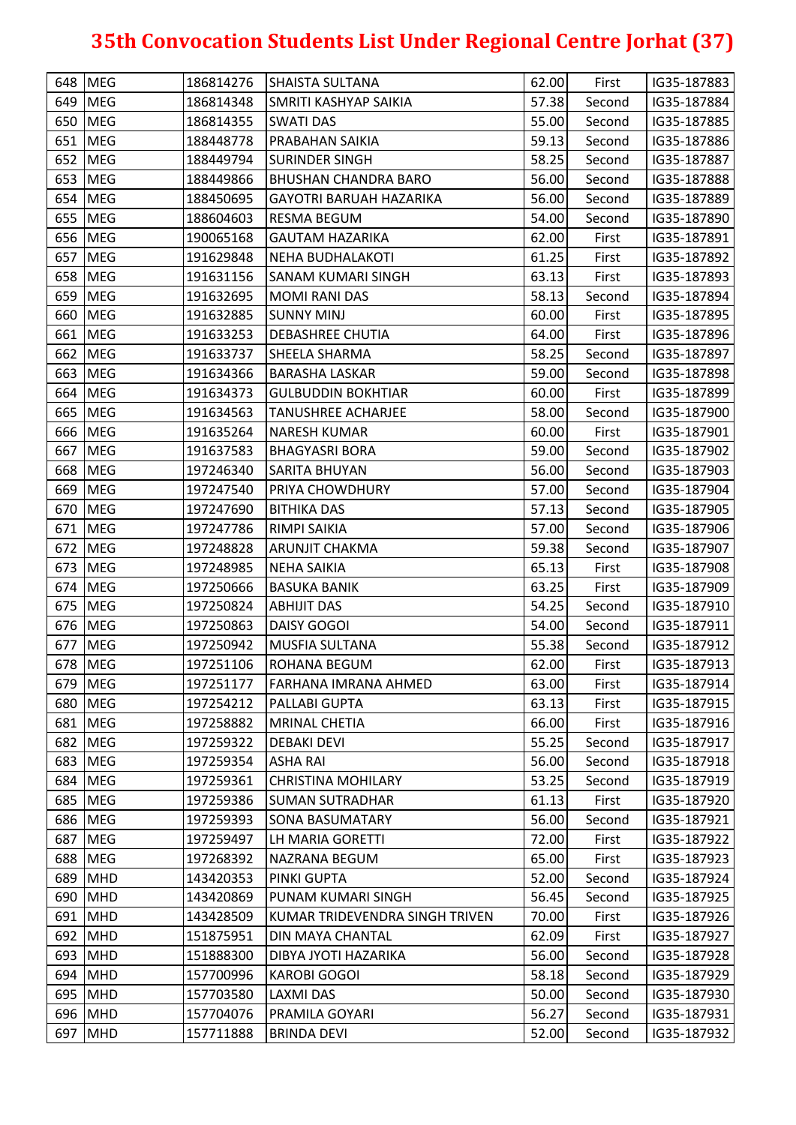|     | 648 MEG    | 186814276 | <b>SHAISTA SULTANA</b>         | 62.00 | First  | IG35-187883 |
|-----|------------|-----------|--------------------------------|-------|--------|-------------|
|     | 649 MEG    | 186814348 | <b>SMRITI KASHYAP SAIKIA</b>   | 57.38 | Second | IG35-187884 |
|     | 650 MEG    | 186814355 | <b>SWATI DAS</b>               | 55.00 | Second | IG35-187885 |
|     | 651 MEG    | 188448778 | <b>PRABAHAN SAIKIA</b>         | 59.13 | Second | IG35-187886 |
|     | 652 MEG    | 188449794 | <b>SURINDER SINGH</b>          | 58.25 | Second | IG35-187887 |
|     | 653 MEG    | 188449866 | <b>BHUSHAN CHANDRA BARO</b>    | 56.00 | Second | IG35-187888 |
|     | 654 MEG    | 188450695 | <b>GAYOTRI BARUAH HAZARIKA</b> | 56.00 | Second | IG35-187889 |
|     | 655 MEG    | 188604603 | <b>RESMA BEGUM</b>             | 54.00 | Second | IG35-187890 |
|     | 656 MEG    | 190065168 | <b>GAUTAM HAZARIKA</b>         | 62.00 | First  | IG35-187891 |
|     | 657 MEG    | 191629848 | <b>NEHA BUDHALAKOTI</b>        | 61.25 | First  | IG35-187892 |
|     | 658 MEG    | 191631156 | SANAM KUMARI SINGH             | 63.13 | First  | IG35-187893 |
|     | 659 MEG    | 191632695 | MOMI RANI DAS                  | 58.13 | Second | IG35-187894 |
|     | 660 MEG    | 191632885 | <b>SUNNY MINJ</b>              | 60.00 | First  | IG35-187895 |
|     | 661 MEG    | 191633253 | <b>DEBASHREE CHUTIA</b>        | 64.00 | First  | IG35-187896 |
|     | 662 MEG    | 191633737 | <b>SHEELA SHARMA</b>           | 58.25 | Second | IG35-187897 |
|     | 663 MEG    | 191634366 | <b>BARASHA LASKAR</b>          | 59.00 | Second | IG35-187898 |
|     | 664 MEG    | 191634373 | <b>GULBUDDIN BOKHTIAR</b>      | 60.00 | First  | IG35-187899 |
|     | 665 MEG    | 191634563 | <b>TANUSHREE ACHARJEE</b>      | 58.00 | Second | IG35-187900 |
|     | 666 MEG    | 191635264 | <b>NARESH KUMAR</b>            | 60.00 | First  | IG35-187901 |
|     | 667 MEG    | 191637583 | <b>BHAGYASRI BORA</b>          | 59.00 | Second | IG35-187902 |
|     | 668 MEG    | 197246340 | SARITA BHUYAN                  | 56.00 | Second | IG35-187903 |
|     | 669 MEG    | 197247540 | <b>PRIYA CHOWDHURY</b>         | 57.00 | Second | IG35-187904 |
|     | 670 MEG    | 197247690 | <b>BITHIKA DAS</b>             | 57.13 | Second | IG35-187905 |
|     | 671 MEG    | 197247786 | RIMPI SAIKIA                   | 57.00 | Second | IG35-187906 |
|     | 672 MEG    | 197248828 | <b>ARUNJIT CHAKMA</b>          | 59.38 | Second | IG35-187907 |
|     | 673 MEG    | 197248985 | <b>NEHA SAIKIA</b>             | 65.13 | First  | IG35-187908 |
|     | 674 MEG    | 197250666 | <b>BASUKA BANIK</b>            | 63.25 | First  | IG35-187909 |
|     | 675 MEG    | 197250824 | <b>ABHIJIT DAS</b>             | 54.25 | Second | IG35-187910 |
|     | 676 MEG    | 197250863 | <b>DAISY GOGOI</b>             | 54.00 | Second | IG35-187911 |
| 677 | <b>MEG</b> | 197250942 | <b>MUSFIA SULTANA</b>          | 55.38 | Second | IG35-187912 |
|     | 678 MEG    | 197251106 | <b>ROHANA BEGUM</b>            | 62.00 | First  | IG35-187913 |
|     | 679 MEG    | 197251177 | FARHANA IMRANA AHMED           | 63.00 | First  | IG35-187914 |
|     | 680 MEG    | 197254212 | PALLABI GUPTA                  | 63.13 | First  | IG35-187915 |
|     | 681 MEG    | 197258882 | <b>MRINAL CHETIA</b>           | 66.00 | First  | IG35-187916 |
|     | 682 MEG    | 197259322 | <b>DEBAKI DEVI</b>             | 55.25 | Second | IG35-187917 |
|     | 683 MEG    | 197259354 | <b>ASHA RAI</b>                | 56.00 | Second | IG35-187918 |
|     | 684 MEG    | 197259361 | <b>CHRISTINA MOHILARY</b>      | 53.25 | Second | IG35-187919 |
|     | 685 MEG    | 197259386 | <b>SUMAN SUTRADHAR</b>         | 61.13 | First  | IG35-187920 |
|     | 686 MEG    | 197259393 | <b>SONA BASUMATARY</b>         | 56.00 | Second | IG35-187921 |
|     | 687 MEG    | 197259497 | LH MARIA GORETTI               | 72.00 | First  | IG35-187922 |
|     | 688 MEG    | 197268392 | NAZRANA BEGUM                  | 65.00 | First  | IG35-187923 |
|     | 689 MHD    | 143420353 | <b>PINKI GUPTA</b>             | 52.00 | Second | IG35-187924 |
|     | 690 MHD    | 143420869 | PUNAM KUMARI SINGH             | 56.45 | Second | IG35-187925 |
|     | 691 MHD    | 143428509 | KUMAR TRIDEVENDRA SINGH TRIVEN | 70.00 | First  | IG35-187926 |
|     | 692 MHD    | 151875951 | <b>DIN MAYA CHANTAL</b>        | 62.09 | First  | IG35-187927 |
|     | 693 MHD    | 151888300 | DIBYA JYOTI HAZARIKA           | 56.00 | Second | IG35-187928 |
|     | 694 MHD    | 157700996 | <b>KAROBI GOGOI</b>            | 58.18 | Second | IG35-187929 |
|     | 695 MHD    | 157703580 | <b>LAXMI DAS</b>               | 50.00 | Second | IG35-187930 |
|     | 696 MHD    | 157704076 | PRAMILA GOYARI                 | 56.27 | Second | IG35-187931 |
| 697 | <b>MHD</b> | 157711888 | <b>BRINDA DEVI</b>             | 52.00 | Second | IG35-187932 |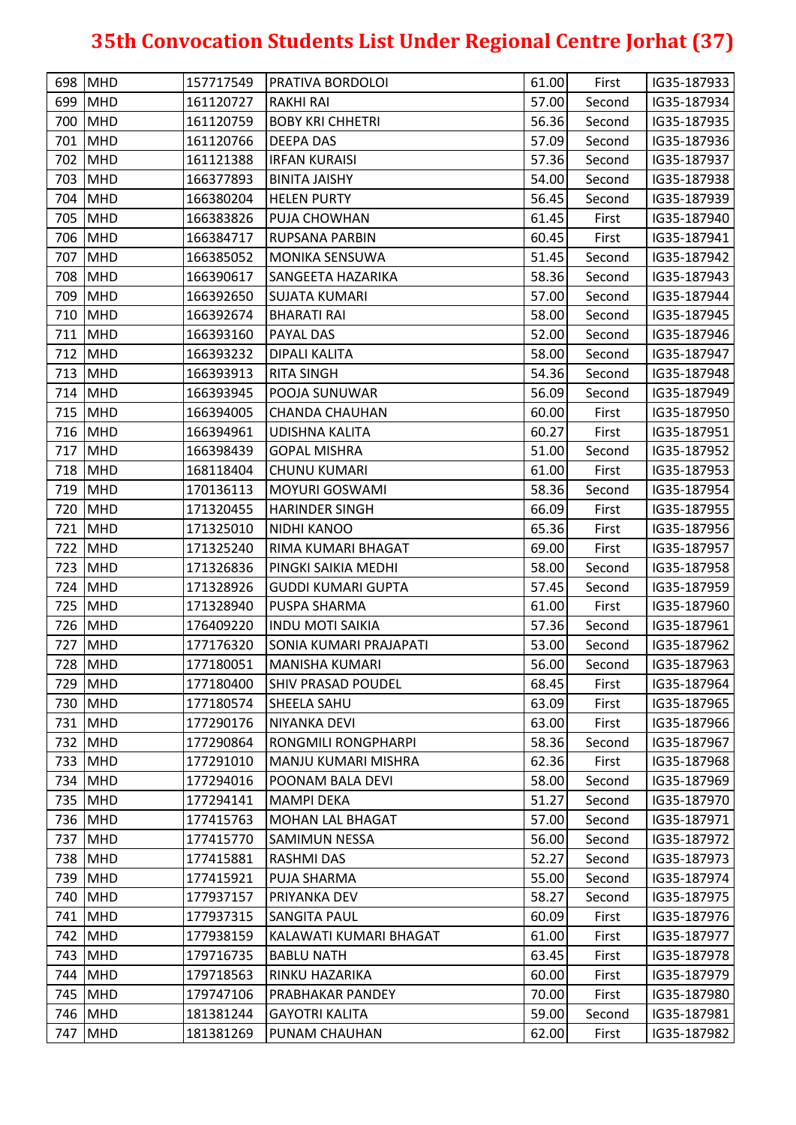|     | 698 MHD    | 157717549 | PRATIVA BORDOLOI              | 61.00 | First  | IG35-187933 |
|-----|------------|-----------|-------------------------------|-------|--------|-------------|
|     | 699 MHD    | 161120727 | <b>RAKHI RAI</b>              | 57.00 | Second | IG35-187934 |
|     | 700 MHD    | 161120759 | <b>BOBY KRI CHHETRI</b>       | 56.36 | Second | IG35-187935 |
|     | 701 MHD    | 161120766 | <b>DEEPA DAS</b>              | 57.09 | Second | IG35-187936 |
| 702 | <b>MHD</b> | 161121388 | <b>IRFAN KURAISI</b>          | 57.36 | Second | IG35-187937 |
| 703 | MHD        | 166377893 | <b>BINITA JAISHY</b>          | 54.00 | Second | IG35-187938 |
|     | 704 MHD    | 166380204 | <b>HELEN PURTY</b>            | 56.45 | Second | IG35-187939 |
|     | 705 MHD    | 166383826 | PUJA CHOWHAN                  | 61.45 | First  | IG35-187940 |
|     | 706 MHD    | 166384717 | <b>RUPSANA PARBIN</b>         | 60.45 | First  | IG35-187941 |
| 707 | <b>MHD</b> | 166385052 | <b>MONIKA SENSUWA</b>         | 51.45 | Second | IG35-187942 |
|     | 708 MHD    | 166390617 | SANGEETA HAZARIKA             | 58.36 | Second | IG35-187943 |
| 709 | MHD        | 166392650 | <b>SUJATA KUMARI</b>          | 57.00 | Second | IG35-187944 |
| 710 | <b>MHD</b> | 166392674 | <b>BHARATI RAI</b>            | 58.00 | Second | IG35-187945 |
|     | 711 MHD    | 166393160 | <b>PAYAL DAS</b>              | 52.00 | Second | IG35-187946 |
|     | 712 MHD    | 166393232 | <b>DIPALI KALITA</b>          | 58.00 | Second | IG35-187947 |
|     | 713 MHD    | 166393913 | <b>RITA SINGH</b>             | 54.36 | Second | IG35-187948 |
|     | 714 MHD    | 166393945 | POOJA SUNUWAR                 | 56.09 | Second | IG35-187949 |
|     | 715 MHD    | 166394005 | <b>CHANDA CHAUHAN</b>         | 60.00 | First  | IG35-187950 |
|     | 716 MHD    | 166394961 | <b>UDISHNA KALITA</b>         | 60.27 | First  | IG35-187951 |
| 717 | <b>MHD</b> | 166398439 | <b>GOPAL MISHRA</b>           | 51.00 | Second | IG35-187952 |
|     | 718 MHD    | 168118404 | <b>CHUNU KUMARI</b>           | 61.00 | First  | IG35-187953 |
|     | 719 MHD    | 170136113 | <b>MOYURI GOSWAMI</b>         | 58.36 | Second | IG35-187954 |
|     | 720 MHD    | 171320455 | <b>HARINDER SINGH</b>         | 66.09 | First  | IG35-187955 |
| 721 | <b>MHD</b> | 171325010 | <b>NIDHI KANOO</b>            | 65.36 | First  | IG35-187956 |
| 722 | MHD        | 171325240 | RIMA KUMARI BHAGAT            | 69.00 | First  | IG35-187957 |
|     | 723 MHD    | 171326836 | PINGKI SAIKIA MEDHI           | 58.00 | Second | IG35-187958 |
|     | 724 MHD    | 171328926 | <b>GUDDI KUMARI GUPTA</b>     | 57.45 | Second | IG35-187959 |
|     | 725 MHD    | 171328940 | PUSPA SHARMA                  | 61.00 | First  | IG35-187960 |
|     | 726 MHD    | 176409220 | <b>INDU MOTI SAIKIA</b>       | 57.36 | Second | IG35-187961 |
| 727 | MHD        | 177176320 | <b>SONIA KUMARI PRAJAPATI</b> | 53.00 | Second | IG35-187962 |
|     | 728 MHD    | 177180051 | <b>MANISHA KUMARI</b>         | 56.00 | Second | IG35-187963 |
|     | 729 MHD    | 177180400 | <b>SHIV PRASAD POUDEL</b>     | 68.45 | First  | IG35-187964 |
|     | 730 MHD    | 177180574 | <b>SHEELA SAHU</b>            | 63.09 | First  | IG35-187965 |
| 731 | MHD        | 177290176 | <b>NIYANKA DEVI</b>           | 63.00 | First  | IG35-187966 |
|     | 732 MHD    | 177290864 | <b>RONGMILI RONGPHARPI</b>    | 58.36 | Second | IG35-187967 |
| 733 | <b>MHD</b> | 177291010 | MANJU KUMARI MISHRA           | 62.36 | First  | IG35-187968 |
| 734 | <b>MHD</b> | 177294016 | POONAM BALA DEVI              | 58.00 | Second | IG35-187969 |
|     | 735 MHD    | 177294141 | <b>MAMPI DEKA</b>             | 51.27 | Second | IG35-187970 |
|     | 736 MHD    | 177415763 | <b>MOHAN LAL BHAGAT</b>       | 57.00 | Second | IG35-187971 |
| 737 | MHD        | 177415770 | <b>SAMIMUN NESSA</b>          | 56.00 | Second | IG35-187972 |
|     | 738 MHD    | 177415881 | <b>RASHMI DAS</b>             | 52.27 | Second | IG35-187973 |
|     | 739 MHD    | 177415921 | <b>PUJA SHARMA</b>            | 55.00 | Second | IG35-187974 |
| 740 | MHD        | 177937157 | PRIYANKA DEV                  | 58.27 | Second | IG35-187975 |
| 741 | MHD        | 177937315 | <b>SANGITA PAUL</b>           | 60.09 | First  | IG35-187976 |
|     | 742 MHD    | 177938159 | KALAWATI KUMARI BHAGAT        | 61.00 | First  | IG35-187977 |
|     | 743 MHD    | 179716735 | <b>BABLU NATH</b>             | 63.45 | First  | IG35-187978 |
|     | 744 MHD    | 179718563 | RINKU HAZARIKA                | 60.00 | First  | IG35-187979 |
|     | 745 MHD    | 179747106 | <b>PRABHAKAR PANDEY</b>       | 70.00 | First  | IG35-187980 |
| 746 | MHD        | 181381244 | <b>GAYOTRI KALITA</b>         | 59.00 | Second | IG35-187981 |
| 747 | <b>MHD</b> | 181381269 | PUNAM CHAUHAN                 | 62.00 | First  | IG35-187982 |
|     |            |           |                               |       |        |             |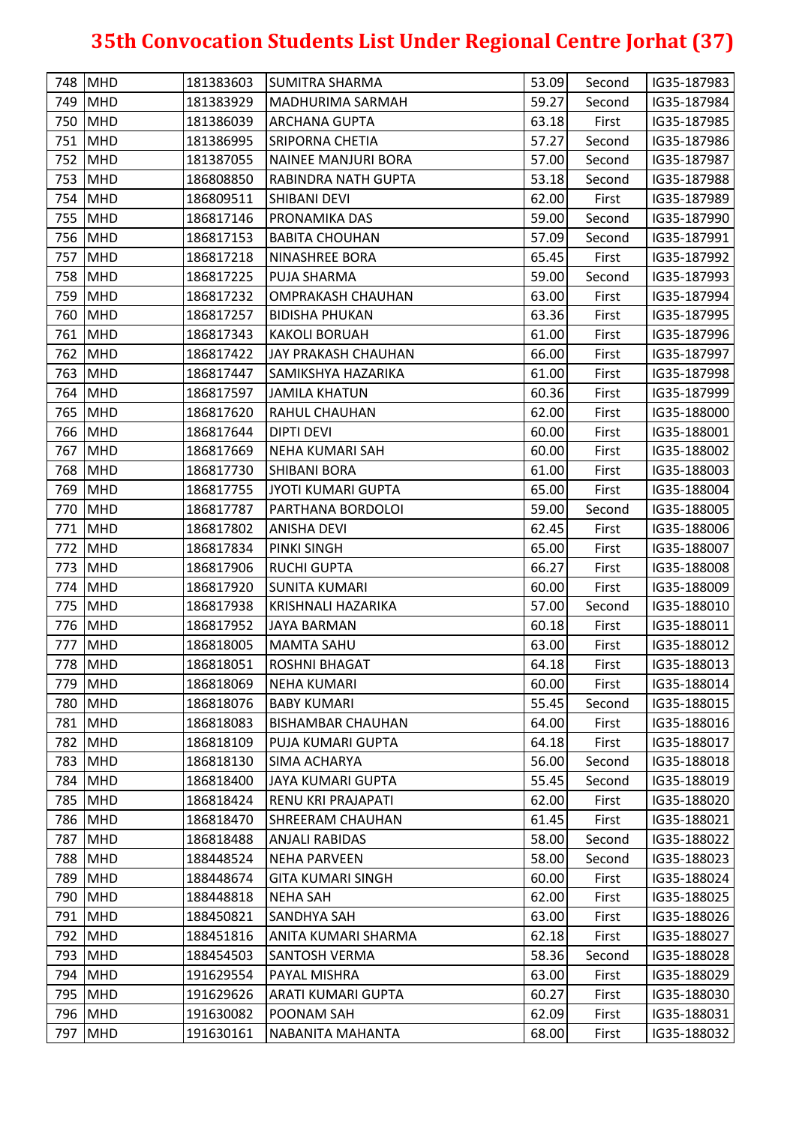|     | 748 MHD    | 181383603 | <b>SUMITRA SHARMA</b>      | 53.09 | Second | IG35-187983 |
|-----|------------|-----------|----------------------------|-------|--------|-------------|
|     | 749 MHD    | 181383929 | MADHURIMA SARMAH           | 59.27 | Second | IG35-187984 |
|     | 750 MHD    | 181386039 | <b>ARCHANA GUPTA</b>       | 63.18 | First  | IG35-187985 |
|     | 751 MHD    | 181386995 | <b>SRIPORNA CHETIA</b>     | 57.27 | Second | IG35-187986 |
| 752 | MHD        | 181387055 | <b>NAINEE MANJURI BORA</b> | 57.00 | Second | IG35-187987 |
| 753 | MHD        | 186808850 | RABINDRA NATH GUPTA        | 53.18 | Second | IG35-187988 |
|     | 754 MHD    | 186809511 | SHIBANI DEVI               | 62.00 | First  | IG35-187989 |
|     | 755 MHD    | 186817146 | PRONAMIKA DAS              | 59.00 | Second | IG35-187990 |
|     | 756 MHD    | 186817153 | <b>BABITA CHOUHAN</b>      | 57.09 | Second | IG35-187991 |
| 757 | <b>MHD</b> | 186817218 | NINASHREE BORA             | 65.45 | First  | IG35-187992 |
|     | 758 MHD    | 186817225 | <b>PUJA SHARMA</b>         | 59.00 | Second | IG35-187993 |
| 759 | MHD        | 186817232 | <b>OMPRAKASH CHAUHAN</b>   | 63.00 | First  | IG35-187994 |
| 760 | MHD        | 186817257 | <b>BIDISHA PHUKAN</b>      | 63.36 | First  | IG35-187995 |
|     | 761 MHD    | 186817343 | <b>KAKOLI BORUAH</b>       | 61.00 | First  | IG35-187996 |
|     | 762 MHD    | 186817422 | JAY PRAKASH CHAUHAN        | 66.00 | First  | IG35-187997 |
|     | 763 MHD    | 186817447 | SAMIKSHYA HAZARIKA         | 61.00 | First  | IG35-187998 |
|     | 764 MHD    | 186817597 | <b>JAMILA KHATUN</b>       | 60.36 | First  | IG35-187999 |
| 765 | <b>MHD</b> | 186817620 | RAHUL CHAUHAN              | 62.00 | First  | IG35-188000 |
|     | 766 MHD    | 186817644 | <b>DIPTI DEVI</b>          | 60.00 | First  | IG35-188001 |
| 767 | MHD        | 186817669 | <b>NEHA KUMARI SAH</b>     | 60.00 | First  | IG35-188002 |
|     | 768 MHD    | 186817730 | <b>SHIBANI BORA</b>        | 61.00 | First  | IG35-188003 |
|     | 769 MHD    | 186817755 | JYOTI KUMARI GUPTA         | 65.00 | First  | IG35-188004 |
|     | 770 MHD    | 186817787 | PARTHANA BORDOLOI          | 59.00 | Second | IG35-188005 |
| 771 | <b>MHD</b> | 186817802 | <b>ANISHA DEVI</b>         | 62.45 | First  | IG35-188006 |
|     | 772 MHD    | 186817834 | <b>PINKI SINGH</b>         | 65.00 | First  | IG35-188007 |
|     | 773 MHD    | 186817906 | <b>RUCHI GUPTA</b>         | 66.27 | First  | IG35-188008 |
| 774 | <b>MHD</b> | 186817920 | <b>SUNITA KUMARI</b>       | 60.00 | First  | IG35-188009 |
|     | 775 MHD    | 186817938 | KRISHNALI HAZARIKA         | 57.00 | Second | IG35-188010 |
|     | 776 MHD    | 186817952 | <b>JAYA BARMAN</b>         | 60.18 | First  | IG35-188011 |
| 777 | MHD        | 186818005 | <b>MAMTA SAHU</b>          | 63.00 | First  | IG35-188012 |
|     | 778 MHD    | 186818051 | <b>ROSHNI BHAGAT</b>       | 64.18 | First  | IG35-188013 |
|     | 779 MHD    | 186818069 | <b>NEHA KUMARI</b>         | 60.00 | First  | IG35-188014 |
| 780 | <b>MHD</b> | 186818076 | <b>BABY KUMARI</b>         | 55.45 | Second | IG35-188015 |
| 781 | MHD        | 186818083 | <b>BISHAMBAR CHAUHAN</b>   | 64.00 | First  | IG35-188016 |
| 782 | <b>MHD</b> | 186818109 | PUJA KUMARI GUPTA          | 64.18 | First  | IG35-188017 |
| 783 | MHD        | 186818130 | <b>SIMA ACHARYA</b>        | 56.00 | Second | IG35-188018 |
| 784 | MHD        | 186818400 | <b>JAYA KUMARI GUPTA</b>   | 55.45 | Second | IG35-188019 |
| 785 | MHD        | 186818424 | RENU KRI PRAJAPATI         | 62.00 | First  | IG35-188020 |
|     | 786 MHD    | 186818470 | <b>SHREERAM CHAUHAN</b>    | 61.45 | First  | IG35-188021 |
| 787 | MHD        | 186818488 | <b>ANJALI RABIDAS</b>      | 58.00 | Second | IG35-188022 |
| 788 | <b>MHD</b> | 188448524 | <b>NEHA PARVEEN</b>        | 58.00 | Second | IG35-188023 |
| 789 | <b>MHD</b> | 188448674 | <b>GITA KUMARI SINGH</b>   | 60.00 | First  | IG35-188024 |
| 790 | MHD        | 188448818 | <b>NEHA SAH</b>            | 62.00 | First  | IG35-188025 |
| 791 | MHD        | 188450821 | SANDHYA SAH                | 63.00 | First  | IG35-188026 |
| 792 | <b>MHD</b> | 188451816 | ANITA KUMARI SHARMA        | 62.18 | First  | IG35-188027 |
|     | 793 MHD    | 188454503 | <b>SANTOSH VERMA</b>       | 58.36 | Second | IG35-188028 |
|     | 794 MHD    | 191629554 | PAYAL MISHRA               | 63.00 | First  | IG35-188029 |
|     | 795 MHD    | 191629626 | ARATI KUMARI GUPTA         | 60.27 | First  | IG35-188030 |
| 796 | MHD        | 191630082 | POONAM SAH                 | 62.09 | First  | IG35-188031 |
| 797 | <b>MHD</b> | 191630161 | NABANITA MAHANTA           | 68.00 | First  | IG35-188032 |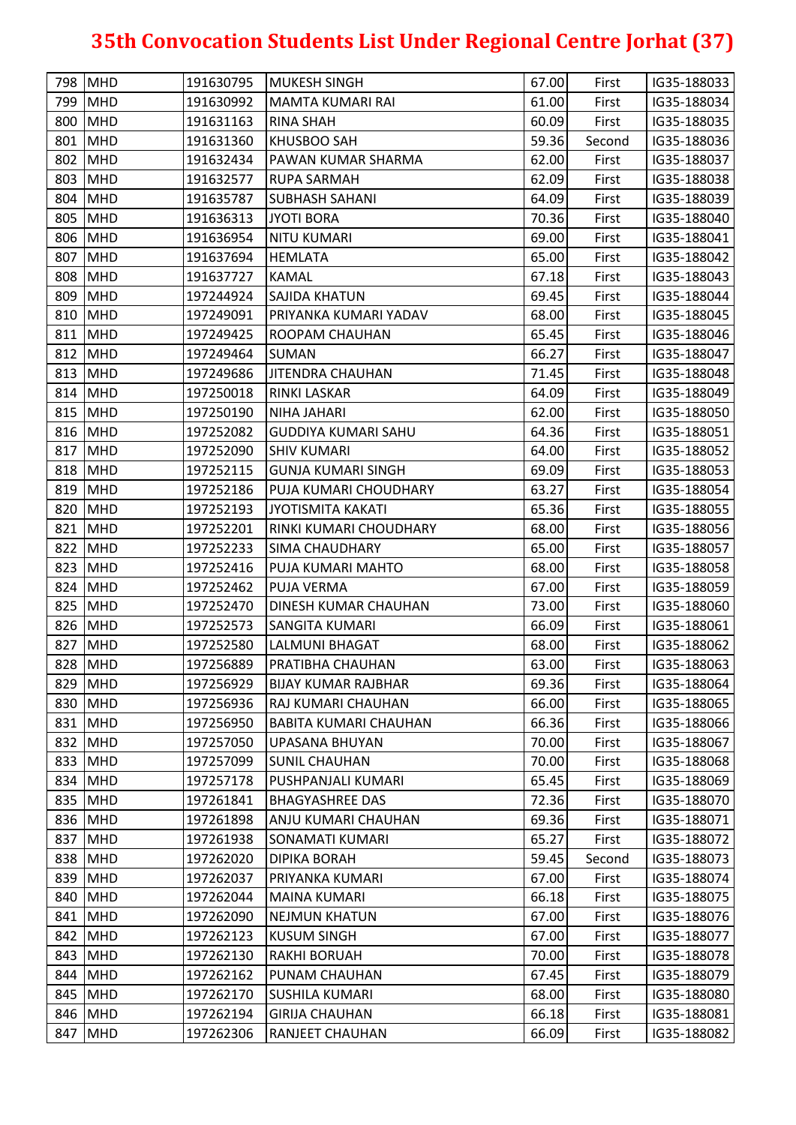|     | 798 MHD    | 191630795 | MUKESH SINGH                 | 67.00 | First  | IG35-188033                |
|-----|------------|-----------|------------------------------|-------|--------|----------------------------|
|     | 799 MHD    | 191630992 | MAMTA KUMARI RAI             | 61.00 | First  | IG35-188034                |
|     | 800 MHD    | 191631163 | <b>RINA SHAH</b>             | 60.09 | First  | IG35-188035                |
|     | 801 MHD    | 191631360 | <b>KHUSBOO SAH</b>           | 59.36 | Second | IG35-188036                |
| 802 | <b>MHD</b> | 191632434 | <b>PAWAN KUMAR SHARMA</b>    | 62.00 | First  | IG35-188037                |
|     | 803 MHD    | 191632577 | RUPA SARMAH                  | 62.09 | First  | IG35-188038                |
|     | 804 MHD    | 191635787 | <b>SUBHASH SAHANI</b>        | 64.09 | First  | IG35-188039                |
|     | 805 MHD    | 191636313 | <b>JYOTI BORA</b>            | 70.36 | First  | IG35-188040                |
|     | 806 MHD    | 191636954 | <b>NITU KUMARI</b>           | 69.00 | First  | IG35-188041                |
|     | 807 MHD    | 191637694 | HEMLATA                      | 65.00 | First  | IG35-188042                |
|     | 808 MHD    | 191637727 | <b>KAMAL</b>                 | 67.18 | First  | IG35-188043                |
|     | 809 MHD    | 197244924 | <b>SAJIDA KHATUN</b>         | 69.45 | First  | IG35-188044                |
|     | 810 MHD    | 197249091 | PRIYANKA KUMARI YADAV        | 68.00 | First  | IG35-188045                |
|     | 811 MHD    | 197249425 | <b>ROOPAM CHAUHAN</b>        | 65.45 | First  | IG35-188046                |
|     | 812 MHD    | 197249464 | <b>SUMAN</b>                 | 66.27 | First  | IG35-188047                |
|     | 813 MHD    | 197249686 | <b>JITENDRA CHAUHAN</b>      | 71.45 | First  | IG35-188048                |
|     | 814 MHD    | 197250018 | <b>RINKI LASKAR</b>          | 64.09 | First  | IG35-188049                |
|     | 815 MHD    | 197250190 | NIHA JAHARI                  | 62.00 | First  | IG35-188050                |
|     | 816 MHD    | 197252082 | <b>GUDDIYA KUMARI SAHU</b>   | 64.36 | First  | IG35-188051                |
|     | 817 MHD    | 197252090 | <b>SHIV KUMARI</b>           | 64.00 | First  | IG35-188052                |
|     | 818 MHD    | 197252115 | <b>GUNJA KUMARI SINGH</b>    | 69.09 | First  | IG35-188053                |
|     | 819 MHD    | 197252186 | PUJA KUMARI CHOUDHARY        | 63.27 | First  | IG35-188054                |
|     | 820 MHD    | 197252193 | <b>JYOTISMITA KAKATI</b>     | 65.36 | First  | IG35-188055                |
|     | 821 MHD    | 197252201 | RINKI KUMARI CHOUDHARY       | 68.00 | First  | IG35-188056                |
|     | 822 MHD    | 197252233 | <b>SIMA CHAUDHARY</b>        | 65.00 | First  | IG35-188057                |
|     | 823 MHD    | 197252416 | PUJA KUMARI MAHTO            | 68.00 | First  | IG35-188058                |
|     | 824 MHD    | 197252462 | <b>PUJA VERMA</b>            | 67.00 | First  | IG35-188059                |
|     | 825 MHD    | 197252470 | DINESH KUMAR CHAUHAN         | 73.00 | First  | IG35-188060                |
|     | 826 MHD    | 197252573 | <b>SANGITA KUMARI</b>        | 66.09 | First  | IG35-188061                |
| 827 | <b>MHD</b> | 197252580 | LALMUNI BHAGAT               | 68.00 | First  | IG35-188062                |
|     | 828 MHD    | 197256889 | <b>PRATIBHA CHAUHAN</b>      | 63.00 | First  | IG35-188063                |
|     | 829 MHD    | 197256929 | <b>BIJAY KUMAR RAJBHAR</b>   | 69.36 | First  | IG35-188064                |
|     | 830 MHD    | 197256936 | RAJ KUMARI CHAUHAN           | 66.00 | First  | IG35-188065                |
|     | 831 MHD    | 197256950 | <b>BABITA KUMARI CHAUHAN</b> | 66.36 |        | IG35-188066                |
|     | 832 MHD    | 197257050 |                              |       | First  |                            |
|     | 833 MHD    | 197257099 | UPASANA BHUYAN               | 70.00 | First  | IG35-188067<br>IG35-188068 |
|     |            |           | SUNIL CHAUHAN                | 70.00 | First  |                            |
|     | 834 MHD    | 197257178 | <b>PUSHPANJALI KUMARI</b>    | 65.45 | First  | IG35-188069                |
|     | 835 MHD    | 197261841 | <b>BHAGYASHREE DAS</b>       | 72.36 | First  | IG35-188070                |
|     | 836 MHD    | 197261898 | ANJU KUMARI CHAUHAN          | 69.36 | First  | IG35-188071                |
|     | 837 MHD    | 197261938 | SONAMATI KUMARI              | 65.27 | First  | IG35-188072                |
|     | 838 MHD    | 197262020 | <b>DIPIKA BORAH</b>          | 59.45 | Second | IG35-188073                |
|     | 839 MHD    | 197262037 | PRIYANKA KUMARI              | 67.00 | First  | IG35-188074                |
|     | 840 MHD    | 197262044 | <b>MAINA KUMARI</b>          | 66.18 | First  | IG35-188075                |
|     | 841 MHD    | 197262090 | <b>NEJMUN KHATUN</b>         | 67.00 | First  | IG35-188076                |
|     | 842 MHD    | 197262123 | <b>KUSUM SINGH</b>           | 67.00 | First  | IG35-188077                |
|     | 843 MHD    | 197262130 | <b>RAKHI BORUAH</b>          | 70.00 | First  | IG35-188078                |
|     | 844 MHD    | 197262162 | PUNAM CHAUHAN                | 67.45 | First  | IG35-188079                |
|     | 845 MHD    | 197262170 | SUSHILA KUMARI               | 68.00 | First  | IG35-188080                |
|     | 846 MHD    | 197262194 | <b>GIRIJA CHAUHAN</b>        | 66.18 | First  | IG35-188081                |
| 847 | <b>MHD</b> | 197262306 | <b>RANJEET CHAUHAN</b>       | 66.09 | First  | IG35-188082                |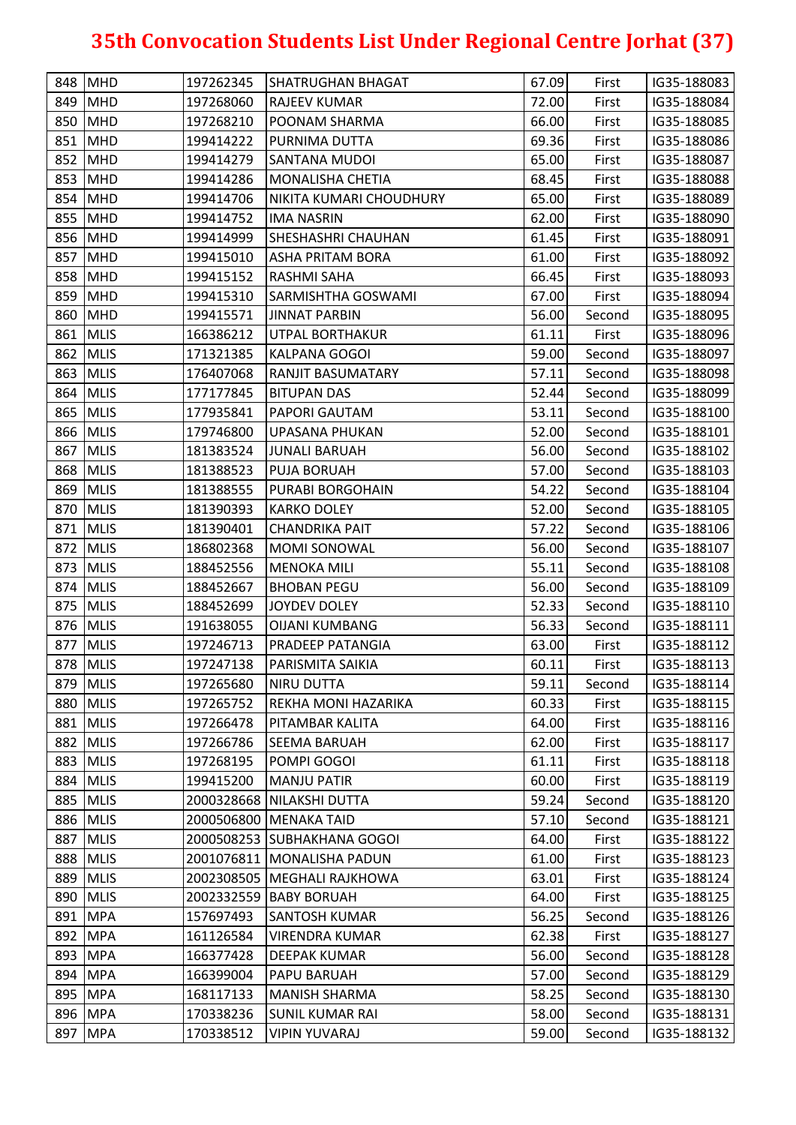|     | 848 MHD    | 197262345 | <b>SHATRUGHAN BHAGAT</b>      | 67.09 | First  | IG35-188083 |
|-----|------------|-----------|-------------------------------|-------|--------|-------------|
|     | 849 MHD    | 197268060 | <b>RAJEEV KUMAR</b>           | 72.00 | First  | IG35-188084 |
|     | 850 MHD    | 197268210 | <b>POONAM SHARMA</b>          | 66.00 | First  | IG35-188085 |
|     | 851 MHD    | 199414222 | PURNIMA DUTTA                 | 69.36 | First  | IG35-188086 |
|     | 852 MHD    | 199414279 | SANTANA MUDOI                 | 65.00 | First  | IG35-188087 |
|     | 853 MHD    | 199414286 | MONALISHA CHETIA              | 68.45 | First  | IG35-188088 |
|     | 854 MHD    | 199414706 | NIKITA KUMARI CHOUDHURY       | 65.00 | First  | IG35-188089 |
|     | 855 MHD    | 199414752 | <b>IMA NASRIN</b>             | 62.00 | First  | IG35-188090 |
|     | 856 MHD    | 199414999 | <b>SHESHASHRI CHAUHAN</b>     | 61.45 | First  | IG35-188091 |
|     | 857 MHD    | 199415010 | <b>ASHA PRITAM BORA</b>       | 61.00 | First  | IG35-188092 |
|     | 858 MHD    | 199415152 | <b>RASHMI SAHA</b>            | 66.45 | First  | IG35-188093 |
|     | 859 MHD    | 199415310 | <b>SARMISHTHA GOSWAMI</b>     | 67.00 | First  | IG35-188094 |
|     | 860 MHD    | 199415571 | <b>JINNAT PARBIN</b>          | 56.00 | Second | IG35-188095 |
|     | 861 MLIS   | 166386212 | <b>UTPAL BORTHAKUR</b>        | 61.11 | First  | IG35-188096 |
|     | 862 MLIS   | 171321385 | <b>KALPANA GOGOI</b>          | 59.00 | Second | IG35-188097 |
|     | 863 MLIS   | 176407068 | <b>RANJIT BASUMATARY</b>      | 57.11 | Second | IG35-188098 |
|     | 864 MLIS   | 177177845 | <b>BITUPAN DAS</b>            | 52.44 | Second | IG35-188099 |
|     | 865 MLIS   | 177935841 | PAPORI GAUTAM                 | 53.11 | Second | IG35-188100 |
|     | 866 MLIS   | 179746800 | UPASANA PHUKAN                | 52.00 | Second | IG35-188101 |
|     | 867 MLIS   | 181383524 | JUNALI BARUAH                 | 56.00 | Second | IG35-188102 |
|     | 868 MLIS   | 181388523 | <b>PUJA BORUAH</b>            | 57.00 | Second | IG35-188103 |
|     | 869 MLIS   | 181388555 | PURABI BORGOHAIN              | 54.22 | Second | IG35-188104 |
|     | 870 MLIS   | 181390393 | <b>KARKO DOLEY</b>            | 52.00 | Second | IG35-188105 |
|     | 871 MLIS   | 181390401 | <b>CHANDRIKA PAIT</b>         | 57.22 | Second | IG35-188106 |
|     | 872 MLIS   | 186802368 | <b>MOMI SONOWAL</b>           | 56.00 | Second | IG35-188107 |
|     | 873 MLIS   | 188452556 | <b>MENOKA MILI</b>            | 55.11 | Second | IG35-188108 |
|     | 874 MLIS   | 188452667 | <b>BHOBAN PEGU</b>            | 56.00 | Second | IG35-188109 |
|     | 875 MLIS   | 188452699 | <b>JOYDEV DOLEY</b>           | 52.33 | Second | IG35-188110 |
|     | 876 MLIS   | 191638055 | <b>OIJANI KUMBANG</b>         | 56.33 | Second | IG35-188111 |
|     | 877 MLIS   | 197246713 | <b>PRADEEP PATANGIA</b>       | 63.00 | First  | IG35-188112 |
|     | 878 MLIS   | 197247138 | <b>PARISMITA SAIKIA</b>       | 60.11 | First  | IG35-188113 |
|     | 879 MLIS   | 197265680 | <b>NIRU DUTTA</b>             | 59.11 | Second | IG35-188114 |
|     | 880 MLIS   | 197265752 | <b>REKHA MONI HAZARIKA</b>    | 60.33 | First  | IG35-188115 |
|     | 881 MLIS   | 197266478 | PITAMBAR KALITA               | 64.00 | First  | IG35-188116 |
|     | 882 MLIS   | 197266786 | <b>SEEMA BARUAH</b>           | 62.00 | First  | IG35-188117 |
|     | 883 MLIS   | 197268195 | POMPI GOGOI                   | 61.11 | First  | IG35-188118 |
|     | 884 MLIS   | 199415200 | <b>MANJU PATIR</b>            | 60.00 | First  | IG35-188119 |
|     | 885 MLIS   |           | 2000328668 NILAKSHI DUTTA     | 59.24 | Second | IG35-188120 |
|     | 886 MLIS   |           | 2000506800 MENAKA TAID        | 57.10 | Second | IG35-188121 |
|     | 887 MLIS   |           | 2000508253 SUBHAKHANA GOGOI   | 64.00 | First  | IG35-188122 |
|     | 888 MLIS   |           | 2001076811 MONALISHA PADUN    | 61.00 | First  | IG35-188123 |
|     | 889 MLIS   |           | 2002308505   MEGHALI RAJKHOWA | 63.01 | First  | IG35-188124 |
|     | 890 MLIS   |           | 2002332559 BABY BORUAH        | 64.00 | First  | IG35-188125 |
|     | 891 MPA    | 157697493 | <b>SANTOSH KUMAR</b>          | 56.25 | Second | IG35-188126 |
|     | 892 MPA    | 161126584 | <b>VIRENDRA KUMAR</b>         | 62.38 | First  | IG35-188127 |
| 893 | <b>MPA</b> | 166377428 | <b>DEEPAK KUMAR</b>           | 56.00 | Second | IG35-188128 |
|     | 894 MPA    | 166399004 | PAPU BARUAH                   | 57.00 | Second | IG35-188129 |
|     | 895 MPA    | 168117133 | <b>MANISH SHARMA</b>          | 58.25 | Second | IG35-188130 |
|     | 896 MPA    | 170338236 | <b>SUNIL KUMAR RAI</b>        | 58.00 | Second | IG35-188131 |
|     | 897 MPA    | 170338512 | <b>VIPIN YUVARAJ</b>          | 59.00 | Second | IG35-188132 |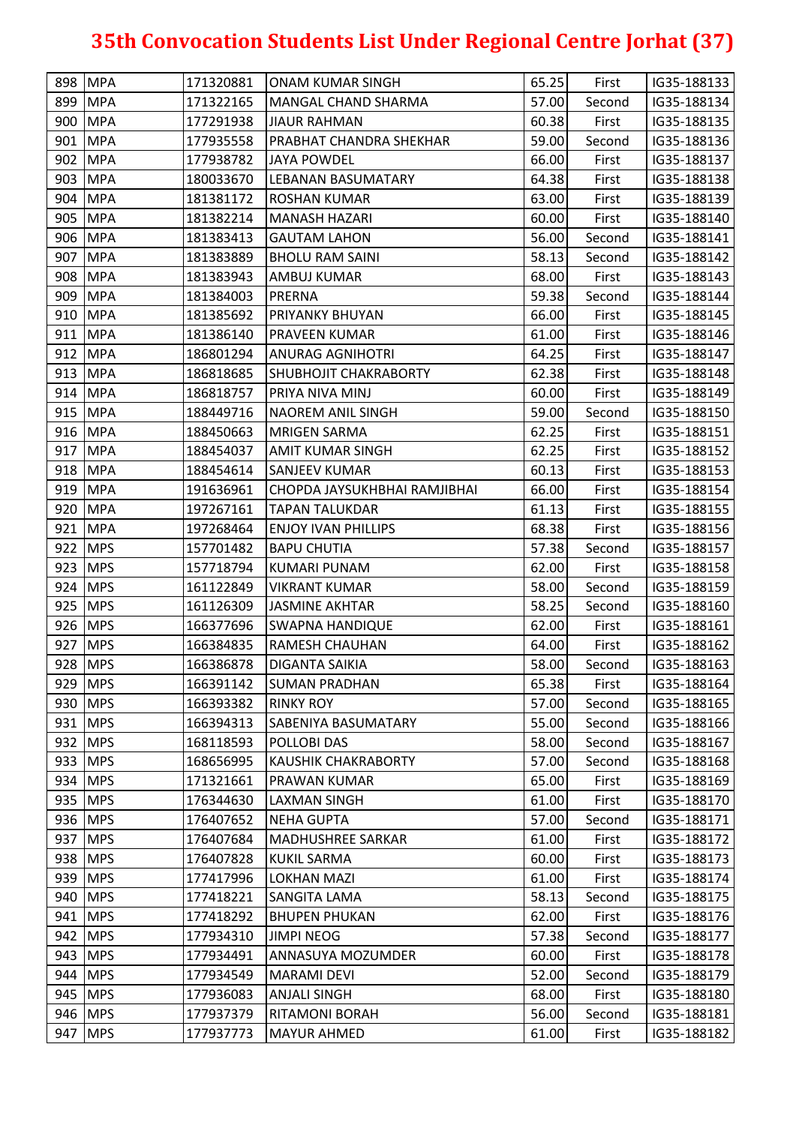|     | 898 MPA    | 171320881 | <b>ONAM KUMAR SINGH</b>      | 65.25 | First  | IG35-188133 |
|-----|------------|-----------|------------------------------|-------|--------|-------------|
|     | 899 MPA    | 171322165 | MANGAL CHAND SHARMA          | 57.00 | Second | IG35-188134 |
|     | 900 MPA    | 177291938 | <b>JIAUR RAHMAN</b>          | 60.38 | First  | IG35-188135 |
|     | 901 MPA    | 177935558 | PRABHAT CHANDRA SHEKHAR      | 59.00 | Second | IG35-188136 |
|     | 902 MPA    | 177938782 | <b>JAYA POWDEL</b>           | 66.00 | First  | IG35-188137 |
|     | 903 MPA    | 180033670 | LEBANAN BASUMATARY           | 64.38 | First  | IG35-188138 |
|     | 904 MPA    | 181381172 | ROSHAN KUMAR                 | 63.00 | First  | IG35-188139 |
|     | 905 MPA    | 181382214 | <b>MANASH HAZARI</b>         | 60.00 | First  | IG35-188140 |
|     | 906 MPA    | 181383413 | <b>GAUTAM LAHON</b>          | 56.00 | Second | IG35-188141 |
|     | 907 MPA    | 181383889 | <b>BHOLU RAM SAINI</b>       | 58.13 | Second | IG35-188142 |
|     | 908 MPA    | 181383943 | <b>AMBUJ KUMAR</b>           | 68.00 | First  | IG35-188143 |
|     | 909 MPA    | 181384003 | <b>PRERNA</b>                | 59.38 | Second | IG35-188144 |
|     | 910 MPA    | 181385692 | <b>PRIYANKY BHUYAN</b>       | 66.00 | First  | IG35-188145 |
|     | 911 MPA    | 181386140 | <b>PRAVEEN KUMAR</b>         | 61.00 | First  | IG35-188146 |
|     | 912 MPA    | 186801294 | <b>ANURAG AGNIHOTRI</b>      | 64.25 | First  | IG35-188147 |
|     | 913 MPA    | 186818685 | <b>SHUBHOJIT CHAKRABORTY</b> | 62.38 | First  | IG35-188148 |
|     | 914 MPA    | 186818757 | PRIYA NIVA MINJ              | 60.00 | First  | IG35-188149 |
|     | 915 MPA    | 188449716 | <b>NAOREM ANIL SINGH</b>     | 59.00 | Second | IG35-188150 |
|     | 916 MPA    | 188450663 | <b>MRIGEN SARMA</b>          | 62.25 | First  | IG35-188151 |
|     | 917 MPA    | 188454037 | <b>AMIT KUMAR SINGH</b>      | 62.25 | First  | IG35-188152 |
|     | 918 MPA    | 188454614 | <b>SANJEEV KUMAR</b>         | 60.13 | First  | IG35-188153 |
|     | 919 MPA    | 191636961 | CHOPDA JAYSUKHBHAI RAMJIBHAI | 66.00 | First  | IG35-188154 |
|     | 920 MPA    | 197267161 | <b>TAPAN TALUKDAR</b>        | 61.13 | First  | IG35-188155 |
|     | 921 MPA    | 197268464 | ENJOY IVAN PHILLIPS          | 68.38 | First  | IG35-188156 |
|     | 922 MPS    | 157701482 | <b>BAPU CHUTIA</b>           | 57.38 | Second | IG35-188157 |
|     | 923 MPS    | 157718794 | KUMARI PUNAM                 | 62.00 | First  | IG35-188158 |
|     | 924 MPS    | 161122849 | <b>VIKRANT KUMAR</b>         | 58.00 | Second | IG35-188159 |
|     | 925 MPS    | 161126309 | <b>JASMINE AKHTAR</b>        | 58.25 | Second | IG35-188160 |
|     | 926 MPS    | 166377696 | SWAPNA HANDIQUE              | 62.00 | First  | IG35-188161 |
|     | 927 MPS    | 166384835 | <b>RAMESH CHAUHAN</b>        | 64.00 | First  | IG35-188162 |
|     | 928 MPS    | 166386878 | <b>DIGANTA SAIKIA</b>        | 58.00 | Second | IG35-188163 |
|     | 929 MPS    | 166391142 | <b>SUMAN PRADHAN</b>         | 65.38 | First  | IG35-188164 |
|     | 930 MPS    | 166393382 | <b>RINKY ROY</b>             | 57.00 | Second | IG35-188165 |
|     | 931   MPS  | 166394313 | SABENIYA BASUMATARY          | 55.00 | Second | IG35-188166 |
|     | 932 MPS    | 168118593 | POLLOBI DAS                  | 58.00 | Second | IG35-188167 |
|     | 933 MPS    | 168656995 | <b>KAUSHIK CHAKRABORTY</b>   | 57.00 | Second | IG35-188168 |
|     | 934 MPS    | 171321661 | <b>PRAWAN KUMAR</b>          | 65.00 | First  | IG35-188169 |
|     | 935 MPS    | 176344630 | LAXMAN SINGH                 | 61.00 | First  | IG35-188170 |
|     | 936 MPS    | 176407652 | <b>NEHA GUPTA</b>            | 57.00 | Second | IG35-188171 |
|     | 937 MPS    | 176407684 | <b>MADHUSHREE SARKAR</b>     | 61.00 | First  | IG35-188172 |
|     | 938 MPS    | 176407828 | <b>KUKIL SARMA</b>           | 60.00 | First  | IG35-188173 |
|     | 939 MPS    | 177417996 | <b>LOKHAN MAZI</b>           | 61.00 | First  | IG35-188174 |
|     | 940 MPS    | 177418221 | SANGITA LAMA                 | 58.13 | Second | IG35-188175 |
|     | 941   MPS  | 177418292 | <b>BHUPEN PHUKAN</b>         | 62.00 | First  | IG35-188176 |
|     | 942 MPS    | 177934310 | <b>JIMPI NEOG</b>            | 57.38 | Second | IG35-188177 |
| 943 | <b>MPS</b> | 177934491 | ANNASUYA MOZUMDER            | 60.00 | First  | IG35-188178 |
|     | 944 MPS    | 177934549 | <b>MARAMI DEVI</b>           | 52.00 | Second | IG35-188179 |
|     | 945 MPS    | 177936083 | <b>ANJALI SINGH</b>          | 68.00 | First  | IG35-188180 |
|     | 946 MPS    | 177937379 | <b>RITAMONI BORAH</b>        | 56.00 | Second | IG35-188181 |
| 947 | <b>MPS</b> | 177937773 | <b>MAYUR AHMED</b>           | 61.00 | First  | IG35-188182 |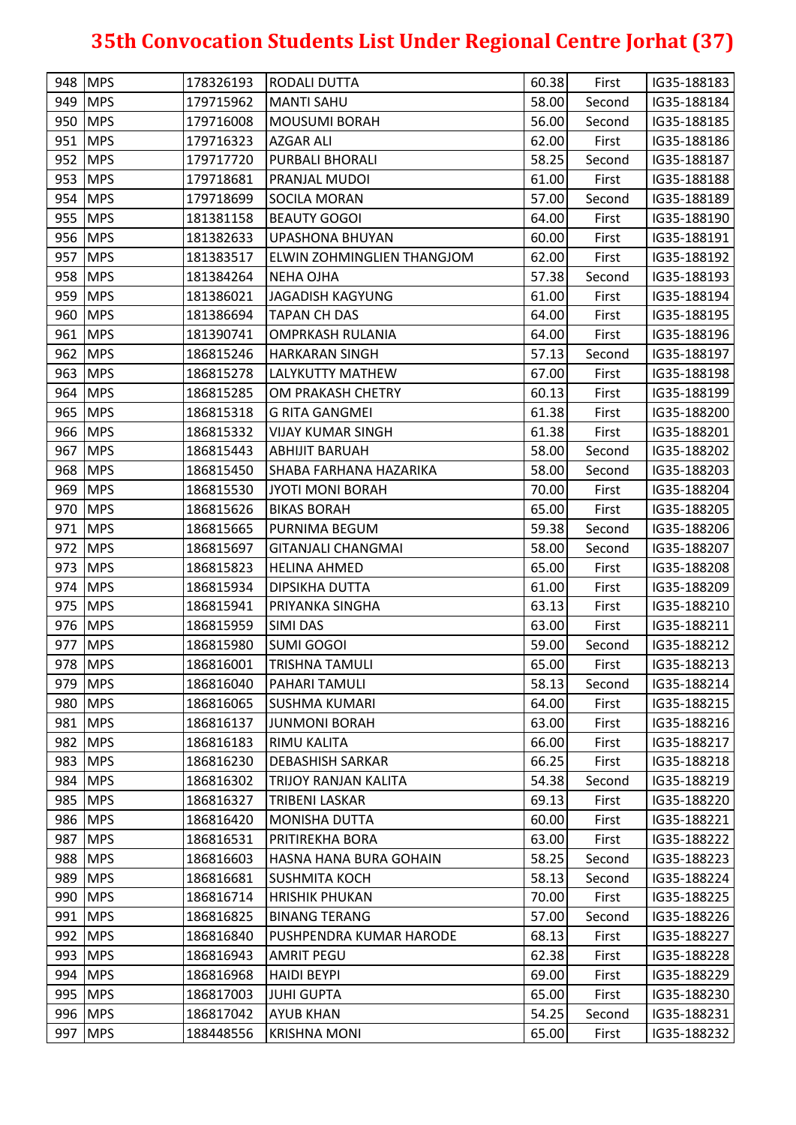| 949 MPS<br>58.00<br>179715962<br>IG35-188184<br>MANTI SAHU<br>Second<br>950 MPS<br>56.00<br>179716008<br><b>MOUSUMI BORAH</b><br>IG35-188185<br>Second<br>951 MPS<br>179716323<br><b>AZGAR ALI</b><br>62.00<br>First<br>IG35-188186<br>58.25<br>952 MPS<br>179717720<br><b>PURBALI BHORALI</b><br>Second<br>IG35-188187<br><b>MPS</b><br>61.00<br>179718681<br><b>PRANJAL MUDOI</b><br>First<br>IG35-188188<br>954 MPS<br>57.00<br>179718699<br>Second<br>IG35-188189<br><b>SOCILA MORAN</b><br>955 MPS<br>181381158<br><b>BEAUTY GOGOI</b><br>64.00<br>First<br>IG35-188190<br>956 MPS<br>181382633<br><b>UPASHONA BHUYAN</b><br>60.00<br>First<br>IG35-188191<br>957 MPS<br>62.00<br>181383517<br>First<br>IG35-188192<br>ELWIN ZOHMINGLIEN THANGJOM<br>958 MPS<br>57.38<br>181384264<br><b>NEHA OJHA</b><br>Second<br>IG35-188193<br>959 MPS<br>61.00<br>181386021<br>JAGADISH KAGYUNG<br>IG35-188194<br>First<br>960 MPS<br>181386694<br><b>TAPAN CH DAS</b><br>64.00<br>First<br>IG35-188195<br>961 MPS<br>181390741<br>IG35-188196<br><b>OMPRKASH RULANIA</b><br>64.00<br>First<br>962 MPS<br>57.13<br>186815246<br><b>HARKARAN SINGH</b><br>Second<br>IG35-188197<br>963 MPS<br>186815278<br>LALYKUTTY MATHEW<br>67.00<br>IG35-188198<br>First<br>964 MPS<br>186815285<br>OM PRAKASH CHETRY<br>60.13<br>IG35-188199<br>First<br>965 MPS<br>186815318<br><b>G RITA GANGMEI</b><br>61.38<br>IG35-188200<br>First<br>966 MPS<br>61.38<br>186815332<br><b>VIJAY KUMAR SINGH</b><br>First<br>IG35-188201<br>967 MPS<br>58.00<br>186815443<br><b>ABHIJIT BARUAH</b><br>Second<br>IG35-188202<br>968 MPS<br>58.00<br>186815450<br>SHABA FARHANA HAZARIKA<br>IG35-188203<br>Second<br>969 MPS<br>70.00<br>186815530<br>IG35-188204<br>JYOTI MONI BORAH<br>First<br>970 MPS<br><b>BIKAS BORAH</b><br>186815626<br>65.00<br>First<br>IG35-188205<br>971   MPS<br>59.38<br>186815665<br>PURNIMA BEGUM<br>IG35-188206<br>Second<br>972 MPS<br>58.00<br>IG35-188207<br>186815697<br><b>GITANJALI CHANGMAI</b><br>Second<br>973 MPS<br>65.00<br>186815823<br>IG35-188208<br><b>HELINA AHMED</b><br>First<br>974 MPS<br>186815934<br><b>DIPSIKHA DUTTA</b><br>61.00<br>First<br>IG35-188209<br>975 MPS<br>186815941<br>PRIYANKA SINGHA<br>63.13<br>First<br>IG35-188210<br>976 MPS<br>63.00<br>186815959<br><b>SIMI DAS</b><br>First<br>IG35-188211<br>977 MPS<br>186815980<br><b>SUMI GOGOI</b><br>59.00<br>IG35-188212<br>Second<br>978 MPS<br>65.00<br>186816001<br>IG35-188213<br><b>TRISHNA TAMULI</b><br>First<br>979 MPS<br>58.13<br>186816040<br>IG35-188214<br><b>PAHARI TAMULI</b><br>Second<br>980 MPS<br>64.00<br>IG35-188215<br>186816065<br><b>SUSHMA KUMARI</b><br>First<br>981   MPS<br>63.00<br>186816137<br><b>JUNMONI BORAH</b><br>IG35-188216<br>First<br>982 MPS<br>186816183<br><b>RIMU KALITA</b><br>66.00<br>IG35-188217<br>First<br>983 MPS<br>66.25<br>186816230<br><b>DEBASHISH SARKAR</b><br>IG35-188218<br>First<br>984 MPS<br>54.38<br>186816302<br>TRIJOY RANJAN KALITA<br>IG35-188219<br>Second<br>985 MPS<br>69.13<br>186816327<br><b>TRIBENI LASKAR</b><br>IG35-188220<br>First<br>986 MPS<br>186816420<br><b>MONISHA DUTTA</b><br>60.00<br>IG35-188221<br>First<br>987 MPS<br>186816531<br>63.00<br>IG35-188222<br>PRITIREKHA BORA<br>First<br>988 MPS<br>186816603<br>58.25<br>Second<br>IG35-188223<br>HASNA HANA BURA GOHAIN<br>989 MPS<br>58.13<br>186816681<br><b>SUSHMITA KOCH</b><br>Second<br>IG35-188224<br>990 MPS<br>70.00<br>186816714<br><b>HRISHIK PHUKAN</b><br>IG35-188225<br>First<br>991   MPS<br>186816825<br>57.00<br>IG35-188226<br><b>BINANG TERANG</b><br>Second<br>992 MPS<br>186816840<br>68.13<br>IG35-188227<br>PUSHPENDRA KUMAR HARODE<br>First<br>993 MPS<br>186816943<br><b>AMRIT PEGU</b><br>62.38<br>First<br>IG35-188228<br>994   MPS<br>186816968<br><b>HAIDI BEYPI</b><br>69.00<br>First<br>IG35-188229<br>995 MPS<br>65.00<br>186817003<br><b>JUHI GUPTA</b><br>IG35-188230<br>First<br>996 MPS<br>186817042<br>54.25<br>IG35-188231<br><b>AYUB KHAN</b><br>Second<br><b>MPS</b><br>188448556<br>65.00<br>IG35-188232<br><b>KRISHNA MONI</b><br>First |     | 948 MPS | 178326193 | <b>RODALI DUTTA</b> | 60.38 | First | IG35-188183 |
|----------------------------------------------------------------------------------------------------------------------------------------------------------------------------------------------------------------------------------------------------------------------------------------------------------------------------------------------------------------------------------------------------------------------------------------------------------------------------------------------------------------------------------------------------------------------------------------------------------------------------------------------------------------------------------------------------------------------------------------------------------------------------------------------------------------------------------------------------------------------------------------------------------------------------------------------------------------------------------------------------------------------------------------------------------------------------------------------------------------------------------------------------------------------------------------------------------------------------------------------------------------------------------------------------------------------------------------------------------------------------------------------------------------------------------------------------------------------------------------------------------------------------------------------------------------------------------------------------------------------------------------------------------------------------------------------------------------------------------------------------------------------------------------------------------------------------------------------------------------------------------------------------------------------------------------------------------------------------------------------------------------------------------------------------------------------------------------------------------------------------------------------------------------------------------------------------------------------------------------------------------------------------------------------------------------------------------------------------------------------------------------------------------------------------------------------------------------------------------------------------------------------------------------------------------------------------------------------------------------------------------------------------------------------------------------------------------------------------------------------------------------------------------------------------------------------------------------------------------------------------------------------------------------------------------------------------------------------------------------------------------------------------------------------------------------------------------------------------------------------------------------------------------------------------------------------------------------------------------------------------------------------------------------------------------------------------------------------------------------------------------------------------------------------------------------------------------------------------------------------------------------------------------------------------------------------------------------------------------------------------------------------------------------------------------------------------------------------------------------------------------------------------------------------------------------------------------------------------------------------------------------------------------------------------------------------------------------------------------------------------------------------------------------------------------------------------------------------------------------------|-----|---------|-----------|---------------------|-------|-------|-------------|
|                                                                                                                                                                                                                                                                                                                                                                                                                                                                                                                                                                                                                                                                                                                                                                                                                                                                                                                                                                                                                                                                                                                                                                                                                                                                                                                                                                                                                                                                                                                                                                                                                                                                                                                                                                                                                                                                                                                                                                                                                                                                                                                                                                                                                                                                                                                                                                                                                                                                                                                                                                                                                                                                                                                                                                                                                                                                                                                                                                                                                                                                                                                                                                                                                                                                                                                                                                                                                                                                                                                                                                                                                                                                                                                                                                                                                                                                                                                                                                                                                                                                                                                      |     |         |           |                     |       |       |             |
|                                                                                                                                                                                                                                                                                                                                                                                                                                                                                                                                                                                                                                                                                                                                                                                                                                                                                                                                                                                                                                                                                                                                                                                                                                                                                                                                                                                                                                                                                                                                                                                                                                                                                                                                                                                                                                                                                                                                                                                                                                                                                                                                                                                                                                                                                                                                                                                                                                                                                                                                                                                                                                                                                                                                                                                                                                                                                                                                                                                                                                                                                                                                                                                                                                                                                                                                                                                                                                                                                                                                                                                                                                                                                                                                                                                                                                                                                                                                                                                                                                                                                                                      |     |         |           |                     |       |       |             |
|                                                                                                                                                                                                                                                                                                                                                                                                                                                                                                                                                                                                                                                                                                                                                                                                                                                                                                                                                                                                                                                                                                                                                                                                                                                                                                                                                                                                                                                                                                                                                                                                                                                                                                                                                                                                                                                                                                                                                                                                                                                                                                                                                                                                                                                                                                                                                                                                                                                                                                                                                                                                                                                                                                                                                                                                                                                                                                                                                                                                                                                                                                                                                                                                                                                                                                                                                                                                                                                                                                                                                                                                                                                                                                                                                                                                                                                                                                                                                                                                                                                                                                                      |     |         |           |                     |       |       |             |
|                                                                                                                                                                                                                                                                                                                                                                                                                                                                                                                                                                                                                                                                                                                                                                                                                                                                                                                                                                                                                                                                                                                                                                                                                                                                                                                                                                                                                                                                                                                                                                                                                                                                                                                                                                                                                                                                                                                                                                                                                                                                                                                                                                                                                                                                                                                                                                                                                                                                                                                                                                                                                                                                                                                                                                                                                                                                                                                                                                                                                                                                                                                                                                                                                                                                                                                                                                                                                                                                                                                                                                                                                                                                                                                                                                                                                                                                                                                                                                                                                                                                                                                      |     |         |           |                     |       |       |             |
|                                                                                                                                                                                                                                                                                                                                                                                                                                                                                                                                                                                                                                                                                                                                                                                                                                                                                                                                                                                                                                                                                                                                                                                                                                                                                                                                                                                                                                                                                                                                                                                                                                                                                                                                                                                                                                                                                                                                                                                                                                                                                                                                                                                                                                                                                                                                                                                                                                                                                                                                                                                                                                                                                                                                                                                                                                                                                                                                                                                                                                                                                                                                                                                                                                                                                                                                                                                                                                                                                                                                                                                                                                                                                                                                                                                                                                                                                                                                                                                                                                                                                                                      | 953 |         |           |                     |       |       |             |
|                                                                                                                                                                                                                                                                                                                                                                                                                                                                                                                                                                                                                                                                                                                                                                                                                                                                                                                                                                                                                                                                                                                                                                                                                                                                                                                                                                                                                                                                                                                                                                                                                                                                                                                                                                                                                                                                                                                                                                                                                                                                                                                                                                                                                                                                                                                                                                                                                                                                                                                                                                                                                                                                                                                                                                                                                                                                                                                                                                                                                                                                                                                                                                                                                                                                                                                                                                                                                                                                                                                                                                                                                                                                                                                                                                                                                                                                                                                                                                                                                                                                                                                      |     |         |           |                     |       |       |             |
|                                                                                                                                                                                                                                                                                                                                                                                                                                                                                                                                                                                                                                                                                                                                                                                                                                                                                                                                                                                                                                                                                                                                                                                                                                                                                                                                                                                                                                                                                                                                                                                                                                                                                                                                                                                                                                                                                                                                                                                                                                                                                                                                                                                                                                                                                                                                                                                                                                                                                                                                                                                                                                                                                                                                                                                                                                                                                                                                                                                                                                                                                                                                                                                                                                                                                                                                                                                                                                                                                                                                                                                                                                                                                                                                                                                                                                                                                                                                                                                                                                                                                                                      |     |         |           |                     |       |       |             |
|                                                                                                                                                                                                                                                                                                                                                                                                                                                                                                                                                                                                                                                                                                                                                                                                                                                                                                                                                                                                                                                                                                                                                                                                                                                                                                                                                                                                                                                                                                                                                                                                                                                                                                                                                                                                                                                                                                                                                                                                                                                                                                                                                                                                                                                                                                                                                                                                                                                                                                                                                                                                                                                                                                                                                                                                                                                                                                                                                                                                                                                                                                                                                                                                                                                                                                                                                                                                                                                                                                                                                                                                                                                                                                                                                                                                                                                                                                                                                                                                                                                                                                                      |     |         |           |                     |       |       |             |
|                                                                                                                                                                                                                                                                                                                                                                                                                                                                                                                                                                                                                                                                                                                                                                                                                                                                                                                                                                                                                                                                                                                                                                                                                                                                                                                                                                                                                                                                                                                                                                                                                                                                                                                                                                                                                                                                                                                                                                                                                                                                                                                                                                                                                                                                                                                                                                                                                                                                                                                                                                                                                                                                                                                                                                                                                                                                                                                                                                                                                                                                                                                                                                                                                                                                                                                                                                                                                                                                                                                                                                                                                                                                                                                                                                                                                                                                                                                                                                                                                                                                                                                      |     |         |           |                     |       |       |             |
|                                                                                                                                                                                                                                                                                                                                                                                                                                                                                                                                                                                                                                                                                                                                                                                                                                                                                                                                                                                                                                                                                                                                                                                                                                                                                                                                                                                                                                                                                                                                                                                                                                                                                                                                                                                                                                                                                                                                                                                                                                                                                                                                                                                                                                                                                                                                                                                                                                                                                                                                                                                                                                                                                                                                                                                                                                                                                                                                                                                                                                                                                                                                                                                                                                                                                                                                                                                                                                                                                                                                                                                                                                                                                                                                                                                                                                                                                                                                                                                                                                                                                                                      |     |         |           |                     |       |       |             |
|                                                                                                                                                                                                                                                                                                                                                                                                                                                                                                                                                                                                                                                                                                                                                                                                                                                                                                                                                                                                                                                                                                                                                                                                                                                                                                                                                                                                                                                                                                                                                                                                                                                                                                                                                                                                                                                                                                                                                                                                                                                                                                                                                                                                                                                                                                                                                                                                                                                                                                                                                                                                                                                                                                                                                                                                                                                                                                                                                                                                                                                                                                                                                                                                                                                                                                                                                                                                                                                                                                                                                                                                                                                                                                                                                                                                                                                                                                                                                                                                                                                                                                                      |     |         |           |                     |       |       |             |
|                                                                                                                                                                                                                                                                                                                                                                                                                                                                                                                                                                                                                                                                                                                                                                                                                                                                                                                                                                                                                                                                                                                                                                                                                                                                                                                                                                                                                                                                                                                                                                                                                                                                                                                                                                                                                                                                                                                                                                                                                                                                                                                                                                                                                                                                                                                                                                                                                                                                                                                                                                                                                                                                                                                                                                                                                                                                                                                                                                                                                                                                                                                                                                                                                                                                                                                                                                                                                                                                                                                                                                                                                                                                                                                                                                                                                                                                                                                                                                                                                                                                                                                      |     |         |           |                     |       |       |             |
|                                                                                                                                                                                                                                                                                                                                                                                                                                                                                                                                                                                                                                                                                                                                                                                                                                                                                                                                                                                                                                                                                                                                                                                                                                                                                                                                                                                                                                                                                                                                                                                                                                                                                                                                                                                                                                                                                                                                                                                                                                                                                                                                                                                                                                                                                                                                                                                                                                                                                                                                                                                                                                                                                                                                                                                                                                                                                                                                                                                                                                                                                                                                                                                                                                                                                                                                                                                                                                                                                                                                                                                                                                                                                                                                                                                                                                                                                                                                                                                                                                                                                                                      |     |         |           |                     |       |       |             |
|                                                                                                                                                                                                                                                                                                                                                                                                                                                                                                                                                                                                                                                                                                                                                                                                                                                                                                                                                                                                                                                                                                                                                                                                                                                                                                                                                                                                                                                                                                                                                                                                                                                                                                                                                                                                                                                                                                                                                                                                                                                                                                                                                                                                                                                                                                                                                                                                                                                                                                                                                                                                                                                                                                                                                                                                                                                                                                                                                                                                                                                                                                                                                                                                                                                                                                                                                                                                                                                                                                                                                                                                                                                                                                                                                                                                                                                                                                                                                                                                                                                                                                                      |     |         |           |                     |       |       |             |
|                                                                                                                                                                                                                                                                                                                                                                                                                                                                                                                                                                                                                                                                                                                                                                                                                                                                                                                                                                                                                                                                                                                                                                                                                                                                                                                                                                                                                                                                                                                                                                                                                                                                                                                                                                                                                                                                                                                                                                                                                                                                                                                                                                                                                                                                                                                                                                                                                                                                                                                                                                                                                                                                                                                                                                                                                                                                                                                                                                                                                                                                                                                                                                                                                                                                                                                                                                                                                                                                                                                                                                                                                                                                                                                                                                                                                                                                                                                                                                                                                                                                                                                      |     |         |           |                     |       |       |             |
|                                                                                                                                                                                                                                                                                                                                                                                                                                                                                                                                                                                                                                                                                                                                                                                                                                                                                                                                                                                                                                                                                                                                                                                                                                                                                                                                                                                                                                                                                                                                                                                                                                                                                                                                                                                                                                                                                                                                                                                                                                                                                                                                                                                                                                                                                                                                                                                                                                                                                                                                                                                                                                                                                                                                                                                                                                                                                                                                                                                                                                                                                                                                                                                                                                                                                                                                                                                                                                                                                                                                                                                                                                                                                                                                                                                                                                                                                                                                                                                                                                                                                                                      |     |         |           |                     |       |       |             |
|                                                                                                                                                                                                                                                                                                                                                                                                                                                                                                                                                                                                                                                                                                                                                                                                                                                                                                                                                                                                                                                                                                                                                                                                                                                                                                                                                                                                                                                                                                                                                                                                                                                                                                                                                                                                                                                                                                                                                                                                                                                                                                                                                                                                                                                                                                                                                                                                                                                                                                                                                                                                                                                                                                                                                                                                                                                                                                                                                                                                                                                                                                                                                                                                                                                                                                                                                                                                                                                                                                                                                                                                                                                                                                                                                                                                                                                                                                                                                                                                                                                                                                                      |     |         |           |                     |       |       |             |
|                                                                                                                                                                                                                                                                                                                                                                                                                                                                                                                                                                                                                                                                                                                                                                                                                                                                                                                                                                                                                                                                                                                                                                                                                                                                                                                                                                                                                                                                                                                                                                                                                                                                                                                                                                                                                                                                                                                                                                                                                                                                                                                                                                                                                                                                                                                                                                                                                                                                                                                                                                                                                                                                                                                                                                                                                                                                                                                                                                                                                                                                                                                                                                                                                                                                                                                                                                                                                                                                                                                                                                                                                                                                                                                                                                                                                                                                                                                                                                                                                                                                                                                      |     |         |           |                     |       |       |             |
|                                                                                                                                                                                                                                                                                                                                                                                                                                                                                                                                                                                                                                                                                                                                                                                                                                                                                                                                                                                                                                                                                                                                                                                                                                                                                                                                                                                                                                                                                                                                                                                                                                                                                                                                                                                                                                                                                                                                                                                                                                                                                                                                                                                                                                                                                                                                                                                                                                                                                                                                                                                                                                                                                                                                                                                                                                                                                                                                                                                                                                                                                                                                                                                                                                                                                                                                                                                                                                                                                                                                                                                                                                                                                                                                                                                                                                                                                                                                                                                                                                                                                                                      |     |         |           |                     |       |       |             |
|                                                                                                                                                                                                                                                                                                                                                                                                                                                                                                                                                                                                                                                                                                                                                                                                                                                                                                                                                                                                                                                                                                                                                                                                                                                                                                                                                                                                                                                                                                                                                                                                                                                                                                                                                                                                                                                                                                                                                                                                                                                                                                                                                                                                                                                                                                                                                                                                                                                                                                                                                                                                                                                                                                                                                                                                                                                                                                                                                                                                                                                                                                                                                                                                                                                                                                                                                                                                                                                                                                                                                                                                                                                                                                                                                                                                                                                                                                                                                                                                                                                                                                                      |     |         |           |                     |       |       |             |
|                                                                                                                                                                                                                                                                                                                                                                                                                                                                                                                                                                                                                                                                                                                                                                                                                                                                                                                                                                                                                                                                                                                                                                                                                                                                                                                                                                                                                                                                                                                                                                                                                                                                                                                                                                                                                                                                                                                                                                                                                                                                                                                                                                                                                                                                                                                                                                                                                                                                                                                                                                                                                                                                                                                                                                                                                                                                                                                                                                                                                                                                                                                                                                                                                                                                                                                                                                                                                                                                                                                                                                                                                                                                                                                                                                                                                                                                                                                                                                                                                                                                                                                      |     |         |           |                     |       |       |             |
|                                                                                                                                                                                                                                                                                                                                                                                                                                                                                                                                                                                                                                                                                                                                                                                                                                                                                                                                                                                                                                                                                                                                                                                                                                                                                                                                                                                                                                                                                                                                                                                                                                                                                                                                                                                                                                                                                                                                                                                                                                                                                                                                                                                                                                                                                                                                                                                                                                                                                                                                                                                                                                                                                                                                                                                                                                                                                                                                                                                                                                                                                                                                                                                                                                                                                                                                                                                                                                                                                                                                                                                                                                                                                                                                                                                                                                                                                                                                                                                                                                                                                                                      |     |         |           |                     |       |       |             |
|                                                                                                                                                                                                                                                                                                                                                                                                                                                                                                                                                                                                                                                                                                                                                                                                                                                                                                                                                                                                                                                                                                                                                                                                                                                                                                                                                                                                                                                                                                                                                                                                                                                                                                                                                                                                                                                                                                                                                                                                                                                                                                                                                                                                                                                                                                                                                                                                                                                                                                                                                                                                                                                                                                                                                                                                                                                                                                                                                                                                                                                                                                                                                                                                                                                                                                                                                                                                                                                                                                                                                                                                                                                                                                                                                                                                                                                                                                                                                                                                                                                                                                                      |     |         |           |                     |       |       |             |
|                                                                                                                                                                                                                                                                                                                                                                                                                                                                                                                                                                                                                                                                                                                                                                                                                                                                                                                                                                                                                                                                                                                                                                                                                                                                                                                                                                                                                                                                                                                                                                                                                                                                                                                                                                                                                                                                                                                                                                                                                                                                                                                                                                                                                                                                                                                                                                                                                                                                                                                                                                                                                                                                                                                                                                                                                                                                                                                                                                                                                                                                                                                                                                                                                                                                                                                                                                                                                                                                                                                                                                                                                                                                                                                                                                                                                                                                                                                                                                                                                                                                                                                      |     |         |           |                     |       |       |             |
|                                                                                                                                                                                                                                                                                                                                                                                                                                                                                                                                                                                                                                                                                                                                                                                                                                                                                                                                                                                                                                                                                                                                                                                                                                                                                                                                                                                                                                                                                                                                                                                                                                                                                                                                                                                                                                                                                                                                                                                                                                                                                                                                                                                                                                                                                                                                                                                                                                                                                                                                                                                                                                                                                                                                                                                                                                                                                                                                                                                                                                                                                                                                                                                                                                                                                                                                                                                                                                                                                                                                                                                                                                                                                                                                                                                                                                                                                                                                                                                                                                                                                                                      |     |         |           |                     |       |       |             |
|                                                                                                                                                                                                                                                                                                                                                                                                                                                                                                                                                                                                                                                                                                                                                                                                                                                                                                                                                                                                                                                                                                                                                                                                                                                                                                                                                                                                                                                                                                                                                                                                                                                                                                                                                                                                                                                                                                                                                                                                                                                                                                                                                                                                                                                                                                                                                                                                                                                                                                                                                                                                                                                                                                                                                                                                                                                                                                                                                                                                                                                                                                                                                                                                                                                                                                                                                                                                                                                                                                                                                                                                                                                                                                                                                                                                                                                                                                                                                                                                                                                                                                                      |     |         |           |                     |       |       |             |
|                                                                                                                                                                                                                                                                                                                                                                                                                                                                                                                                                                                                                                                                                                                                                                                                                                                                                                                                                                                                                                                                                                                                                                                                                                                                                                                                                                                                                                                                                                                                                                                                                                                                                                                                                                                                                                                                                                                                                                                                                                                                                                                                                                                                                                                                                                                                                                                                                                                                                                                                                                                                                                                                                                                                                                                                                                                                                                                                                                                                                                                                                                                                                                                                                                                                                                                                                                                                                                                                                                                                                                                                                                                                                                                                                                                                                                                                                                                                                                                                                                                                                                                      |     |         |           |                     |       |       |             |
|                                                                                                                                                                                                                                                                                                                                                                                                                                                                                                                                                                                                                                                                                                                                                                                                                                                                                                                                                                                                                                                                                                                                                                                                                                                                                                                                                                                                                                                                                                                                                                                                                                                                                                                                                                                                                                                                                                                                                                                                                                                                                                                                                                                                                                                                                                                                                                                                                                                                                                                                                                                                                                                                                                                                                                                                                                                                                                                                                                                                                                                                                                                                                                                                                                                                                                                                                                                                                                                                                                                                                                                                                                                                                                                                                                                                                                                                                                                                                                                                                                                                                                                      |     |         |           |                     |       |       |             |
|                                                                                                                                                                                                                                                                                                                                                                                                                                                                                                                                                                                                                                                                                                                                                                                                                                                                                                                                                                                                                                                                                                                                                                                                                                                                                                                                                                                                                                                                                                                                                                                                                                                                                                                                                                                                                                                                                                                                                                                                                                                                                                                                                                                                                                                                                                                                                                                                                                                                                                                                                                                                                                                                                                                                                                                                                                                                                                                                                                                                                                                                                                                                                                                                                                                                                                                                                                                                                                                                                                                                                                                                                                                                                                                                                                                                                                                                                                                                                                                                                                                                                                                      |     |         |           |                     |       |       |             |
|                                                                                                                                                                                                                                                                                                                                                                                                                                                                                                                                                                                                                                                                                                                                                                                                                                                                                                                                                                                                                                                                                                                                                                                                                                                                                                                                                                                                                                                                                                                                                                                                                                                                                                                                                                                                                                                                                                                                                                                                                                                                                                                                                                                                                                                                                                                                                                                                                                                                                                                                                                                                                                                                                                                                                                                                                                                                                                                                                                                                                                                                                                                                                                                                                                                                                                                                                                                                                                                                                                                                                                                                                                                                                                                                                                                                                                                                                                                                                                                                                                                                                                                      |     |         |           |                     |       |       |             |
|                                                                                                                                                                                                                                                                                                                                                                                                                                                                                                                                                                                                                                                                                                                                                                                                                                                                                                                                                                                                                                                                                                                                                                                                                                                                                                                                                                                                                                                                                                                                                                                                                                                                                                                                                                                                                                                                                                                                                                                                                                                                                                                                                                                                                                                                                                                                                                                                                                                                                                                                                                                                                                                                                                                                                                                                                                                                                                                                                                                                                                                                                                                                                                                                                                                                                                                                                                                                                                                                                                                                                                                                                                                                                                                                                                                                                                                                                                                                                                                                                                                                                                                      |     |         |           |                     |       |       |             |
|                                                                                                                                                                                                                                                                                                                                                                                                                                                                                                                                                                                                                                                                                                                                                                                                                                                                                                                                                                                                                                                                                                                                                                                                                                                                                                                                                                                                                                                                                                                                                                                                                                                                                                                                                                                                                                                                                                                                                                                                                                                                                                                                                                                                                                                                                                                                                                                                                                                                                                                                                                                                                                                                                                                                                                                                                                                                                                                                                                                                                                                                                                                                                                                                                                                                                                                                                                                                                                                                                                                                                                                                                                                                                                                                                                                                                                                                                                                                                                                                                                                                                                                      |     |         |           |                     |       |       |             |
|                                                                                                                                                                                                                                                                                                                                                                                                                                                                                                                                                                                                                                                                                                                                                                                                                                                                                                                                                                                                                                                                                                                                                                                                                                                                                                                                                                                                                                                                                                                                                                                                                                                                                                                                                                                                                                                                                                                                                                                                                                                                                                                                                                                                                                                                                                                                                                                                                                                                                                                                                                                                                                                                                                                                                                                                                                                                                                                                                                                                                                                                                                                                                                                                                                                                                                                                                                                                                                                                                                                                                                                                                                                                                                                                                                                                                                                                                                                                                                                                                                                                                                                      |     |         |           |                     |       |       |             |
|                                                                                                                                                                                                                                                                                                                                                                                                                                                                                                                                                                                                                                                                                                                                                                                                                                                                                                                                                                                                                                                                                                                                                                                                                                                                                                                                                                                                                                                                                                                                                                                                                                                                                                                                                                                                                                                                                                                                                                                                                                                                                                                                                                                                                                                                                                                                                                                                                                                                                                                                                                                                                                                                                                                                                                                                                                                                                                                                                                                                                                                                                                                                                                                                                                                                                                                                                                                                                                                                                                                                                                                                                                                                                                                                                                                                                                                                                                                                                                                                                                                                                                                      |     |         |           |                     |       |       |             |
|                                                                                                                                                                                                                                                                                                                                                                                                                                                                                                                                                                                                                                                                                                                                                                                                                                                                                                                                                                                                                                                                                                                                                                                                                                                                                                                                                                                                                                                                                                                                                                                                                                                                                                                                                                                                                                                                                                                                                                                                                                                                                                                                                                                                                                                                                                                                                                                                                                                                                                                                                                                                                                                                                                                                                                                                                                                                                                                                                                                                                                                                                                                                                                                                                                                                                                                                                                                                                                                                                                                                                                                                                                                                                                                                                                                                                                                                                                                                                                                                                                                                                                                      |     |         |           |                     |       |       |             |
|                                                                                                                                                                                                                                                                                                                                                                                                                                                                                                                                                                                                                                                                                                                                                                                                                                                                                                                                                                                                                                                                                                                                                                                                                                                                                                                                                                                                                                                                                                                                                                                                                                                                                                                                                                                                                                                                                                                                                                                                                                                                                                                                                                                                                                                                                                                                                                                                                                                                                                                                                                                                                                                                                                                                                                                                                                                                                                                                                                                                                                                                                                                                                                                                                                                                                                                                                                                                                                                                                                                                                                                                                                                                                                                                                                                                                                                                                                                                                                                                                                                                                                                      |     |         |           |                     |       |       |             |
|                                                                                                                                                                                                                                                                                                                                                                                                                                                                                                                                                                                                                                                                                                                                                                                                                                                                                                                                                                                                                                                                                                                                                                                                                                                                                                                                                                                                                                                                                                                                                                                                                                                                                                                                                                                                                                                                                                                                                                                                                                                                                                                                                                                                                                                                                                                                                                                                                                                                                                                                                                                                                                                                                                                                                                                                                                                                                                                                                                                                                                                                                                                                                                                                                                                                                                                                                                                                                                                                                                                                                                                                                                                                                                                                                                                                                                                                                                                                                                                                                                                                                                                      |     |         |           |                     |       |       |             |
|                                                                                                                                                                                                                                                                                                                                                                                                                                                                                                                                                                                                                                                                                                                                                                                                                                                                                                                                                                                                                                                                                                                                                                                                                                                                                                                                                                                                                                                                                                                                                                                                                                                                                                                                                                                                                                                                                                                                                                                                                                                                                                                                                                                                                                                                                                                                                                                                                                                                                                                                                                                                                                                                                                                                                                                                                                                                                                                                                                                                                                                                                                                                                                                                                                                                                                                                                                                                                                                                                                                                                                                                                                                                                                                                                                                                                                                                                                                                                                                                                                                                                                                      |     |         |           |                     |       |       |             |
|                                                                                                                                                                                                                                                                                                                                                                                                                                                                                                                                                                                                                                                                                                                                                                                                                                                                                                                                                                                                                                                                                                                                                                                                                                                                                                                                                                                                                                                                                                                                                                                                                                                                                                                                                                                                                                                                                                                                                                                                                                                                                                                                                                                                                                                                                                                                                                                                                                                                                                                                                                                                                                                                                                                                                                                                                                                                                                                                                                                                                                                                                                                                                                                                                                                                                                                                                                                                                                                                                                                                                                                                                                                                                                                                                                                                                                                                                                                                                                                                                                                                                                                      |     |         |           |                     |       |       |             |
|                                                                                                                                                                                                                                                                                                                                                                                                                                                                                                                                                                                                                                                                                                                                                                                                                                                                                                                                                                                                                                                                                                                                                                                                                                                                                                                                                                                                                                                                                                                                                                                                                                                                                                                                                                                                                                                                                                                                                                                                                                                                                                                                                                                                                                                                                                                                                                                                                                                                                                                                                                                                                                                                                                                                                                                                                                                                                                                                                                                                                                                                                                                                                                                                                                                                                                                                                                                                                                                                                                                                                                                                                                                                                                                                                                                                                                                                                                                                                                                                                                                                                                                      |     |         |           |                     |       |       |             |
|                                                                                                                                                                                                                                                                                                                                                                                                                                                                                                                                                                                                                                                                                                                                                                                                                                                                                                                                                                                                                                                                                                                                                                                                                                                                                                                                                                                                                                                                                                                                                                                                                                                                                                                                                                                                                                                                                                                                                                                                                                                                                                                                                                                                                                                                                                                                                                                                                                                                                                                                                                                                                                                                                                                                                                                                                                                                                                                                                                                                                                                                                                                                                                                                                                                                                                                                                                                                                                                                                                                                                                                                                                                                                                                                                                                                                                                                                                                                                                                                                                                                                                                      |     |         |           |                     |       |       |             |
|                                                                                                                                                                                                                                                                                                                                                                                                                                                                                                                                                                                                                                                                                                                                                                                                                                                                                                                                                                                                                                                                                                                                                                                                                                                                                                                                                                                                                                                                                                                                                                                                                                                                                                                                                                                                                                                                                                                                                                                                                                                                                                                                                                                                                                                                                                                                                                                                                                                                                                                                                                                                                                                                                                                                                                                                                                                                                                                                                                                                                                                                                                                                                                                                                                                                                                                                                                                                                                                                                                                                                                                                                                                                                                                                                                                                                                                                                                                                                                                                                                                                                                                      |     |         |           |                     |       |       |             |
|                                                                                                                                                                                                                                                                                                                                                                                                                                                                                                                                                                                                                                                                                                                                                                                                                                                                                                                                                                                                                                                                                                                                                                                                                                                                                                                                                                                                                                                                                                                                                                                                                                                                                                                                                                                                                                                                                                                                                                                                                                                                                                                                                                                                                                                                                                                                                                                                                                                                                                                                                                                                                                                                                                                                                                                                                                                                                                                                                                                                                                                                                                                                                                                                                                                                                                                                                                                                                                                                                                                                                                                                                                                                                                                                                                                                                                                                                                                                                                                                                                                                                                                      |     |         |           |                     |       |       |             |
|                                                                                                                                                                                                                                                                                                                                                                                                                                                                                                                                                                                                                                                                                                                                                                                                                                                                                                                                                                                                                                                                                                                                                                                                                                                                                                                                                                                                                                                                                                                                                                                                                                                                                                                                                                                                                                                                                                                                                                                                                                                                                                                                                                                                                                                                                                                                                                                                                                                                                                                                                                                                                                                                                                                                                                                                                                                                                                                                                                                                                                                                                                                                                                                                                                                                                                                                                                                                                                                                                                                                                                                                                                                                                                                                                                                                                                                                                                                                                                                                                                                                                                                      |     |         |           |                     |       |       |             |
|                                                                                                                                                                                                                                                                                                                                                                                                                                                                                                                                                                                                                                                                                                                                                                                                                                                                                                                                                                                                                                                                                                                                                                                                                                                                                                                                                                                                                                                                                                                                                                                                                                                                                                                                                                                                                                                                                                                                                                                                                                                                                                                                                                                                                                                                                                                                                                                                                                                                                                                                                                                                                                                                                                                                                                                                                                                                                                                                                                                                                                                                                                                                                                                                                                                                                                                                                                                                                                                                                                                                                                                                                                                                                                                                                                                                                                                                                                                                                                                                                                                                                                                      |     |         |           |                     |       |       |             |
|                                                                                                                                                                                                                                                                                                                                                                                                                                                                                                                                                                                                                                                                                                                                                                                                                                                                                                                                                                                                                                                                                                                                                                                                                                                                                                                                                                                                                                                                                                                                                                                                                                                                                                                                                                                                                                                                                                                                                                                                                                                                                                                                                                                                                                                                                                                                                                                                                                                                                                                                                                                                                                                                                                                                                                                                                                                                                                                                                                                                                                                                                                                                                                                                                                                                                                                                                                                                                                                                                                                                                                                                                                                                                                                                                                                                                                                                                                                                                                                                                                                                                                                      |     |         |           |                     |       |       |             |
|                                                                                                                                                                                                                                                                                                                                                                                                                                                                                                                                                                                                                                                                                                                                                                                                                                                                                                                                                                                                                                                                                                                                                                                                                                                                                                                                                                                                                                                                                                                                                                                                                                                                                                                                                                                                                                                                                                                                                                                                                                                                                                                                                                                                                                                                                                                                                                                                                                                                                                                                                                                                                                                                                                                                                                                                                                                                                                                                                                                                                                                                                                                                                                                                                                                                                                                                                                                                                                                                                                                                                                                                                                                                                                                                                                                                                                                                                                                                                                                                                                                                                                                      |     |         |           |                     |       |       |             |
|                                                                                                                                                                                                                                                                                                                                                                                                                                                                                                                                                                                                                                                                                                                                                                                                                                                                                                                                                                                                                                                                                                                                                                                                                                                                                                                                                                                                                                                                                                                                                                                                                                                                                                                                                                                                                                                                                                                                                                                                                                                                                                                                                                                                                                                                                                                                                                                                                                                                                                                                                                                                                                                                                                                                                                                                                                                                                                                                                                                                                                                                                                                                                                                                                                                                                                                                                                                                                                                                                                                                                                                                                                                                                                                                                                                                                                                                                                                                                                                                                                                                                                                      |     |         |           |                     |       |       |             |
|                                                                                                                                                                                                                                                                                                                                                                                                                                                                                                                                                                                                                                                                                                                                                                                                                                                                                                                                                                                                                                                                                                                                                                                                                                                                                                                                                                                                                                                                                                                                                                                                                                                                                                                                                                                                                                                                                                                                                                                                                                                                                                                                                                                                                                                                                                                                                                                                                                                                                                                                                                                                                                                                                                                                                                                                                                                                                                                                                                                                                                                                                                                                                                                                                                                                                                                                                                                                                                                                                                                                                                                                                                                                                                                                                                                                                                                                                                                                                                                                                                                                                                                      | 997 |         |           |                     |       |       |             |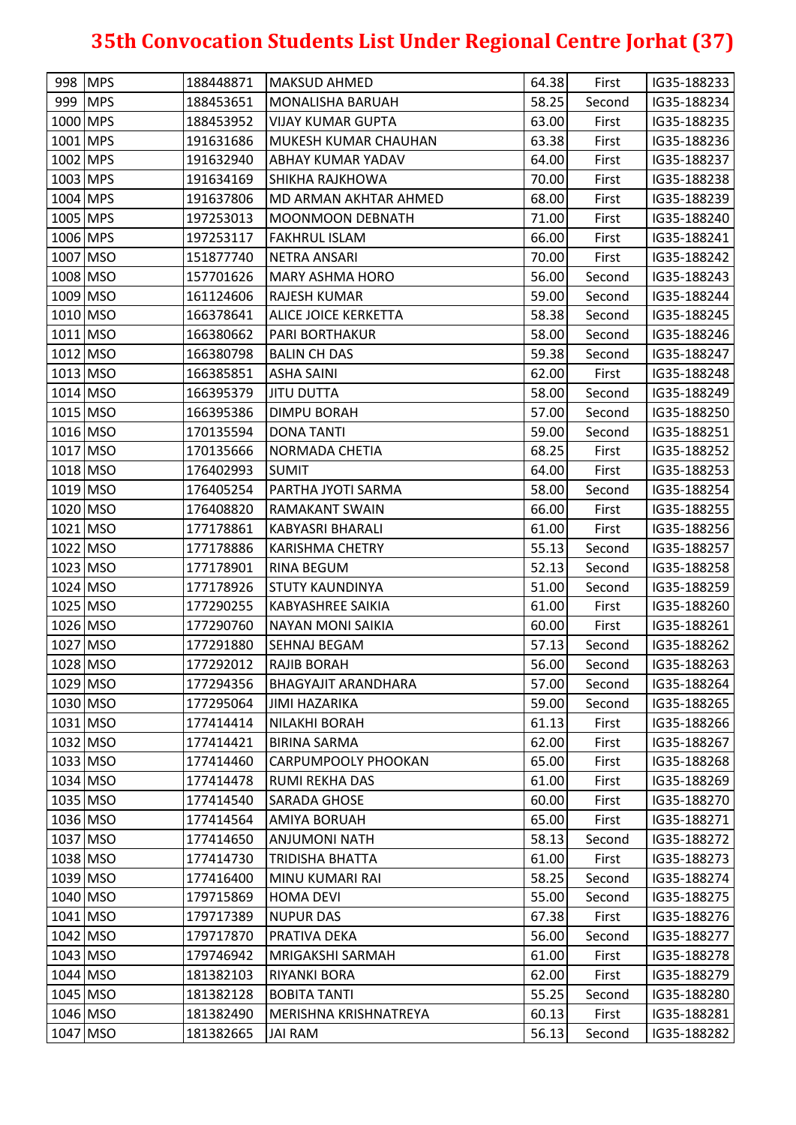|          | 998 MPS  | 188448871 | <b>MAKSUD AHMED</b>        | 64.38 | First  | IG35-188233 |
|----------|----------|-----------|----------------------------|-------|--------|-------------|
|          | 999 MPS  | 188453651 | <b>MONALISHA BARUAH</b>    | 58.25 | Second | IG35-188234 |
| 1000 MPS |          | 188453952 | <b>VIJAY KUMAR GUPTA</b>   | 63.00 | First  | IG35-188235 |
| 1001 MPS |          | 191631686 | MUKESH KUMAR CHAUHAN       | 63.38 | First  | IG35-188236 |
| 1002 MPS |          | 191632940 | ABHAY KUMAR YADAV          | 64.00 | First  | IG35-188237 |
| 1003 MPS |          | 191634169 | <b>SHIKHA RAJKHOWA</b>     | 70.00 | First  | IG35-188238 |
| 1004 MPS |          | 191637806 | MD ARMAN AKHTAR AHMED      | 68.00 | First  | IG35-188239 |
| 1005 MPS |          | 197253013 | <b>MOONMOON DEBNATH</b>    | 71.00 | First  | IG35-188240 |
| 1006 MPS |          | 197253117 | <b>FAKHRUL ISLAM</b>       | 66.00 | First  | IG35-188241 |
|          | 1007 MSO | 151877740 | NETRA ANSARI               | 70.00 | First  | IG35-188242 |
|          | 1008 MSO | 157701626 | <b>MARY ASHMA HORO</b>     | 56.00 | Second | IG35-188243 |
|          | 1009 MSO | 161124606 | <b>RAJESH KUMAR</b>        | 59.00 | Second | IG35-188244 |
|          | 1010 MSO | 166378641 | ALICE JOICE KERKETTA       | 58.38 | Second | IG35-188245 |
|          | 1011 MSO | 166380662 | <b>PARI BORTHAKUR</b>      | 58.00 | Second | IG35-188246 |
|          | 1012 MSO | 166380798 | <b>BALIN CH DAS</b>        | 59.38 | Second | IG35-188247 |
|          | 1013 MSO | 166385851 | <b>ASHA SAINI</b>          | 62.00 | First  | IG35-188248 |
|          | 1014 MSO | 166395379 | <b>JITU DUTTA</b>          | 58.00 | Second | IG35-188249 |
| 1015 MSO |          | 166395386 | <b>DIMPU BORAH</b>         | 57.00 | Second | IG35-188250 |
| 1016 MSO |          | 170135594 | <b>DONA TANTI</b>          | 59.00 | Second | IG35-188251 |
|          | 1017 MSO | 170135666 | NORMADA CHETIA             | 68.25 | First  | IG35-188252 |
|          | 1018 MSO | 176402993 | <b>SUMIT</b>               | 64.00 | First  | IG35-188253 |
|          | 1019 MSO | 176405254 | PARTHA JYOTI SARMA         | 58.00 | Second | IG35-188254 |
|          | 1020 MSO | 176408820 | <b>RAMAKANT SWAIN</b>      | 66.00 | First  | IG35-188255 |
| 1021 MSO |          | 177178861 | <b>KABYASRI BHARALI</b>    | 61.00 | First  | IG35-188256 |
|          | 1022 MSO | 177178886 | <b>KARISHMA CHETRY</b>     | 55.13 | Second | IG35-188257 |
|          | 1023 MSO | 177178901 | <b>RINA BEGUM</b>          | 52.13 | Second | IG35-188258 |
|          | 1024 MSO | 177178926 | <b>STUTY KAUNDINYA</b>     | 51.00 | Second | IG35-188259 |
|          | 1025 MSO | 177290255 | <b>KABYASHREE SAIKIA</b>   | 61.00 | First  | IG35-188260 |
| 1026 MSO |          | 177290760 | <b>NAYAN MONI SAIKIA</b>   | 60.00 | First  | IG35-188261 |
|          | 1027 MSO | 177291880 | SEHNAJ BEGAM               | 57.13 | Second | IG35-188262 |
| 1028 MSO |          | 177292012 | <b>RAJIB BORAH</b>         | 56.00 | Second | IG35-188263 |
|          | 1029 MSO | 177294356 | <b>BHAGYAJIT ARANDHARA</b> | 57.00 | Second | IG35-188264 |
| 1030 MSO |          | 177295064 | <b>JIMI HAZARIKA</b>       | 59.00 | Second | IG35-188265 |
|          | 1031 MSO | 177414414 | NILAKHI BORAH              | 61.13 | First  | IG35-188266 |
|          | 1032 MSO | 177414421 | <b>BIRINA SARMA</b>        | 62.00 | First  | IG35-188267 |
|          | 1033 MSO | 177414460 | CARPUMPOOLY PHOOKAN        | 65.00 | First  | IG35-188268 |
| 1034 MSO |          | 177414478 | RUMI REKHA DAS             | 61.00 | First  | IG35-188269 |
| 1035 MSO |          | 177414540 | <b>SARADA GHOSE</b>        | 60.00 | First  | IG35-188270 |
|          | 1036 MSO | 177414564 | <b>AMIYA BORUAH</b>        | 65.00 | First  | IG35-188271 |
|          | 1037 MSO | 177414650 | <b>ANJUMONI NATH</b>       | 58.13 | Second | IG35-188272 |
|          | 1038 MSO | 177414730 | <b>TRIDISHA BHATTA</b>     | 61.00 | First  | IG35-188273 |
|          | 1039 MSO | 177416400 | MINU KUMARI RAI            | 58.25 | Second | IG35-188274 |
| 1040 MSO |          | 179715869 | <b>HOMA DEVI</b>           | 55.00 | Second | IG35-188275 |
|          | 1041 MSO | 179717389 | <b>NUPUR DAS</b>           | 67.38 | First  | IG35-188276 |
| 1042 MSO |          | 179717870 | PRATIVA DEKA               | 56.00 | Second | IG35-188277 |
|          | 1043 MSO | 179746942 | MRIGAKSHI SARMAH           | 61.00 | First  | IG35-188278 |
|          | 1044 MSO | 181382103 | <b>RIYANKI BORA</b>        | 62.00 | First  | IG35-188279 |
| 1045 MSO |          | 181382128 | <b>BOBITA TANTI</b>        | 55.25 | Second | IG35-188280 |
| 1046 MSO |          | 181382490 | MERISHNA KRISHNATREYA      | 60.13 | First  | IG35-188281 |
| 1047 MSO |          | 181382665 | <b>JAI RAM</b>             | 56.13 | Second | IG35-188282 |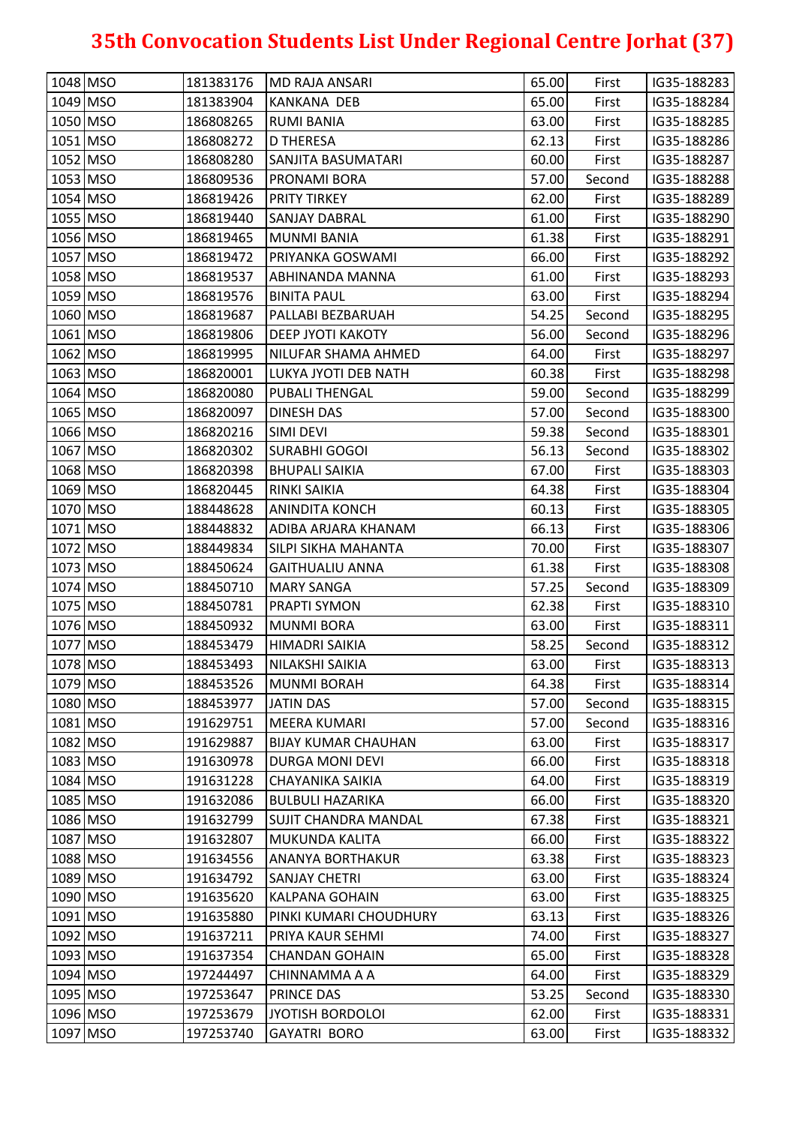| 1049 MSO<br>65.00<br>181383904<br><b>KANKANA DEB</b><br>First<br>IG35-188284<br>1050 MSO<br>63.00<br>186808265<br>IG35-188285<br><b>RUMI BANIA</b><br>First<br>1051 MSO<br>186808272<br><b>D THERESA</b><br>62.13<br>IG35-188286<br>First<br>1052 MSO<br>60.00<br>186808280<br>SANJITA BASUMATARI<br>First<br>IG35-188287<br>1053 MSO<br>186809536<br>57.00<br><b>PRONAMI BORA</b><br>Second<br>IG35-188288<br>1054 MSO<br>186819426<br>62.00<br><b>PRITY TIRKEY</b><br>First<br>IG35-188289<br>1055 MSO<br>61.00<br>186819440<br>IG35-188290<br><b>SANJAY DABRAL</b><br>First<br>1056 MSO<br>186819465<br><b>MUNMI BANIA</b><br>61.38<br>First<br>IG35-188291<br>66.00<br>1057 MSO<br>186819472<br>PRIYANKA GOSWAMI<br>First<br>IG35-188292<br>1058 MSO<br>61.00<br>IG35-188293<br>186819537<br>ABHINANDA MANNA<br>First<br>1059 MSO<br>63.00<br>186819576<br>IG35-188294<br><b>BINITA PAUL</b><br>First<br>1060 MSO<br>186819687<br>54.25<br>IG35-188295<br>PALLABI BEZBARUAH<br>Second<br>1061 MSO<br>186819806<br>56.00<br>IG35-188296<br><b>DEEP JYOTI KAKOTY</b><br>Second<br>1062 MSO<br>64.00<br>186819995<br>NILUFAR SHAMA AHMED<br>First<br>IG35-188297<br>1063 MSO<br>186820001<br>60.38<br>First<br>IG35-188298<br>LUKYA JYOTI DEB NATH<br>1064 MSO<br>59.00<br>186820080<br>IG35-188299<br><b>PUBALI THENGAL</b><br>Second<br>1065 MSO<br>186820097<br>57.00<br><b>DINESH DAS</b><br>Second<br>IG35-188300<br>59.38<br>1066 MSO<br>186820216<br><b>SIMI DEVI</b><br>Second<br>IG35-188301<br>1067 MSO<br>56.13<br>186820302<br><b>SURABHI GOGOI</b><br>IG35-188302<br>Second<br>1068 MSO<br>186820398<br><b>BHUPALI SAIKIA</b><br>67.00<br>IG35-188303<br>First<br>1069 MSO<br>186820445<br>RINKI SAIKIA<br>64.38<br>IG35-188304<br>First<br>1070 MSO<br>188448628<br><b>ANINDITA KONCH</b><br>60.13<br>IG35-188305<br>First<br>1071 MSO<br>188448832<br>ADIBA ARJARA KHANAM<br>66.13<br>First<br>IG35-188306<br>1072 MSO<br>70.00<br>188449834<br>SILPI SIKHA MAHANTA<br>First<br>IG35-188307<br>1073 MSO<br>61.38<br>188450624<br><b>GAITHUALIU ANNA</b><br>First<br>IG35-188308<br>1074 MSO<br>57.25<br>188450710<br><b>MARY SANGA</b><br>IG35-188309<br>Second<br>1075 MSO<br>188450781<br><b>PRAPTI SYMON</b><br>62.38<br>First<br>IG35-188310 |
|------------------------------------------------------------------------------------------------------------------------------------------------------------------------------------------------------------------------------------------------------------------------------------------------------------------------------------------------------------------------------------------------------------------------------------------------------------------------------------------------------------------------------------------------------------------------------------------------------------------------------------------------------------------------------------------------------------------------------------------------------------------------------------------------------------------------------------------------------------------------------------------------------------------------------------------------------------------------------------------------------------------------------------------------------------------------------------------------------------------------------------------------------------------------------------------------------------------------------------------------------------------------------------------------------------------------------------------------------------------------------------------------------------------------------------------------------------------------------------------------------------------------------------------------------------------------------------------------------------------------------------------------------------------------------------------------------------------------------------------------------------------------------------------------------------------------------------------------------------------------------------------------------------------------------------------------------------------------------------------------------------------------------------------------------------------------------------------------------------------------------------------------------------------------------------------------------------------------------------------------------------------|
|                                                                                                                                                                                                                                                                                                                                                                                                                                                                                                                                                                                                                                                                                                                                                                                                                                                                                                                                                                                                                                                                                                                                                                                                                                                                                                                                                                                                                                                                                                                                                                                                                                                                                                                                                                                                                                                                                                                                                                                                                                                                                                                                                                                                                                                                  |
|                                                                                                                                                                                                                                                                                                                                                                                                                                                                                                                                                                                                                                                                                                                                                                                                                                                                                                                                                                                                                                                                                                                                                                                                                                                                                                                                                                                                                                                                                                                                                                                                                                                                                                                                                                                                                                                                                                                                                                                                                                                                                                                                                                                                                                                                  |
|                                                                                                                                                                                                                                                                                                                                                                                                                                                                                                                                                                                                                                                                                                                                                                                                                                                                                                                                                                                                                                                                                                                                                                                                                                                                                                                                                                                                                                                                                                                                                                                                                                                                                                                                                                                                                                                                                                                                                                                                                                                                                                                                                                                                                                                                  |
|                                                                                                                                                                                                                                                                                                                                                                                                                                                                                                                                                                                                                                                                                                                                                                                                                                                                                                                                                                                                                                                                                                                                                                                                                                                                                                                                                                                                                                                                                                                                                                                                                                                                                                                                                                                                                                                                                                                                                                                                                                                                                                                                                                                                                                                                  |
|                                                                                                                                                                                                                                                                                                                                                                                                                                                                                                                                                                                                                                                                                                                                                                                                                                                                                                                                                                                                                                                                                                                                                                                                                                                                                                                                                                                                                                                                                                                                                                                                                                                                                                                                                                                                                                                                                                                                                                                                                                                                                                                                                                                                                                                                  |
|                                                                                                                                                                                                                                                                                                                                                                                                                                                                                                                                                                                                                                                                                                                                                                                                                                                                                                                                                                                                                                                                                                                                                                                                                                                                                                                                                                                                                                                                                                                                                                                                                                                                                                                                                                                                                                                                                                                                                                                                                                                                                                                                                                                                                                                                  |
|                                                                                                                                                                                                                                                                                                                                                                                                                                                                                                                                                                                                                                                                                                                                                                                                                                                                                                                                                                                                                                                                                                                                                                                                                                                                                                                                                                                                                                                                                                                                                                                                                                                                                                                                                                                                                                                                                                                                                                                                                                                                                                                                                                                                                                                                  |
|                                                                                                                                                                                                                                                                                                                                                                                                                                                                                                                                                                                                                                                                                                                                                                                                                                                                                                                                                                                                                                                                                                                                                                                                                                                                                                                                                                                                                                                                                                                                                                                                                                                                                                                                                                                                                                                                                                                                                                                                                                                                                                                                                                                                                                                                  |
|                                                                                                                                                                                                                                                                                                                                                                                                                                                                                                                                                                                                                                                                                                                                                                                                                                                                                                                                                                                                                                                                                                                                                                                                                                                                                                                                                                                                                                                                                                                                                                                                                                                                                                                                                                                                                                                                                                                                                                                                                                                                                                                                                                                                                                                                  |
|                                                                                                                                                                                                                                                                                                                                                                                                                                                                                                                                                                                                                                                                                                                                                                                                                                                                                                                                                                                                                                                                                                                                                                                                                                                                                                                                                                                                                                                                                                                                                                                                                                                                                                                                                                                                                                                                                                                                                                                                                                                                                                                                                                                                                                                                  |
|                                                                                                                                                                                                                                                                                                                                                                                                                                                                                                                                                                                                                                                                                                                                                                                                                                                                                                                                                                                                                                                                                                                                                                                                                                                                                                                                                                                                                                                                                                                                                                                                                                                                                                                                                                                                                                                                                                                                                                                                                                                                                                                                                                                                                                                                  |
|                                                                                                                                                                                                                                                                                                                                                                                                                                                                                                                                                                                                                                                                                                                                                                                                                                                                                                                                                                                                                                                                                                                                                                                                                                                                                                                                                                                                                                                                                                                                                                                                                                                                                                                                                                                                                                                                                                                                                                                                                                                                                                                                                                                                                                                                  |
|                                                                                                                                                                                                                                                                                                                                                                                                                                                                                                                                                                                                                                                                                                                                                                                                                                                                                                                                                                                                                                                                                                                                                                                                                                                                                                                                                                                                                                                                                                                                                                                                                                                                                                                                                                                                                                                                                                                                                                                                                                                                                                                                                                                                                                                                  |
|                                                                                                                                                                                                                                                                                                                                                                                                                                                                                                                                                                                                                                                                                                                                                                                                                                                                                                                                                                                                                                                                                                                                                                                                                                                                                                                                                                                                                                                                                                                                                                                                                                                                                                                                                                                                                                                                                                                                                                                                                                                                                                                                                                                                                                                                  |
|                                                                                                                                                                                                                                                                                                                                                                                                                                                                                                                                                                                                                                                                                                                                                                                                                                                                                                                                                                                                                                                                                                                                                                                                                                                                                                                                                                                                                                                                                                                                                                                                                                                                                                                                                                                                                                                                                                                                                                                                                                                                                                                                                                                                                                                                  |
|                                                                                                                                                                                                                                                                                                                                                                                                                                                                                                                                                                                                                                                                                                                                                                                                                                                                                                                                                                                                                                                                                                                                                                                                                                                                                                                                                                                                                                                                                                                                                                                                                                                                                                                                                                                                                                                                                                                                                                                                                                                                                                                                                                                                                                                                  |
|                                                                                                                                                                                                                                                                                                                                                                                                                                                                                                                                                                                                                                                                                                                                                                                                                                                                                                                                                                                                                                                                                                                                                                                                                                                                                                                                                                                                                                                                                                                                                                                                                                                                                                                                                                                                                                                                                                                                                                                                                                                                                                                                                                                                                                                                  |
|                                                                                                                                                                                                                                                                                                                                                                                                                                                                                                                                                                                                                                                                                                                                                                                                                                                                                                                                                                                                                                                                                                                                                                                                                                                                                                                                                                                                                                                                                                                                                                                                                                                                                                                                                                                                                                                                                                                                                                                                                                                                                                                                                                                                                                                                  |
|                                                                                                                                                                                                                                                                                                                                                                                                                                                                                                                                                                                                                                                                                                                                                                                                                                                                                                                                                                                                                                                                                                                                                                                                                                                                                                                                                                                                                                                                                                                                                                                                                                                                                                                                                                                                                                                                                                                                                                                                                                                                                                                                                                                                                                                                  |
|                                                                                                                                                                                                                                                                                                                                                                                                                                                                                                                                                                                                                                                                                                                                                                                                                                                                                                                                                                                                                                                                                                                                                                                                                                                                                                                                                                                                                                                                                                                                                                                                                                                                                                                                                                                                                                                                                                                                                                                                                                                                                                                                                                                                                                                                  |
|                                                                                                                                                                                                                                                                                                                                                                                                                                                                                                                                                                                                                                                                                                                                                                                                                                                                                                                                                                                                                                                                                                                                                                                                                                                                                                                                                                                                                                                                                                                                                                                                                                                                                                                                                                                                                                                                                                                                                                                                                                                                                                                                                                                                                                                                  |
|                                                                                                                                                                                                                                                                                                                                                                                                                                                                                                                                                                                                                                                                                                                                                                                                                                                                                                                                                                                                                                                                                                                                                                                                                                                                                                                                                                                                                                                                                                                                                                                                                                                                                                                                                                                                                                                                                                                                                                                                                                                                                                                                                                                                                                                                  |
|                                                                                                                                                                                                                                                                                                                                                                                                                                                                                                                                                                                                                                                                                                                                                                                                                                                                                                                                                                                                                                                                                                                                                                                                                                                                                                                                                                                                                                                                                                                                                                                                                                                                                                                                                                                                                                                                                                                                                                                                                                                                                                                                                                                                                                                                  |
|                                                                                                                                                                                                                                                                                                                                                                                                                                                                                                                                                                                                                                                                                                                                                                                                                                                                                                                                                                                                                                                                                                                                                                                                                                                                                                                                                                                                                                                                                                                                                                                                                                                                                                                                                                                                                                                                                                                                                                                                                                                                                                                                                                                                                                                                  |
|                                                                                                                                                                                                                                                                                                                                                                                                                                                                                                                                                                                                                                                                                                                                                                                                                                                                                                                                                                                                                                                                                                                                                                                                                                                                                                                                                                                                                                                                                                                                                                                                                                                                                                                                                                                                                                                                                                                                                                                                                                                                                                                                                                                                                                                                  |
|                                                                                                                                                                                                                                                                                                                                                                                                                                                                                                                                                                                                                                                                                                                                                                                                                                                                                                                                                                                                                                                                                                                                                                                                                                                                                                                                                                                                                                                                                                                                                                                                                                                                                                                                                                                                                                                                                                                                                                                                                                                                                                                                                                                                                                                                  |
|                                                                                                                                                                                                                                                                                                                                                                                                                                                                                                                                                                                                                                                                                                                                                                                                                                                                                                                                                                                                                                                                                                                                                                                                                                                                                                                                                                                                                                                                                                                                                                                                                                                                                                                                                                                                                                                                                                                                                                                                                                                                                                                                                                                                                                                                  |
| 1076 MSO<br>63.00<br>188450932<br>IG35-188311<br><b>MUNMI BORA</b><br>First                                                                                                                                                                                                                                                                                                                                                                                                                                                                                                                                                                                                                                                                                                                                                                                                                                                                                                                                                                                                                                                                                                                                                                                                                                                                                                                                                                                                                                                                                                                                                                                                                                                                                                                                                                                                                                                                                                                                                                                                                                                                                                                                                                                      |
| 1077 MSO<br>58.25<br>188453479<br>IG35-188312<br>HIMADRI SAIKIA<br>Second                                                                                                                                                                                                                                                                                                                                                                                                                                                                                                                                                                                                                                                                                                                                                                                                                                                                                                                                                                                                                                                                                                                                                                                                                                                                                                                                                                                                                                                                                                                                                                                                                                                                                                                                                                                                                                                                                                                                                                                                                                                                                                                                                                                        |
| 1078 MSO<br>63.00<br>IG35-188313<br>188453493<br>NILAKSHI SAIKIA<br>First                                                                                                                                                                                                                                                                                                                                                                                                                                                                                                                                                                                                                                                                                                                                                                                                                                                                                                                                                                                                                                                                                                                                                                                                                                                                                                                                                                                                                                                                                                                                                                                                                                                                                                                                                                                                                                                                                                                                                                                                                                                                                                                                                                                        |
| 1079 MSO<br>188453526<br><b>MUNMI BORAH</b><br>64.38<br>IG35-188314<br>First                                                                                                                                                                                                                                                                                                                                                                                                                                                                                                                                                                                                                                                                                                                                                                                                                                                                                                                                                                                                                                                                                                                                                                                                                                                                                                                                                                                                                                                                                                                                                                                                                                                                                                                                                                                                                                                                                                                                                                                                                                                                                                                                                                                     |
| 1080 MSO<br>188453977<br><b>JATIN DAS</b><br>57.00<br>IG35-188315<br>Second                                                                                                                                                                                                                                                                                                                                                                                                                                                                                                                                                                                                                                                                                                                                                                                                                                                                                                                                                                                                                                                                                                                                                                                                                                                                                                                                                                                                                                                                                                                                                                                                                                                                                                                                                                                                                                                                                                                                                                                                                                                                                                                                                                                      |
| 1081 MSO<br>57.00<br>191629751<br><b>MEERA KUMARI</b><br>IG35-188316<br>Second                                                                                                                                                                                                                                                                                                                                                                                                                                                                                                                                                                                                                                                                                                                                                                                                                                                                                                                                                                                                                                                                                                                                                                                                                                                                                                                                                                                                                                                                                                                                                                                                                                                                                                                                                                                                                                                                                                                                                                                                                                                                                                                                                                                   |
| 1082 MSO<br>191629887<br><b>BIJAY KUMAR CHAUHAN</b><br>63.00<br>First<br>IG35-188317                                                                                                                                                                                                                                                                                                                                                                                                                                                                                                                                                                                                                                                                                                                                                                                                                                                                                                                                                                                                                                                                                                                                                                                                                                                                                                                                                                                                                                                                                                                                                                                                                                                                                                                                                                                                                                                                                                                                                                                                                                                                                                                                                                             |
| 1083 MSO<br>66.00<br>191630978<br><b>DURGA MONI DEVI</b><br>IG35-188318<br>First                                                                                                                                                                                                                                                                                                                                                                                                                                                                                                                                                                                                                                                                                                                                                                                                                                                                                                                                                                                                                                                                                                                                                                                                                                                                                                                                                                                                                                                                                                                                                                                                                                                                                                                                                                                                                                                                                                                                                                                                                                                                                                                                                                                 |
| 1084 MSO<br>191631228<br>64.00<br>IG35-188319<br><b>CHAYANIKA SAIKIA</b><br>First                                                                                                                                                                                                                                                                                                                                                                                                                                                                                                                                                                                                                                                                                                                                                                                                                                                                                                                                                                                                                                                                                                                                                                                                                                                                                                                                                                                                                                                                                                                                                                                                                                                                                                                                                                                                                                                                                                                                                                                                                                                                                                                                                                                |
| 1085 MSO<br>191632086<br>66.00<br>IG35-188320<br><b>BULBULI HAZARIKA</b><br>First                                                                                                                                                                                                                                                                                                                                                                                                                                                                                                                                                                                                                                                                                                                                                                                                                                                                                                                                                                                                                                                                                                                                                                                                                                                                                                                                                                                                                                                                                                                                                                                                                                                                                                                                                                                                                                                                                                                                                                                                                                                                                                                                                                                |
| 1086 MSO<br>67.38<br>191632799<br><b>SUJIT CHANDRA MANDAL</b><br>IG35-188321<br>First                                                                                                                                                                                                                                                                                                                                                                                                                                                                                                                                                                                                                                                                                                                                                                                                                                                                                                                                                                                                                                                                                                                                                                                                                                                                                                                                                                                                                                                                                                                                                                                                                                                                                                                                                                                                                                                                                                                                                                                                                                                                                                                                                                            |
| 1087 MSO<br>191632807<br>66.00<br><b>MUKUNDA KALITA</b><br>First<br>IG35-188322                                                                                                                                                                                                                                                                                                                                                                                                                                                                                                                                                                                                                                                                                                                                                                                                                                                                                                                                                                                                                                                                                                                                                                                                                                                                                                                                                                                                                                                                                                                                                                                                                                                                                                                                                                                                                                                                                                                                                                                                                                                                                                                                                                                  |
| 1088 MSO<br>63.38<br>191634556<br><b>ANANYA BORTHAKUR</b><br>IG35-188323<br>First                                                                                                                                                                                                                                                                                                                                                                                                                                                                                                                                                                                                                                                                                                                                                                                                                                                                                                                                                                                                                                                                                                                                                                                                                                                                                                                                                                                                                                                                                                                                                                                                                                                                                                                                                                                                                                                                                                                                                                                                                                                                                                                                                                                |
| 1089 MSO<br>191634792<br><b>SANJAY CHETRI</b><br>63.00<br>IG35-188324<br>First                                                                                                                                                                                                                                                                                                                                                                                                                                                                                                                                                                                                                                                                                                                                                                                                                                                                                                                                                                                                                                                                                                                                                                                                                                                                                                                                                                                                                                                                                                                                                                                                                                                                                                                                                                                                                                                                                                                                                                                                                                                                                                                                                                                   |
| 1090 MSO<br>63.00<br>191635620<br><b>KALPANA GOHAIN</b><br>IG35-188325<br>First                                                                                                                                                                                                                                                                                                                                                                                                                                                                                                                                                                                                                                                                                                                                                                                                                                                                                                                                                                                                                                                                                                                                                                                                                                                                                                                                                                                                                                                                                                                                                                                                                                                                                                                                                                                                                                                                                                                                                                                                                                                                                                                                                                                  |
| 1091 MSO<br>191635880<br>PINKI KUMARI CHOUDHURY<br>63.13<br>IG35-188326<br>First                                                                                                                                                                                                                                                                                                                                                                                                                                                                                                                                                                                                                                                                                                                                                                                                                                                                                                                                                                                                                                                                                                                                                                                                                                                                                                                                                                                                                                                                                                                                                                                                                                                                                                                                                                                                                                                                                                                                                                                                                                                                                                                                                                                 |
| 1092 MSO<br>191637211<br>PRIYA KAUR SEHMI<br>74.00<br>IG35-188327<br>First                                                                                                                                                                                                                                                                                                                                                                                                                                                                                                                                                                                                                                                                                                                                                                                                                                                                                                                                                                                                                                                                                                                                                                                                                                                                                                                                                                                                                                                                                                                                                                                                                                                                                                                                                                                                                                                                                                                                                                                                                                                                                                                                                                                       |
| 1093 MSO<br>65.00<br>191637354<br>IG35-188328<br><b>CHANDAN GOHAIN</b><br>First                                                                                                                                                                                                                                                                                                                                                                                                                                                                                                                                                                                                                                                                                                                                                                                                                                                                                                                                                                                                                                                                                                                                                                                                                                                                                                                                                                                                                                                                                                                                                                                                                                                                                                                                                                                                                                                                                                                                                                                                                                                                                                                                                                                  |
| 1094 MSO<br>197244497<br>CHINNAMMA A A<br>64.00<br>IG35-188329<br>First                                                                                                                                                                                                                                                                                                                                                                                                                                                                                                                                                                                                                                                                                                                                                                                                                                                                                                                                                                                                                                                                                                                                                                                                                                                                                                                                                                                                                                                                                                                                                                                                                                                                                                                                                                                                                                                                                                                                                                                                                                                                                                                                                                                          |
| 1095 MSO<br>53.25<br>197253647<br>PRINCE DAS<br>IG35-188330<br>Second                                                                                                                                                                                                                                                                                                                                                                                                                                                                                                                                                                                                                                                                                                                                                                                                                                                                                                                                                                                                                                                                                                                                                                                                                                                                                                                                                                                                                                                                                                                                                                                                                                                                                                                                                                                                                                                                                                                                                                                                                                                                                                                                                                                            |
| 1096 MSO<br>197253679<br>IG35-188331<br>JYOTISH BORDOLOI<br>62.00<br>First                                                                                                                                                                                                                                                                                                                                                                                                                                                                                                                                                                                                                                                                                                                                                                                                                                                                                                                                                                                                                                                                                                                                                                                                                                                                                                                                                                                                                                                                                                                                                                                                                                                                                                                                                                                                                                                                                                                                                                                                                                                                                                                                                                                       |
| 1097 MSO<br>197253740<br>63.00<br>IG35-188332<br><b>GAYATRI BORO</b><br>First                                                                                                                                                                                                                                                                                                                                                                                                                                                                                                                                                                                                                                                                                                                                                                                                                                                                                                                                                                                                                                                                                                                                                                                                                                                                                                                                                                                                                                                                                                                                                                                                                                                                                                                                                                                                                                                                                                                                                                                                                                                                                                                                                                                    |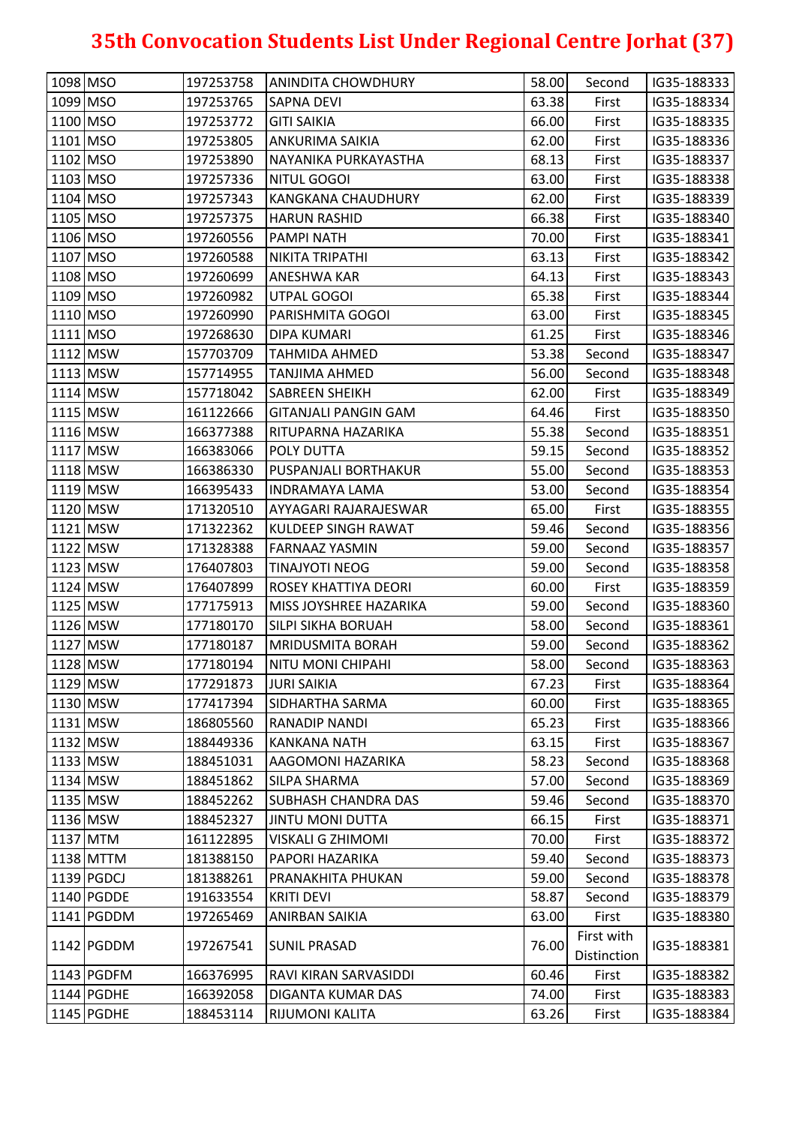| 1098 MSO   | 197253758 | ANINDITA CHOWDHURY          | 58.00 | Second                    | IG35-188333 |
|------------|-----------|-----------------------------|-------|---------------------------|-------------|
| 1099 MSO   | 197253765 | <b>SAPNA DEVI</b>           | 63.38 | First                     | IG35-188334 |
| 1100 MSO   | 197253772 | <b>GITI SAIKIA</b>          | 66.00 | First                     | IG35-188335 |
| 1101 MSO   | 197253805 | ANKURIMA SAIKIA             | 62.00 | First                     | IG35-188336 |
| 1102 MSO   | 197253890 | NAYANIKA PURKAYASTHA        | 68.13 | First                     | IG35-188337 |
| 1103 MSO   | 197257336 | NITUL GOGOI                 | 63.00 | First                     | IG35-188338 |
| 1104 MSO   | 197257343 | <b>KANGKANA CHAUDHURY</b>   | 62.00 | First                     | IG35-188339 |
| 1105 MSO   | 197257375 | <b>HARUN RASHID</b>         | 66.38 | First                     | IG35-188340 |
| 1106 MSO   | 197260556 | <b>PAMPI NATH</b>           | 70.00 | First                     | IG35-188341 |
| 1107 MSO   | 197260588 | NIKITA TRIPATHI             | 63.13 | First                     | IG35-188342 |
| 1108 MSO   | 197260699 | ANESHWA KAR                 | 64.13 | First                     | IG35-188343 |
| 1109 MSO   | 197260982 | UTPAL GOGOI                 | 65.38 | First                     | IG35-188344 |
| 1110 MSO   | 197260990 | PARISHMITA GOGOI            | 63.00 | First                     | IG35-188345 |
| 1111 MSO   | 197268630 | <b>DIPA KUMARI</b>          | 61.25 | First                     | IG35-188346 |
| 1112 MSW   | 157703709 | <b>TAHMIDA AHMED</b>        | 53.38 | Second                    | IG35-188347 |
| $1113$ MSW | 157714955 | <b>TANJIMA AHMED</b>        | 56.00 | Second                    | IG35-188348 |
| 1114 MSW   | 157718042 | <b>SABREEN SHEIKH</b>       | 62.00 | First                     | IG35-188349 |
| 1115 MSW   | 161122666 | <b>GITANJALI PANGIN GAM</b> | 64.46 | First                     | IG35-188350 |
| 1116 MSW   | 166377388 | RITUPARNA HAZARIKA          | 55.38 | Second                    | IG35-188351 |
| 1117 MSW   | 166383066 | <b>POLY DUTTA</b>           | 59.15 | Second                    | IG35-188352 |
| 1118 MSW   | 166386330 | PUSPANJALI BORTHAKUR        | 55.00 | Second                    | IG35-188353 |
| 1119 MSW   | 166395433 | <b>INDRAMAYA LAMA</b>       | 53.00 | Second                    | IG35-188354 |
| 1120 MSW   | 171320510 | AYYAGARI RAJARAJESWAR       | 65.00 | First                     | IG35-188355 |
| 1121 MSW   | 171322362 | <b>KULDEEP SINGH RAWAT</b>  | 59.46 | Second                    | IG35-188356 |
| 1122 MSW   | 171328388 | <b>FARNAAZ YASMIN</b>       | 59.00 | Second                    | IG35-188357 |
| 1123 MSW   | 176407803 | <b>TINAJYOTI NEOG</b>       | 59.00 | Second                    | IG35-188358 |
| 1124 MSW   | 176407899 | ROSEY KHATTIYA DEORI        | 60.00 | First                     | IG35-188359 |
| 1125 MSW   | 177175913 | MISS JOYSHREE HAZARIKA      | 59.00 | Second                    | IG35-188360 |
| 1126 MSW   | 177180170 | <b>SILPI SIKHA BORUAH</b>   | 58.00 | Second                    | IG35-188361 |
| $1127$ MSW | 177180187 | <b>MRIDUSMITA BORAH</b>     | 59.00 | Second                    | IG35-188362 |
| 1128 MSW   | 177180194 | NITU MONI CHIPAHI           | 58.00 | Second                    | IG35-188363 |
| 1129 MSW   | 177291873 | <b>JURI SAIKIA</b>          | 67.23 | First                     | IG35-188364 |
| 1130 MSW   | 177417394 | <b>SIDHARTHA SARMA</b>      | 60.00 | First                     | IG35-188365 |
| 1131 MSW   | 186805560 | <b>RANADIP NANDI</b>        | 65.23 | First                     | IG35-188366 |
| 1132 MSW   | 188449336 | <b>KANKANA NATH</b>         | 63.15 | First                     | IG35-188367 |
| 1133 MSW   | 188451031 | AAGOMONI HAZARIKA           | 58.23 | Second                    | IG35-188368 |
| 1134 MSW   | 188451862 | <b>SILPA SHARMA</b>         | 57.00 | Second                    | IG35-188369 |
| 1135 MSW   | 188452262 | <b>SUBHASH CHANDRA DAS</b>  | 59.46 | Second                    | IG35-188370 |
| 1136 MSW   | 188452327 | <b>JINTU MONI DUTTA</b>     | 66.15 | First                     | IG35-188371 |
| 1137 MTM   | 161122895 | <b>VISKALI G ZHIMOMI</b>    | 70.00 | First                     | IG35-188372 |
| 1138 MTTM  | 181388150 | PAPORI HAZARIKA             | 59.40 | Second                    | IG35-188373 |
| 1139 PGDCJ | 181388261 | PRANAKHITA PHUKAN           | 59.00 | Second                    | IG35-188378 |
| 1140 PGDDE | 191633554 | <b>KRITI DEVI</b>           | 58.87 | Second                    | IG35-188379 |
| 1141 PGDDM | 197265469 | ANIRBAN SAIKIA              | 63.00 | First                     | IG35-188380 |
| 1142 PGDDM | 197267541 | <b>SUNIL PRASAD</b>         | 76.00 | First with<br>Distinction | IG35-188381 |
| 1143 PGDFM | 166376995 | RAVI KIRAN SARVASIDDI       | 60.46 | First                     | IG35-188382 |
|            |           |                             |       |                           |             |
| 1144 PGDHE | 166392058 | <b>DIGANTA KUMAR DAS</b>    | 74.00 | First                     | IG35-188383 |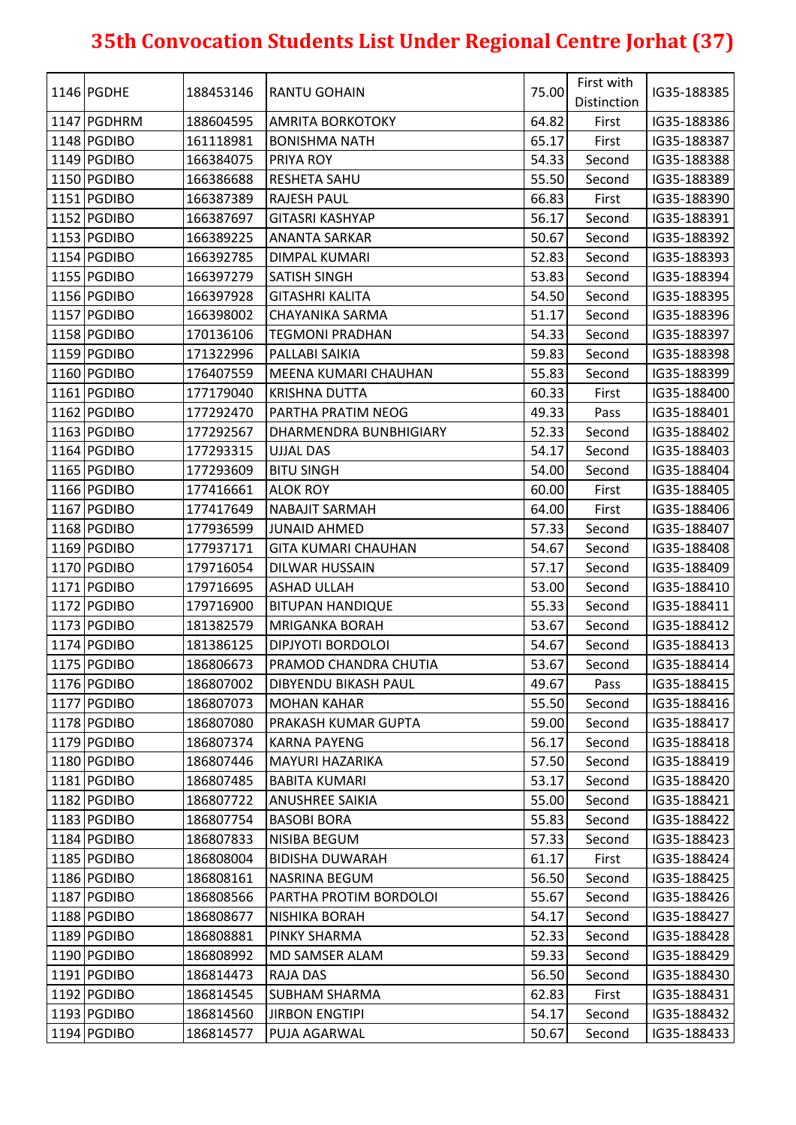| 1146 PGDHE<br>Distinction<br>64.82<br>1147 PGDHRM<br>188604595<br>IG35-188386<br><b>AMRITA BORKOTOKY</b><br>First<br>1148 PGDIBO<br>First<br>161118981<br><b>BONISHMA NATH</b><br>65.17<br>IG35-188387<br>1149 PGDIBO<br>54.33<br>166384075<br>PRIYA ROY<br>Second<br>IG35-188388<br>1150 PGDIBO<br>55.50<br>166386688<br><b>RESHETA SAHU</b><br>Second<br>IG35-188389<br>1151 PGDIBO<br>66.83<br>166387389<br><b>RAJESH PAUL</b><br>First<br>IG35-188390<br>1152 PGDIBO<br>56.17<br>166387697<br><b>GITASRI KASHYAP</b><br>Second<br>IG35-188391<br>1153 PGDIBO<br>166389225<br><b>ANANTA SARKAR</b><br>50.67<br>IG35-188392<br>Second<br>1154 PGDIBO<br>52.83<br>166392785<br><b>DIMPAL KUMARI</b><br>IG35-188393<br>Second<br>1155 PGDIBO<br>53.83<br>166397279<br><b>SATISH SINGH</b><br>Second<br>IG35-188394<br>54.50<br>1156 PGDIBO<br>166397928<br>Second<br>IG35-188395<br><b>GITASHRI KALITA</b><br>1157 PGDIBO<br>166398002<br>51.17<br>IG35-188396<br>CHAYANIKA SARMA<br>Second<br>1158 PGDIBO<br>170136106<br>54.33<br>IG35-188397<br><b>TEGMONI PRADHAN</b><br>Second<br>1159 PGDIBO<br>59.83<br>171322996<br>PALLABI SAIKIA<br>IG35-188398<br>Second<br>1160 PGDIBO<br>55.83<br>176407559<br>MEENA KUMARI CHAUHAN<br>Second<br>IG35-188399<br>1161 PGDIBO<br>177179040<br>60.33<br>IG35-188400<br><b>KRISHNA DUTTA</b><br>First<br>1162 PGDIBO<br>177292470<br>PARTHA PRATIM NEOG<br>49.33<br>Pass<br>IG35-188401<br>52.33<br>1163 PGDIBO<br>177292567<br>DHARMENDRA BUNBHIGIARY<br>Second<br>IG35-188402<br>54.17<br>1164 PGDIBO<br>177293315<br><b>UJJAL DAS</b><br>IG35-188403<br>Second<br>1165 PGDIBO<br>177293609<br><b>BITU SINGH</b><br>54.00<br>Second<br>IG35-188404<br>1166 PGDIBO<br>60.00<br>177416661<br><b>ALOK ROY</b><br>First<br>IG35-188405<br>1167 PGDIBO<br>177417649<br><b>NABAJIT SARMAH</b><br>64.00<br>First<br>IG35-188406<br>57.33<br>1168 PGDIBO<br>177936599<br>Second<br>IG35-188407<br>JUNAID AHMED<br>1169 PGDIBO<br>54.67<br>177937171<br><b>GITA KUMARI CHAUHAN</b><br>Second<br>IG35-188408<br>1170 PGDIBO<br>57.17<br>179716054<br>IG35-188409<br><b>DILWAR HUSSAIN</b><br>Second<br>1171 PGDIBO<br>53.00<br>179716695<br><b>ASHAD ULLAH</b><br>IG35-188410<br>Second<br>1172 PGDIBO<br>55.33<br>179716900<br><b>BITUPAN HANDIQUE</b><br>Second<br>IG35-188411<br>53.67<br>1173 PGDIBO<br>181382579<br><b>MRIGANKA BORAH</b><br>IG35-188412<br>Second<br>1174 PGDIBO<br>181386125<br><b>DIPJYOTI BORDOLOI</b><br>54.67<br>IG35-188413<br>Second<br>1175 PGDIBO<br>53.67<br>IG35-188414<br>186806673<br>PRAMOD CHANDRA CHUTIA<br>Second<br>1176 PGDIBO<br>186807002<br><b>DIBYENDU BIKASH PAUL</b><br>49.67<br>IG35-188415<br>Pass<br>1177 PGDIBO<br>186807073<br>55.50<br><b>MOHAN KAHAR</b><br>Second<br>IG35-188416<br>1178 PGDIBO<br>59.00<br>186807080<br>PRAKASH KUMAR GUPTA<br>IG35-188417<br>Second<br>1179 PGDIBO<br>186807374<br><b>KARNA PAYENG</b><br>56.17<br>Second<br>IG35-188418<br>1180 PGDIBO<br>57.50<br>186807446<br>IG35-188419<br><b>MAYURI HAZARIKA</b><br>Second<br>1181 PGDIBO<br>186807485<br>53.17<br>IG35-188420<br><b>BABITA KUMARI</b><br>Second<br>1182 PGDIBO<br>55.00<br>186807722<br>Second<br>IG35-188421<br><b>ANUSHREE SAIKIA</b><br>55.83<br>1183 PGDIBO<br>186807754<br>IG35-188422<br><b>BASOBI BORA</b><br>Second<br>1184 PGDIBO<br>186807833<br>57.33<br>IG35-188423<br>NISIBA BEGUM<br>Second<br>1185 PGDIBO<br>186808004<br>61.17<br><b>BIDISHA DUWARAH</b><br>First<br>IG35-188424<br>1186 PGDIBO<br>186808161<br><b>NASRINA BEGUM</b><br>56.50<br>Second<br>IG35-188425<br>55.67<br>1187 PGDIBO<br>186808566<br>PARTHA PROTIM BORDOLOI<br>IG35-188426<br>Second<br>1188 PGDIBO<br>186808677<br>IG35-188427<br>NISHIKA BORAH<br>54.17<br>Second<br>1189 PGDIBO<br>186808881<br>PINKY SHARMA<br>52.33<br>Second<br>IG35-188428<br>1190 PGDIBO<br>186808992<br>MD SAMSER ALAM<br>59.33<br>IG35-188429<br>Second<br>1191 PGDIBO<br>186814473<br>RAJA DAS<br>56.50<br>Second<br>IG35-188430<br>1192 PGDIBO<br>186814545<br>62.83<br>First<br>IG35-188431<br><b>SUBHAM SHARMA</b><br>1193 PGDIBO<br>186814560<br><b>JIRBON ENGTIPI</b><br>54.17<br>IG35-188432<br>Second<br>1194 PGDIBO<br>186814577<br>PUJA AGARWAL<br>50.67<br>IG35-188433<br>Second |  |           |                     | 75.00 | First with |             |  |
|--------------------------------------------------------------------------------------------------------------------------------------------------------------------------------------------------------------------------------------------------------------------------------------------------------------------------------------------------------------------------------------------------------------------------------------------------------------------------------------------------------------------------------------------------------------------------------------------------------------------------------------------------------------------------------------------------------------------------------------------------------------------------------------------------------------------------------------------------------------------------------------------------------------------------------------------------------------------------------------------------------------------------------------------------------------------------------------------------------------------------------------------------------------------------------------------------------------------------------------------------------------------------------------------------------------------------------------------------------------------------------------------------------------------------------------------------------------------------------------------------------------------------------------------------------------------------------------------------------------------------------------------------------------------------------------------------------------------------------------------------------------------------------------------------------------------------------------------------------------------------------------------------------------------------------------------------------------------------------------------------------------------------------------------------------------------------------------------------------------------------------------------------------------------------------------------------------------------------------------------------------------------------------------------------------------------------------------------------------------------------------------------------------------------------------------------------------------------------------------------------------------------------------------------------------------------------------------------------------------------------------------------------------------------------------------------------------------------------------------------------------------------------------------------------------------------------------------------------------------------------------------------------------------------------------------------------------------------------------------------------------------------------------------------------------------------------------------------------------------------------------------------------------------------------------------------------------------------------------------------------------------------------------------------------------------------------------------------------------------------------------------------------------------------------------------------------------------------------------------------------------------------------------------------------------------------------------------------------------------------------------------------------------------------------------------------------------------------------------------------------------------------------------------------------------------------------------------------------------------------------------------------------------------------------------------------------------------------------------------------------------------------------------------------------------------------------------------------------------------------------------------------------------------------------------------------------------------------------------------------------|--|-----------|---------------------|-------|------------|-------------|--|
|                                                                                                                                                                                                                                                                                                                                                                                                                                                                                                                                                                                                                                                                                                                                                                                                                                                                                                                                                                                                                                                                                                                                                                                                                                                                                                                                                                                                                                                                                                                                                                                                                                                                                                                                                                                                                                                                                                                                                                                                                                                                                                                                                                                                                                                                                                                                                                                                                                                                                                                                                                                                                                                                                                                                                                                                                                                                                                                                                                                                                                                                                                                                                                                                                                                                                                                                                                                                                                                                                                                                                                                                                                                                                                                                                                                                                                                                                                                                                                                                                                                                                                                                                                                                                                                  |  | 188453146 | <b>RANTU GOHAIN</b> |       |            | IG35-188385 |  |
|                                                                                                                                                                                                                                                                                                                                                                                                                                                                                                                                                                                                                                                                                                                                                                                                                                                                                                                                                                                                                                                                                                                                                                                                                                                                                                                                                                                                                                                                                                                                                                                                                                                                                                                                                                                                                                                                                                                                                                                                                                                                                                                                                                                                                                                                                                                                                                                                                                                                                                                                                                                                                                                                                                                                                                                                                                                                                                                                                                                                                                                                                                                                                                                                                                                                                                                                                                                                                                                                                                                                                                                                                                                                                                                                                                                                                                                                                                                                                                                                                                                                                                                                                                                                                                                  |  |           |                     |       |            |             |  |
|                                                                                                                                                                                                                                                                                                                                                                                                                                                                                                                                                                                                                                                                                                                                                                                                                                                                                                                                                                                                                                                                                                                                                                                                                                                                                                                                                                                                                                                                                                                                                                                                                                                                                                                                                                                                                                                                                                                                                                                                                                                                                                                                                                                                                                                                                                                                                                                                                                                                                                                                                                                                                                                                                                                                                                                                                                                                                                                                                                                                                                                                                                                                                                                                                                                                                                                                                                                                                                                                                                                                                                                                                                                                                                                                                                                                                                                                                                                                                                                                                                                                                                                                                                                                                                                  |  |           |                     |       |            |             |  |
|                                                                                                                                                                                                                                                                                                                                                                                                                                                                                                                                                                                                                                                                                                                                                                                                                                                                                                                                                                                                                                                                                                                                                                                                                                                                                                                                                                                                                                                                                                                                                                                                                                                                                                                                                                                                                                                                                                                                                                                                                                                                                                                                                                                                                                                                                                                                                                                                                                                                                                                                                                                                                                                                                                                                                                                                                                                                                                                                                                                                                                                                                                                                                                                                                                                                                                                                                                                                                                                                                                                                                                                                                                                                                                                                                                                                                                                                                                                                                                                                                                                                                                                                                                                                                                                  |  |           |                     |       |            |             |  |
|                                                                                                                                                                                                                                                                                                                                                                                                                                                                                                                                                                                                                                                                                                                                                                                                                                                                                                                                                                                                                                                                                                                                                                                                                                                                                                                                                                                                                                                                                                                                                                                                                                                                                                                                                                                                                                                                                                                                                                                                                                                                                                                                                                                                                                                                                                                                                                                                                                                                                                                                                                                                                                                                                                                                                                                                                                                                                                                                                                                                                                                                                                                                                                                                                                                                                                                                                                                                                                                                                                                                                                                                                                                                                                                                                                                                                                                                                                                                                                                                                                                                                                                                                                                                                                                  |  |           |                     |       |            |             |  |
|                                                                                                                                                                                                                                                                                                                                                                                                                                                                                                                                                                                                                                                                                                                                                                                                                                                                                                                                                                                                                                                                                                                                                                                                                                                                                                                                                                                                                                                                                                                                                                                                                                                                                                                                                                                                                                                                                                                                                                                                                                                                                                                                                                                                                                                                                                                                                                                                                                                                                                                                                                                                                                                                                                                                                                                                                                                                                                                                                                                                                                                                                                                                                                                                                                                                                                                                                                                                                                                                                                                                                                                                                                                                                                                                                                                                                                                                                                                                                                                                                                                                                                                                                                                                                                                  |  |           |                     |       |            |             |  |
|                                                                                                                                                                                                                                                                                                                                                                                                                                                                                                                                                                                                                                                                                                                                                                                                                                                                                                                                                                                                                                                                                                                                                                                                                                                                                                                                                                                                                                                                                                                                                                                                                                                                                                                                                                                                                                                                                                                                                                                                                                                                                                                                                                                                                                                                                                                                                                                                                                                                                                                                                                                                                                                                                                                                                                                                                                                                                                                                                                                                                                                                                                                                                                                                                                                                                                                                                                                                                                                                                                                                                                                                                                                                                                                                                                                                                                                                                                                                                                                                                                                                                                                                                                                                                                                  |  |           |                     |       |            |             |  |
|                                                                                                                                                                                                                                                                                                                                                                                                                                                                                                                                                                                                                                                                                                                                                                                                                                                                                                                                                                                                                                                                                                                                                                                                                                                                                                                                                                                                                                                                                                                                                                                                                                                                                                                                                                                                                                                                                                                                                                                                                                                                                                                                                                                                                                                                                                                                                                                                                                                                                                                                                                                                                                                                                                                                                                                                                                                                                                                                                                                                                                                                                                                                                                                                                                                                                                                                                                                                                                                                                                                                                                                                                                                                                                                                                                                                                                                                                                                                                                                                                                                                                                                                                                                                                                                  |  |           |                     |       |            |             |  |
|                                                                                                                                                                                                                                                                                                                                                                                                                                                                                                                                                                                                                                                                                                                                                                                                                                                                                                                                                                                                                                                                                                                                                                                                                                                                                                                                                                                                                                                                                                                                                                                                                                                                                                                                                                                                                                                                                                                                                                                                                                                                                                                                                                                                                                                                                                                                                                                                                                                                                                                                                                                                                                                                                                                                                                                                                                                                                                                                                                                                                                                                                                                                                                                                                                                                                                                                                                                                                                                                                                                                                                                                                                                                                                                                                                                                                                                                                                                                                                                                                                                                                                                                                                                                                                                  |  |           |                     |       |            |             |  |
|                                                                                                                                                                                                                                                                                                                                                                                                                                                                                                                                                                                                                                                                                                                                                                                                                                                                                                                                                                                                                                                                                                                                                                                                                                                                                                                                                                                                                                                                                                                                                                                                                                                                                                                                                                                                                                                                                                                                                                                                                                                                                                                                                                                                                                                                                                                                                                                                                                                                                                                                                                                                                                                                                                                                                                                                                                                                                                                                                                                                                                                                                                                                                                                                                                                                                                                                                                                                                                                                                                                                                                                                                                                                                                                                                                                                                                                                                                                                                                                                                                                                                                                                                                                                                                                  |  |           |                     |       |            |             |  |
|                                                                                                                                                                                                                                                                                                                                                                                                                                                                                                                                                                                                                                                                                                                                                                                                                                                                                                                                                                                                                                                                                                                                                                                                                                                                                                                                                                                                                                                                                                                                                                                                                                                                                                                                                                                                                                                                                                                                                                                                                                                                                                                                                                                                                                                                                                                                                                                                                                                                                                                                                                                                                                                                                                                                                                                                                                                                                                                                                                                                                                                                                                                                                                                                                                                                                                                                                                                                                                                                                                                                                                                                                                                                                                                                                                                                                                                                                                                                                                                                                                                                                                                                                                                                                                                  |  |           |                     |       |            |             |  |
|                                                                                                                                                                                                                                                                                                                                                                                                                                                                                                                                                                                                                                                                                                                                                                                                                                                                                                                                                                                                                                                                                                                                                                                                                                                                                                                                                                                                                                                                                                                                                                                                                                                                                                                                                                                                                                                                                                                                                                                                                                                                                                                                                                                                                                                                                                                                                                                                                                                                                                                                                                                                                                                                                                                                                                                                                                                                                                                                                                                                                                                                                                                                                                                                                                                                                                                                                                                                                                                                                                                                                                                                                                                                                                                                                                                                                                                                                                                                                                                                                                                                                                                                                                                                                                                  |  |           |                     |       |            |             |  |
|                                                                                                                                                                                                                                                                                                                                                                                                                                                                                                                                                                                                                                                                                                                                                                                                                                                                                                                                                                                                                                                                                                                                                                                                                                                                                                                                                                                                                                                                                                                                                                                                                                                                                                                                                                                                                                                                                                                                                                                                                                                                                                                                                                                                                                                                                                                                                                                                                                                                                                                                                                                                                                                                                                                                                                                                                                                                                                                                                                                                                                                                                                                                                                                                                                                                                                                                                                                                                                                                                                                                                                                                                                                                                                                                                                                                                                                                                                                                                                                                                                                                                                                                                                                                                                                  |  |           |                     |       |            |             |  |
|                                                                                                                                                                                                                                                                                                                                                                                                                                                                                                                                                                                                                                                                                                                                                                                                                                                                                                                                                                                                                                                                                                                                                                                                                                                                                                                                                                                                                                                                                                                                                                                                                                                                                                                                                                                                                                                                                                                                                                                                                                                                                                                                                                                                                                                                                                                                                                                                                                                                                                                                                                                                                                                                                                                                                                                                                                                                                                                                                                                                                                                                                                                                                                                                                                                                                                                                                                                                                                                                                                                                                                                                                                                                                                                                                                                                                                                                                                                                                                                                                                                                                                                                                                                                                                                  |  |           |                     |       |            |             |  |
|                                                                                                                                                                                                                                                                                                                                                                                                                                                                                                                                                                                                                                                                                                                                                                                                                                                                                                                                                                                                                                                                                                                                                                                                                                                                                                                                                                                                                                                                                                                                                                                                                                                                                                                                                                                                                                                                                                                                                                                                                                                                                                                                                                                                                                                                                                                                                                                                                                                                                                                                                                                                                                                                                                                                                                                                                                                                                                                                                                                                                                                                                                                                                                                                                                                                                                                                                                                                                                                                                                                                                                                                                                                                                                                                                                                                                                                                                                                                                                                                                                                                                                                                                                                                                                                  |  |           |                     |       |            |             |  |
|                                                                                                                                                                                                                                                                                                                                                                                                                                                                                                                                                                                                                                                                                                                                                                                                                                                                                                                                                                                                                                                                                                                                                                                                                                                                                                                                                                                                                                                                                                                                                                                                                                                                                                                                                                                                                                                                                                                                                                                                                                                                                                                                                                                                                                                                                                                                                                                                                                                                                                                                                                                                                                                                                                                                                                                                                                                                                                                                                                                                                                                                                                                                                                                                                                                                                                                                                                                                                                                                                                                                                                                                                                                                                                                                                                                                                                                                                                                                                                                                                                                                                                                                                                                                                                                  |  |           |                     |       |            |             |  |
|                                                                                                                                                                                                                                                                                                                                                                                                                                                                                                                                                                                                                                                                                                                                                                                                                                                                                                                                                                                                                                                                                                                                                                                                                                                                                                                                                                                                                                                                                                                                                                                                                                                                                                                                                                                                                                                                                                                                                                                                                                                                                                                                                                                                                                                                                                                                                                                                                                                                                                                                                                                                                                                                                                                                                                                                                                                                                                                                                                                                                                                                                                                                                                                                                                                                                                                                                                                                                                                                                                                                                                                                                                                                                                                                                                                                                                                                                                                                                                                                                                                                                                                                                                                                                                                  |  |           |                     |       |            |             |  |
|                                                                                                                                                                                                                                                                                                                                                                                                                                                                                                                                                                                                                                                                                                                                                                                                                                                                                                                                                                                                                                                                                                                                                                                                                                                                                                                                                                                                                                                                                                                                                                                                                                                                                                                                                                                                                                                                                                                                                                                                                                                                                                                                                                                                                                                                                                                                                                                                                                                                                                                                                                                                                                                                                                                                                                                                                                                                                                                                                                                                                                                                                                                                                                                                                                                                                                                                                                                                                                                                                                                                                                                                                                                                                                                                                                                                                                                                                                                                                                                                                                                                                                                                                                                                                                                  |  |           |                     |       |            |             |  |
|                                                                                                                                                                                                                                                                                                                                                                                                                                                                                                                                                                                                                                                                                                                                                                                                                                                                                                                                                                                                                                                                                                                                                                                                                                                                                                                                                                                                                                                                                                                                                                                                                                                                                                                                                                                                                                                                                                                                                                                                                                                                                                                                                                                                                                                                                                                                                                                                                                                                                                                                                                                                                                                                                                                                                                                                                                                                                                                                                                                                                                                                                                                                                                                                                                                                                                                                                                                                                                                                                                                                                                                                                                                                                                                                                                                                                                                                                                                                                                                                                                                                                                                                                                                                                                                  |  |           |                     |       |            |             |  |
|                                                                                                                                                                                                                                                                                                                                                                                                                                                                                                                                                                                                                                                                                                                                                                                                                                                                                                                                                                                                                                                                                                                                                                                                                                                                                                                                                                                                                                                                                                                                                                                                                                                                                                                                                                                                                                                                                                                                                                                                                                                                                                                                                                                                                                                                                                                                                                                                                                                                                                                                                                                                                                                                                                                                                                                                                                                                                                                                                                                                                                                                                                                                                                                                                                                                                                                                                                                                                                                                                                                                                                                                                                                                                                                                                                                                                                                                                                                                                                                                                                                                                                                                                                                                                                                  |  |           |                     |       |            |             |  |
|                                                                                                                                                                                                                                                                                                                                                                                                                                                                                                                                                                                                                                                                                                                                                                                                                                                                                                                                                                                                                                                                                                                                                                                                                                                                                                                                                                                                                                                                                                                                                                                                                                                                                                                                                                                                                                                                                                                                                                                                                                                                                                                                                                                                                                                                                                                                                                                                                                                                                                                                                                                                                                                                                                                                                                                                                                                                                                                                                                                                                                                                                                                                                                                                                                                                                                                                                                                                                                                                                                                                                                                                                                                                                                                                                                                                                                                                                                                                                                                                                                                                                                                                                                                                                                                  |  |           |                     |       |            |             |  |
|                                                                                                                                                                                                                                                                                                                                                                                                                                                                                                                                                                                                                                                                                                                                                                                                                                                                                                                                                                                                                                                                                                                                                                                                                                                                                                                                                                                                                                                                                                                                                                                                                                                                                                                                                                                                                                                                                                                                                                                                                                                                                                                                                                                                                                                                                                                                                                                                                                                                                                                                                                                                                                                                                                                                                                                                                                                                                                                                                                                                                                                                                                                                                                                                                                                                                                                                                                                                                                                                                                                                                                                                                                                                                                                                                                                                                                                                                                                                                                                                                                                                                                                                                                                                                                                  |  |           |                     |       |            |             |  |
|                                                                                                                                                                                                                                                                                                                                                                                                                                                                                                                                                                                                                                                                                                                                                                                                                                                                                                                                                                                                                                                                                                                                                                                                                                                                                                                                                                                                                                                                                                                                                                                                                                                                                                                                                                                                                                                                                                                                                                                                                                                                                                                                                                                                                                                                                                                                                                                                                                                                                                                                                                                                                                                                                                                                                                                                                                                                                                                                                                                                                                                                                                                                                                                                                                                                                                                                                                                                                                                                                                                                                                                                                                                                                                                                                                                                                                                                                                                                                                                                                                                                                                                                                                                                                                                  |  |           |                     |       |            |             |  |
|                                                                                                                                                                                                                                                                                                                                                                                                                                                                                                                                                                                                                                                                                                                                                                                                                                                                                                                                                                                                                                                                                                                                                                                                                                                                                                                                                                                                                                                                                                                                                                                                                                                                                                                                                                                                                                                                                                                                                                                                                                                                                                                                                                                                                                                                                                                                                                                                                                                                                                                                                                                                                                                                                                                                                                                                                                                                                                                                                                                                                                                                                                                                                                                                                                                                                                                                                                                                                                                                                                                                                                                                                                                                                                                                                                                                                                                                                                                                                                                                                                                                                                                                                                                                                                                  |  |           |                     |       |            |             |  |
|                                                                                                                                                                                                                                                                                                                                                                                                                                                                                                                                                                                                                                                                                                                                                                                                                                                                                                                                                                                                                                                                                                                                                                                                                                                                                                                                                                                                                                                                                                                                                                                                                                                                                                                                                                                                                                                                                                                                                                                                                                                                                                                                                                                                                                                                                                                                                                                                                                                                                                                                                                                                                                                                                                                                                                                                                                                                                                                                                                                                                                                                                                                                                                                                                                                                                                                                                                                                                                                                                                                                                                                                                                                                                                                                                                                                                                                                                                                                                                                                                                                                                                                                                                                                                                                  |  |           |                     |       |            |             |  |
|                                                                                                                                                                                                                                                                                                                                                                                                                                                                                                                                                                                                                                                                                                                                                                                                                                                                                                                                                                                                                                                                                                                                                                                                                                                                                                                                                                                                                                                                                                                                                                                                                                                                                                                                                                                                                                                                                                                                                                                                                                                                                                                                                                                                                                                                                                                                                                                                                                                                                                                                                                                                                                                                                                                                                                                                                                                                                                                                                                                                                                                                                                                                                                                                                                                                                                                                                                                                                                                                                                                                                                                                                                                                                                                                                                                                                                                                                                                                                                                                                                                                                                                                                                                                                                                  |  |           |                     |       |            |             |  |
|                                                                                                                                                                                                                                                                                                                                                                                                                                                                                                                                                                                                                                                                                                                                                                                                                                                                                                                                                                                                                                                                                                                                                                                                                                                                                                                                                                                                                                                                                                                                                                                                                                                                                                                                                                                                                                                                                                                                                                                                                                                                                                                                                                                                                                                                                                                                                                                                                                                                                                                                                                                                                                                                                                                                                                                                                                                                                                                                                                                                                                                                                                                                                                                                                                                                                                                                                                                                                                                                                                                                                                                                                                                                                                                                                                                                                                                                                                                                                                                                                                                                                                                                                                                                                                                  |  |           |                     |       |            |             |  |
|                                                                                                                                                                                                                                                                                                                                                                                                                                                                                                                                                                                                                                                                                                                                                                                                                                                                                                                                                                                                                                                                                                                                                                                                                                                                                                                                                                                                                                                                                                                                                                                                                                                                                                                                                                                                                                                                                                                                                                                                                                                                                                                                                                                                                                                                                                                                                                                                                                                                                                                                                                                                                                                                                                                                                                                                                                                                                                                                                                                                                                                                                                                                                                                                                                                                                                                                                                                                                                                                                                                                                                                                                                                                                                                                                                                                                                                                                                                                                                                                                                                                                                                                                                                                                                                  |  |           |                     |       |            |             |  |
|                                                                                                                                                                                                                                                                                                                                                                                                                                                                                                                                                                                                                                                                                                                                                                                                                                                                                                                                                                                                                                                                                                                                                                                                                                                                                                                                                                                                                                                                                                                                                                                                                                                                                                                                                                                                                                                                                                                                                                                                                                                                                                                                                                                                                                                                                                                                                                                                                                                                                                                                                                                                                                                                                                                                                                                                                                                                                                                                                                                                                                                                                                                                                                                                                                                                                                                                                                                                                                                                                                                                                                                                                                                                                                                                                                                                                                                                                                                                                                                                                                                                                                                                                                                                                                                  |  |           |                     |       |            |             |  |
|                                                                                                                                                                                                                                                                                                                                                                                                                                                                                                                                                                                                                                                                                                                                                                                                                                                                                                                                                                                                                                                                                                                                                                                                                                                                                                                                                                                                                                                                                                                                                                                                                                                                                                                                                                                                                                                                                                                                                                                                                                                                                                                                                                                                                                                                                                                                                                                                                                                                                                                                                                                                                                                                                                                                                                                                                                                                                                                                                                                                                                                                                                                                                                                                                                                                                                                                                                                                                                                                                                                                                                                                                                                                                                                                                                                                                                                                                                                                                                                                                                                                                                                                                                                                                                                  |  |           |                     |       |            |             |  |
|                                                                                                                                                                                                                                                                                                                                                                                                                                                                                                                                                                                                                                                                                                                                                                                                                                                                                                                                                                                                                                                                                                                                                                                                                                                                                                                                                                                                                                                                                                                                                                                                                                                                                                                                                                                                                                                                                                                                                                                                                                                                                                                                                                                                                                                                                                                                                                                                                                                                                                                                                                                                                                                                                                                                                                                                                                                                                                                                                                                                                                                                                                                                                                                                                                                                                                                                                                                                                                                                                                                                                                                                                                                                                                                                                                                                                                                                                                                                                                                                                                                                                                                                                                                                                                                  |  |           |                     |       |            |             |  |
|                                                                                                                                                                                                                                                                                                                                                                                                                                                                                                                                                                                                                                                                                                                                                                                                                                                                                                                                                                                                                                                                                                                                                                                                                                                                                                                                                                                                                                                                                                                                                                                                                                                                                                                                                                                                                                                                                                                                                                                                                                                                                                                                                                                                                                                                                                                                                                                                                                                                                                                                                                                                                                                                                                                                                                                                                                                                                                                                                                                                                                                                                                                                                                                                                                                                                                                                                                                                                                                                                                                                                                                                                                                                                                                                                                                                                                                                                                                                                                                                                                                                                                                                                                                                                                                  |  |           |                     |       |            |             |  |
|                                                                                                                                                                                                                                                                                                                                                                                                                                                                                                                                                                                                                                                                                                                                                                                                                                                                                                                                                                                                                                                                                                                                                                                                                                                                                                                                                                                                                                                                                                                                                                                                                                                                                                                                                                                                                                                                                                                                                                                                                                                                                                                                                                                                                                                                                                                                                                                                                                                                                                                                                                                                                                                                                                                                                                                                                                                                                                                                                                                                                                                                                                                                                                                                                                                                                                                                                                                                                                                                                                                                                                                                                                                                                                                                                                                                                                                                                                                                                                                                                                                                                                                                                                                                                                                  |  |           |                     |       |            |             |  |
|                                                                                                                                                                                                                                                                                                                                                                                                                                                                                                                                                                                                                                                                                                                                                                                                                                                                                                                                                                                                                                                                                                                                                                                                                                                                                                                                                                                                                                                                                                                                                                                                                                                                                                                                                                                                                                                                                                                                                                                                                                                                                                                                                                                                                                                                                                                                                                                                                                                                                                                                                                                                                                                                                                                                                                                                                                                                                                                                                                                                                                                                                                                                                                                                                                                                                                                                                                                                                                                                                                                                                                                                                                                                                                                                                                                                                                                                                                                                                                                                                                                                                                                                                                                                                                                  |  |           |                     |       |            |             |  |
|                                                                                                                                                                                                                                                                                                                                                                                                                                                                                                                                                                                                                                                                                                                                                                                                                                                                                                                                                                                                                                                                                                                                                                                                                                                                                                                                                                                                                                                                                                                                                                                                                                                                                                                                                                                                                                                                                                                                                                                                                                                                                                                                                                                                                                                                                                                                                                                                                                                                                                                                                                                                                                                                                                                                                                                                                                                                                                                                                                                                                                                                                                                                                                                                                                                                                                                                                                                                                                                                                                                                                                                                                                                                                                                                                                                                                                                                                                                                                                                                                                                                                                                                                                                                                                                  |  |           |                     |       |            |             |  |
|                                                                                                                                                                                                                                                                                                                                                                                                                                                                                                                                                                                                                                                                                                                                                                                                                                                                                                                                                                                                                                                                                                                                                                                                                                                                                                                                                                                                                                                                                                                                                                                                                                                                                                                                                                                                                                                                                                                                                                                                                                                                                                                                                                                                                                                                                                                                                                                                                                                                                                                                                                                                                                                                                                                                                                                                                                                                                                                                                                                                                                                                                                                                                                                                                                                                                                                                                                                                                                                                                                                                                                                                                                                                                                                                                                                                                                                                                                                                                                                                                                                                                                                                                                                                                                                  |  |           |                     |       |            |             |  |
|                                                                                                                                                                                                                                                                                                                                                                                                                                                                                                                                                                                                                                                                                                                                                                                                                                                                                                                                                                                                                                                                                                                                                                                                                                                                                                                                                                                                                                                                                                                                                                                                                                                                                                                                                                                                                                                                                                                                                                                                                                                                                                                                                                                                                                                                                                                                                                                                                                                                                                                                                                                                                                                                                                                                                                                                                                                                                                                                                                                                                                                                                                                                                                                                                                                                                                                                                                                                                                                                                                                                                                                                                                                                                                                                                                                                                                                                                                                                                                                                                                                                                                                                                                                                                                                  |  |           |                     |       |            |             |  |
|                                                                                                                                                                                                                                                                                                                                                                                                                                                                                                                                                                                                                                                                                                                                                                                                                                                                                                                                                                                                                                                                                                                                                                                                                                                                                                                                                                                                                                                                                                                                                                                                                                                                                                                                                                                                                                                                                                                                                                                                                                                                                                                                                                                                                                                                                                                                                                                                                                                                                                                                                                                                                                                                                                                                                                                                                                                                                                                                                                                                                                                                                                                                                                                                                                                                                                                                                                                                                                                                                                                                                                                                                                                                                                                                                                                                                                                                                                                                                                                                                                                                                                                                                                                                                                                  |  |           |                     |       |            |             |  |
|                                                                                                                                                                                                                                                                                                                                                                                                                                                                                                                                                                                                                                                                                                                                                                                                                                                                                                                                                                                                                                                                                                                                                                                                                                                                                                                                                                                                                                                                                                                                                                                                                                                                                                                                                                                                                                                                                                                                                                                                                                                                                                                                                                                                                                                                                                                                                                                                                                                                                                                                                                                                                                                                                                                                                                                                                                                                                                                                                                                                                                                                                                                                                                                                                                                                                                                                                                                                                                                                                                                                                                                                                                                                                                                                                                                                                                                                                                                                                                                                                                                                                                                                                                                                                                                  |  |           |                     |       |            |             |  |
|                                                                                                                                                                                                                                                                                                                                                                                                                                                                                                                                                                                                                                                                                                                                                                                                                                                                                                                                                                                                                                                                                                                                                                                                                                                                                                                                                                                                                                                                                                                                                                                                                                                                                                                                                                                                                                                                                                                                                                                                                                                                                                                                                                                                                                                                                                                                                                                                                                                                                                                                                                                                                                                                                                                                                                                                                                                                                                                                                                                                                                                                                                                                                                                                                                                                                                                                                                                                                                                                                                                                                                                                                                                                                                                                                                                                                                                                                                                                                                                                                                                                                                                                                                                                                                                  |  |           |                     |       |            |             |  |
|                                                                                                                                                                                                                                                                                                                                                                                                                                                                                                                                                                                                                                                                                                                                                                                                                                                                                                                                                                                                                                                                                                                                                                                                                                                                                                                                                                                                                                                                                                                                                                                                                                                                                                                                                                                                                                                                                                                                                                                                                                                                                                                                                                                                                                                                                                                                                                                                                                                                                                                                                                                                                                                                                                                                                                                                                                                                                                                                                                                                                                                                                                                                                                                                                                                                                                                                                                                                                                                                                                                                                                                                                                                                                                                                                                                                                                                                                                                                                                                                                                                                                                                                                                                                                                                  |  |           |                     |       |            |             |  |
|                                                                                                                                                                                                                                                                                                                                                                                                                                                                                                                                                                                                                                                                                                                                                                                                                                                                                                                                                                                                                                                                                                                                                                                                                                                                                                                                                                                                                                                                                                                                                                                                                                                                                                                                                                                                                                                                                                                                                                                                                                                                                                                                                                                                                                                                                                                                                                                                                                                                                                                                                                                                                                                                                                                                                                                                                                                                                                                                                                                                                                                                                                                                                                                                                                                                                                                                                                                                                                                                                                                                                                                                                                                                                                                                                                                                                                                                                                                                                                                                                                                                                                                                                                                                                                                  |  |           |                     |       |            |             |  |
|                                                                                                                                                                                                                                                                                                                                                                                                                                                                                                                                                                                                                                                                                                                                                                                                                                                                                                                                                                                                                                                                                                                                                                                                                                                                                                                                                                                                                                                                                                                                                                                                                                                                                                                                                                                                                                                                                                                                                                                                                                                                                                                                                                                                                                                                                                                                                                                                                                                                                                                                                                                                                                                                                                                                                                                                                                                                                                                                                                                                                                                                                                                                                                                                                                                                                                                                                                                                                                                                                                                                                                                                                                                                                                                                                                                                                                                                                                                                                                                                                                                                                                                                                                                                                                                  |  |           |                     |       |            |             |  |
|                                                                                                                                                                                                                                                                                                                                                                                                                                                                                                                                                                                                                                                                                                                                                                                                                                                                                                                                                                                                                                                                                                                                                                                                                                                                                                                                                                                                                                                                                                                                                                                                                                                                                                                                                                                                                                                                                                                                                                                                                                                                                                                                                                                                                                                                                                                                                                                                                                                                                                                                                                                                                                                                                                                                                                                                                                                                                                                                                                                                                                                                                                                                                                                                                                                                                                                                                                                                                                                                                                                                                                                                                                                                                                                                                                                                                                                                                                                                                                                                                                                                                                                                                                                                                                                  |  |           |                     |       |            |             |  |
|                                                                                                                                                                                                                                                                                                                                                                                                                                                                                                                                                                                                                                                                                                                                                                                                                                                                                                                                                                                                                                                                                                                                                                                                                                                                                                                                                                                                                                                                                                                                                                                                                                                                                                                                                                                                                                                                                                                                                                                                                                                                                                                                                                                                                                                                                                                                                                                                                                                                                                                                                                                                                                                                                                                                                                                                                                                                                                                                                                                                                                                                                                                                                                                                                                                                                                                                                                                                                                                                                                                                                                                                                                                                                                                                                                                                                                                                                                                                                                                                                                                                                                                                                                                                                                                  |  |           |                     |       |            |             |  |
|                                                                                                                                                                                                                                                                                                                                                                                                                                                                                                                                                                                                                                                                                                                                                                                                                                                                                                                                                                                                                                                                                                                                                                                                                                                                                                                                                                                                                                                                                                                                                                                                                                                                                                                                                                                                                                                                                                                                                                                                                                                                                                                                                                                                                                                                                                                                                                                                                                                                                                                                                                                                                                                                                                                                                                                                                                                                                                                                                                                                                                                                                                                                                                                                                                                                                                                                                                                                                                                                                                                                                                                                                                                                                                                                                                                                                                                                                                                                                                                                                                                                                                                                                                                                                                                  |  |           |                     |       |            |             |  |
|                                                                                                                                                                                                                                                                                                                                                                                                                                                                                                                                                                                                                                                                                                                                                                                                                                                                                                                                                                                                                                                                                                                                                                                                                                                                                                                                                                                                                                                                                                                                                                                                                                                                                                                                                                                                                                                                                                                                                                                                                                                                                                                                                                                                                                                                                                                                                                                                                                                                                                                                                                                                                                                                                                                                                                                                                                                                                                                                                                                                                                                                                                                                                                                                                                                                                                                                                                                                                                                                                                                                                                                                                                                                                                                                                                                                                                                                                                                                                                                                                                                                                                                                                                                                                                                  |  |           |                     |       |            |             |  |
|                                                                                                                                                                                                                                                                                                                                                                                                                                                                                                                                                                                                                                                                                                                                                                                                                                                                                                                                                                                                                                                                                                                                                                                                                                                                                                                                                                                                                                                                                                                                                                                                                                                                                                                                                                                                                                                                                                                                                                                                                                                                                                                                                                                                                                                                                                                                                                                                                                                                                                                                                                                                                                                                                                                                                                                                                                                                                                                                                                                                                                                                                                                                                                                                                                                                                                                                                                                                                                                                                                                                                                                                                                                                                                                                                                                                                                                                                                                                                                                                                                                                                                                                                                                                                                                  |  |           |                     |       |            |             |  |
|                                                                                                                                                                                                                                                                                                                                                                                                                                                                                                                                                                                                                                                                                                                                                                                                                                                                                                                                                                                                                                                                                                                                                                                                                                                                                                                                                                                                                                                                                                                                                                                                                                                                                                                                                                                                                                                                                                                                                                                                                                                                                                                                                                                                                                                                                                                                                                                                                                                                                                                                                                                                                                                                                                                                                                                                                                                                                                                                                                                                                                                                                                                                                                                                                                                                                                                                                                                                                                                                                                                                                                                                                                                                                                                                                                                                                                                                                                                                                                                                                                                                                                                                                                                                                                                  |  |           |                     |       |            |             |  |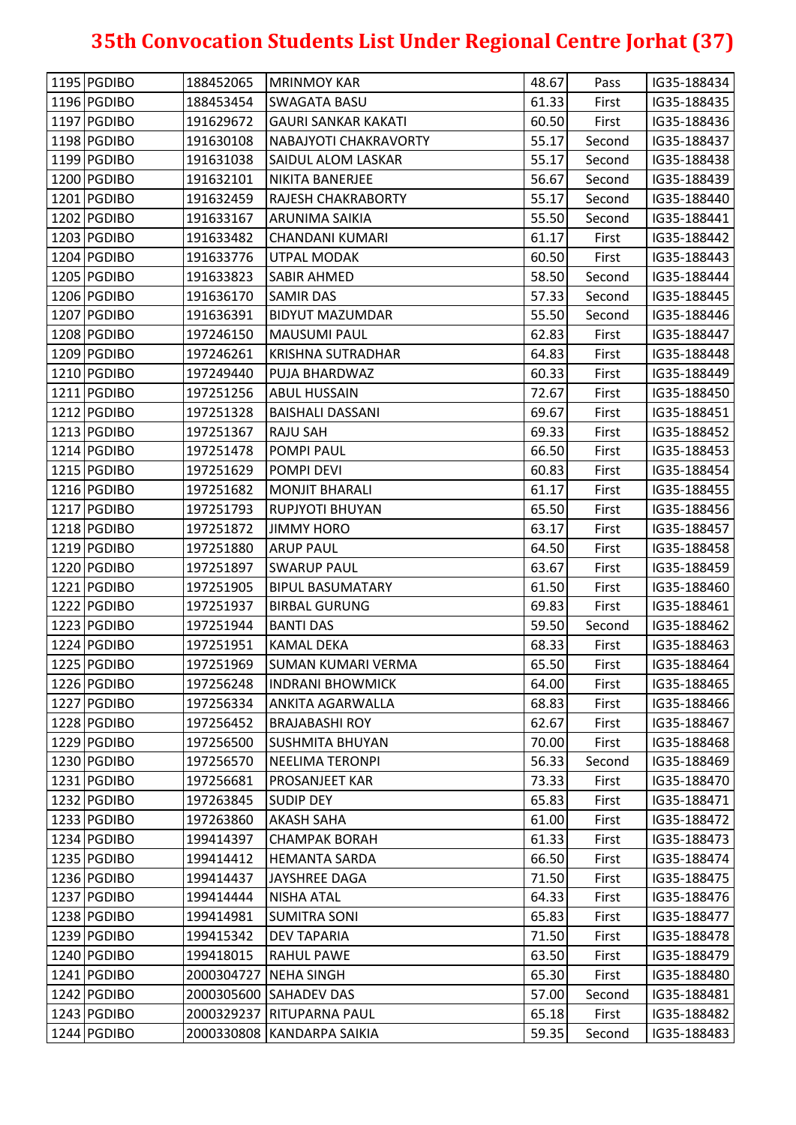| 1196 PGDIBO<br>61.33<br>188453454<br><b>SWAGATA BASU</b><br>First<br>IG35-188435<br>1197 PGDIBO<br>60.50<br>191629672<br>IG35-188436<br><b>GAURI SANKAR KAKATI</b><br>First<br>1198 PGDIBO<br>191630108<br>NABAJYOTI CHAKRAVORTY<br>55.17<br>IG35-188437<br>Second<br>55.17<br>1199 PGDIBO<br>191631038<br><b>SAIDUL ALOM LASKAR</b><br>Second<br>IG35-188438<br>56.67<br>1200 PGDIBO<br>IG35-188439<br>191632101<br>NIKITA BANERJEE<br>Second<br>55.17<br>1201 PGDIBO<br>IG35-188440<br>191632459<br><b>RAJESH CHAKRABORTY</b><br>Second<br>1202 PGDIBO<br>55.50<br>191633167<br>ARUNIMA SAIKIA<br>IG35-188441<br>Second<br>1203 PGDIBO<br>191633482<br>CHANDANI KUMARI<br>61.17<br>First<br>IG35-188442<br>1204 PGDIBO<br>60.50<br>191633776<br>First<br>IG35-188443<br>UTPAL MODAK<br>1205 PGDIBO<br>191633823<br>58.50<br>IG35-188444<br><b>SABIR AHMED</b><br>Second<br>57.33<br>1206 PGDIBO<br>191636170<br>IG35-188445<br><b>SAMIR DAS</b><br>Second<br>1207 PGDIBO<br>55.50<br>191636391<br><b>BIDYUT MAZUMDAR</b><br>IG35-188446<br>Second<br>1208 PGDIBO<br>197246150<br><b>MAUSUMI PAUL</b><br>62.83<br>IG35-188447<br>First<br>1209 PGDIBO<br>64.83<br>197246261<br><b>KRISHNA SUTRADHAR</b><br>First<br>IG35-188448<br>1210 PGDIBO<br>197249440<br>PUJA BHARDWAZ<br>60.33<br>IG35-188449<br>First<br>1211 PGDIBO<br>72.67<br>197251256<br>IG35-188450<br><b>ABUL HUSSAIN</b><br>First<br>1212 PGDIBO<br>197251328<br>69.67<br><b>BAISHALI DASSANI</b><br>First<br>IG35-188451<br>1213 PGDIBO<br>197251367<br><b>RAJU SAH</b><br>69.33<br>First<br>IG35-188452<br>66.50<br>1214 PGDIBO<br>197251478<br>POMPI PAUL<br>First<br>IG35-188453<br>1215 PGDIBO<br>60.83<br>197251629<br>POMPI DEVI<br>First<br>IG35-188454<br>1216 PGDIBO<br>61.17<br>197251682<br>IG35-188455<br><b>MONJIT BHARALI</b><br>First<br>1217 PGDIBO<br>197251793<br><b>RUPJYOTI BHUYAN</b><br>65.50<br>IG35-188456<br>First<br>1218 PGDIBO<br>197251872<br><b>JIMMY HORO</b><br>63.17<br>First<br>IG35-188457<br>1219 PGDIBO<br>64.50<br>197251880<br><b>ARUP PAUL</b><br>First<br>IG35-188458<br>1220 PGDIBO<br>197251897<br>63.67<br><b>SWARUP PAUL</b><br>First<br>IG35-188459<br>1221 PGDIBO<br>61.50<br>197251905<br><b>BIPUL BASUMATARY</b><br>IG35-188460<br>First<br>1222 PGDIBO<br>69.83<br>197251937<br><b>BIRBAL GURUNG</b><br>First<br>IG35-188461<br>1223 PGDIBO<br>59.50<br>197251944<br><b>BANTI DAS</b><br>IG35-188462<br>Second<br>1224 PGDIBO<br>68.33<br>197251951<br>IG35-188463<br><b>KAMAL DEKA</b><br>First<br>1225 PGDIBO<br>65.50<br>197251969<br>IG35-188464<br><b>SUMAN KUMARI VERMA</b><br>First<br>1226 PGDIBO<br>197256248<br><b>INDRANI BHOWMICK</b><br>64.00<br>IG35-188465<br>First<br>1227 PGDIBO<br>197256334<br>68.83<br><b>ANKITA AGARWALLA</b><br>First<br>IG35-188466<br>1228 PGDIBO<br>197256452<br>62.67<br>IG35-188467<br><b>BRAJABASHI ROY</b><br>First<br>1229 PGDIBO<br>197256500<br><b>SUSHMITA BHUYAN</b><br>70.00<br>IG35-188468<br>First<br>1230 PGDIBO<br>56.33<br>197256570<br><b>NEELIMA TERONPI</b><br>Second<br>IG35-188469<br>1231 PGDIBO<br>197256681<br>73.33<br>IG35-188470<br><b>PROSANJEET KAR</b><br>First<br>65.83<br>1232 PGDIBO<br>197263845<br><b>SUDIP DEY</b><br>First<br>IG35-188471<br>1233 PGDIBO<br>61.00<br>197263860<br><b>AKASH SAHA</b><br>IG35-188472<br>First<br>1234 PGDIBO<br>61.33<br>199414397<br><b>CHAMPAK BORAH</b><br>First<br>IG35-188473<br>1235 PGDIBO<br>199414412<br>66.50<br>IG35-188474<br><b>HEMANTA SARDA</b><br>First<br>1236 PGDIBO<br>199414437<br><b>JAYSHREE DAGA</b><br>71.50<br>IG35-188475<br>First<br>1237 PGDIBO<br>64.33<br>199414444<br>IG35-188476<br><b>NISHA ATAL</b><br>First<br>1238 PGDIBO<br>65.83<br>199414981<br><b>SUMITRA SONI</b><br>IG35-188477<br>First<br>1239 PGDIBO<br>71.50<br>199415342<br><b>DEV TAPARIA</b><br>IG35-188478<br>First<br>1240 PGDIBO<br>199418015<br><b>RAHUL PAWE</b><br>63.50<br>IG35-188479<br>First<br>1241 PGDIBO<br>2000304727 NEHA SINGH<br>65.30<br>IG35-188480<br>First<br>1242 PGDIBO<br>57.00<br>2000305600 SAHADEV DAS<br>IG35-188481<br>Second<br>1243 PGDIBO<br>2000329237 RITUPARNA PAUL<br>65.18<br>First<br>IG35-188482<br>1244 PGDIBO<br>2000330808 KANDARPA SAIKIA<br>59.35<br>IG35-188483<br>Second | 1195 PGDIBO | 188452065 | <b>MRINMOY KAR</b> | 48.67 | Pass | IG35-188434 |
|--------------------------------------------------------------------------------------------------------------------------------------------------------------------------------------------------------------------------------------------------------------------------------------------------------------------------------------------------------------------------------------------------------------------------------------------------------------------------------------------------------------------------------------------------------------------------------------------------------------------------------------------------------------------------------------------------------------------------------------------------------------------------------------------------------------------------------------------------------------------------------------------------------------------------------------------------------------------------------------------------------------------------------------------------------------------------------------------------------------------------------------------------------------------------------------------------------------------------------------------------------------------------------------------------------------------------------------------------------------------------------------------------------------------------------------------------------------------------------------------------------------------------------------------------------------------------------------------------------------------------------------------------------------------------------------------------------------------------------------------------------------------------------------------------------------------------------------------------------------------------------------------------------------------------------------------------------------------------------------------------------------------------------------------------------------------------------------------------------------------------------------------------------------------------------------------------------------------------------------------------------------------------------------------------------------------------------------------------------------------------------------------------------------------------------------------------------------------------------------------------------------------------------------------------------------------------------------------------------------------------------------------------------------------------------------------------------------------------------------------------------------------------------------------------------------------------------------------------------------------------------------------------------------------------------------------------------------------------------------------------------------------------------------------------------------------------------------------------------------------------------------------------------------------------------------------------------------------------------------------------------------------------------------------------------------------------------------------------------------------------------------------------------------------------------------------------------------------------------------------------------------------------------------------------------------------------------------------------------------------------------------------------------------------------------------------------------------------------------------------------------------------------------------------------------------------------------------------------------------------------------------------------------------------------------------------------------------------------------------------------------------------------------------------------------------------------------------------------------------------------------------------------------------------------------------------------------------------------------------------------------|-------------|-----------|--------------------|-------|------|-------------|
|                                                                                                                                                                                                                                                                                                                                                                                                                                                                                                                                                                                                                                                                                                                                                                                                                                                                                                                                                                                                                                                                                                                                                                                                                                                                                                                                                                                                                                                                                                                                                                                                                                                                                                                                                                                                                                                                                                                                                                                                                                                                                                                                                                                                                                                                                                                                                                                                                                                                                                                                                                                                                                                                                                                                                                                                                                                                                                                                                                                                                                                                                                                                                                                                                                                                                                                                                                                                                                                                                                                                                                                                                                                                                                                                                                                                                                                                                                                                                                                                                                                                                                                                                                                                                                                        |             |           |                    |       |      |             |
|                                                                                                                                                                                                                                                                                                                                                                                                                                                                                                                                                                                                                                                                                                                                                                                                                                                                                                                                                                                                                                                                                                                                                                                                                                                                                                                                                                                                                                                                                                                                                                                                                                                                                                                                                                                                                                                                                                                                                                                                                                                                                                                                                                                                                                                                                                                                                                                                                                                                                                                                                                                                                                                                                                                                                                                                                                                                                                                                                                                                                                                                                                                                                                                                                                                                                                                                                                                                                                                                                                                                                                                                                                                                                                                                                                                                                                                                                                                                                                                                                                                                                                                                                                                                                                                        |             |           |                    |       |      |             |
|                                                                                                                                                                                                                                                                                                                                                                                                                                                                                                                                                                                                                                                                                                                                                                                                                                                                                                                                                                                                                                                                                                                                                                                                                                                                                                                                                                                                                                                                                                                                                                                                                                                                                                                                                                                                                                                                                                                                                                                                                                                                                                                                                                                                                                                                                                                                                                                                                                                                                                                                                                                                                                                                                                                                                                                                                                                                                                                                                                                                                                                                                                                                                                                                                                                                                                                                                                                                                                                                                                                                                                                                                                                                                                                                                                                                                                                                                                                                                                                                                                                                                                                                                                                                                                                        |             |           |                    |       |      |             |
|                                                                                                                                                                                                                                                                                                                                                                                                                                                                                                                                                                                                                                                                                                                                                                                                                                                                                                                                                                                                                                                                                                                                                                                                                                                                                                                                                                                                                                                                                                                                                                                                                                                                                                                                                                                                                                                                                                                                                                                                                                                                                                                                                                                                                                                                                                                                                                                                                                                                                                                                                                                                                                                                                                                                                                                                                                                                                                                                                                                                                                                                                                                                                                                                                                                                                                                                                                                                                                                                                                                                                                                                                                                                                                                                                                                                                                                                                                                                                                                                                                                                                                                                                                                                                                                        |             |           |                    |       |      |             |
|                                                                                                                                                                                                                                                                                                                                                                                                                                                                                                                                                                                                                                                                                                                                                                                                                                                                                                                                                                                                                                                                                                                                                                                                                                                                                                                                                                                                                                                                                                                                                                                                                                                                                                                                                                                                                                                                                                                                                                                                                                                                                                                                                                                                                                                                                                                                                                                                                                                                                                                                                                                                                                                                                                                                                                                                                                                                                                                                                                                                                                                                                                                                                                                                                                                                                                                                                                                                                                                                                                                                                                                                                                                                                                                                                                                                                                                                                                                                                                                                                                                                                                                                                                                                                                                        |             |           |                    |       |      |             |
|                                                                                                                                                                                                                                                                                                                                                                                                                                                                                                                                                                                                                                                                                                                                                                                                                                                                                                                                                                                                                                                                                                                                                                                                                                                                                                                                                                                                                                                                                                                                                                                                                                                                                                                                                                                                                                                                                                                                                                                                                                                                                                                                                                                                                                                                                                                                                                                                                                                                                                                                                                                                                                                                                                                                                                                                                                                                                                                                                                                                                                                                                                                                                                                                                                                                                                                                                                                                                                                                                                                                                                                                                                                                                                                                                                                                                                                                                                                                                                                                                                                                                                                                                                                                                                                        |             |           |                    |       |      |             |
|                                                                                                                                                                                                                                                                                                                                                                                                                                                                                                                                                                                                                                                                                                                                                                                                                                                                                                                                                                                                                                                                                                                                                                                                                                                                                                                                                                                                                                                                                                                                                                                                                                                                                                                                                                                                                                                                                                                                                                                                                                                                                                                                                                                                                                                                                                                                                                                                                                                                                                                                                                                                                                                                                                                                                                                                                                                                                                                                                                                                                                                                                                                                                                                                                                                                                                                                                                                                                                                                                                                                                                                                                                                                                                                                                                                                                                                                                                                                                                                                                                                                                                                                                                                                                                                        |             |           |                    |       |      |             |
|                                                                                                                                                                                                                                                                                                                                                                                                                                                                                                                                                                                                                                                                                                                                                                                                                                                                                                                                                                                                                                                                                                                                                                                                                                                                                                                                                                                                                                                                                                                                                                                                                                                                                                                                                                                                                                                                                                                                                                                                                                                                                                                                                                                                                                                                                                                                                                                                                                                                                                                                                                                                                                                                                                                                                                                                                                                                                                                                                                                                                                                                                                                                                                                                                                                                                                                                                                                                                                                                                                                                                                                                                                                                                                                                                                                                                                                                                                                                                                                                                                                                                                                                                                                                                                                        |             |           |                    |       |      |             |
|                                                                                                                                                                                                                                                                                                                                                                                                                                                                                                                                                                                                                                                                                                                                                                                                                                                                                                                                                                                                                                                                                                                                                                                                                                                                                                                                                                                                                                                                                                                                                                                                                                                                                                                                                                                                                                                                                                                                                                                                                                                                                                                                                                                                                                                                                                                                                                                                                                                                                                                                                                                                                                                                                                                                                                                                                                                                                                                                                                                                                                                                                                                                                                                                                                                                                                                                                                                                                                                                                                                                                                                                                                                                                                                                                                                                                                                                                                                                                                                                                                                                                                                                                                                                                                                        |             |           |                    |       |      |             |
|                                                                                                                                                                                                                                                                                                                                                                                                                                                                                                                                                                                                                                                                                                                                                                                                                                                                                                                                                                                                                                                                                                                                                                                                                                                                                                                                                                                                                                                                                                                                                                                                                                                                                                                                                                                                                                                                                                                                                                                                                                                                                                                                                                                                                                                                                                                                                                                                                                                                                                                                                                                                                                                                                                                                                                                                                                                                                                                                                                                                                                                                                                                                                                                                                                                                                                                                                                                                                                                                                                                                                                                                                                                                                                                                                                                                                                                                                                                                                                                                                                                                                                                                                                                                                                                        |             |           |                    |       |      |             |
|                                                                                                                                                                                                                                                                                                                                                                                                                                                                                                                                                                                                                                                                                                                                                                                                                                                                                                                                                                                                                                                                                                                                                                                                                                                                                                                                                                                                                                                                                                                                                                                                                                                                                                                                                                                                                                                                                                                                                                                                                                                                                                                                                                                                                                                                                                                                                                                                                                                                                                                                                                                                                                                                                                                                                                                                                                                                                                                                                                                                                                                                                                                                                                                                                                                                                                                                                                                                                                                                                                                                                                                                                                                                                                                                                                                                                                                                                                                                                                                                                                                                                                                                                                                                                                                        |             |           |                    |       |      |             |
|                                                                                                                                                                                                                                                                                                                                                                                                                                                                                                                                                                                                                                                                                                                                                                                                                                                                                                                                                                                                                                                                                                                                                                                                                                                                                                                                                                                                                                                                                                                                                                                                                                                                                                                                                                                                                                                                                                                                                                                                                                                                                                                                                                                                                                                                                                                                                                                                                                                                                                                                                                                                                                                                                                                                                                                                                                                                                                                                                                                                                                                                                                                                                                                                                                                                                                                                                                                                                                                                                                                                                                                                                                                                                                                                                                                                                                                                                                                                                                                                                                                                                                                                                                                                                                                        |             |           |                    |       |      |             |
|                                                                                                                                                                                                                                                                                                                                                                                                                                                                                                                                                                                                                                                                                                                                                                                                                                                                                                                                                                                                                                                                                                                                                                                                                                                                                                                                                                                                                                                                                                                                                                                                                                                                                                                                                                                                                                                                                                                                                                                                                                                                                                                                                                                                                                                                                                                                                                                                                                                                                                                                                                                                                                                                                                                                                                                                                                                                                                                                                                                                                                                                                                                                                                                                                                                                                                                                                                                                                                                                                                                                                                                                                                                                                                                                                                                                                                                                                                                                                                                                                                                                                                                                                                                                                                                        |             |           |                    |       |      |             |
|                                                                                                                                                                                                                                                                                                                                                                                                                                                                                                                                                                                                                                                                                                                                                                                                                                                                                                                                                                                                                                                                                                                                                                                                                                                                                                                                                                                                                                                                                                                                                                                                                                                                                                                                                                                                                                                                                                                                                                                                                                                                                                                                                                                                                                                                                                                                                                                                                                                                                                                                                                                                                                                                                                                                                                                                                                                                                                                                                                                                                                                                                                                                                                                                                                                                                                                                                                                                                                                                                                                                                                                                                                                                                                                                                                                                                                                                                                                                                                                                                                                                                                                                                                                                                                                        |             |           |                    |       |      |             |
|                                                                                                                                                                                                                                                                                                                                                                                                                                                                                                                                                                                                                                                                                                                                                                                                                                                                                                                                                                                                                                                                                                                                                                                                                                                                                                                                                                                                                                                                                                                                                                                                                                                                                                                                                                                                                                                                                                                                                                                                                                                                                                                                                                                                                                                                                                                                                                                                                                                                                                                                                                                                                                                                                                                                                                                                                                                                                                                                                                                                                                                                                                                                                                                                                                                                                                                                                                                                                                                                                                                                                                                                                                                                                                                                                                                                                                                                                                                                                                                                                                                                                                                                                                                                                                                        |             |           |                    |       |      |             |
|                                                                                                                                                                                                                                                                                                                                                                                                                                                                                                                                                                                                                                                                                                                                                                                                                                                                                                                                                                                                                                                                                                                                                                                                                                                                                                                                                                                                                                                                                                                                                                                                                                                                                                                                                                                                                                                                                                                                                                                                                                                                                                                                                                                                                                                                                                                                                                                                                                                                                                                                                                                                                                                                                                                                                                                                                                                                                                                                                                                                                                                                                                                                                                                                                                                                                                                                                                                                                                                                                                                                                                                                                                                                                                                                                                                                                                                                                                                                                                                                                                                                                                                                                                                                                                                        |             |           |                    |       |      |             |
|                                                                                                                                                                                                                                                                                                                                                                                                                                                                                                                                                                                                                                                                                                                                                                                                                                                                                                                                                                                                                                                                                                                                                                                                                                                                                                                                                                                                                                                                                                                                                                                                                                                                                                                                                                                                                                                                                                                                                                                                                                                                                                                                                                                                                                                                                                                                                                                                                                                                                                                                                                                                                                                                                                                                                                                                                                                                                                                                                                                                                                                                                                                                                                                                                                                                                                                                                                                                                                                                                                                                                                                                                                                                                                                                                                                                                                                                                                                                                                                                                                                                                                                                                                                                                                                        |             |           |                    |       |      |             |
|                                                                                                                                                                                                                                                                                                                                                                                                                                                                                                                                                                                                                                                                                                                                                                                                                                                                                                                                                                                                                                                                                                                                                                                                                                                                                                                                                                                                                                                                                                                                                                                                                                                                                                                                                                                                                                                                                                                                                                                                                                                                                                                                                                                                                                                                                                                                                                                                                                                                                                                                                                                                                                                                                                                                                                                                                                                                                                                                                                                                                                                                                                                                                                                                                                                                                                                                                                                                                                                                                                                                                                                                                                                                                                                                                                                                                                                                                                                                                                                                                                                                                                                                                                                                                                                        |             |           |                    |       |      |             |
|                                                                                                                                                                                                                                                                                                                                                                                                                                                                                                                                                                                                                                                                                                                                                                                                                                                                                                                                                                                                                                                                                                                                                                                                                                                                                                                                                                                                                                                                                                                                                                                                                                                                                                                                                                                                                                                                                                                                                                                                                                                                                                                                                                                                                                                                                                                                                                                                                                                                                                                                                                                                                                                                                                                                                                                                                                                                                                                                                                                                                                                                                                                                                                                                                                                                                                                                                                                                                                                                                                                                                                                                                                                                                                                                                                                                                                                                                                                                                                                                                                                                                                                                                                                                                                                        |             |           |                    |       |      |             |
|                                                                                                                                                                                                                                                                                                                                                                                                                                                                                                                                                                                                                                                                                                                                                                                                                                                                                                                                                                                                                                                                                                                                                                                                                                                                                                                                                                                                                                                                                                                                                                                                                                                                                                                                                                                                                                                                                                                                                                                                                                                                                                                                                                                                                                                                                                                                                                                                                                                                                                                                                                                                                                                                                                                                                                                                                                                                                                                                                                                                                                                                                                                                                                                                                                                                                                                                                                                                                                                                                                                                                                                                                                                                                                                                                                                                                                                                                                                                                                                                                                                                                                                                                                                                                                                        |             |           |                    |       |      |             |
|                                                                                                                                                                                                                                                                                                                                                                                                                                                                                                                                                                                                                                                                                                                                                                                                                                                                                                                                                                                                                                                                                                                                                                                                                                                                                                                                                                                                                                                                                                                                                                                                                                                                                                                                                                                                                                                                                                                                                                                                                                                                                                                                                                                                                                                                                                                                                                                                                                                                                                                                                                                                                                                                                                                                                                                                                                                                                                                                                                                                                                                                                                                                                                                                                                                                                                                                                                                                                                                                                                                                                                                                                                                                                                                                                                                                                                                                                                                                                                                                                                                                                                                                                                                                                                                        |             |           |                    |       |      |             |
|                                                                                                                                                                                                                                                                                                                                                                                                                                                                                                                                                                                                                                                                                                                                                                                                                                                                                                                                                                                                                                                                                                                                                                                                                                                                                                                                                                                                                                                                                                                                                                                                                                                                                                                                                                                                                                                                                                                                                                                                                                                                                                                                                                                                                                                                                                                                                                                                                                                                                                                                                                                                                                                                                                                                                                                                                                                                                                                                                                                                                                                                                                                                                                                                                                                                                                                                                                                                                                                                                                                                                                                                                                                                                                                                                                                                                                                                                                                                                                                                                                                                                                                                                                                                                                                        |             |           |                    |       |      |             |
|                                                                                                                                                                                                                                                                                                                                                                                                                                                                                                                                                                                                                                                                                                                                                                                                                                                                                                                                                                                                                                                                                                                                                                                                                                                                                                                                                                                                                                                                                                                                                                                                                                                                                                                                                                                                                                                                                                                                                                                                                                                                                                                                                                                                                                                                                                                                                                                                                                                                                                                                                                                                                                                                                                                                                                                                                                                                                                                                                                                                                                                                                                                                                                                                                                                                                                                                                                                                                                                                                                                                                                                                                                                                                                                                                                                                                                                                                                                                                                                                                                                                                                                                                                                                                                                        |             |           |                    |       |      |             |
|                                                                                                                                                                                                                                                                                                                                                                                                                                                                                                                                                                                                                                                                                                                                                                                                                                                                                                                                                                                                                                                                                                                                                                                                                                                                                                                                                                                                                                                                                                                                                                                                                                                                                                                                                                                                                                                                                                                                                                                                                                                                                                                                                                                                                                                                                                                                                                                                                                                                                                                                                                                                                                                                                                                                                                                                                                                                                                                                                                                                                                                                                                                                                                                                                                                                                                                                                                                                                                                                                                                                                                                                                                                                                                                                                                                                                                                                                                                                                                                                                                                                                                                                                                                                                                                        |             |           |                    |       |      |             |
|                                                                                                                                                                                                                                                                                                                                                                                                                                                                                                                                                                                                                                                                                                                                                                                                                                                                                                                                                                                                                                                                                                                                                                                                                                                                                                                                                                                                                                                                                                                                                                                                                                                                                                                                                                                                                                                                                                                                                                                                                                                                                                                                                                                                                                                                                                                                                                                                                                                                                                                                                                                                                                                                                                                                                                                                                                                                                                                                                                                                                                                                                                                                                                                                                                                                                                                                                                                                                                                                                                                                                                                                                                                                                                                                                                                                                                                                                                                                                                                                                                                                                                                                                                                                                                                        |             |           |                    |       |      |             |
|                                                                                                                                                                                                                                                                                                                                                                                                                                                                                                                                                                                                                                                                                                                                                                                                                                                                                                                                                                                                                                                                                                                                                                                                                                                                                                                                                                                                                                                                                                                                                                                                                                                                                                                                                                                                                                                                                                                                                                                                                                                                                                                                                                                                                                                                                                                                                                                                                                                                                                                                                                                                                                                                                                                                                                                                                                                                                                                                                                                                                                                                                                                                                                                                                                                                                                                                                                                                                                                                                                                                                                                                                                                                                                                                                                                                                                                                                                                                                                                                                                                                                                                                                                                                                                                        |             |           |                    |       |      |             |
|                                                                                                                                                                                                                                                                                                                                                                                                                                                                                                                                                                                                                                                                                                                                                                                                                                                                                                                                                                                                                                                                                                                                                                                                                                                                                                                                                                                                                                                                                                                                                                                                                                                                                                                                                                                                                                                                                                                                                                                                                                                                                                                                                                                                                                                                                                                                                                                                                                                                                                                                                                                                                                                                                                                                                                                                                                                                                                                                                                                                                                                                                                                                                                                                                                                                                                                                                                                                                                                                                                                                                                                                                                                                                                                                                                                                                                                                                                                                                                                                                                                                                                                                                                                                                                                        |             |           |                    |       |      |             |
|                                                                                                                                                                                                                                                                                                                                                                                                                                                                                                                                                                                                                                                                                                                                                                                                                                                                                                                                                                                                                                                                                                                                                                                                                                                                                                                                                                                                                                                                                                                                                                                                                                                                                                                                                                                                                                                                                                                                                                                                                                                                                                                                                                                                                                                                                                                                                                                                                                                                                                                                                                                                                                                                                                                                                                                                                                                                                                                                                                                                                                                                                                                                                                                                                                                                                                                                                                                                                                                                                                                                                                                                                                                                                                                                                                                                                                                                                                                                                                                                                                                                                                                                                                                                                                                        |             |           |                    |       |      |             |
|                                                                                                                                                                                                                                                                                                                                                                                                                                                                                                                                                                                                                                                                                                                                                                                                                                                                                                                                                                                                                                                                                                                                                                                                                                                                                                                                                                                                                                                                                                                                                                                                                                                                                                                                                                                                                                                                                                                                                                                                                                                                                                                                                                                                                                                                                                                                                                                                                                                                                                                                                                                                                                                                                                                                                                                                                                                                                                                                                                                                                                                                                                                                                                                                                                                                                                                                                                                                                                                                                                                                                                                                                                                                                                                                                                                                                                                                                                                                                                                                                                                                                                                                                                                                                                                        |             |           |                    |       |      |             |
|                                                                                                                                                                                                                                                                                                                                                                                                                                                                                                                                                                                                                                                                                                                                                                                                                                                                                                                                                                                                                                                                                                                                                                                                                                                                                                                                                                                                                                                                                                                                                                                                                                                                                                                                                                                                                                                                                                                                                                                                                                                                                                                                                                                                                                                                                                                                                                                                                                                                                                                                                                                                                                                                                                                                                                                                                                                                                                                                                                                                                                                                                                                                                                                                                                                                                                                                                                                                                                                                                                                                                                                                                                                                                                                                                                                                                                                                                                                                                                                                                                                                                                                                                                                                                                                        |             |           |                    |       |      |             |
|                                                                                                                                                                                                                                                                                                                                                                                                                                                                                                                                                                                                                                                                                                                                                                                                                                                                                                                                                                                                                                                                                                                                                                                                                                                                                                                                                                                                                                                                                                                                                                                                                                                                                                                                                                                                                                                                                                                                                                                                                                                                                                                                                                                                                                                                                                                                                                                                                                                                                                                                                                                                                                                                                                                                                                                                                                                                                                                                                                                                                                                                                                                                                                                                                                                                                                                                                                                                                                                                                                                                                                                                                                                                                                                                                                                                                                                                                                                                                                                                                                                                                                                                                                                                                                                        |             |           |                    |       |      |             |
|                                                                                                                                                                                                                                                                                                                                                                                                                                                                                                                                                                                                                                                                                                                                                                                                                                                                                                                                                                                                                                                                                                                                                                                                                                                                                                                                                                                                                                                                                                                                                                                                                                                                                                                                                                                                                                                                                                                                                                                                                                                                                                                                                                                                                                                                                                                                                                                                                                                                                                                                                                                                                                                                                                                                                                                                                                                                                                                                                                                                                                                                                                                                                                                                                                                                                                                                                                                                                                                                                                                                                                                                                                                                                                                                                                                                                                                                                                                                                                                                                                                                                                                                                                                                                                                        |             |           |                    |       |      |             |
|                                                                                                                                                                                                                                                                                                                                                                                                                                                                                                                                                                                                                                                                                                                                                                                                                                                                                                                                                                                                                                                                                                                                                                                                                                                                                                                                                                                                                                                                                                                                                                                                                                                                                                                                                                                                                                                                                                                                                                                                                                                                                                                                                                                                                                                                                                                                                                                                                                                                                                                                                                                                                                                                                                                                                                                                                                                                                                                                                                                                                                                                                                                                                                                                                                                                                                                                                                                                                                                                                                                                                                                                                                                                                                                                                                                                                                                                                                                                                                                                                                                                                                                                                                                                                                                        |             |           |                    |       |      |             |
|                                                                                                                                                                                                                                                                                                                                                                                                                                                                                                                                                                                                                                                                                                                                                                                                                                                                                                                                                                                                                                                                                                                                                                                                                                                                                                                                                                                                                                                                                                                                                                                                                                                                                                                                                                                                                                                                                                                                                                                                                                                                                                                                                                                                                                                                                                                                                                                                                                                                                                                                                                                                                                                                                                                                                                                                                                                                                                                                                                                                                                                                                                                                                                                                                                                                                                                                                                                                                                                                                                                                                                                                                                                                                                                                                                                                                                                                                                                                                                                                                                                                                                                                                                                                                                                        |             |           |                    |       |      |             |
|                                                                                                                                                                                                                                                                                                                                                                                                                                                                                                                                                                                                                                                                                                                                                                                                                                                                                                                                                                                                                                                                                                                                                                                                                                                                                                                                                                                                                                                                                                                                                                                                                                                                                                                                                                                                                                                                                                                                                                                                                                                                                                                                                                                                                                                                                                                                                                                                                                                                                                                                                                                                                                                                                                                                                                                                                                                                                                                                                                                                                                                                                                                                                                                                                                                                                                                                                                                                                                                                                                                                                                                                                                                                                                                                                                                                                                                                                                                                                                                                                                                                                                                                                                                                                                                        |             |           |                    |       |      |             |
|                                                                                                                                                                                                                                                                                                                                                                                                                                                                                                                                                                                                                                                                                                                                                                                                                                                                                                                                                                                                                                                                                                                                                                                                                                                                                                                                                                                                                                                                                                                                                                                                                                                                                                                                                                                                                                                                                                                                                                                                                                                                                                                                                                                                                                                                                                                                                                                                                                                                                                                                                                                                                                                                                                                                                                                                                                                                                                                                                                                                                                                                                                                                                                                                                                                                                                                                                                                                                                                                                                                                                                                                                                                                                                                                                                                                                                                                                                                                                                                                                                                                                                                                                                                                                                                        |             |           |                    |       |      |             |
|                                                                                                                                                                                                                                                                                                                                                                                                                                                                                                                                                                                                                                                                                                                                                                                                                                                                                                                                                                                                                                                                                                                                                                                                                                                                                                                                                                                                                                                                                                                                                                                                                                                                                                                                                                                                                                                                                                                                                                                                                                                                                                                                                                                                                                                                                                                                                                                                                                                                                                                                                                                                                                                                                                                                                                                                                                                                                                                                                                                                                                                                                                                                                                                                                                                                                                                                                                                                                                                                                                                                                                                                                                                                                                                                                                                                                                                                                                                                                                                                                                                                                                                                                                                                                                                        |             |           |                    |       |      |             |
|                                                                                                                                                                                                                                                                                                                                                                                                                                                                                                                                                                                                                                                                                                                                                                                                                                                                                                                                                                                                                                                                                                                                                                                                                                                                                                                                                                                                                                                                                                                                                                                                                                                                                                                                                                                                                                                                                                                                                                                                                                                                                                                                                                                                                                                                                                                                                                                                                                                                                                                                                                                                                                                                                                                                                                                                                                                                                                                                                                                                                                                                                                                                                                                                                                                                                                                                                                                                                                                                                                                                                                                                                                                                                                                                                                                                                                                                                                                                                                                                                                                                                                                                                                                                                                                        |             |           |                    |       |      |             |
|                                                                                                                                                                                                                                                                                                                                                                                                                                                                                                                                                                                                                                                                                                                                                                                                                                                                                                                                                                                                                                                                                                                                                                                                                                                                                                                                                                                                                                                                                                                                                                                                                                                                                                                                                                                                                                                                                                                                                                                                                                                                                                                                                                                                                                                                                                                                                                                                                                                                                                                                                                                                                                                                                                                                                                                                                                                                                                                                                                                                                                                                                                                                                                                                                                                                                                                                                                                                                                                                                                                                                                                                                                                                                                                                                                                                                                                                                                                                                                                                                                                                                                                                                                                                                                                        |             |           |                    |       |      |             |
|                                                                                                                                                                                                                                                                                                                                                                                                                                                                                                                                                                                                                                                                                                                                                                                                                                                                                                                                                                                                                                                                                                                                                                                                                                                                                                                                                                                                                                                                                                                                                                                                                                                                                                                                                                                                                                                                                                                                                                                                                                                                                                                                                                                                                                                                                                                                                                                                                                                                                                                                                                                                                                                                                                                                                                                                                                                                                                                                                                                                                                                                                                                                                                                                                                                                                                                                                                                                                                                                                                                                                                                                                                                                                                                                                                                                                                                                                                                                                                                                                                                                                                                                                                                                                                                        |             |           |                    |       |      |             |
|                                                                                                                                                                                                                                                                                                                                                                                                                                                                                                                                                                                                                                                                                                                                                                                                                                                                                                                                                                                                                                                                                                                                                                                                                                                                                                                                                                                                                                                                                                                                                                                                                                                                                                                                                                                                                                                                                                                                                                                                                                                                                                                                                                                                                                                                                                                                                                                                                                                                                                                                                                                                                                                                                                                                                                                                                                                                                                                                                                                                                                                                                                                                                                                                                                                                                                                                                                                                                                                                                                                                                                                                                                                                                                                                                                                                                                                                                                                                                                                                                                                                                                                                                                                                                                                        |             |           |                    |       |      |             |
|                                                                                                                                                                                                                                                                                                                                                                                                                                                                                                                                                                                                                                                                                                                                                                                                                                                                                                                                                                                                                                                                                                                                                                                                                                                                                                                                                                                                                                                                                                                                                                                                                                                                                                                                                                                                                                                                                                                                                                                                                                                                                                                                                                                                                                                                                                                                                                                                                                                                                                                                                                                                                                                                                                                                                                                                                                                                                                                                                                                                                                                                                                                                                                                                                                                                                                                                                                                                                                                                                                                                                                                                                                                                                                                                                                                                                                                                                                                                                                                                                                                                                                                                                                                                                                                        |             |           |                    |       |      |             |
|                                                                                                                                                                                                                                                                                                                                                                                                                                                                                                                                                                                                                                                                                                                                                                                                                                                                                                                                                                                                                                                                                                                                                                                                                                                                                                                                                                                                                                                                                                                                                                                                                                                                                                                                                                                                                                                                                                                                                                                                                                                                                                                                                                                                                                                                                                                                                                                                                                                                                                                                                                                                                                                                                                                                                                                                                                                                                                                                                                                                                                                                                                                                                                                                                                                                                                                                                                                                                                                                                                                                                                                                                                                                                                                                                                                                                                                                                                                                                                                                                                                                                                                                                                                                                                                        |             |           |                    |       |      |             |
|                                                                                                                                                                                                                                                                                                                                                                                                                                                                                                                                                                                                                                                                                                                                                                                                                                                                                                                                                                                                                                                                                                                                                                                                                                                                                                                                                                                                                                                                                                                                                                                                                                                                                                                                                                                                                                                                                                                                                                                                                                                                                                                                                                                                                                                                                                                                                                                                                                                                                                                                                                                                                                                                                                                                                                                                                                                                                                                                                                                                                                                                                                                                                                                                                                                                                                                                                                                                                                                                                                                                                                                                                                                                                                                                                                                                                                                                                                                                                                                                                                                                                                                                                                                                                                                        |             |           |                    |       |      |             |
|                                                                                                                                                                                                                                                                                                                                                                                                                                                                                                                                                                                                                                                                                                                                                                                                                                                                                                                                                                                                                                                                                                                                                                                                                                                                                                                                                                                                                                                                                                                                                                                                                                                                                                                                                                                                                                                                                                                                                                                                                                                                                                                                                                                                                                                                                                                                                                                                                                                                                                                                                                                                                                                                                                                                                                                                                                                                                                                                                                                                                                                                                                                                                                                                                                                                                                                                                                                                                                                                                                                                                                                                                                                                                                                                                                                                                                                                                                                                                                                                                                                                                                                                                                                                                                                        |             |           |                    |       |      |             |
|                                                                                                                                                                                                                                                                                                                                                                                                                                                                                                                                                                                                                                                                                                                                                                                                                                                                                                                                                                                                                                                                                                                                                                                                                                                                                                                                                                                                                                                                                                                                                                                                                                                                                                                                                                                                                                                                                                                                                                                                                                                                                                                                                                                                                                                                                                                                                                                                                                                                                                                                                                                                                                                                                                                                                                                                                                                                                                                                                                                                                                                                                                                                                                                                                                                                                                                                                                                                                                                                                                                                                                                                                                                                                                                                                                                                                                                                                                                                                                                                                                                                                                                                                                                                                                                        |             |           |                    |       |      |             |
|                                                                                                                                                                                                                                                                                                                                                                                                                                                                                                                                                                                                                                                                                                                                                                                                                                                                                                                                                                                                                                                                                                                                                                                                                                                                                                                                                                                                                                                                                                                                                                                                                                                                                                                                                                                                                                                                                                                                                                                                                                                                                                                                                                                                                                                                                                                                                                                                                                                                                                                                                                                                                                                                                                                                                                                                                                                                                                                                                                                                                                                                                                                                                                                                                                                                                                                                                                                                                                                                                                                                                                                                                                                                                                                                                                                                                                                                                                                                                                                                                                                                                                                                                                                                                                                        |             |           |                    |       |      |             |
|                                                                                                                                                                                                                                                                                                                                                                                                                                                                                                                                                                                                                                                                                                                                                                                                                                                                                                                                                                                                                                                                                                                                                                                                                                                                                                                                                                                                                                                                                                                                                                                                                                                                                                                                                                                                                                                                                                                                                                                                                                                                                                                                                                                                                                                                                                                                                                                                                                                                                                                                                                                                                                                                                                                                                                                                                                                                                                                                                                                                                                                                                                                                                                                                                                                                                                                                                                                                                                                                                                                                                                                                                                                                                                                                                                                                                                                                                                                                                                                                                                                                                                                                                                                                                                                        |             |           |                    |       |      |             |
|                                                                                                                                                                                                                                                                                                                                                                                                                                                                                                                                                                                                                                                                                                                                                                                                                                                                                                                                                                                                                                                                                                                                                                                                                                                                                                                                                                                                                                                                                                                                                                                                                                                                                                                                                                                                                                                                                                                                                                                                                                                                                                                                                                                                                                                                                                                                                                                                                                                                                                                                                                                                                                                                                                                                                                                                                                                                                                                                                                                                                                                                                                                                                                                                                                                                                                                                                                                                                                                                                                                                                                                                                                                                                                                                                                                                                                                                                                                                                                                                                                                                                                                                                                                                                                                        |             |           |                    |       |      |             |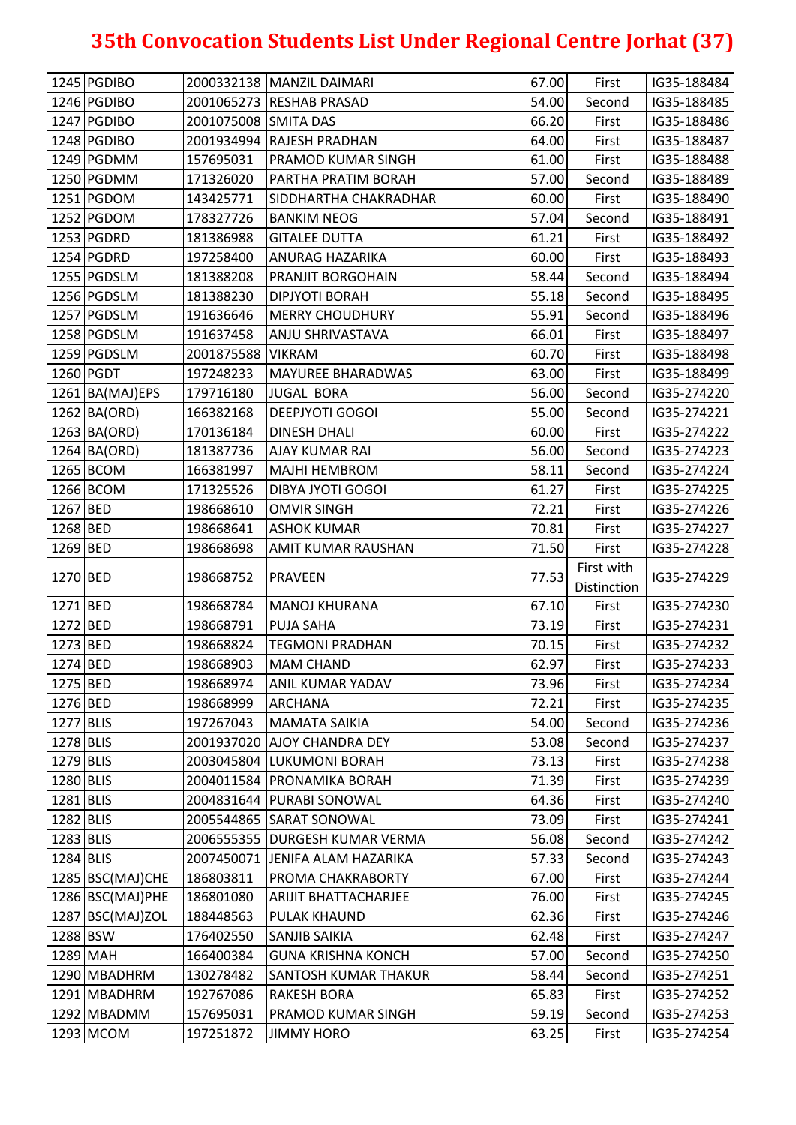| 1246 PGDIBO<br>2001065273 RESHAB PRASAD<br>54.00<br>Second<br>IG35-188485<br>1247 PGDIBO<br>2001075008 SMITA DAS<br>66.20<br>IG35-188486<br>First<br>1248 PGDIBO<br>2001934994 RAJESH PRADHAN<br>64.00<br>First<br>IG35-188487<br>1249 PGDMM<br>61.00<br>First<br>157695031<br><b>PRAMOD KUMAR SINGH</b><br>IG35-188488<br>1250 PGDMM<br>57.00<br>171326020<br>PARTHA PRATIM BORAH<br>Second<br>IG35-188489<br>1251 PGDOM<br>60.00<br>IG35-188490<br>143425771<br>SIDDHARTHA CHAKRADHAR<br>First<br>1252 PGDOM<br>57.04<br>178327726<br><b>BANKIM NEOG</b><br>Second<br>IG35-188491<br>1253 PGDRD<br>61.21<br>181386988<br><b>GITALEE DUTTA</b><br>First<br>IG35-188492<br>1254 PGDRD<br>60.00<br>197258400<br><b>ANURAG HAZARIKA</b><br>First<br>IG35-188493<br>1255 PGDSLM<br>181388208<br>58.44<br>Second<br>IG35-188494<br>PRANJIT BORGOHAIN<br>1256 PGDSLM<br>55.18<br>181388230<br><b>DIPJYOTI BORAH</b><br>Second<br>IG35-188495<br>1257 PGDSLM<br>55.91<br>191636646<br><b>MERRY CHOUDHURY</b><br>Second<br>IG35-188496<br>1258 PGDSLM<br>191637458<br>66.01<br><b>ANJU SHRIVASTAVA</b><br>First<br>IG35-188497<br>1259 PGDSLM<br>60.70<br>First<br>2001875588<br><b>VIKRAM</b><br>IG35-188498<br>1260 PGDT<br><b>MAYUREE BHARADWAS</b><br>63.00<br>197248233<br>First<br>IG35-188499<br>56.00<br>1261 BA(MAJ)EPS<br>179716180<br><b>JUGAL BORA</b><br>Second<br>IG35-274220<br>1262 BA(ORD)<br>166382168<br><b>DEEPJYOTI GOGOI</b><br>55.00<br>IG35-274221<br>Second<br>1263 BA(ORD)<br>60.00<br>170136184<br><b>DINESH DHALI</b><br>First<br>IG35-274222<br>1264 BA(ORD)<br>56.00<br>181387736<br>Second<br>IG35-274223<br><b>AJAY KUMAR RAI</b><br>1265 BCOM<br>58.11<br>166381997<br>Second<br>IG35-274224<br><b>MAJHI HEMBROM</b><br>1266 BCOM<br>171325526<br>61.27<br><b>DIBYA JYOTI GOGOI</b><br>First<br>IG35-274225<br>1267 BED<br>198668610<br><b>OMVIR SINGH</b><br>72.21<br>First<br>IG35-274226<br>1268 BED<br>70.81<br>First<br>198668641<br><b>ASHOK KUMAR</b><br>IG35-274227<br>1269 BED<br>71.50<br>198668698<br>AMIT KUMAR RAUSHAN<br>First<br>IG35-274228<br>First with<br>1270 BED<br>198668752<br>77.53<br><b>PRAVEEN</b><br>IG35-274229<br>Distinction<br>1271 BED<br>67.10<br>198668784<br>First<br><b>MANOJ KHURANA</b><br>IG35-274230<br>1272 BED<br>73.19<br>198668791<br><b>PUJA SAHA</b><br>First<br>IG35-274231<br>1273 BED<br>198668824<br><b>TEGMONI PRADHAN</b><br>70.15<br>First<br>IG35-274232<br>1274 BED<br>62.97<br>IG35-274233<br>198668903<br><b>MAM CHAND</b><br>First<br>1275 BED<br>73.96<br>198668974<br><b>ANIL KUMAR YADAV</b><br>First<br>IG35-274234<br>1276 BED<br>72.21<br>198668999<br><b>ARCHANA</b><br>First<br>IG35-274235<br>1277 BLIS<br>197267043<br>54.00<br><b>MAMATA SAIKIA</b><br>Second<br>IG35-274236<br>1278 BLIS<br>2001937020 AJOY CHANDRA DEY<br>53.08<br>Second<br>IG35-274237<br>1279 BLIS<br>2003045804 LUKUMONI BORAH<br>73.13<br>First<br>IG35-274238<br>1280 BLIS<br>2004011584 PRONAMIKA BORAH<br>IG35-274239<br>71.39<br>First<br>1281 BLIS<br>64.36<br>2004831644   PURABI SONOWAL<br>First<br>IG35-274240<br>1282 BLIS<br>73.09<br>2005544865 SARAT SONOWAL<br>First<br>IG35-274241<br>1283 BLIS<br>2006555355 DURGESH KUMAR VERMA<br>56.08<br>Second<br>IG35-274242<br>1284 BLIS<br>57.33<br>2007450071 JENIFA ALAM HAZARIKA<br>IG35-274243<br>Second<br>1285 BSC(MAJ)CHE<br>186803811<br>PROMA CHAKRABORTY<br>67.00<br>First<br>IG35-274244<br>76.00<br>1286 BSC(MAJ)PHE<br>186801080<br>First<br>IG35-274245<br><b>ARIJIT BHATTACHARJEE</b><br>1287 BSC(MAJ)ZOL<br>188448563<br>62.36<br><b>PULAK KHAUND</b><br>First<br>IG35-274246<br>1288 BSW<br>176402550<br>62.48<br>IG35-274247<br><b>SANJIB SAIKIA</b><br>First<br>1289 MAH<br>166400384<br><b>GUNA KRISHNA KONCH</b><br>57.00<br>Second<br>IG35-274250<br>1290 MBADHRM<br>58.44<br>130278482<br>IG35-274251<br><b>SANTOSH KUMAR THAKUR</b><br>Second<br>1291 MBADHRM<br>192767086<br>65.83<br><b>RAKESH BORA</b><br>First<br>IG35-274252<br>1292 MBADMM<br>157695031<br>PRAMOD KUMAR SINGH<br>59.19<br>Second<br>IG35-274253<br>1293 MCOM<br>197251872<br><b>JIMMY HORO</b><br>63.25<br>IG35-274254<br>First | 1245 PGDIBO | 2000332138   MANZIL DAIMARI | 67.00 | First | IG35-188484 |
|--------------------------------------------------------------------------------------------------------------------------------------------------------------------------------------------------------------------------------------------------------------------------------------------------------------------------------------------------------------------------------------------------------------------------------------------------------------------------------------------------------------------------------------------------------------------------------------------------------------------------------------------------------------------------------------------------------------------------------------------------------------------------------------------------------------------------------------------------------------------------------------------------------------------------------------------------------------------------------------------------------------------------------------------------------------------------------------------------------------------------------------------------------------------------------------------------------------------------------------------------------------------------------------------------------------------------------------------------------------------------------------------------------------------------------------------------------------------------------------------------------------------------------------------------------------------------------------------------------------------------------------------------------------------------------------------------------------------------------------------------------------------------------------------------------------------------------------------------------------------------------------------------------------------------------------------------------------------------------------------------------------------------------------------------------------------------------------------------------------------------------------------------------------------------------------------------------------------------------------------------------------------------------------------------------------------------------------------------------------------------------------------------------------------------------------------------------------------------------------------------------------------------------------------------------------------------------------------------------------------------------------------------------------------------------------------------------------------------------------------------------------------------------------------------------------------------------------------------------------------------------------------------------------------------------------------------------------------------------------------------------------------------------------------------------------------------------------------------------------------------------------------------------------------------------------------------------------------------------------------------------------------------------------------------------------------------------------------------------------------------------------------------------------------------------------------------------------------------------------------------------------------------------------------------------------------------------------------------------------------------------------------------------------------------------------------------------------------------------------------------------------------------------------------------------------------------------------------------------------------------------------------------------------------------------------------------------------------------------------------------------------------------------------------------------------------------------------------------------------------------------------------------------------|-------------|-----------------------------|-------|-------|-------------|
|                                                                                                                                                                                                                                                                                                                                                                                                                                                                                                                                                                                                                                                                                                                                                                                                                                                                                                                                                                                                                                                                                                                                                                                                                                                                                                                                                                                                                                                                                                                                                                                                                                                                                                                                                                                                                                                                                                                                                                                                                                                                                                                                                                                                                                                                                                                                                                                                                                                                                                                                                                                                                                                                                                                                                                                                                                                                                                                                                                                                                                                                                                                                                                                                                                                                                                                                                                                                                                                                                                                                                                                                                                                                                                                                                                                                                                                                                                                                                                                                                                                                                                                                                              |             |                             |       |       |             |
|                                                                                                                                                                                                                                                                                                                                                                                                                                                                                                                                                                                                                                                                                                                                                                                                                                                                                                                                                                                                                                                                                                                                                                                                                                                                                                                                                                                                                                                                                                                                                                                                                                                                                                                                                                                                                                                                                                                                                                                                                                                                                                                                                                                                                                                                                                                                                                                                                                                                                                                                                                                                                                                                                                                                                                                                                                                                                                                                                                                                                                                                                                                                                                                                                                                                                                                                                                                                                                                                                                                                                                                                                                                                                                                                                                                                                                                                                                                                                                                                                                                                                                                                                              |             |                             |       |       |             |
|                                                                                                                                                                                                                                                                                                                                                                                                                                                                                                                                                                                                                                                                                                                                                                                                                                                                                                                                                                                                                                                                                                                                                                                                                                                                                                                                                                                                                                                                                                                                                                                                                                                                                                                                                                                                                                                                                                                                                                                                                                                                                                                                                                                                                                                                                                                                                                                                                                                                                                                                                                                                                                                                                                                                                                                                                                                                                                                                                                                                                                                                                                                                                                                                                                                                                                                                                                                                                                                                                                                                                                                                                                                                                                                                                                                                                                                                                                                                                                                                                                                                                                                                                              |             |                             |       |       |             |
|                                                                                                                                                                                                                                                                                                                                                                                                                                                                                                                                                                                                                                                                                                                                                                                                                                                                                                                                                                                                                                                                                                                                                                                                                                                                                                                                                                                                                                                                                                                                                                                                                                                                                                                                                                                                                                                                                                                                                                                                                                                                                                                                                                                                                                                                                                                                                                                                                                                                                                                                                                                                                                                                                                                                                                                                                                                                                                                                                                                                                                                                                                                                                                                                                                                                                                                                                                                                                                                                                                                                                                                                                                                                                                                                                                                                                                                                                                                                                                                                                                                                                                                                                              |             |                             |       |       |             |
|                                                                                                                                                                                                                                                                                                                                                                                                                                                                                                                                                                                                                                                                                                                                                                                                                                                                                                                                                                                                                                                                                                                                                                                                                                                                                                                                                                                                                                                                                                                                                                                                                                                                                                                                                                                                                                                                                                                                                                                                                                                                                                                                                                                                                                                                                                                                                                                                                                                                                                                                                                                                                                                                                                                                                                                                                                                                                                                                                                                                                                                                                                                                                                                                                                                                                                                                                                                                                                                                                                                                                                                                                                                                                                                                                                                                                                                                                                                                                                                                                                                                                                                                                              |             |                             |       |       |             |
|                                                                                                                                                                                                                                                                                                                                                                                                                                                                                                                                                                                                                                                                                                                                                                                                                                                                                                                                                                                                                                                                                                                                                                                                                                                                                                                                                                                                                                                                                                                                                                                                                                                                                                                                                                                                                                                                                                                                                                                                                                                                                                                                                                                                                                                                                                                                                                                                                                                                                                                                                                                                                                                                                                                                                                                                                                                                                                                                                                                                                                                                                                                                                                                                                                                                                                                                                                                                                                                                                                                                                                                                                                                                                                                                                                                                                                                                                                                                                                                                                                                                                                                                                              |             |                             |       |       |             |
|                                                                                                                                                                                                                                                                                                                                                                                                                                                                                                                                                                                                                                                                                                                                                                                                                                                                                                                                                                                                                                                                                                                                                                                                                                                                                                                                                                                                                                                                                                                                                                                                                                                                                                                                                                                                                                                                                                                                                                                                                                                                                                                                                                                                                                                                                                                                                                                                                                                                                                                                                                                                                                                                                                                                                                                                                                                                                                                                                                                                                                                                                                                                                                                                                                                                                                                                                                                                                                                                                                                                                                                                                                                                                                                                                                                                                                                                                                                                                                                                                                                                                                                                                              |             |                             |       |       |             |
|                                                                                                                                                                                                                                                                                                                                                                                                                                                                                                                                                                                                                                                                                                                                                                                                                                                                                                                                                                                                                                                                                                                                                                                                                                                                                                                                                                                                                                                                                                                                                                                                                                                                                                                                                                                                                                                                                                                                                                                                                                                                                                                                                                                                                                                                                                                                                                                                                                                                                                                                                                                                                                                                                                                                                                                                                                                                                                                                                                                                                                                                                                                                                                                                                                                                                                                                                                                                                                                                                                                                                                                                                                                                                                                                                                                                                                                                                                                                                                                                                                                                                                                                                              |             |                             |       |       |             |
|                                                                                                                                                                                                                                                                                                                                                                                                                                                                                                                                                                                                                                                                                                                                                                                                                                                                                                                                                                                                                                                                                                                                                                                                                                                                                                                                                                                                                                                                                                                                                                                                                                                                                                                                                                                                                                                                                                                                                                                                                                                                                                                                                                                                                                                                                                                                                                                                                                                                                                                                                                                                                                                                                                                                                                                                                                                                                                                                                                                                                                                                                                                                                                                                                                                                                                                                                                                                                                                                                                                                                                                                                                                                                                                                                                                                                                                                                                                                                                                                                                                                                                                                                              |             |                             |       |       |             |
|                                                                                                                                                                                                                                                                                                                                                                                                                                                                                                                                                                                                                                                                                                                                                                                                                                                                                                                                                                                                                                                                                                                                                                                                                                                                                                                                                                                                                                                                                                                                                                                                                                                                                                                                                                                                                                                                                                                                                                                                                                                                                                                                                                                                                                                                                                                                                                                                                                                                                                                                                                                                                                                                                                                                                                                                                                                                                                                                                                                                                                                                                                                                                                                                                                                                                                                                                                                                                                                                                                                                                                                                                                                                                                                                                                                                                                                                                                                                                                                                                                                                                                                                                              |             |                             |       |       |             |
|                                                                                                                                                                                                                                                                                                                                                                                                                                                                                                                                                                                                                                                                                                                                                                                                                                                                                                                                                                                                                                                                                                                                                                                                                                                                                                                                                                                                                                                                                                                                                                                                                                                                                                                                                                                                                                                                                                                                                                                                                                                                                                                                                                                                                                                                                                                                                                                                                                                                                                                                                                                                                                                                                                                                                                                                                                                                                                                                                                                                                                                                                                                                                                                                                                                                                                                                                                                                                                                                                                                                                                                                                                                                                                                                                                                                                                                                                                                                                                                                                                                                                                                                                              |             |                             |       |       |             |
|                                                                                                                                                                                                                                                                                                                                                                                                                                                                                                                                                                                                                                                                                                                                                                                                                                                                                                                                                                                                                                                                                                                                                                                                                                                                                                                                                                                                                                                                                                                                                                                                                                                                                                                                                                                                                                                                                                                                                                                                                                                                                                                                                                                                                                                                                                                                                                                                                                                                                                                                                                                                                                                                                                                                                                                                                                                                                                                                                                                                                                                                                                                                                                                                                                                                                                                                                                                                                                                                                                                                                                                                                                                                                                                                                                                                                                                                                                                                                                                                                                                                                                                                                              |             |                             |       |       |             |
|                                                                                                                                                                                                                                                                                                                                                                                                                                                                                                                                                                                                                                                                                                                                                                                                                                                                                                                                                                                                                                                                                                                                                                                                                                                                                                                                                                                                                                                                                                                                                                                                                                                                                                                                                                                                                                                                                                                                                                                                                                                                                                                                                                                                                                                                                                                                                                                                                                                                                                                                                                                                                                                                                                                                                                                                                                                                                                                                                                                                                                                                                                                                                                                                                                                                                                                                                                                                                                                                                                                                                                                                                                                                                                                                                                                                                                                                                                                                                                                                                                                                                                                                                              |             |                             |       |       |             |
|                                                                                                                                                                                                                                                                                                                                                                                                                                                                                                                                                                                                                                                                                                                                                                                                                                                                                                                                                                                                                                                                                                                                                                                                                                                                                                                                                                                                                                                                                                                                                                                                                                                                                                                                                                                                                                                                                                                                                                                                                                                                                                                                                                                                                                                                                                                                                                                                                                                                                                                                                                                                                                                                                                                                                                                                                                                                                                                                                                                                                                                                                                                                                                                                                                                                                                                                                                                                                                                                                                                                                                                                                                                                                                                                                                                                                                                                                                                                                                                                                                                                                                                                                              |             |                             |       |       |             |
|                                                                                                                                                                                                                                                                                                                                                                                                                                                                                                                                                                                                                                                                                                                                                                                                                                                                                                                                                                                                                                                                                                                                                                                                                                                                                                                                                                                                                                                                                                                                                                                                                                                                                                                                                                                                                                                                                                                                                                                                                                                                                                                                                                                                                                                                                                                                                                                                                                                                                                                                                                                                                                                                                                                                                                                                                                                                                                                                                                                                                                                                                                                                                                                                                                                                                                                                                                                                                                                                                                                                                                                                                                                                                                                                                                                                                                                                                                                                                                                                                                                                                                                                                              |             |                             |       |       |             |
|                                                                                                                                                                                                                                                                                                                                                                                                                                                                                                                                                                                                                                                                                                                                                                                                                                                                                                                                                                                                                                                                                                                                                                                                                                                                                                                                                                                                                                                                                                                                                                                                                                                                                                                                                                                                                                                                                                                                                                                                                                                                                                                                                                                                                                                                                                                                                                                                                                                                                                                                                                                                                                                                                                                                                                                                                                                                                                                                                                                                                                                                                                                                                                                                                                                                                                                                                                                                                                                                                                                                                                                                                                                                                                                                                                                                                                                                                                                                                                                                                                                                                                                                                              |             |                             |       |       |             |
|                                                                                                                                                                                                                                                                                                                                                                                                                                                                                                                                                                                                                                                                                                                                                                                                                                                                                                                                                                                                                                                                                                                                                                                                                                                                                                                                                                                                                                                                                                                                                                                                                                                                                                                                                                                                                                                                                                                                                                                                                                                                                                                                                                                                                                                                                                                                                                                                                                                                                                                                                                                                                                                                                                                                                                                                                                                                                                                                                                                                                                                                                                                                                                                                                                                                                                                                                                                                                                                                                                                                                                                                                                                                                                                                                                                                                                                                                                                                                                                                                                                                                                                                                              |             |                             |       |       |             |
|                                                                                                                                                                                                                                                                                                                                                                                                                                                                                                                                                                                                                                                                                                                                                                                                                                                                                                                                                                                                                                                                                                                                                                                                                                                                                                                                                                                                                                                                                                                                                                                                                                                                                                                                                                                                                                                                                                                                                                                                                                                                                                                                                                                                                                                                                                                                                                                                                                                                                                                                                                                                                                                                                                                                                                                                                                                                                                                                                                                                                                                                                                                                                                                                                                                                                                                                                                                                                                                                                                                                                                                                                                                                                                                                                                                                                                                                                                                                                                                                                                                                                                                                                              |             |                             |       |       |             |
|                                                                                                                                                                                                                                                                                                                                                                                                                                                                                                                                                                                                                                                                                                                                                                                                                                                                                                                                                                                                                                                                                                                                                                                                                                                                                                                                                                                                                                                                                                                                                                                                                                                                                                                                                                                                                                                                                                                                                                                                                                                                                                                                                                                                                                                                                                                                                                                                                                                                                                                                                                                                                                                                                                                                                                                                                                                                                                                                                                                                                                                                                                                                                                                                                                                                                                                                                                                                                                                                                                                                                                                                                                                                                                                                                                                                                                                                                                                                                                                                                                                                                                                                                              |             |                             |       |       |             |
|                                                                                                                                                                                                                                                                                                                                                                                                                                                                                                                                                                                                                                                                                                                                                                                                                                                                                                                                                                                                                                                                                                                                                                                                                                                                                                                                                                                                                                                                                                                                                                                                                                                                                                                                                                                                                                                                                                                                                                                                                                                                                                                                                                                                                                                                                                                                                                                                                                                                                                                                                                                                                                                                                                                                                                                                                                                                                                                                                                                                                                                                                                                                                                                                                                                                                                                                                                                                                                                                                                                                                                                                                                                                                                                                                                                                                                                                                                                                                                                                                                                                                                                                                              |             |                             |       |       |             |
|                                                                                                                                                                                                                                                                                                                                                                                                                                                                                                                                                                                                                                                                                                                                                                                                                                                                                                                                                                                                                                                                                                                                                                                                                                                                                                                                                                                                                                                                                                                                                                                                                                                                                                                                                                                                                                                                                                                                                                                                                                                                                                                                                                                                                                                                                                                                                                                                                                                                                                                                                                                                                                                                                                                                                                                                                                                                                                                                                                                                                                                                                                                                                                                                                                                                                                                                                                                                                                                                                                                                                                                                                                                                                                                                                                                                                                                                                                                                                                                                                                                                                                                                                              |             |                             |       |       |             |
|                                                                                                                                                                                                                                                                                                                                                                                                                                                                                                                                                                                                                                                                                                                                                                                                                                                                                                                                                                                                                                                                                                                                                                                                                                                                                                                                                                                                                                                                                                                                                                                                                                                                                                                                                                                                                                                                                                                                                                                                                                                                                                                                                                                                                                                                                                                                                                                                                                                                                                                                                                                                                                                                                                                                                                                                                                                                                                                                                                                                                                                                                                                                                                                                                                                                                                                                                                                                                                                                                                                                                                                                                                                                                                                                                                                                                                                                                                                                                                                                                                                                                                                                                              |             |                             |       |       |             |
|                                                                                                                                                                                                                                                                                                                                                                                                                                                                                                                                                                                                                                                                                                                                                                                                                                                                                                                                                                                                                                                                                                                                                                                                                                                                                                                                                                                                                                                                                                                                                                                                                                                                                                                                                                                                                                                                                                                                                                                                                                                                                                                                                                                                                                                                                                                                                                                                                                                                                                                                                                                                                                                                                                                                                                                                                                                                                                                                                                                                                                                                                                                                                                                                                                                                                                                                                                                                                                                                                                                                                                                                                                                                                                                                                                                                                                                                                                                                                                                                                                                                                                                                                              |             |                             |       |       |             |
|                                                                                                                                                                                                                                                                                                                                                                                                                                                                                                                                                                                                                                                                                                                                                                                                                                                                                                                                                                                                                                                                                                                                                                                                                                                                                                                                                                                                                                                                                                                                                                                                                                                                                                                                                                                                                                                                                                                                                                                                                                                                                                                                                                                                                                                                                                                                                                                                                                                                                                                                                                                                                                                                                                                                                                                                                                                                                                                                                                                                                                                                                                                                                                                                                                                                                                                                                                                                                                                                                                                                                                                                                                                                                                                                                                                                                                                                                                                                                                                                                                                                                                                                                              |             |                             |       |       |             |
|                                                                                                                                                                                                                                                                                                                                                                                                                                                                                                                                                                                                                                                                                                                                                                                                                                                                                                                                                                                                                                                                                                                                                                                                                                                                                                                                                                                                                                                                                                                                                                                                                                                                                                                                                                                                                                                                                                                                                                                                                                                                                                                                                                                                                                                                                                                                                                                                                                                                                                                                                                                                                                                                                                                                                                                                                                                                                                                                                                                                                                                                                                                                                                                                                                                                                                                                                                                                                                                                                                                                                                                                                                                                                                                                                                                                                                                                                                                                                                                                                                                                                                                                                              |             |                             |       |       |             |
|                                                                                                                                                                                                                                                                                                                                                                                                                                                                                                                                                                                                                                                                                                                                                                                                                                                                                                                                                                                                                                                                                                                                                                                                                                                                                                                                                                                                                                                                                                                                                                                                                                                                                                                                                                                                                                                                                                                                                                                                                                                                                                                                                                                                                                                                                                                                                                                                                                                                                                                                                                                                                                                                                                                                                                                                                                                                                                                                                                                                                                                                                                                                                                                                                                                                                                                                                                                                                                                                                                                                                                                                                                                                                                                                                                                                                                                                                                                                                                                                                                                                                                                                                              |             |                             |       |       |             |
|                                                                                                                                                                                                                                                                                                                                                                                                                                                                                                                                                                                                                                                                                                                                                                                                                                                                                                                                                                                                                                                                                                                                                                                                                                                                                                                                                                                                                                                                                                                                                                                                                                                                                                                                                                                                                                                                                                                                                                                                                                                                                                                                                                                                                                                                                                                                                                                                                                                                                                                                                                                                                                                                                                                                                                                                                                                                                                                                                                                                                                                                                                                                                                                                                                                                                                                                                                                                                                                                                                                                                                                                                                                                                                                                                                                                                                                                                                                                                                                                                                                                                                                                                              |             |                             |       |       |             |
|                                                                                                                                                                                                                                                                                                                                                                                                                                                                                                                                                                                                                                                                                                                                                                                                                                                                                                                                                                                                                                                                                                                                                                                                                                                                                                                                                                                                                                                                                                                                                                                                                                                                                                                                                                                                                                                                                                                                                                                                                                                                                                                                                                                                                                                                                                                                                                                                                                                                                                                                                                                                                                                                                                                                                                                                                                                                                                                                                                                                                                                                                                                                                                                                                                                                                                                                                                                                                                                                                                                                                                                                                                                                                                                                                                                                                                                                                                                                                                                                                                                                                                                                                              |             |                             |       |       |             |
|                                                                                                                                                                                                                                                                                                                                                                                                                                                                                                                                                                                                                                                                                                                                                                                                                                                                                                                                                                                                                                                                                                                                                                                                                                                                                                                                                                                                                                                                                                                                                                                                                                                                                                                                                                                                                                                                                                                                                                                                                                                                                                                                                                                                                                                                                                                                                                                                                                                                                                                                                                                                                                                                                                                                                                                                                                                                                                                                                                                                                                                                                                                                                                                                                                                                                                                                                                                                                                                                                                                                                                                                                                                                                                                                                                                                                                                                                                                                                                                                                                                                                                                                                              |             |                             |       |       |             |
|                                                                                                                                                                                                                                                                                                                                                                                                                                                                                                                                                                                                                                                                                                                                                                                                                                                                                                                                                                                                                                                                                                                                                                                                                                                                                                                                                                                                                                                                                                                                                                                                                                                                                                                                                                                                                                                                                                                                                                                                                                                                                                                                                                                                                                                                                                                                                                                                                                                                                                                                                                                                                                                                                                                                                                                                                                                                                                                                                                                                                                                                                                                                                                                                                                                                                                                                                                                                                                                                                                                                                                                                                                                                                                                                                                                                                                                                                                                                                                                                                                                                                                                                                              |             |                             |       |       |             |
|                                                                                                                                                                                                                                                                                                                                                                                                                                                                                                                                                                                                                                                                                                                                                                                                                                                                                                                                                                                                                                                                                                                                                                                                                                                                                                                                                                                                                                                                                                                                                                                                                                                                                                                                                                                                                                                                                                                                                                                                                                                                                                                                                                                                                                                                                                                                                                                                                                                                                                                                                                                                                                                                                                                                                                                                                                                                                                                                                                                                                                                                                                                                                                                                                                                                                                                                                                                                                                                                                                                                                                                                                                                                                                                                                                                                                                                                                                                                                                                                                                                                                                                                                              |             |                             |       |       |             |
|                                                                                                                                                                                                                                                                                                                                                                                                                                                                                                                                                                                                                                                                                                                                                                                                                                                                                                                                                                                                                                                                                                                                                                                                                                                                                                                                                                                                                                                                                                                                                                                                                                                                                                                                                                                                                                                                                                                                                                                                                                                                                                                                                                                                                                                                                                                                                                                                                                                                                                                                                                                                                                                                                                                                                                                                                                                                                                                                                                                                                                                                                                                                                                                                                                                                                                                                                                                                                                                                                                                                                                                                                                                                                                                                                                                                                                                                                                                                                                                                                                                                                                                                                              |             |                             |       |       |             |
|                                                                                                                                                                                                                                                                                                                                                                                                                                                                                                                                                                                                                                                                                                                                                                                                                                                                                                                                                                                                                                                                                                                                                                                                                                                                                                                                                                                                                                                                                                                                                                                                                                                                                                                                                                                                                                                                                                                                                                                                                                                                                                                                                                                                                                                                                                                                                                                                                                                                                                                                                                                                                                                                                                                                                                                                                                                                                                                                                                                                                                                                                                                                                                                                                                                                                                                                                                                                                                                                                                                                                                                                                                                                                                                                                                                                                                                                                                                                                                                                                                                                                                                                                              |             |                             |       |       |             |
|                                                                                                                                                                                                                                                                                                                                                                                                                                                                                                                                                                                                                                                                                                                                                                                                                                                                                                                                                                                                                                                                                                                                                                                                                                                                                                                                                                                                                                                                                                                                                                                                                                                                                                                                                                                                                                                                                                                                                                                                                                                                                                                                                                                                                                                                                                                                                                                                                                                                                                                                                                                                                                                                                                                                                                                                                                                                                                                                                                                                                                                                                                                                                                                                                                                                                                                                                                                                                                                                                                                                                                                                                                                                                                                                                                                                                                                                                                                                                                                                                                                                                                                                                              |             |                             |       |       |             |
|                                                                                                                                                                                                                                                                                                                                                                                                                                                                                                                                                                                                                                                                                                                                                                                                                                                                                                                                                                                                                                                                                                                                                                                                                                                                                                                                                                                                                                                                                                                                                                                                                                                                                                                                                                                                                                                                                                                                                                                                                                                                                                                                                                                                                                                                                                                                                                                                                                                                                                                                                                                                                                                                                                                                                                                                                                                                                                                                                                                                                                                                                                                                                                                                                                                                                                                                                                                                                                                                                                                                                                                                                                                                                                                                                                                                                                                                                                                                                                                                                                                                                                                                                              |             |                             |       |       |             |
|                                                                                                                                                                                                                                                                                                                                                                                                                                                                                                                                                                                                                                                                                                                                                                                                                                                                                                                                                                                                                                                                                                                                                                                                                                                                                                                                                                                                                                                                                                                                                                                                                                                                                                                                                                                                                                                                                                                                                                                                                                                                                                                                                                                                                                                                                                                                                                                                                                                                                                                                                                                                                                                                                                                                                                                                                                                                                                                                                                                                                                                                                                                                                                                                                                                                                                                                                                                                                                                                                                                                                                                                                                                                                                                                                                                                                                                                                                                                                                                                                                                                                                                                                              |             |                             |       |       |             |
|                                                                                                                                                                                                                                                                                                                                                                                                                                                                                                                                                                                                                                                                                                                                                                                                                                                                                                                                                                                                                                                                                                                                                                                                                                                                                                                                                                                                                                                                                                                                                                                                                                                                                                                                                                                                                                                                                                                                                                                                                                                                                                                                                                                                                                                                                                                                                                                                                                                                                                                                                                                                                                                                                                                                                                                                                                                                                                                                                                                                                                                                                                                                                                                                                                                                                                                                                                                                                                                                                                                                                                                                                                                                                                                                                                                                                                                                                                                                                                                                                                                                                                                                                              |             |                             |       |       |             |
|                                                                                                                                                                                                                                                                                                                                                                                                                                                                                                                                                                                                                                                                                                                                                                                                                                                                                                                                                                                                                                                                                                                                                                                                                                                                                                                                                                                                                                                                                                                                                                                                                                                                                                                                                                                                                                                                                                                                                                                                                                                                                                                                                                                                                                                                                                                                                                                                                                                                                                                                                                                                                                                                                                                                                                                                                                                                                                                                                                                                                                                                                                                                                                                                                                                                                                                                                                                                                                                                                                                                                                                                                                                                                                                                                                                                                                                                                                                                                                                                                                                                                                                                                              |             |                             |       |       |             |
|                                                                                                                                                                                                                                                                                                                                                                                                                                                                                                                                                                                                                                                                                                                                                                                                                                                                                                                                                                                                                                                                                                                                                                                                                                                                                                                                                                                                                                                                                                                                                                                                                                                                                                                                                                                                                                                                                                                                                                                                                                                                                                                                                                                                                                                                                                                                                                                                                                                                                                                                                                                                                                                                                                                                                                                                                                                                                                                                                                                                                                                                                                                                                                                                                                                                                                                                                                                                                                                                                                                                                                                                                                                                                                                                                                                                                                                                                                                                                                                                                                                                                                                                                              |             |                             |       |       |             |
|                                                                                                                                                                                                                                                                                                                                                                                                                                                                                                                                                                                                                                                                                                                                                                                                                                                                                                                                                                                                                                                                                                                                                                                                                                                                                                                                                                                                                                                                                                                                                                                                                                                                                                                                                                                                                                                                                                                                                                                                                                                                                                                                                                                                                                                                                                                                                                                                                                                                                                                                                                                                                                                                                                                                                                                                                                                                                                                                                                                                                                                                                                                                                                                                                                                                                                                                                                                                                                                                                                                                                                                                                                                                                                                                                                                                                                                                                                                                                                                                                                                                                                                                                              |             |                             |       |       |             |
|                                                                                                                                                                                                                                                                                                                                                                                                                                                                                                                                                                                                                                                                                                                                                                                                                                                                                                                                                                                                                                                                                                                                                                                                                                                                                                                                                                                                                                                                                                                                                                                                                                                                                                                                                                                                                                                                                                                                                                                                                                                                                                                                                                                                                                                                                                                                                                                                                                                                                                                                                                                                                                                                                                                                                                                                                                                                                                                                                                                                                                                                                                                                                                                                                                                                                                                                                                                                                                                                                                                                                                                                                                                                                                                                                                                                                                                                                                                                                                                                                                                                                                                                                              |             |                             |       |       |             |
|                                                                                                                                                                                                                                                                                                                                                                                                                                                                                                                                                                                                                                                                                                                                                                                                                                                                                                                                                                                                                                                                                                                                                                                                                                                                                                                                                                                                                                                                                                                                                                                                                                                                                                                                                                                                                                                                                                                                                                                                                                                                                                                                                                                                                                                                                                                                                                                                                                                                                                                                                                                                                                                                                                                                                                                                                                                                                                                                                                                                                                                                                                                                                                                                                                                                                                                                                                                                                                                                                                                                                                                                                                                                                                                                                                                                                                                                                                                                                                                                                                                                                                                                                              |             |                             |       |       |             |
|                                                                                                                                                                                                                                                                                                                                                                                                                                                                                                                                                                                                                                                                                                                                                                                                                                                                                                                                                                                                                                                                                                                                                                                                                                                                                                                                                                                                                                                                                                                                                                                                                                                                                                                                                                                                                                                                                                                                                                                                                                                                                                                                                                                                                                                                                                                                                                                                                                                                                                                                                                                                                                                                                                                                                                                                                                                                                                                                                                                                                                                                                                                                                                                                                                                                                                                                                                                                                                                                                                                                                                                                                                                                                                                                                                                                                                                                                                                                                                                                                                                                                                                                                              |             |                             |       |       |             |
|                                                                                                                                                                                                                                                                                                                                                                                                                                                                                                                                                                                                                                                                                                                                                                                                                                                                                                                                                                                                                                                                                                                                                                                                                                                                                                                                                                                                                                                                                                                                                                                                                                                                                                                                                                                                                                                                                                                                                                                                                                                                                                                                                                                                                                                                                                                                                                                                                                                                                                                                                                                                                                                                                                                                                                                                                                                                                                                                                                                                                                                                                                                                                                                                                                                                                                                                                                                                                                                                                                                                                                                                                                                                                                                                                                                                                                                                                                                                                                                                                                                                                                                                                              |             |                             |       |       |             |
|                                                                                                                                                                                                                                                                                                                                                                                                                                                                                                                                                                                                                                                                                                                                                                                                                                                                                                                                                                                                                                                                                                                                                                                                                                                                                                                                                                                                                                                                                                                                                                                                                                                                                                                                                                                                                                                                                                                                                                                                                                                                                                                                                                                                                                                                                                                                                                                                                                                                                                                                                                                                                                                                                                                                                                                                                                                                                                                                                                                                                                                                                                                                                                                                                                                                                                                                                                                                                                                                                                                                                                                                                                                                                                                                                                                                                                                                                                                                                                                                                                                                                                                                                              |             |                             |       |       |             |
|                                                                                                                                                                                                                                                                                                                                                                                                                                                                                                                                                                                                                                                                                                                                                                                                                                                                                                                                                                                                                                                                                                                                                                                                                                                                                                                                                                                                                                                                                                                                                                                                                                                                                                                                                                                                                                                                                                                                                                                                                                                                                                                                                                                                                                                                                                                                                                                                                                                                                                                                                                                                                                                                                                                                                                                                                                                                                                                                                                                                                                                                                                                                                                                                                                                                                                                                                                                                                                                                                                                                                                                                                                                                                                                                                                                                                                                                                                                                                                                                                                                                                                                                                              |             |                             |       |       |             |
|                                                                                                                                                                                                                                                                                                                                                                                                                                                                                                                                                                                                                                                                                                                                                                                                                                                                                                                                                                                                                                                                                                                                                                                                                                                                                                                                                                                                                                                                                                                                                                                                                                                                                                                                                                                                                                                                                                                                                                                                                                                                                                                                                                                                                                                                                                                                                                                                                                                                                                                                                                                                                                                                                                                                                                                                                                                                                                                                                                                                                                                                                                                                                                                                                                                                                                                                                                                                                                                                                                                                                                                                                                                                                                                                                                                                                                                                                                                                                                                                                                                                                                                                                              |             |                             |       |       |             |
|                                                                                                                                                                                                                                                                                                                                                                                                                                                                                                                                                                                                                                                                                                                                                                                                                                                                                                                                                                                                                                                                                                                                                                                                                                                                                                                                                                                                                                                                                                                                                                                                                                                                                                                                                                                                                                                                                                                                                                                                                                                                                                                                                                                                                                                                                                                                                                                                                                                                                                                                                                                                                                                                                                                                                                                                                                                                                                                                                                                                                                                                                                                                                                                                                                                                                                                                                                                                                                                                                                                                                                                                                                                                                                                                                                                                                                                                                                                                                                                                                                                                                                                                                              |             |                             |       |       |             |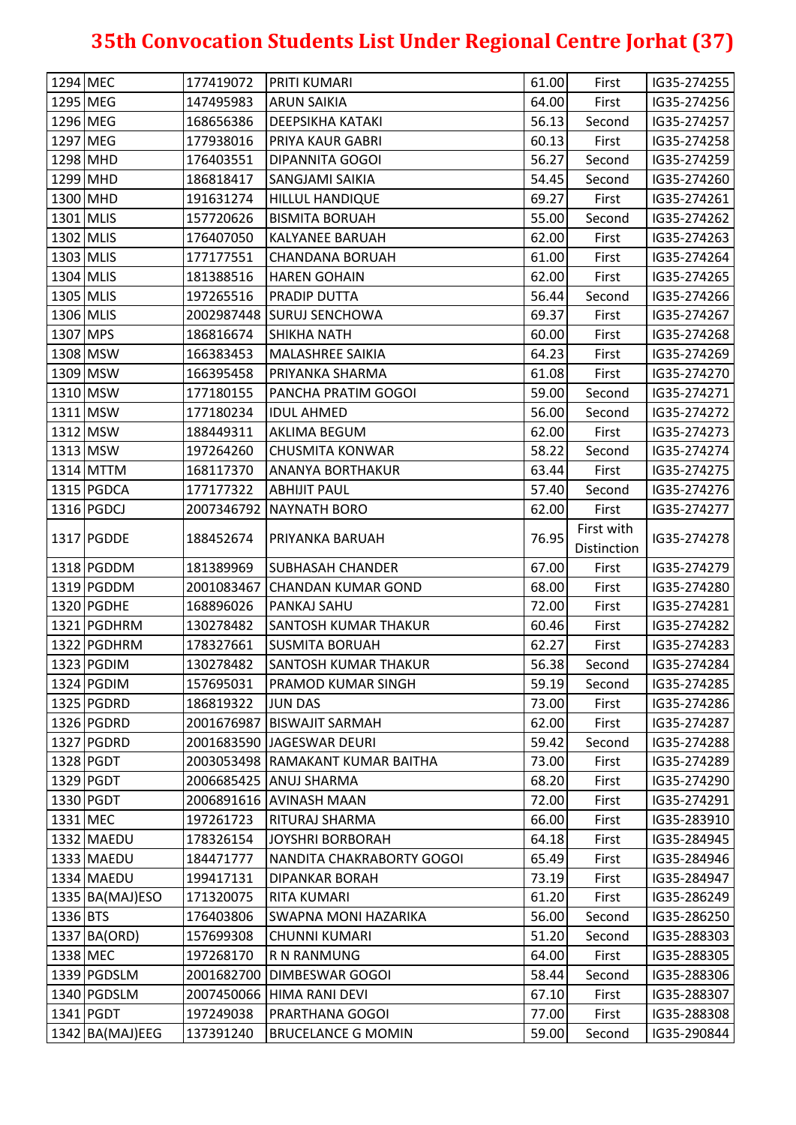| 1294 MEC |                 | 177419072  | <b>PRITI KUMARI</b>              | 61.00 | First                     | IG35-274255 |
|----------|-----------------|------------|----------------------------------|-------|---------------------------|-------------|
|          | 1295 MEG        | 147495983  | <b>ARUN SAIKIA</b>               | 64.00 | First                     | IG35-274256 |
|          | 1296 MEG        | 168656386  | <b>DEEPSIKHA KATAKI</b>          | 56.13 | Second                    | IG35-274257 |
|          | 1297 MEG        | 177938016  | PRIYA KAUR GABRI                 | 60.13 | First                     | IG35-274258 |
|          | 1298 MHD        | 176403551  | <b>DIPANNITA GOGOI</b>           | 56.27 | Second                    | IG35-274259 |
|          | 1299 MHD        | 186818417  | SANGJAMI SAIKIA                  | 54.45 | Second                    | IG35-274260 |
|          | 1300 MHD        | 191631274  | <b>HILLUL HANDIQUE</b>           | 69.27 | First                     | IG35-274261 |
|          | 1301 MLIS       | 157720626  | <b>BISMITA BORUAH</b>            | 55.00 | Second                    | IG35-274262 |
|          | 1302 MLIS       | 176407050  | <b>KALYANEE BARUAH</b>           | 62.00 | First                     | IG35-274263 |
|          | 1303 MLIS       | 177177551  | <b>CHANDANA BORUAH</b>           | 61.00 | First                     | IG35-274264 |
|          | 1304 MLIS       | 181388516  | <b>HAREN GOHAIN</b>              | 62.00 | First                     | IG35-274265 |
|          | 1305 MLIS       | 197265516  | PRADIP DUTTA                     | 56.44 | Second                    | IG35-274266 |
|          | 1306 MLIS       | 2002987448 | <b>SURUJ SENCHOWA</b>            | 69.37 | First                     | IG35-274267 |
| 1307 MPS |                 | 186816674  | <b>SHIKHA NATH</b>               | 60.00 | First                     | IG35-274268 |
|          | 1308 MSW        | 166383453  | <b>MALASHREE SAIKIA</b>          | 64.23 | First                     | IG35-274269 |
|          | 1309 MSW        | 166395458  | PRIYANKA SHARMA                  | 61.08 | First                     | IG35-274270 |
|          | 1310 MSW        | 177180155  | PANCHA PRATIM GOGOI              | 59.00 | Second                    | IG35-274271 |
|          | 1311 MSW        | 177180234  | <b>IDUL AHMED</b>                | 56.00 | Second                    | IG35-274272 |
|          | 1312 MSW        | 188449311  | <b>AKLIMA BEGUM</b>              | 62.00 | First                     | IG35-274273 |
|          | 1313 MSW        | 197264260  | <b>CHUSMITA KONWAR</b>           | 58.22 | Second                    | IG35-274274 |
|          | 1314 MTTM       | 168117370  | <b>ANANYA BORTHAKUR</b>          | 63.44 | First                     | IG35-274275 |
|          | 1315 PGDCA      | 177177322  | <b>ABHIJIT PAUL</b>              | 57.40 | Second                    | IG35-274276 |
|          | 1316 PGDCJ      | 2007346792 | <b>NAYNATH BORO</b>              | 62.00 | First                     | IG35-274277 |
|          | 1317 PGDDE      | 188452674  | PRIYANKA BARUAH                  | 76.95 | First with<br>Distinction | IG35-274278 |
|          | 1318 PGDDM      | 181389969  | <b>SUBHASAH CHANDER</b>          | 67.00 | First                     | IG35-274279 |
|          | 1319 PGDDM      | 2001083467 | <b>CHANDAN KUMAR GOND</b>        | 68.00 | First                     | IG35-274280 |
|          | 1320 PGDHE      | 168896026  | PANKAJ SAHU                      | 72.00 | First                     | IG35-274281 |
|          | 1321 PGDHRM     | 130278482  | <b>SANTOSH KUMAR THAKUR</b>      | 60.46 | First                     | IG35-274282 |
|          | 1322 PGDHRM     | 178327661  | <b>SUSMITA BORUAH</b>            | 62.27 | First                     | IG35-274283 |
|          | 1323 PGDIM      | 130278482  | <b>SANTOSH KUMAR THAKUR</b>      | 56.38 | Second                    | IG35-274284 |
|          | 1324 PGDIM      | 157695031  | PRAMOD KUMAR SINGH               | 59.19 | Second                    | IG35-274285 |
|          | 1325 PGDRD      | 186819322  | <b>JUN DAS</b>                   | 73.00 | First                     | IG35-274286 |
|          | 1326 PGDRD      |            | 2001676987   BISWAJIT SARMAH     | 62.00 | First                     | IG35-274287 |
|          | 1327 PGDRD      |            | 2001683590 JAGESWAR DEURI        | 59.42 | Second                    | IG35-274288 |
|          | 1328 PGDT       |            | 2003053498 RAMAKANT KUMAR BAITHA | 73.00 | First                     | IG35-274289 |
|          | 1329 PGDT       |            | 2006685425 ANUJ SHARMA           | 68.20 | First                     | IG35-274290 |
|          | 1330 PGDT       |            | 2006891616 AVINASH MAAN          | 72.00 | First                     | IG35-274291 |
|          | 1331 MEC        | 197261723  | RITURAJ SHARMA                   | 66.00 | First                     | IG35-283910 |
|          | 1332 MAEDU      | 178326154  | <b>JOYSHRI BORBORAH</b>          | 64.18 | First                     | IG35-284945 |
|          | 1333 MAEDU      | 184471777  | NANDITA CHAKRABORTY GOGOI        | 65.49 | First                     | IG35-284946 |
|          | 1334 MAEDU      | 199417131  | <b>DIPANKAR BORAH</b>            | 73.19 | First                     | IG35-284947 |
|          | 1335 BA(MAJ)ESO | 171320075  | <b>RITA KUMARI</b>               | 61.20 | First                     | IG35-286249 |
| 1336 BTS |                 | 176403806  | <b>SWAPNA MONI HAZARIKA</b>      | 56.00 | Second                    | IG35-286250 |
|          | 1337 BA(ORD)    | 157699308  | <b>CHUNNI KUMARI</b>             | 51.20 | Second                    | IG35-288303 |
| 1338 MEC |                 | 197268170  | <b>R N RANMUNG</b>               | 64.00 | First                     | IG35-288305 |
|          | 1339 PGDSLM     |            | 2001682700 DIMBESWAR GOGOI       | 58.44 | Second                    | IG35-288306 |
|          | 1340 PGDSLM     |            | 2007450066 HIMA RANI DEVI        | 67.10 | First                     | IG35-288307 |
|          | 1341 PGDT       | 197249038  | PRARTHANA GOGOI                  | 77.00 | First                     | IG35-288308 |
|          | 1342 BA(MAJ)EEG | 137391240  | <b>BRUCELANCE G MOMIN</b>        | 59.00 | Second                    | IG35-290844 |
|          |                 |            |                                  |       |                           |             |